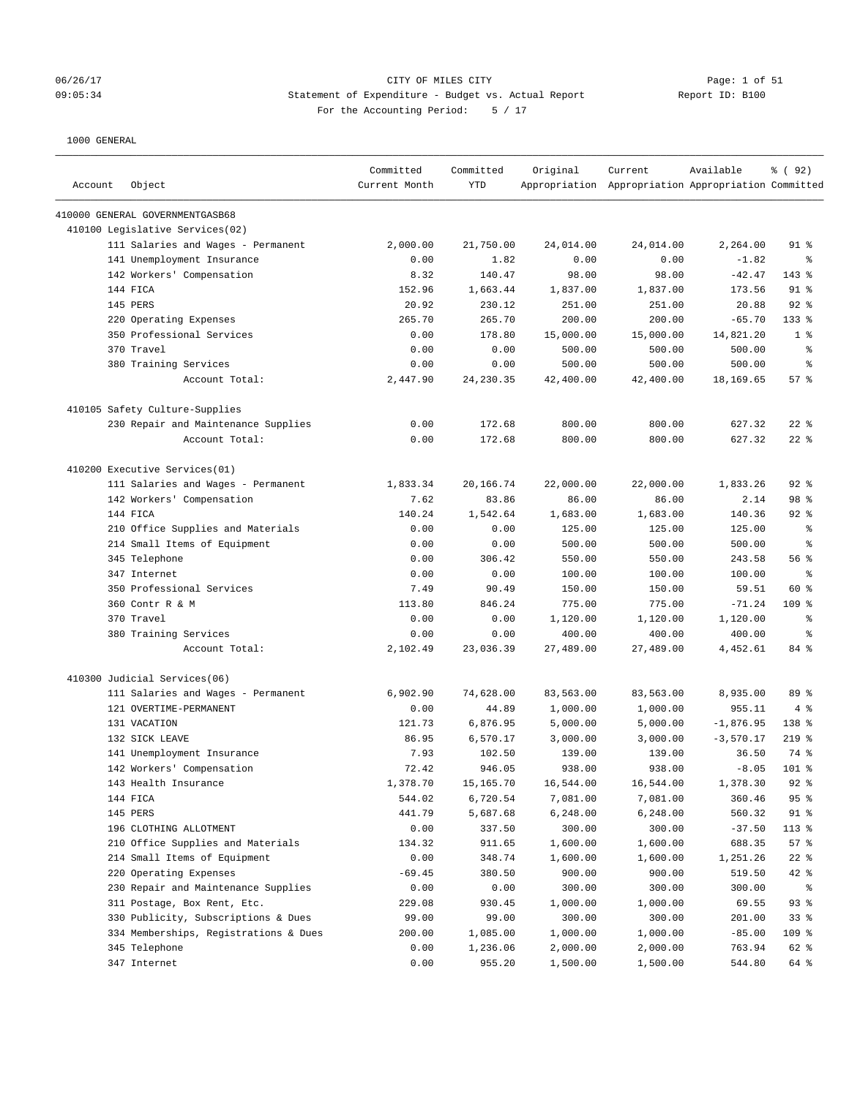# 06/26/17 CITY OF MILES CITY Page: 1 of 51 09:05:34 Statement of Expenditure - Budget vs. Actual Report Report ID: B100 For the Accounting Period: 5 / 17

| Account | Object                                                 | Committed<br>Current Month | Committed<br><b>YTD</b> | Original             | Current<br>Appropriation Appropriation Appropriation Committed | Available          | % ( 92 )       |
|---------|--------------------------------------------------------|----------------------------|-------------------------|----------------------|----------------------------------------------------------------|--------------------|----------------|
|         | 410000 GENERAL GOVERNMENTGASB68                        |                            |                         |                      |                                                                |                    |                |
|         | 410100 Legislative Services(02)                        |                            |                         |                      |                                                                |                    |                |
|         | 111 Salaries and Wages - Permanent                     | 2,000.00                   | 21,750.00               | 24,014.00            | 24,014.00                                                      | 2,264.00           | $91$ %         |
|         | 141 Unemployment Insurance                             | 0.00                       | 1.82                    | 0.00                 | 0.00                                                           | $-1.82$            | ి              |
|         | 142 Workers' Compensation                              | 8.32                       | 140.47                  | 98.00                | 98.00                                                          | $-42.47$           | 143 %          |
|         | 144 FICA                                               | 152.96                     | 1,663.44                | 1,837.00             | 1,837.00                                                       | 173.56             | $91$ %         |
|         | 145 PERS                                               | 20.92                      | 230.12                  | 251.00               | 251.00                                                         | 20.88              | 92%            |
|         | 220 Operating Expenses                                 | 265.70                     | 265.70                  | 200.00               | 200.00                                                         | $-65.70$           | $133$ $%$      |
|         | 350 Professional Services                              | 0.00                       | 178.80                  | 15,000.00            | 15,000.00                                                      | 14,821.20          | 1 <sup>8</sup> |
|         | 370 Travel                                             | 0.00                       | 0.00                    | 500.00               | 500.00                                                         | 500.00             | $\epsilon$     |
|         | 380 Training Services                                  | 0.00                       | 0.00                    | 500.00               | 500.00                                                         | 500.00             | နွ             |
|         | Account Total:                                         | 2,447.90                   | 24, 230.35              | 42,400.00            | 42,400.00                                                      | 18,169.65          | 57%            |
|         | 410105 Safety Culture-Supplies                         |                            |                         |                      |                                                                |                    |                |
|         | 230 Repair and Maintenance Supplies                    | 0.00                       | 172.68                  | 800.00               | 800.00                                                         | 627.32             | $22$ %         |
|         | Account Total:                                         | 0.00                       | 172.68                  | 800.00               | 800.00                                                         | 627.32             | $22$ %         |
|         | 410200 Executive Services(01)                          |                            |                         |                      |                                                                |                    |                |
|         | 111 Salaries and Wages - Permanent                     | 1,833.34                   | 20,166.74               | 22,000.00            | 22,000.00                                                      | 1,833.26           | $92$ $%$       |
|         | 142 Workers' Compensation                              | 7.62                       | 83.86                   | 86.00                | 86.00                                                          | 2.14               | 98 %           |
|         | 144 FICA                                               | 140.24                     | 1,542.64                | 1,683.00             | 1,683.00                                                       | 140.36             | $92$ $%$       |
|         | 210 Office Supplies and Materials                      | 0.00                       | 0.00                    | 125.00               | 125.00                                                         | 125.00             | နွ             |
|         | 214 Small Items of Equipment                           | 0.00                       | 0.00                    | 500.00               | 500.00                                                         | 500.00             | နွ             |
|         | 345 Telephone                                          | 0.00                       | 306.42                  | 550.00               | 550.00                                                         | 243.58             | 56%            |
|         | 347 Internet                                           | 0.00                       | 0.00                    | 100.00               | 100.00                                                         | 100.00             | နွ             |
|         | 350 Professional Services                              | 7.49                       | 90.49                   | 150.00               | 150.00                                                         | 59.51              | 60 %           |
|         | 360 Contr R & M                                        | 113.80                     | 846.24                  | 775.00               | 775.00                                                         | $-71.24$           | $109$ %        |
|         | 370 Travel                                             | 0.00                       | 0.00                    | 1,120.00             | 1,120.00                                                       | 1,120.00           | ႜ              |
|         | 380 Training Services                                  | 0.00                       | 0.00                    | 400.00               | 400.00                                                         | 400.00             | နွ             |
|         | Account Total:                                         | 2,102.49                   | 23,036.39               | 27,489.00            | 27,489.00                                                      | 4,452.61           | 84 %           |
|         | 410300 Judicial Services(06)                           |                            |                         |                      |                                                                |                    |                |
|         | 111 Salaries and Wages - Permanent                     | 6,902.90                   | 74,628.00               | 83,563.00            | 83,563.00                                                      | 8,935.00           | 89 %           |
|         | 121 OVERTIME-PERMANENT                                 | 0.00                       | 44.89                   | 1,000.00             | 1,000.00                                                       | 955.11             | 4%             |
|         | 131 VACATION                                           | 121.73                     | 6,876.95                | 5,000.00             | 5,000.00                                                       | $-1,876.95$        | 138 %          |
|         | 132 SICK LEAVE                                         | 86.95                      | 6,570.17                | 3,000.00             | 3,000.00                                                       | $-3,570.17$        | $219$ %        |
|         | 141 Unemployment Insurance                             | 7.93                       | 102.50                  | 139.00               | 139.00                                                         | 36.50              | 74 %           |
|         | 142 Workers' Compensation                              | 72.42                      | 946.05                  | 938.00               | 938.00                                                         | $-8.05$            | $101$ %        |
|         | 143 Health Insurance                                   | 1,378.70                   | 15,165.70               | 16,544.00            | 16,544.00                                                      | 1,378.30           | $92$ $%$       |
|         | 144 FICA                                               | 544.02                     | 6,720.54                | 7,081.00             | 7,081.00                                                       | 360.46             | 95%            |
|         | 145 PERS                                               | 441.79                     | 5,687.68                | 6,248.00             | 6,248.00                                                       | 560.32             | $91$ %         |
|         | 196 CLOTHING ALLOTMENT                                 | 0.00                       | 337.50                  | 300.00               | 300.00                                                         | $-37.50$           | 113 %          |
|         | 210 Office Supplies and Materials                      | 134.32                     | 911.65                  | 1,600.00             | 1,600.00                                                       | 688.35             | 57%            |
|         | 214 Small Items of Equipment                           | 0.00                       | 348.74                  | 1,600.00             | 1,600.00                                                       | 1,251.26           | $22$ %         |
|         | 220 Operating Expenses                                 | $-69.45$                   | 380.50                  | 900.00               | 900.00                                                         | 519.50             | $42$ %         |
|         | 230 Repair and Maintenance Supplies                    | 0.00                       | 0.00                    | 300.00               | 300.00                                                         | 300.00             | န့             |
|         | 311 Postage, Box Rent, Etc.                            | 229.08                     | 930.45                  | 1,000.00             | 1,000.00                                                       | 69.55              | 93%            |
|         | 330 Publicity, Subscriptions & Dues                    | 99.00                      | 99.00                   | 300.00               | 300.00                                                         | 201.00             | 33%            |
|         | 334 Memberships, Registrations & Dues<br>345 Telephone | 200.00<br>0.00             | 1,085.00                | 1,000.00<br>2,000.00 | 1,000.00                                                       | $-85.00$<br>763.94 | 109 %<br>62 %  |
|         | 347 Internet                                           | 0.00                       | 1,236.06<br>955.20      | 1,500.00             | 2,000.00<br>1,500.00                                           | 544.80             | 64 %           |
|         |                                                        |                            |                         |                      |                                                                |                    |                |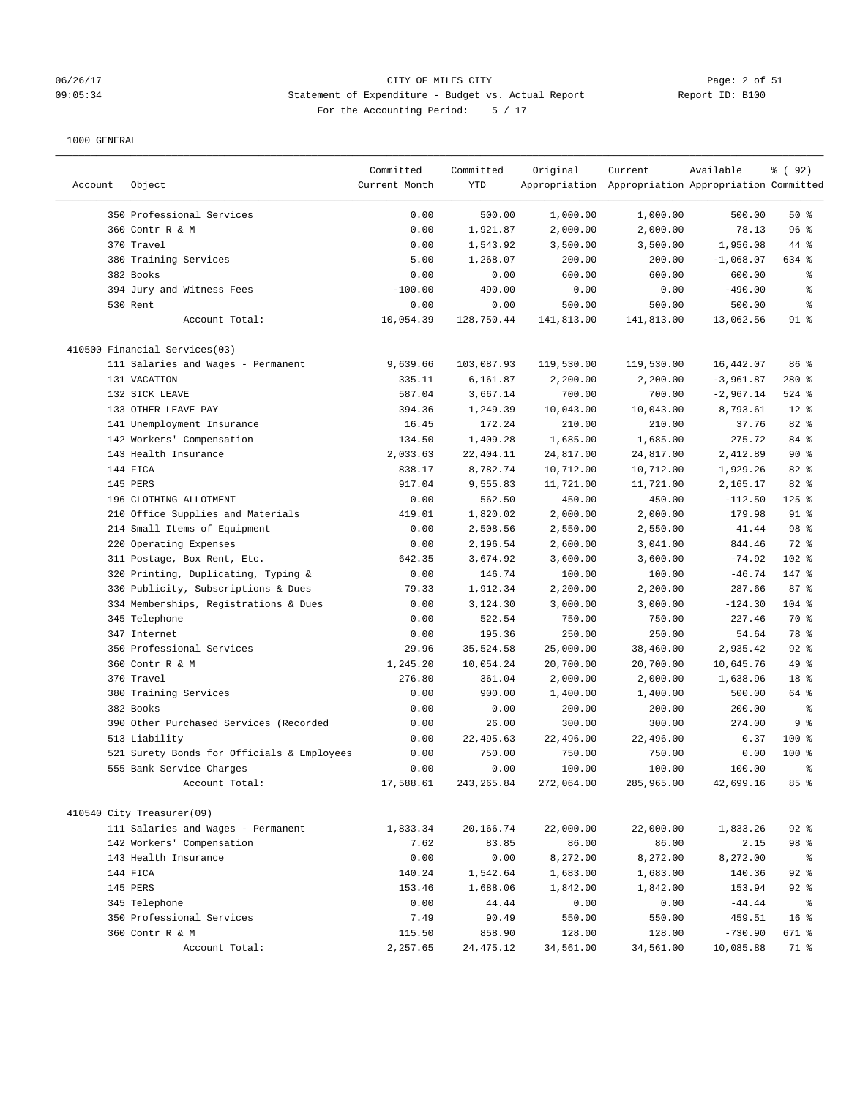#### 06/26/17 CITY OF MILES CITY Page: 2 of 51 09:05:34 Statement of Expenditure - Budget vs. Actual Report Report ID: B100 For the Accounting Period: 5 / 17

|         |                                            | Committed     | Committed   | Original   | Current                                             | Available   | % ( 92 ) |
|---------|--------------------------------------------|---------------|-------------|------------|-----------------------------------------------------|-------------|----------|
| Account | Object                                     | Current Month | YTD         |            | Appropriation Appropriation Appropriation Committed |             |          |
|         |                                            |               |             |            |                                                     |             |          |
|         | 350 Professional Services                  | 0.00          | 500.00      | 1,000.00   | 1,000.00                                            | 500.00      | 50%      |
|         | 360 Contr R & M                            | 0.00          | 1,921.87    | 2,000.00   | 2,000.00                                            | 78.13       | 96%      |
|         | 370 Travel                                 | 0.00          | 1,543.92    | 3,500.00   | 3,500.00                                            | 1,956.08    | 44 %     |
|         | 380 Training Services                      | 5.00          | 1,268.07    | 200.00     | 200.00                                              | $-1,068.07$ | 634 %    |
|         | 382 Books                                  | 0.00          | 0.00        | 600.00     | 600.00                                              | 600.00      | ್ಠಿ      |
|         | 394 Jury and Witness Fees                  | $-100.00$     | 490.00      | 0.00       | 0.00                                                | $-490.00$   | る        |
|         | 530 Rent                                   | 0.00          | 0.00        | 500.00     | 500.00                                              | 500.00      | နွ       |
|         | Account Total:                             | 10,054.39     | 128,750.44  | 141,813.00 | 141,813.00                                          | 13,062.56   | $91$ %   |
|         | 410500 Financial Services(03)              |               |             |            |                                                     |             |          |
|         | 111 Salaries and Wages - Permanent         | 9,639.66      | 103,087.93  | 119,530.00 | 119,530.00                                          | 16,442.07   | 86 %     |
|         | 131 VACATION                               | 335.11        | 6,161.87    | 2,200.00   | 2,200.00                                            | $-3,961.87$ | 280 %    |
|         | 132 SICK LEAVE                             | 587.04        | 3,667.14    | 700.00     | 700.00                                              | $-2,967.14$ | $524$ %  |
|         | 133 OTHER LEAVE PAY                        | 394.36        | 1,249.39    | 10,043.00  | 10,043.00                                           | 8,793.61    | $12*$    |
|         | 141 Unemployment Insurance                 | 16.45         | 172.24      | 210.00     | 210.00                                              | 37.76       | 82 %     |
|         | 142 Workers' Compensation                  | 134.50        | 1,409.28    | 1,685.00   | 1,685.00                                            | 275.72      | 84 %     |
|         | 143 Health Insurance                       | 2,033.63      | 22,404.11   | 24,817.00  | 24,817.00                                           | 2,412.89    | 90%      |
|         | 144 FICA                                   | 838.17        | 8,782.74    | 10,712.00  | 10,712.00                                           | 1,929.26    | 82 %     |
|         | 145 PERS                                   | 917.04        | 9,555.83    | 11,721.00  | 11,721.00                                           | 2,165.17    | 82 %     |
|         | 196 CLOTHING ALLOTMENT                     | 0.00          | 562.50      | 450.00     | 450.00                                              | $-112.50$   | $125$ %  |
|         | 210 Office Supplies and Materials          | 419.01        | 1,820.02    | 2,000.00   | 2,000.00                                            | 179.98      | $91$ %   |
|         | 214 Small Items of Equipment               | 0.00          | 2,508.56    | 2,550.00   | 2,550.00                                            | 41.44       | 98 %     |
|         | 220 Operating Expenses                     | 0.00          | 2,196.54    | 2,600.00   | 3,041.00                                            | 844.46      | 72 %     |
|         | 311 Postage, Box Rent, Etc.                | 642.35        | 3,674.92    | 3,600.00   | 3,600.00                                            | $-74.92$    | 102 %    |
|         | 320 Printing, Duplicating, Typing &        | 0.00          | 146.74      | 100.00     | 100.00                                              | $-46.74$    | 147 %    |
|         | 330 Publicity, Subscriptions & Dues        | 79.33         | 1,912.34    | 2,200.00   | 2,200.00                                            | 287.66      | 87%      |
|         | 334 Memberships, Registrations & Dues      | 0.00          | 3,124.30    | 3,000.00   | 3,000.00                                            | $-124.30$   | $104$ %  |
|         | 345 Telephone                              | 0.00          | 522.54      | 750.00     | 750.00                                              | 227.46      | 70 %     |
|         | 347 Internet                               | 0.00          | 195.36      | 250.00     | 250.00                                              | 54.64       | 78 %     |
|         | 350 Professional Services                  | 29.96         | 35,524.58   | 25,000.00  | 38,460.00                                           | 2,935.42    | $92$ $%$ |
|         | 360 Contr R & M                            | 1,245.20      | 10,054.24   | 20,700.00  | 20,700.00                                           | 10,645.76   | 49 %     |
|         | 370 Travel                                 | 276.80        | 361.04      | 2,000.00   | 2,000.00                                            | 1,638.96    | 18 %     |
|         | 380 Training Services                      | 0.00          | 900.00      | 1,400.00   | 1,400.00                                            | 500.00      | 64 %     |
|         | 382 Books                                  | 0.00          | 0.00        | 200.00     | 200.00                                              | 200.00      | ి        |
|         | 390 Other Purchased Services (Recorded     | 0.00          | 26.00       | 300.00     | 300.00                                              | 274.00      | 9%       |
|         | 513 Liability                              | 0.00          | 22,495.63   | 22,496.00  | 22,496.00                                           | 0.37        | $100$ %  |
|         | 521 Surety Bonds for Officials & Employees | 0.00          | 750.00      | 750.00     | 750.00                                              | 0.00        | $100$ %  |
|         | 555 Bank Service Charges                   | 0.00          | 0.00        | 100.00     | 100.00                                              | 100.00      | ま        |
|         | Account Total:                             | 17,588.61     | 243, 265.84 | 272,064.00 | 285,965.00                                          | 42,699.16   | 85%      |
|         |                                            |               |             |            |                                                     |             |          |
|         | 410540 City Treasurer(09)                  |               |             |            |                                                     |             |          |
|         | 111 Salaries and Wages - Permanent         | 1,833.34      | 20,166.74   | 22,000.00  | 22,000.00                                           | 1,833.26    | $92$ %   |
|         | 142 Workers' Compensation                  | 7.62          | 83.85       | 86.00      | 86.00                                               | 2.15        | 98 %     |
|         | 143 Health Insurance                       | 0.00          | 0.00        | 8,272.00   | 8,272.00                                            | 8,272.00    | ႜ        |
|         | 144 FICA                                   | 140.24        | 1,542.64    | 1,683.00   | 1,683.00                                            | 140.36      | $92$ %   |
|         | 145 PERS                                   | 153.46        | 1,688.06    | 1,842.00   | 1,842.00                                            | 153.94      | $92$ $%$ |
|         | 345 Telephone                              | 0.00          | 44.44       | 0.00       | 0.00                                                | $-44.44$    | ိ        |
|         | 350 Professional Services                  | 7.49          | 90.49       | 550.00     | 550.00                                              | 459.51      | 16%      |
|         | 360 Contr R & M                            | 115.50        | 858.90      | 128.00     | 128.00                                              | $-730.90$   | 671 %    |
|         | Account Total:                             | 2,257.65      | 24,475.12   | 34,561.00  | 34,561.00                                           | 10,085.88   | 71 %     |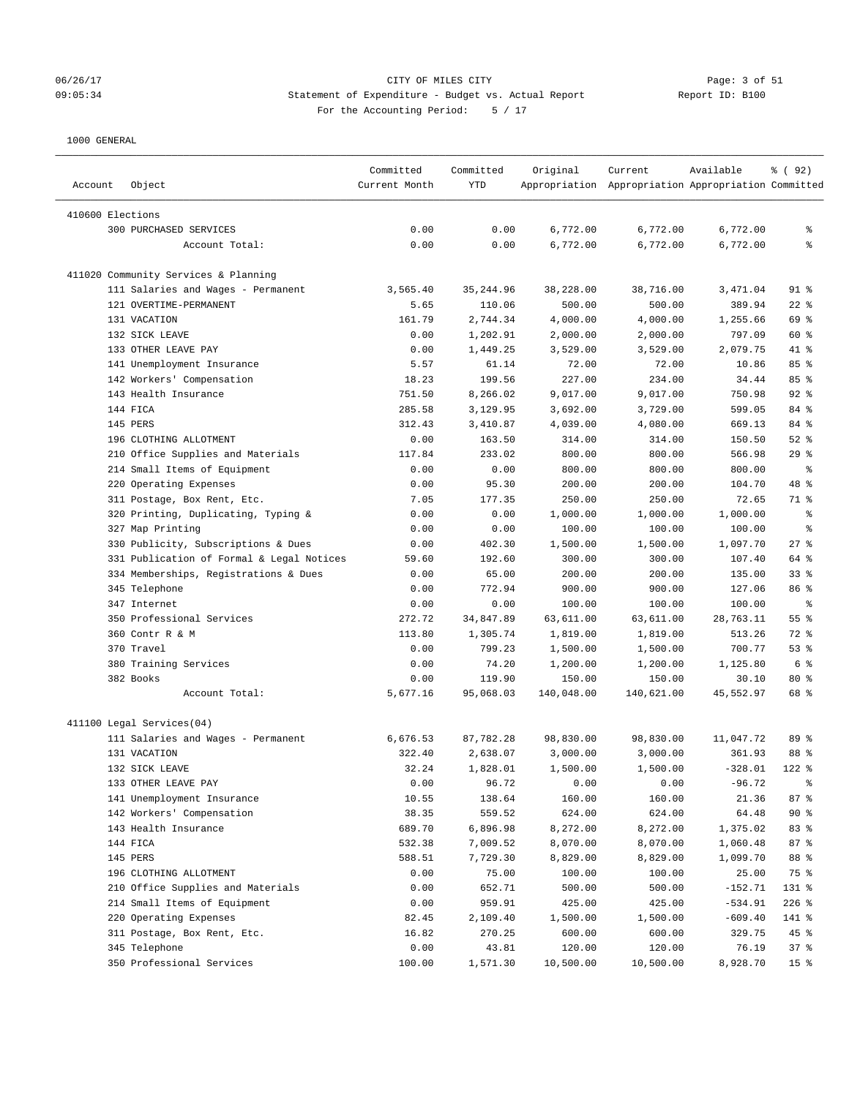# 06/26/17 CITY OF MILES CITY Page: 3 of 51 09:05:34 Statement of Expenditure - Budget vs. Actual Report Report ID: B100 For the Accounting Period: 5 / 17

| Account          | Object                                    | Committed<br>Current Month | Committed<br>YTD | Original   | Current<br>Appropriation Appropriation Appropriation Committed | Available | % ( 92 )        |
|------------------|-------------------------------------------|----------------------------|------------------|------------|----------------------------------------------------------------|-----------|-----------------|
| 410600 Elections |                                           |                            |                  |            |                                                                |           |                 |
|                  | 300 PURCHASED SERVICES                    | 0.00                       | 0.00             | 6,772.00   | 6,772.00                                                       | 6,772.00  | ႜ               |
|                  | Account Total:                            | 0.00                       | 0.00             | 6,772.00   | 6,772.00                                                       | 6,772.00  | ి               |
|                  |                                           |                            |                  |            |                                                                |           |                 |
|                  | 411020 Community Services & Planning      |                            |                  |            |                                                                |           |                 |
|                  | 111 Salaries and Wages - Permanent        | 3,565.40                   | 35, 244.96       | 38,228.00  | 38,716.00                                                      | 3,471.04  | $91$ %          |
|                  | 121 OVERTIME-PERMANENT                    | 5.65                       | 110.06           | 500.00     | 500.00                                                         | 389.94    | $22$ %          |
|                  | 131 VACATION                              | 161.79                     | 2,744.34         | 4,000.00   | 4,000.00                                                       | 1,255.66  | 69 %            |
|                  | 132 SICK LEAVE                            | 0.00                       | 1,202.91         | 2,000.00   | 2,000.00                                                       | 797.09    | 60 %            |
|                  | 133 OTHER LEAVE PAY                       | 0.00                       | 1,449.25         | 3,529.00   | 3,529.00                                                       | 2,079.75  | 41 %            |
|                  | 141 Unemployment Insurance                | 5.57                       | 61.14            | 72.00      | 72.00                                                          | 10.86     | 85%             |
|                  | 142 Workers' Compensation                 | 18.23                      | 199.56           | 227.00     | 234.00                                                         | 34.44     | 85%             |
|                  | 143 Health Insurance                      | 751.50                     | 8,266.02         | 9,017.00   | 9,017.00                                                       | 750.98    | $92$ $%$        |
|                  | 144 FICA                                  | 285.58                     | 3,129.95         | 3,692.00   | 3,729.00                                                       | 599.05    | 84 %            |
|                  | 145 PERS                                  | 312.43                     | 3,410.87         | 4,039.00   | 4,080.00                                                       | 669.13    | 84 %            |
|                  | 196 CLOTHING ALLOTMENT                    | 0.00                       | 163.50           | 314.00     | 314.00                                                         | 150.50    | $52$ $%$        |
|                  | 210 Office Supplies and Materials         | 117.84                     | 233.02           | 800.00     | 800.00                                                         | 566.98    | 29%             |
|                  | 214 Small Items of Equipment              | 0.00                       | 0.00             | 800.00     | 800.00                                                         | 800.00    | နွ              |
|                  | 220 Operating Expenses                    | 0.00                       | 95.30            | 200.00     | 200.00                                                         | 104.70    | 48 %            |
|                  | 311 Postage, Box Rent, Etc.               | 7.05                       | 177.35           | 250.00     | 250.00                                                         | 72.65     | 71 %            |
|                  | 320 Printing, Duplicating, Typing &       | 0.00                       | 0.00             | 1,000.00   | 1,000.00                                                       | 1,000.00  | နွ              |
|                  | 327 Map Printing                          | 0.00                       | 0.00             | 100.00     | 100.00                                                         | 100.00    | ႜ               |
|                  | 330 Publicity, Subscriptions & Dues       | 0.00                       | 402.30           | 1,500.00   | 1,500.00                                                       | 1,097.70  | $27$ %          |
|                  | 331 Publication of Formal & Legal Notices | 59.60                      | 192.60           | 300.00     | 300.00                                                         | 107.40    | 64 %            |
|                  | 334 Memberships, Registrations & Dues     | 0.00                       | 65.00            | 200.00     | 200.00                                                         | 135.00    | 33%             |
|                  | 345 Telephone                             | 0.00                       | 772.94           | 900.00     | 900.00                                                         | 127.06    | 86 %            |
|                  | 347 Internet                              | 0.00                       | 0.00             | 100.00     | 100.00                                                         | 100.00    | နွ              |
|                  | 350 Professional Services                 | 272.72                     | 34,847.89        | 63,611.00  | 63,611.00                                                      | 28,763.11 | 55 %            |
|                  | 360 Contr R & M                           | 113.80                     | 1,305.74         | 1,819.00   | 1,819.00                                                       | 513.26    | 72 %            |
|                  | 370 Travel                                | 0.00                       | 799.23           | 1,500.00   | 1,500.00                                                       | 700.77    | 53%             |
|                  | 380 Training Services                     | 0.00                       | 74.20            | 1,200.00   | 1,200.00                                                       | 1,125.80  | 6 %             |
|                  | 382 Books                                 | 0.00                       | 119.90           | 150.00     | 150.00                                                         | 30.10     | $80*$           |
|                  | Account Total:                            | 5,677.16                   | 95,068.03        | 140,048.00 | 140,621.00                                                     | 45,552.97 | 68 %            |
|                  | 411100 Legal Services(04)                 |                            |                  |            |                                                                |           |                 |
|                  | 111 Salaries and Wages - Permanent        | 6,676.53                   | 87,782.28        | 98,830.00  | 98,830.00                                                      | 11,047.72 | 89 %            |
|                  | 131 VACATION                              | 322.40                     | 2,638.07         | 3,000.00   | 3,000.00                                                       | 361.93    | 88 %            |
|                  | 132 SICK LEAVE                            | 32.24                      | 1,828.01         | 1,500.00   | 1,500.00                                                       | $-328.01$ | $122$ %         |
|                  | 133 OTHER LEAVE PAY                       | 0.00                       | 96.72            | 0.00       | 0.00                                                           | $-96.72$  |                 |
|                  | 141 Unemployment Insurance                | 10.55                      | 138.64           | 160.00     | 160.00                                                         | 21.36     | 87%             |
|                  | 142 Workers' Compensation                 | 38.35                      | 559.52           | 624.00     | 624.00                                                         | 64.48     | $90*$           |
|                  | 143 Health Insurance                      | 689.70                     | 6,896.98         | 8,272.00   | 8,272.00                                                       | 1,375.02  | 83 %            |
|                  | 144 FICA                                  | 532.38                     | 7,009.52         | 8,070.00   | 8,070.00                                                       | 1,060.48  | 87%             |
|                  | 145 PERS                                  | 588.51                     | 7,729.30         | 8,829.00   | 8,829.00                                                       | 1,099.70  | 88 %            |
|                  | 196 CLOTHING ALLOTMENT                    | 0.00                       | 75.00            | 100.00     | 100.00                                                         | 25.00     | 75 %            |
|                  | 210 Office Supplies and Materials         | 0.00                       | 652.71           | 500.00     | 500.00                                                         | $-152.71$ | 131 %           |
|                  | 214 Small Items of Equipment              | 0.00                       | 959.91           | 425.00     | 425.00                                                         | $-534.91$ | $226$ %         |
|                  | 220 Operating Expenses                    | 82.45                      | 2,109.40         | 1,500.00   | 1,500.00                                                       | $-609.40$ | 141 %           |
|                  | 311 Postage, Box Rent, Etc.               | 16.82                      | 270.25           | 600.00     | 600.00                                                         | 329.75    | 45 %            |
|                  | 345 Telephone                             | 0.00                       | 43.81            | 120.00     | 120.00                                                         | 76.19     | 37%             |
|                  | 350 Professional Services                 | 100.00                     | 1,571.30         | 10,500.00  | 10,500.00                                                      | 8,928.70  | 15 <sub>8</sub> |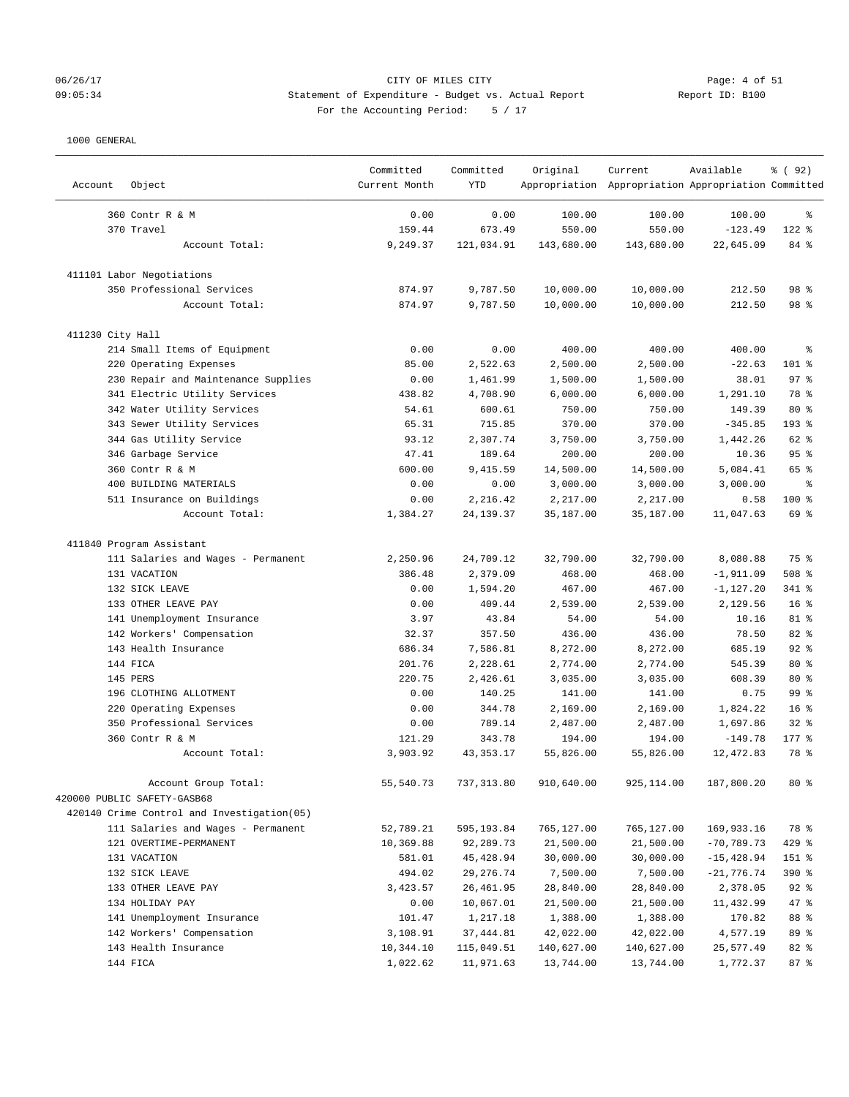# 06/26/17 CITY OF MILES CITY Page: 4 of 51 09:05:34 Statement of Expenditure - Budget vs. Actual Report Report ID: B100 For the Accounting Period: 5 / 17

————————————————————————————————————————————————————————————————————————————————————————————————————————————————————————————————————

|                  |                                            | Committed     | Committed   | Original   | Current                                             | Available    | % ( 92 )        |
|------------------|--------------------------------------------|---------------|-------------|------------|-----------------------------------------------------|--------------|-----------------|
| Account          | Object                                     | Current Month | <b>YTD</b>  |            | Appropriation Appropriation Appropriation Committed |              |                 |
|                  | 360 Contr R & M                            | 0.00          | 0.00        | 100.00     | 100.00                                              | 100.00       | ႜ               |
|                  | 370 Travel                                 | 159.44        | 673.49      | 550.00     | 550.00                                              | $-123.49$    | $122$ %         |
|                  | Account Total:                             | 9,249.37      | 121,034.91  | 143,680.00 | 143,680.00                                          | 22,645.09    | 84 %            |
|                  | 411101 Labor Negotiations                  |               |             |            |                                                     |              |                 |
|                  | 350 Professional Services                  | 874.97        | 9,787.50    | 10,000.00  | 10,000.00                                           | 212.50       | 98 %            |
|                  | Account Total:                             | 874.97        | 9,787.50    | 10,000.00  | 10,000.00                                           | 212.50       | 98 %            |
| 411230 City Hall |                                            |               |             |            |                                                     |              |                 |
|                  | 214 Small Items of Equipment               | 0.00          | 0.00        | 400.00     | 400.00                                              | 400.00       | $\epsilon$      |
|                  | 220 Operating Expenses                     | 85.00         | 2,522.63    | 2,500.00   | 2,500.00                                            | $-22.63$     | $101$ %         |
|                  | 230 Repair and Maintenance Supplies        | 0.00          | 1,461.99    | 1,500.00   | 1,500.00                                            | 38.01        | 97%             |
|                  | 341 Electric Utility Services              | 438.82        | 4,708.90    | 6,000.00   | 6,000.00                                            | 1,291.10     | 78 %            |
|                  | 342 Water Utility Services                 | 54.61         | 600.61      | 750.00     | 750.00                                              | 149.39       | $80*$           |
|                  | 343 Sewer Utility Services                 | 65.31         | 715.85      | 370.00     | 370.00                                              | $-345.85$    | 193 %           |
|                  | 344 Gas Utility Service                    | 93.12         | 2,307.74    | 3,750.00   | 3,750.00                                            | 1,442.26     | 62 %            |
|                  | 346 Garbage Service                        | 47.41         | 189.64      | 200.00     | 200.00                                              | 10.36        | 95%             |
|                  | 360 Contr R & M                            | 600.00        | 9,415.59    | 14,500.00  | 14,500.00                                           | 5,084.41     | 65 %            |
|                  | 400 BUILDING MATERIALS                     | 0.00          | 0.00        | 3,000.00   | 3,000.00                                            | 3,000.00     | $\epsilon$      |
|                  | 511 Insurance on Buildings                 | 0.00          | 2,216.42    | 2,217.00   | 2,217.00                                            | 0.58         | $100*$          |
|                  | Account Total:                             | 1,384.27      | 24, 139.37  | 35,187.00  | 35,187.00                                           | 11,047.63    | 69 %            |
|                  | 411840 Program Assistant                   |               |             |            |                                                     |              |                 |
|                  | 111 Salaries and Wages - Permanent         | 2,250.96      | 24,709.12   | 32,790.00  | 32,790.00                                           | 8,080.88     | 75 %            |
|                  | 131 VACATION                               | 386.48        | 2,379.09    | 468.00     | 468.00                                              | $-1,911.09$  | $508$ %         |
|                  | 132 SICK LEAVE                             | 0.00          | 1,594.20    | 467.00     | 467.00                                              | $-1,127.20$  | 341 %           |
|                  | 133 OTHER LEAVE PAY                        | 0.00          | 409.44      | 2,539.00   | 2,539.00                                            | 2,129.56     | 16 <sup>8</sup> |
|                  | 141 Unemployment Insurance                 | 3.97          | 43.84       | 54.00      | 54.00                                               | 10.16        | 81 %            |
|                  | 142 Workers' Compensation                  | 32.37         | 357.50      | 436.00     | 436.00                                              | 78.50        | 82 %            |
|                  | 143 Health Insurance                       | 686.34        | 7,586.81    | 8,272.00   | 8,272.00                                            | 685.19       | $92$ %          |
|                  | 144 FICA                                   | 201.76        | 2,228.61    | 2,774.00   | 2,774.00                                            | 545.39       | $80*$           |
|                  | 145 PERS                                   | 220.75        | 2,426.61    | 3,035.00   | 3,035.00                                            | 608.39       | $80*$           |
|                  | 196 CLOTHING ALLOTMENT                     | 0.00          | 140.25      | 141.00     | 141.00                                              | 0.75         | 99 %            |
|                  | 220 Operating Expenses                     | 0.00          | 344.78      | 2,169.00   | 2,169.00                                            | 1,824.22     | 16 <sup>8</sup> |
|                  | 350 Professional Services                  | 0.00          | 789.14      | 2,487.00   | 2,487.00                                            | 1,697.86     | 32%             |
|                  | 360 Contr R & M                            | 121.29        | 343.78      | 194.00     | 194.00                                              | $-149.78$    | $177$ %         |
|                  | Account Total:                             | 3,903.92      | 43, 353. 17 | 55,826.00  | 55,826.00                                           | 12,472.83    | 78 %            |
|                  | Account Group Total:                       | 55,540.73     | 737,313.80  | 910,640.00 | 925, 114.00                                         | 187,800.20   | $80*$           |
|                  | 420000 PUBLIC SAFETY-GASB68                |               |             |            |                                                     |              |                 |
|                  | 420140 Crime Control and Investigation(05) |               |             |            |                                                     |              |                 |
|                  | 111 Salaries and Wages - Permanent         | 52,789.21     | 595,193.84  | 765,127.00 | 765,127.00                                          | 169,933.16   | 78 %            |
|                  | 121 OVERTIME-PERMANENT                     | 10,369.88     | 92,289.73   | 21,500.00  | 21,500.00                                           | $-70,789.73$ | 429 %           |
|                  | 131 VACATION                               | 581.01        | 45,428.94   | 30,000.00  | 30,000.00                                           | $-15,428.94$ | 151 %           |
|                  | 132 SICK LEAVE                             | 494.02        | 29,276.74   | 7,500.00   | 7,500.00                                            | $-21,776.74$ | 390 %           |
|                  | 133 OTHER LEAVE PAY                        | 3,423.57      | 26,461.95   | 28,840.00  | 28,840.00                                           | 2,378.05     | $92$ $%$        |
|                  | 134 HOLIDAY PAY                            | 0.00          | 10,067.01   | 21,500.00  | 21,500.00                                           | 11,432.99    | 47 %            |
|                  | 141 Unemployment Insurance                 | 101.47        | 1,217.18    | 1,388.00   | 1,388.00                                            | 170.82       | 88 %            |
|                  | 142 Workers' Compensation                  | 3,108.91      | 37, 444.81  | 42,022.00  | 42,022.00                                           | 4,577.19     | 89 %            |
|                  | 143 Health Insurance                       | 10,344.10     | 115,049.51  | 140,627.00 | 140,627.00                                          | 25,577.49    | 82 %            |
|                  | 144 FICA                                   | 1,022.62      | 11,971.63   | 13,744.00  | 13,744.00                                           | 1,772.37     | 87%             |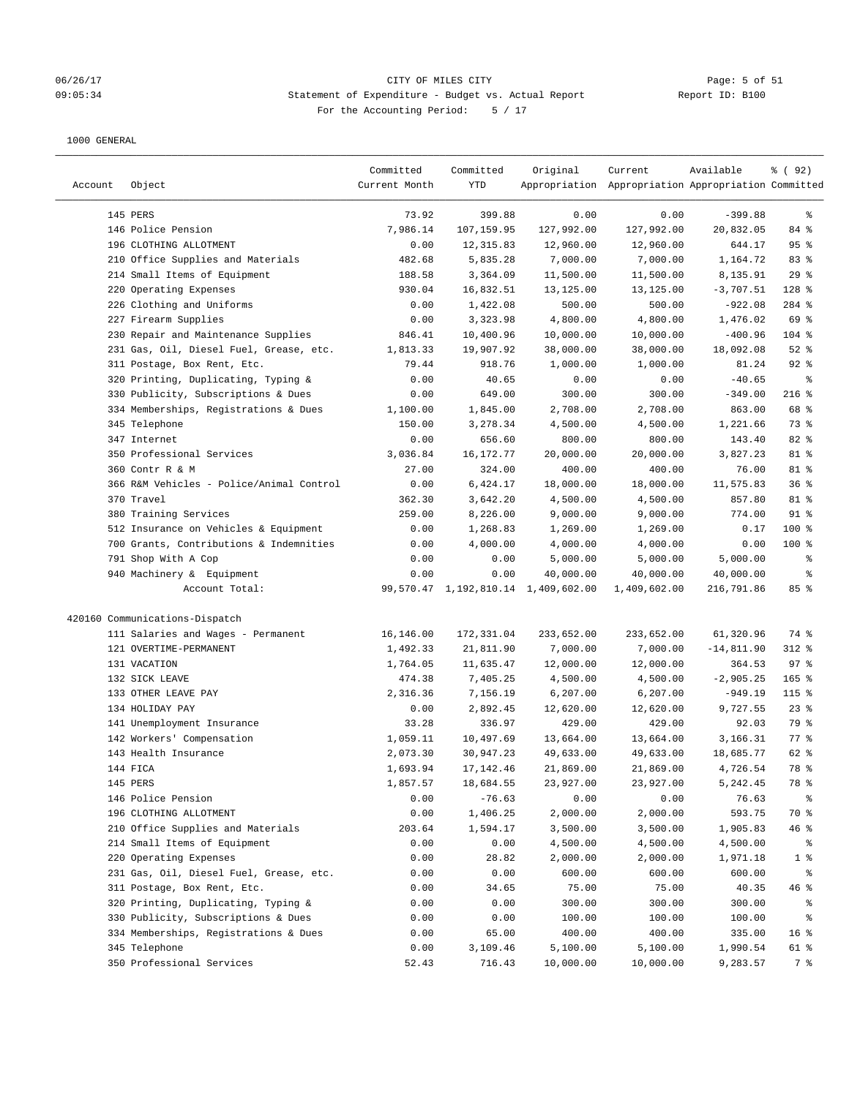# 06/26/17 CITY OF MILES CITY<br>09:05:34 09:05:34 Statement of Expenditure - Budget vs. Actual Report 11 (1999) Report ID: B100 09:05:34 Statement of Expenditure - Budget vs. Actual Report For the Accounting Period: 5 / 17

| Account | Object                                   | Committed<br>Current Month | Committed<br>YTD | Original                            | Current<br>Appropriation Appropriation Appropriation Committed | Available    | % ( 92 )        |
|---------|------------------------------------------|----------------------------|------------------|-------------------------------------|----------------------------------------------------------------|--------------|-----------------|
|         | 145 PERS                                 | 73.92                      | 399.88           | 0.00                                | 0.00                                                           | $-399.88$    | ್ಠಿ             |
|         | 146 Police Pension                       | 7,986.14                   | 107,159.95       | 127,992.00                          | 127,992.00                                                     | 20,832.05    | 84 %            |
|         | 196 CLOTHING ALLOTMENT                   | 0.00                       | 12, 315.83       | 12,960.00                           | 12,960.00                                                      | 644.17       | 95%             |
|         | 210 Office Supplies and Materials        | 482.68                     | 5,835.28         | 7,000.00                            | 7,000.00                                                       | 1,164.72     | 83 %            |
|         | 214 Small Items of Equipment             | 188.58                     | 3,364.09         | 11,500.00                           | 11,500.00                                                      | 8,135.91     | 29%             |
|         | 220 Operating Expenses                   | 930.04                     | 16,832.51        | 13,125.00                           | 13,125.00                                                      | $-3,707.51$  | 128 %           |
|         | 226 Clothing and Uniforms                | 0.00                       | 1,422.08         | 500.00                              | 500.00                                                         | $-922.08$    | 284 %           |
|         | 227 Firearm Supplies                     | 0.00                       | 3,323.98         | 4,800.00                            | 4,800.00                                                       | 1,476.02     | 69 %            |
|         | 230 Repair and Maintenance Supplies      | 846.41                     | 10,400.96        | 10,000.00                           | 10,000.00                                                      | $-400.96$    | $104$ %         |
|         | 231 Gas, Oil, Diesel Fuel, Grease, etc.  | 1,813.33                   | 19,907.92        | 38,000.00                           | 38,000.00                                                      | 18,092.08    | $52$ $%$        |
|         | 311 Postage, Box Rent, Etc.              | 79.44                      | 918.76           | 1,000.00                            | 1,000.00                                                       | 81.24        | $92$ $%$        |
|         | 320 Printing, Duplicating, Typing &      | 0.00                       | 40.65            | 0.00                                | 0.00                                                           | $-40.65$     | နွ              |
|         | 330 Publicity, Subscriptions & Dues      | 0.00                       | 649.00           | 300.00                              | 300.00                                                         | $-349.00$    | $216$ %         |
|         | 334 Memberships, Registrations & Dues    | 1,100.00                   | 1,845.00         | 2,708.00                            | 2,708.00                                                       | 863.00       | 68 %            |
|         | 345 Telephone                            | 150.00                     | 3,278.34         | 4,500.00                            | 4,500.00                                                       | 1,221.66     | 73 %            |
|         | 347 Internet                             | 0.00                       | 656.60           | 800.00                              | 800.00                                                         | 143.40       | 82 %            |
|         | 350 Professional Services                | 3,036.84                   | 16, 172. 77      | 20,000.00                           | 20,000.00                                                      | 3,827.23     | 81 %            |
|         | 360 Contr R & M                          | 27.00                      | 324.00           | 400.00                              | 400.00                                                         | 76.00        | 81 %            |
|         | 366 R&M Vehicles - Police/Animal Control | 0.00                       | 6,424.17         | 18,000.00                           | 18,000.00                                                      | 11,575.83    | 36%             |
|         | 370 Travel                               | 362.30                     | 3,642.20         | 4,500.00                            | 4,500.00                                                       | 857.80       | 81 %            |
|         | 380 Training Services                    | 259.00                     | 8,226.00         | 9,000.00                            | 9,000.00                                                       | 774.00       | $91$ %          |
|         | 512 Insurance on Vehicles & Equipment    | 0.00                       | 1,268.83         | 1,269.00                            | 1,269.00                                                       | 0.17         | 100 %           |
|         | 700 Grants, Contributions & Indemnities  | 0.00                       | 4,000.00         | 4,000.00                            | 4,000.00                                                       | 0.00         | $100$ %         |
|         | 791 Shop With A Cop                      | 0.00                       | 0.00             | 5,000.00                            | 5,000.00                                                       | 5,000.00     | ್ಠಿ             |
|         | 940 Machinery & Equipment                | 0.00                       | 0.00             | 40,000.00                           | 40,000.00                                                      | 40,000.00    | ್ಠಿ             |
|         | Account Total:                           |                            |                  | 99,570.47 1,192,810.14 1,409,602.00 | 1,409,602.00                                                   | 216,791.86   | 85%             |
|         | 420160 Communications-Dispatch           |                            |                  |                                     |                                                                |              |                 |
|         | 111 Salaries and Wages - Permanent       | 16,146.00                  | 172,331.04       | 233,652.00                          | 233,652.00                                                     | 61,320.96    | 74 %            |
|         | 121 OVERTIME-PERMANENT                   | 1,492.33                   | 21,811.90        | 7,000.00                            | 7,000.00                                                       | $-14,811.90$ | $312$ %         |
|         | 131 VACATION                             | 1,764.05                   | 11,635.47        | 12,000.00                           | 12,000.00                                                      | 364.53       | 97%             |
|         | 132 SICK LEAVE                           | 474.38                     | 7,405.25         | 4,500.00                            | 4,500.00                                                       | $-2,905.25$  | $165$ %         |
|         | 133 OTHER LEAVE PAY                      | 2,316.36                   | 7,156.19         | 6,207.00                            | 6,207.00                                                       | $-949.19$    | $115$ %         |
|         | 134 HOLIDAY PAY                          | 0.00                       | 2,892.45         | 12,620.00                           | 12,620.00                                                      | 9,727.55     | $23$ %          |
|         | 141 Unemployment Insurance               | 33.28                      | 336.97           | 429.00                              | 429.00                                                         | 92.03        | 79 %            |
|         | 142 Workers' Compensation                | 1,059.11                   | 10,497.69        | 13,664.00                           | 13,664.00                                                      | 3,166.31     | 77.8            |
|         | 143 Health Insurance                     | 2,073.30                   | 30,947.23        | 49,633.00                           | 49,633.00                                                      | 18,685.77    | 62 %            |
|         | 144 FICA                                 | 1,693.94                   | 17, 142.46       | 21,869.00                           | 21,869.00                                                      | 4,726.54     | 78 %            |
|         | 145 PERS                                 | 1,857.57                   | 18,684.55        | 23,927.00                           | 23,927.00                                                      | 5,242.45     | 78 %            |
|         | 146 Police Pension                       | 0.00                       | $-76.63$         | 0.00                                | 0.00                                                           | 76.63        | ွေ              |
|         | 196 CLOTHING ALLOTMENT                   | 0.00                       | 1,406.25         | 2,000.00                            | 2,000.00                                                       | 593.75       | 70 %            |
|         | 210 Office Supplies and Materials        | 203.64                     | 1,594.17         | 3,500.00                            | 3,500.00                                                       | 1,905.83     | 46 %            |
|         | 214 Small Items of Equipment             | 0.00                       | 0.00             | 4,500.00                            | 4,500.00                                                       | 4,500.00     | ိစ              |
|         | 220 Operating Expenses                   | 0.00                       | 28.82            | 2,000.00                            | 2,000.00                                                       | 1,971.18     | 1 <sup>8</sup>  |
|         | 231 Gas, Oil, Diesel Fuel, Grease, etc.  | 0.00                       | 0.00             | 600.00                              | 600.00                                                         | 600.00       | ွေ              |
|         | 311 Postage, Box Rent, Etc.              | 0.00                       | 34.65            | 75.00                               | 75.00                                                          | 40.35        | 46 %            |
|         | 320 Printing, Duplicating, Typing &      | 0.00                       | 0.00             | 300.00                              | 300.00                                                         | 300.00       | ႜ               |
|         | 330 Publicity, Subscriptions & Dues      | 0.00                       | 0.00             | 100.00                              | 100.00                                                         | 100.00       | နွ              |
|         | 334 Memberships, Registrations & Dues    | 0.00                       | 65.00            | 400.00                              | 400.00                                                         | 335.00       | 16 <sup>°</sup> |
|         | 345 Telephone                            | 0.00                       | 3,109.46         | 5,100.00                            | 5,100.00                                                       | 1,990.54     | 61 %            |
|         | 350 Professional Services                | 52.43                      | 716.43           | 10,000.00                           | 10,000.00                                                      | 9,283.57     | 7 %             |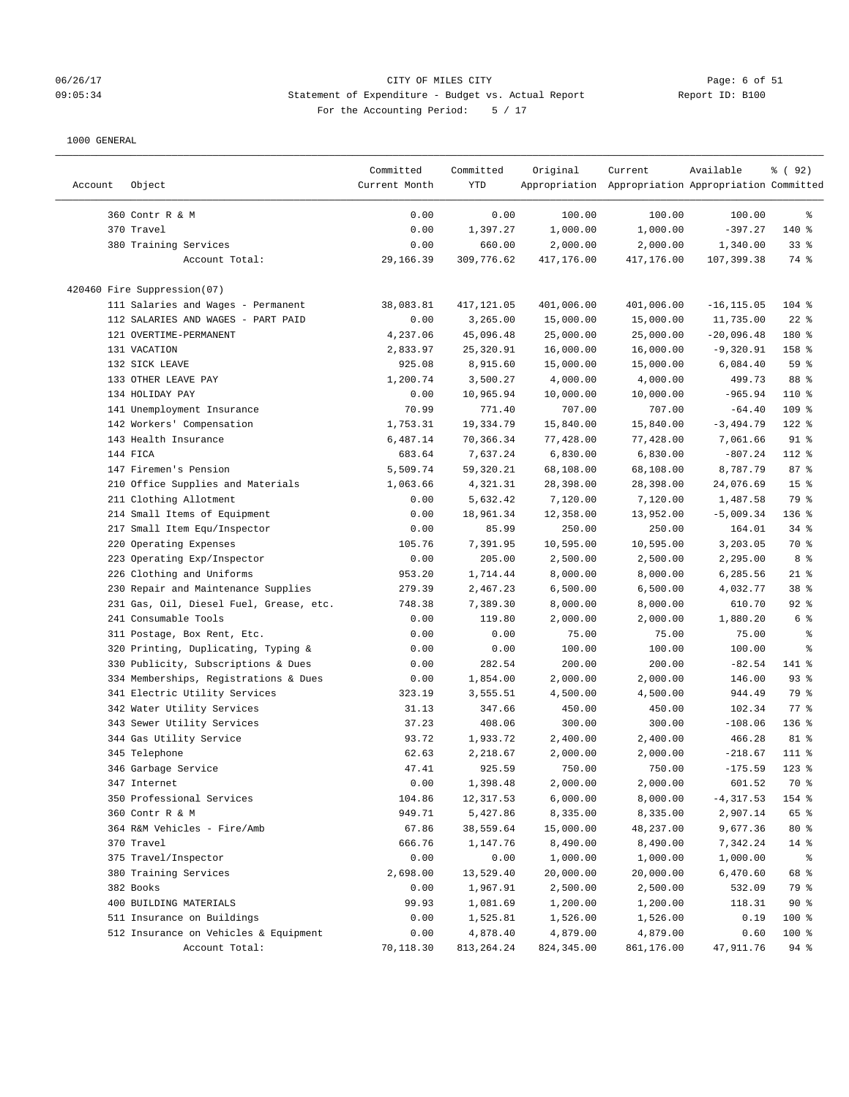# 06/26/17 CITY OF MILES CITY Page: 6 of 51 09:05:34 Statement of Expenditure - Budget vs. Actual Report Report ID: B100 For the Accounting Period: 5 / 17

| Account | Object                                  | Committed<br>Current Month | Committed<br>YTD | Original    | Current<br>Appropriation Appropriation Appropriation Committed | Available     | % ( 92 )        |
|---------|-----------------------------------------|----------------------------|------------------|-------------|----------------------------------------------------------------|---------------|-----------------|
|         |                                         |                            |                  |             |                                                                |               |                 |
|         | 360 Contr R & M                         | 0.00                       | 0.00             | 100.00      | 100.00                                                         | 100.00        | ွေ              |
|         | 370 Travel                              | 0.00                       | 1,397.27         | 1,000.00    | 1,000.00                                                       | $-397.27$     | 140 %           |
|         | 380 Training Services                   | 0.00                       | 660.00           | 2,000.00    | 2,000.00                                                       | 1,340.00      | 33%             |
|         | Account Total:                          | 29,166.39                  | 309,776.62       | 417,176.00  | 417,176.00                                                     | 107,399.38    | 74 %            |
|         | 420460 Fire Suppression(07)             |                            |                  |             |                                                                |               |                 |
|         | 111 Salaries and Wages - Permanent      | 38,083.81                  | 417,121.05       | 401,006.00  | 401,006.00                                                     | $-16, 115.05$ | 104 %           |
|         | 112 SALARIES AND WAGES - PART PAID      | 0.00                       | 3,265.00         | 15,000.00   | 15,000.00                                                      | 11,735.00     | $22$ %          |
|         | 121 OVERTIME-PERMANENT                  | 4,237.06                   | 45,096.48        | 25,000.00   | 25,000.00                                                      | $-20,096.48$  | 180 %           |
|         | 131 VACATION                            | 2,833.97                   | 25,320.91        | 16,000.00   | 16,000.00                                                      | $-9,320.91$   | 158 %           |
|         | 132 SICK LEAVE                          | 925.08                     | 8,915.60         | 15,000.00   | 15,000.00                                                      | 6,084.40      | 59 %            |
|         | 133 OTHER LEAVE PAY                     | 1,200.74                   | 3,500.27         | 4,000.00    | 4,000.00                                                       | 499.73        | 88 %            |
|         | 134 HOLIDAY PAY                         | 0.00                       | 10,965.94        | 10,000.00   | 10,000.00                                                      | $-965.94$     | 110 %           |
|         | 141 Unemployment Insurance              | 70.99                      | 771.40           | 707.00      | 707.00                                                         | $-64.40$      | 109 %           |
|         | 142 Workers' Compensation               | 1,753.31                   | 19,334.79        | 15,840.00   | 15,840.00                                                      | $-3,494.79$   | 122 %           |
|         | 143 Health Insurance                    | 6,487.14                   | 70,366.34        | 77,428.00   | 77,428.00                                                      | 7,061.66      | $91$ %          |
|         | 144 FICA                                | 683.64                     | 7,637.24         | 6,830.00    | 6,830.00                                                       | $-807.24$     | $112*$          |
|         | 147 Firemen's Pension                   | 5,509.74                   | 59,320.21        | 68,108.00   | 68,108.00                                                      | 8,787.79      | 87%             |
|         | 210 Office Supplies and Materials       | 1,063.66                   | 4,321.31         | 28,398.00   | 28,398.00                                                      | 24,076.69     | 15 <sup>°</sup> |
|         | 211 Clothing Allotment                  | 0.00                       | 5,632.42         | 7,120.00    | 7,120.00                                                       | 1,487.58      | 79 %            |
|         |                                         |                            | 18,961.34        | 12,358.00   | 13,952.00                                                      | $-5,009.34$   | 136 %           |
|         | 214 Small Items of Equipment            | 0.00                       |                  |             |                                                                |               |                 |
|         | 217 Small Item Equ/Inspector            | 0.00                       | 85.99            | 250.00      | 250.00                                                         | 164.01        | $34$ $%$        |
|         | 220 Operating Expenses                  | 105.76                     | 7,391.95         | 10,595.00   | 10,595.00                                                      | 3,203.05      | 70 %            |
|         | 223 Operating Exp/Inspector             | 0.00                       | 205.00           | 2,500.00    | 2,500.00                                                       | 2,295.00      | 8 %             |
|         | 226 Clothing and Uniforms               | 953.20                     | 1,714.44         | 8,000.00    | 8,000.00                                                       | 6,285.56      | $21$ %          |
|         | 230 Repair and Maintenance Supplies     | 279.39                     | 2,467.23         | 6,500.00    | 6,500.00                                                       | 4,032.77      | 38 %            |
|         | 231 Gas, Oil, Diesel Fuel, Grease, etc. | 748.38                     | 7,389.30         | 8,000.00    | 8,000.00                                                       | 610.70        | $92$ $%$        |
|         | 241 Consumable Tools                    | 0.00                       | 119.80           | 2,000.00    | 2,000.00                                                       | 1,880.20      | 6 %             |
|         | 311 Postage, Box Rent, Etc.             | 0.00                       | 0.00             | 75.00       | 75.00                                                          | 75.00         | ್ಠಿ             |
|         | 320 Printing, Duplicating, Typing &     | 0.00                       | 0.00             | 100.00      | 100.00                                                         | 100.00        | ್ಠಿ             |
|         | 330 Publicity, Subscriptions & Dues     | 0.00                       | 282.54           | 200.00      | 200.00                                                         | $-82.54$      | 141 %           |
|         | 334 Memberships, Registrations & Dues   | 0.00                       | 1,854.00         | 2,000.00    | 2,000.00                                                       | 146.00        | $93$ $%$        |
|         | 341 Electric Utility Services           | 323.19                     | 3,555.51         | 4,500.00    | 4,500.00                                                       | 944.49        | 79 %            |
|         | 342 Water Utility Services              | 31.13                      | 347.66           | 450.00      | 450.00                                                         | 102.34        | $77$ $%$        |
|         | 343 Sewer Utility Services              | 37.23                      | 408.06           | 300.00      | 300.00                                                         | $-108.06$     | $136$ %         |
|         | 344 Gas Utility Service                 | 93.72                      | 1,933.72         | 2,400.00    | 2,400.00                                                       | 466.28        | 81 %            |
|         | 345 Telephone                           | 62.63                      | 2,218.67         | 2,000.00    | 2,000.00                                                       | $-218.67$     | $111$ %         |
|         | 346 Garbage Service                     | 47.41                      | 925.59           | 750.00      | 750.00                                                         | $-175.59$     | $123$ $%$       |
|         | 347 Internet                            | 0.00                       | 1,398.48         | 2,000.00    | 2,000.00                                                       | 601.52        | 70 %            |
|         | 350 Professional Services               | 104.86                     | 12,317.53        | 6,000.00    | 8,000.00                                                       | $-4,317.53$   | 154 %           |
|         | 360 Contr R & M                         | 949.71                     | 5,427.86         | 8,335.00    | 8,335.00                                                       | 2,907.14      | 65 %            |
|         | 364 R&M Vehicles - Fire/Amb             | 67.86                      | 38,559.64        | 15,000.00   | 48,237.00                                                      | 9,677.36      | $80*$           |
|         | 370 Travel                              | 666.76                     | 1,147.76         | 8,490.00    | 8,490.00                                                       | 7,342.24      | $14$ %          |
|         | 375 Travel/Inspector                    | 0.00                       | 0.00             | 1,000.00    | 1,000.00                                                       | 1,000.00      | ႜ               |
|         | 380 Training Services                   | 2,698.00                   | 13,529.40        | 20,000.00   | 20,000.00                                                      | 6,470.60      | 68 %            |
|         | 382 Books                               | 0.00                       | 1,967.91         | 2,500.00    | 2,500.00                                                       | 532.09        | 79 %            |
|         | 400 BUILDING MATERIALS                  | 99.93                      | 1,081.69         | 1,200.00    | 1,200.00                                                       | 118.31        | 90%             |
|         | 511 Insurance on Buildings              | 0.00                       | 1,525.81         | 1,526.00    | 1,526.00                                                       | 0.19          | 100 %           |
|         | 512 Insurance on Vehicles & Equipment   | 0.00                       | 4,878.40         | 4,879.00    | 4,879.00                                                       | 0.60          | 100 %           |
|         | Account Total:                          | 70,118.30                  | 813, 264. 24     | 824, 345.00 | 861,176.00                                                     | 47, 911.76    | 94%             |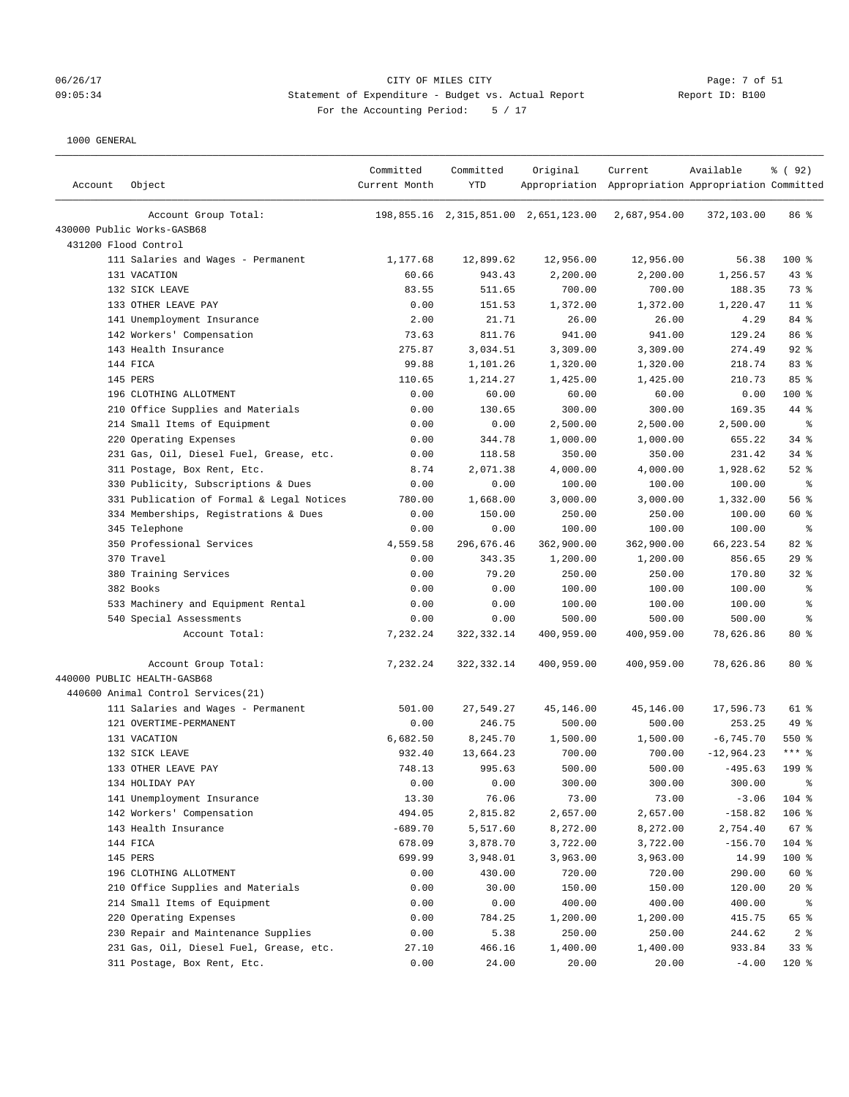#### 06/26/17 Page: 7 of 51 Page: 7 of 51 09:05:34 Statement of Expenditure - Budget vs. Actual Report Report ID: B100 For the Accounting Period: 5 / 17

| Account Group Total:<br>198,855.16 2,315,851.00 2,651,123.00<br>2,687,954.00<br>86 %<br>372,103.00<br>430000 Public Works-GASB68<br>431200 Flood Control<br>100 %<br>111 Salaries and Wages - Permanent<br>1,177.68<br>12,899.62<br>12,956.00<br>12,956.00<br>56.38<br>43%<br>131 VACATION<br>60.66<br>943.43<br>2,200.00<br>2,200.00<br>1,256.57<br>73 %<br>132 SICK LEAVE<br>83.55<br>511.65<br>700.00<br>700.00<br>188.35<br>133 OTHER LEAVE PAY<br>0.00<br>151.53<br>1,372.00<br>1,372.00<br>1,220.47<br>$11$ %<br>141 Unemployment Insurance<br>2.00<br>21.71<br>26.00<br>26.00<br>4.29<br>84 %<br>811.76<br>86 %<br>142 Workers' Compensation<br>73.63<br>941.00<br>941.00<br>129.24<br>$92$ $%$<br>143 Health Insurance<br>275.87<br>3,034.51<br>3,309.00<br>3,309.00<br>274.49<br>83 %<br>144 FICA<br>99.88<br>1,101.26<br>1,320.00<br>1,320.00<br>218.74<br>145 PERS<br>110.65<br>210.73<br>85%<br>1,214.27<br>1,425.00<br>1,425.00<br>196 CLOTHING ALLOTMENT<br>0.00<br>60.00<br>60.00<br>60.00<br>0.00<br>$100$ %<br>44 %<br>210 Office Supplies and Materials<br>0.00<br>130.65<br>300.00<br>300.00<br>169.35<br>214 Small Items of Equipment<br>0.00<br>0.00<br>2,500.00<br>2,500.00<br>2,500.00<br>್ಠಿ<br>34%<br>220 Operating Expenses<br>0.00<br>344.78<br>1,000.00<br>1,000.00<br>655.22<br>231 Gas, Oil, Diesel Fuel, Grease, etc.<br>0.00<br>118.58<br>350.00<br>350.00<br>231.42<br>$34$ $%$<br>311 Postage, Box Rent, Etc.<br>8.74<br>2,071.38<br>4,000.00<br>4,000.00<br>1,928.62<br>$52$ $%$<br>330 Publicity, Subscriptions & Dues<br>0.00<br>0.00<br>100.00<br>100.00<br>100.00<br>နွ<br>331 Publication of Formal & Legal Notices<br>780.00<br>1,668.00<br>3,000.00<br>3,000.00<br>1,332.00<br>56%<br>334 Memberships, Registrations & Dues<br>0.00<br>150.00<br>250.00<br>250.00<br>100.00<br>60 %<br>345 Telephone<br>0.00<br>0.00<br>100.00<br>100.00<br>100.00<br>ႜ<br>$82$ %<br>350 Professional Services<br>4,559.58<br>296,676.46<br>362,900.00<br>362,900.00<br>66,223.54<br>370 Travel<br>29%<br>0.00<br>343.35<br>1,200.00<br>1,200.00<br>856.65<br>380 Training Services<br>0.00<br>79.20<br>250.00<br>250.00<br>170.80<br>$32$ $%$<br>382 Books<br>0.00<br>0.00<br>100.00<br>100.00<br>100.00<br>ి<br>533 Machinery and Equipment Rental<br>0.00<br>0.00<br>100.00<br>100.00<br>100.00<br>န္<br>540 Special Assessments<br>0.00<br>0.00<br>500.00<br>500.00<br>500.00<br>န္<br>80%<br>Account Total:<br>7,232.24<br>322, 332.14<br>400,959.00<br>400,959.00<br>78,626.86<br>7,232.24<br>$80*$<br>Account Group Total:<br>322, 332.14<br>400,959.00<br>400,959.00<br>78,626.86<br>440000 PUBLIC HEALTH-GASB68<br>440600 Animal Control Services(21)<br>111 Salaries and Wages - Permanent<br>501.00<br>27,549.27<br>45,146.00<br>45,146.00<br>17,596.73<br>61 %<br>121 OVERTIME-PERMANENT<br>0.00<br>246.75<br>500.00<br>500.00<br>253.25<br>49 %<br>131 VACATION<br>6,682.50<br>8,245.70<br>1,500.00<br>1,500.00<br>$-6, 745.70$<br>$550*$<br>132 SICK LEAVE<br>932.40<br>13,664.23<br>700.00<br>700.00<br>$-12,964.23$<br>$***$ $%$<br>500.00<br>133 OTHER LEAVE PAY<br>748.13<br>995.63<br>500.00<br>$-495.63$<br>199 <sub>8</sub><br>134 HOLIDAY PAY<br>0.00<br>0.00<br>300.00<br>300.00<br>300.00<br>್ಠಿ<br>141 Unemployment Insurance<br>13.30<br>76.06<br>73.00<br>73.00<br>$-3.06$<br>104 %<br>106 %<br>494.05<br>2,657.00<br>$-158.82$<br>142 Workers' Compensation<br>2,815.82<br>2,657.00<br>$-689.70$<br>67%<br>143 Health Insurance<br>5,517.60<br>8,272.00<br>8,272.00<br>2,754.40<br>144 FICA<br>678.09<br>104 %<br>3,878.70<br>3,722.00<br>3,722.00<br>$-156.70$<br>145 PERS<br>699.99<br>100 %<br>3,948.01<br>3,963.00<br>3,963.00<br>14.99<br>720.00<br>60 %<br>196 CLOTHING ALLOTMENT<br>0.00<br>430.00<br>720.00<br>290.00<br>210 Office Supplies and Materials<br>$20*$<br>0.00<br>30.00<br>150.00<br>150.00<br>120.00<br>214 Small Items of Equipment<br>0.00<br>0.00<br>400.00<br>400.00<br>400.00<br>ႜ<br>220 Operating Expenses<br>0.00<br>784.25<br>65 %<br>1,200.00<br>1,200.00<br>415.75<br>230 Repair and Maintenance Supplies<br>0.00<br>5.38<br>250.00<br>250.00<br>244.62<br>2 <sup>8</sup><br>933.84<br>33%<br>231 Gas, Oil, Diesel Fuel, Grease, etc.<br>27.10<br>466.16<br>1,400.00<br>1,400.00<br>24.00<br>$120$ %<br>311 Postage, Box Rent, Etc.<br>0.00<br>20.00<br>20.00<br>$-4.00$ | Account | Object | Committed<br>Current Month | Committed<br>YTD | Original | Current<br>Appropriation Appropriation Appropriation Committed | Available | % ( 92 ) |
|-----------------------------------------------------------------------------------------------------------------------------------------------------------------------------------------------------------------------------------------------------------------------------------------------------------------------------------------------------------------------------------------------------------------------------------------------------------------------------------------------------------------------------------------------------------------------------------------------------------------------------------------------------------------------------------------------------------------------------------------------------------------------------------------------------------------------------------------------------------------------------------------------------------------------------------------------------------------------------------------------------------------------------------------------------------------------------------------------------------------------------------------------------------------------------------------------------------------------------------------------------------------------------------------------------------------------------------------------------------------------------------------------------------------------------------------------------------------------------------------------------------------------------------------------------------------------------------------------------------------------------------------------------------------------------------------------------------------------------------------------------------------------------------------------------------------------------------------------------------------------------------------------------------------------------------------------------------------------------------------------------------------------------------------------------------------------------------------------------------------------------------------------------------------------------------------------------------------------------------------------------------------------------------------------------------------------------------------------------------------------------------------------------------------------------------------------------------------------------------------------------------------------------------------------------------------------------------------------------------------------------------------------------------------------------------------------------------------------------------------------------------------------------------------------------------------------------------------------------------------------------------------------------------------------------------------------------------------------------------------------------------------------------------------------------------------------------------------------------------------------------------------------------------------------------------------------------------------------------------------------------------------------------------------------------------------------------------------------------------------------------------------------------------------------------------------------------------------------------------------------------------------------------------------------------------------------------------------------------------------------------------------------------------------------------------------------------------------------------------------------------------------------------------------------------------------------------------------------------------------------------------------------------------------------------------------------------------------------------------------------------------------------------------------------------------------------------------------------------------------------------------------------------------------------------------------------------------------------------------------------------------------------------------------------------------------------------------------------------------------|---------|--------|----------------------------|------------------|----------|----------------------------------------------------------------|-----------|----------|
|                                                                                                                                                                                                                                                                                                                                                                                                                                                                                                                                                                                                                                                                                                                                                                                                                                                                                                                                                                                                                                                                                                                                                                                                                                                                                                                                                                                                                                                                                                                                                                                                                                                                                                                                                                                                                                                                                                                                                                                                                                                                                                                                                                                                                                                                                                                                                                                                                                                                                                                                                                                                                                                                                                                                                                                                                                                                                                                                                                                                                                                                                                                                                                                                                                                                                                                                                                                                                                                                                                                                                                                                                                                                                                                                                                                                                                                                                                                                                                                                                                                                                                                                                                                                                                                                                                                                                                 |         |        |                            |                  |          |                                                                |           |          |
|                                                                                                                                                                                                                                                                                                                                                                                                                                                                                                                                                                                                                                                                                                                                                                                                                                                                                                                                                                                                                                                                                                                                                                                                                                                                                                                                                                                                                                                                                                                                                                                                                                                                                                                                                                                                                                                                                                                                                                                                                                                                                                                                                                                                                                                                                                                                                                                                                                                                                                                                                                                                                                                                                                                                                                                                                                                                                                                                                                                                                                                                                                                                                                                                                                                                                                                                                                                                                                                                                                                                                                                                                                                                                                                                                                                                                                                                                                                                                                                                                                                                                                                                                                                                                                                                                                                                                                 |         |        |                            |                  |          |                                                                |           |          |
|                                                                                                                                                                                                                                                                                                                                                                                                                                                                                                                                                                                                                                                                                                                                                                                                                                                                                                                                                                                                                                                                                                                                                                                                                                                                                                                                                                                                                                                                                                                                                                                                                                                                                                                                                                                                                                                                                                                                                                                                                                                                                                                                                                                                                                                                                                                                                                                                                                                                                                                                                                                                                                                                                                                                                                                                                                                                                                                                                                                                                                                                                                                                                                                                                                                                                                                                                                                                                                                                                                                                                                                                                                                                                                                                                                                                                                                                                                                                                                                                                                                                                                                                                                                                                                                                                                                                                                 |         |        |                            |                  |          |                                                                |           |          |
|                                                                                                                                                                                                                                                                                                                                                                                                                                                                                                                                                                                                                                                                                                                                                                                                                                                                                                                                                                                                                                                                                                                                                                                                                                                                                                                                                                                                                                                                                                                                                                                                                                                                                                                                                                                                                                                                                                                                                                                                                                                                                                                                                                                                                                                                                                                                                                                                                                                                                                                                                                                                                                                                                                                                                                                                                                                                                                                                                                                                                                                                                                                                                                                                                                                                                                                                                                                                                                                                                                                                                                                                                                                                                                                                                                                                                                                                                                                                                                                                                                                                                                                                                                                                                                                                                                                                                                 |         |        |                            |                  |          |                                                                |           |          |
|                                                                                                                                                                                                                                                                                                                                                                                                                                                                                                                                                                                                                                                                                                                                                                                                                                                                                                                                                                                                                                                                                                                                                                                                                                                                                                                                                                                                                                                                                                                                                                                                                                                                                                                                                                                                                                                                                                                                                                                                                                                                                                                                                                                                                                                                                                                                                                                                                                                                                                                                                                                                                                                                                                                                                                                                                                                                                                                                                                                                                                                                                                                                                                                                                                                                                                                                                                                                                                                                                                                                                                                                                                                                                                                                                                                                                                                                                                                                                                                                                                                                                                                                                                                                                                                                                                                                                                 |         |        |                            |                  |          |                                                                |           |          |
|                                                                                                                                                                                                                                                                                                                                                                                                                                                                                                                                                                                                                                                                                                                                                                                                                                                                                                                                                                                                                                                                                                                                                                                                                                                                                                                                                                                                                                                                                                                                                                                                                                                                                                                                                                                                                                                                                                                                                                                                                                                                                                                                                                                                                                                                                                                                                                                                                                                                                                                                                                                                                                                                                                                                                                                                                                                                                                                                                                                                                                                                                                                                                                                                                                                                                                                                                                                                                                                                                                                                                                                                                                                                                                                                                                                                                                                                                                                                                                                                                                                                                                                                                                                                                                                                                                                                                                 |         |        |                            |                  |          |                                                                |           |          |
|                                                                                                                                                                                                                                                                                                                                                                                                                                                                                                                                                                                                                                                                                                                                                                                                                                                                                                                                                                                                                                                                                                                                                                                                                                                                                                                                                                                                                                                                                                                                                                                                                                                                                                                                                                                                                                                                                                                                                                                                                                                                                                                                                                                                                                                                                                                                                                                                                                                                                                                                                                                                                                                                                                                                                                                                                                                                                                                                                                                                                                                                                                                                                                                                                                                                                                                                                                                                                                                                                                                                                                                                                                                                                                                                                                                                                                                                                                                                                                                                                                                                                                                                                                                                                                                                                                                                                                 |         |        |                            |                  |          |                                                                |           |          |
|                                                                                                                                                                                                                                                                                                                                                                                                                                                                                                                                                                                                                                                                                                                                                                                                                                                                                                                                                                                                                                                                                                                                                                                                                                                                                                                                                                                                                                                                                                                                                                                                                                                                                                                                                                                                                                                                                                                                                                                                                                                                                                                                                                                                                                                                                                                                                                                                                                                                                                                                                                                                                                                                                                                                                                                                                                                                                                                                                                                                                                                                                                                                                                                                                                                                                                                                                                                                                                                                                                                                                                                                                                                                                                                                                                                                                                                                                                                                                                                                                                                                                                                                                                                                                                                                                                                                                                 |         |        |                            |                  |          |                                                                |           |          |
|                                                                                                                                                                                                                                                                                                                                                                                                                                                                                                                                                                                                                                                                                                                                                                                                                                                                                                                                                                                                                                                                                                                                                                                                                                                                                                                                                                                                                                                                                                                                                                                                                                                                                                                                                                                                                                                                                                                                                                                                                                                                                                                                                                                                                                                                                                                                                                                                                                                                                                                                                                                                                                                                                                                                                                                                                                                                                                                                                                                                                                                                                                                                                                                                                                                                                                                                                                                                                                                                                                                                                                                                                                                                                                                                                                                                                                                                                                                                                                                                                                                                                                                                                                                                                                                                                                                                                                 |         |        |                            |                  |          |                                                                |           |          |
|                                                                                                                                                                                                                                                                                                                                                                                                                                                                                                                                                                                                                                                                                                                                                                                                                                                                                                                                                                                                                                                                                                                                                                                                                                                                                                                                                                                                                                                                                                                                                                                                                                                                                                                                                                                                                                                                                                                                                                                                                                                                                                                                                                                                                                                                                                                                                                                                                                                                                                                                                                                                                                                                                                                                                                                                                                                                                                                                                                                                                                                                                                                                                                                                                                                                                                                                                                                                                                                                                                                                                                                                                                                                                                                                                                                                                                                                                                                                                                                                                                                                                                                                                                                                                                                                                                                                                                 |         |        |                            |                  |          |                                                                |           |          |
|                                                                                                                                                                                                                                                                                                                                                                                                                                                                                                                                                                                                                                                                                                                                                                                                                                                                                                                                                                                                                                                                                                                                                                                                                                                                                                                                                                                                                                                                                                                                                                                                                                                                                                                                                                                                                                                                                                                                                                                                                                                                                                                                                                                                                                                                                                                                                                                                                                                                                                                                                                                                                                                                                                                                                                                                                                                                                                                                                                                                                                                                                                                                                                                                                                                                                                                                                                                                                                                                                                                                                                                                                                                                                                                                                                                                                                                                                                                                                                                                                                                                                                                                                                                                                                                                                                                                                                 |         |        |                            |                  |          |                                                                |           |          |
|                                                                                                                                                                                                                                                                                                                                                                                                                                                                                                                                                                                                                                                                                                                                                                                                                                                                                                                                                                                                                                                                                                                                                                                                                                                                                                                                                                                                                                                                                                                                                                                                                                                                                                                                                                                                                                                                                                                                                                                                                                                                                                                                                                                                                                                                                                                                                                                                                                                                                                                                                                                                                                                                                                                                                                                                                                                                                                                                                                                                                                                                                                                                                                                                                                                                                                                                                                                                                                                                                                                                                                                                                                                                                                                                                                                                                                                                                                                                                                                                                                                                                                                                                                                                                                                                                                                                                                 |         |        |                            |                  |          |                                                                |           |          |
|                                                                                                                                                                                                                                                                                                                                                                                                                                                                                                                                                                                                                                                                                                                                                                                                                                                                                                                                                                                                                                                                                                                                                                                                                                                                                                                                                                                                                                                                                                                                                                                                                                                                                                                                                                                                                                                                                                                                                                                                                                                                                                                                                                                                                                                                                                                                                                                                                                                                                                                                                                                                                                                                                                                                                                                                                                                                                                                                                                                                                                                                                                                                                                                                                                                                                                                                                                                                                                                                                                                                                                                                                                                                                                                                                                                                                                                                                                                                                                                                                                                                                                                                                                                                                                                                                                                                                                 |         |        |                            |                  |          |                                                                |           |          |
|                                                                                                                                                                                                                                                                                                                                                                                                                                                                                                                                                                                                                                                                                                                                                                                                                                                                                                                                                                                                                                                                                                                                                                                                                                                                                                                                                                                                                                                                                                                                                                                                                                                                                                                                                                                                                                                                                                                                                                                                                                                                                                                                                                                                                                                                                                                                                                                                                                                                                                                                                                                                                                                                                                                                                                                                                                                                                                                                                                                                                                                                                                                                                                                                                                                                                                                                                                                                                                                                                                                                                                                                                                                                                                                                                                                                                                                                                                                                                                                                                                                                                                                                                                                                                                                                                                                                                                 |         |        |                            |                  |          |                                                                |           |          |
|                                                                                                                                                                                                                                                                                                                                                                                                                                                                                                                                                                                                                                                                                                                                                                                                                                                                                                                                                                                                                                                                                                                                                                                                                                                                                                                                                                                                                                                                                                                                                                                                                                                                                                                                                                                                                                                                                                                                                                                                                                                                                                                                                                                                                                                                                                                                                                                                                                                                                                                                                                                                                                                                                                                                                                                                                                                                                                                                                                                                                                                                                                                                                                                                                                                                                                                                                                                                                                                                                                                                                                                                                                                                                                                                                                                                                                                                                                                                                                                                                                                                                                                                                                                                                                                                                                                                                                 |         |        |                            |                  |          |                                                                |           |          |
|                                                                                                                                                                                                                                                                                                                                                                                                                                                                                                                                                                                                                                                                                                                                                                                                                                                                                                                                                                                                                                                                                                                                                                                                                                                                                                                                                                                                                                                                                                                                                                                                                                                                                                                                                                                                                                                                                                                                                                                                                                                                                                                                                                                                                                                                                                                                                                                                                                                                                                                                                                                                                                                                                                                                                                                                                                                                                                                                                                                                                                                                                                                                                                                                                                                                                                                                                                                                                                                                                                                                                                                                                                                                                                                                                                                                                                                                                                                                                                                                                                                                                                                                                                                                                                                                                                                                                                 |         |        |                            |                  |          |                                                                |           |          |
|                                                                                                                                                                                                                                                                                                                                                                                                                                                                                                                                                                                                                                                                                                                                                                                                                                                                                                                                                                                                                                                                                                                                                                                                                                                                                                                                                                                                                                                                                                                                                                                                                                                                                                                                                                                                                                                                                                                                                                                                                                                                                                                                                                                                                                                                                                                                                                                                                                                                                                                                                                                                                                                                                                                                                                                                                                                                                                                                                                                                                                                                                                                                                                                                                                                                                                                                                                                                                                                                                                                                                                                                                                                                                                                                                                                                                                                                                                                                                                                                                                                                                                                                                                                                                                                                                                                                                                 |         |        |                            |                  |          |                                                                |           |          |
|                                                                                                                                                                                                                                                                                                                                                                                                                                                                                                                                                                                                                                                                                                                                                                                                                                                                                                                                                                                                                                                                                                                                                                                                                                                                                                                                                                                                                                                                                                                                                                                                                                                                                                                                                                                                                                                                                                                                                                                                                                                                                                                                                                                                                                                                                                                                                                                                                                                                                                                                                                                                                                                                                                                                                                                                                                                                                                                                                                                                                                                                                                                                                                                                                                                                                                                                                                                                                                                                                                                                                                                                                                                                                                                                                                                                                                                                                                                                                                                                                                                                                                                                                                                                                                                                                                                                                                 |         |        |                            |                  |          |                                                                |           |          |
|                                                                                                                                                                                                                                                                                                                                                                                                                                                                                                                                                                                                                                                                                                                                                                                                                                                                                                                                                                                                                                                                                                                                                                                                                                                                                                                                                                                                                                                                                                                                                                                                                                                                                                                                                                                                                                                                                                                                                                                                                                                                                                                                                                                                                                                                                                                                                                                                                                                                                                                                                                                                                                                                                                                                                                                                                                                                                                                                                                                                                                                                                                                                                                                                                                                                                                                                                                                                                                                                                                                                                                                                                                                                                                                                                                                                                                                                                                                                                                                                                                                                                                                                                                                                                                                                                                                                                                 |         |        |                            |                  |          |                                                                |           |          |
|                                                                                                                                                                                                                                                                                                                                                                                                                                                                                                                                                                                                                                                                                                                                                                                                                                                                                                                                                                                                                                                                                                                                                                                                                                                                                                                                                                                                                                                                                                                                                                                                                                                                                                                                                                                                                                                                                                                                                                                                                                                                                                                                                                                                                                                                                                                                                                                                                                                                                                                                                                                                                                                                                                                                                                                                                                                                                                                                                                                                                                                                                                                                                                                                                                                                                                                                                                                                                                                                                                                                                                                                                                                                                                                                                                                                                                                                                                                                                                                                                                                                                                                                                                                                                                                                                                                                                                 |         |        |                            |                  |          |                                                                |           |          |
|                                                                                                                                                                                                                                                                                                                                                                                                                                                                                                                                                                                                                                                                                                                                                                                                                                                                                                                                                                                                                                                                                                                                                                                                                                                                                                                                                                                                                                                                                                                                                                                                                                                                                                                                                                                                                                                                                                                                                                                                                                                                                                                                                                                                                                                                                                                                                                                                                                                                                                                                                                                                                                                                                                                                                                                                                                                                                                                                                                                                                                                                                                                                                                                                                                                                                                                                                                                                                                                                                                                                                                                                                                                                                                                                                                                                                                                                                                                                                                                                                                                                                                                                                                                                                                                                                                                                                                 |         |        |                            |                  |          |                                                                |           |          |
|                                                                                                                                                                                                                                                                                                                                                                                                                                                                                                                                                                                                                                                                                                                                                                                                                                                                                                                                                                                                                                                                                                                                                                                                                                                                                                                                                                                                                                                                                                                                                                                                                                                                                                                                                                                                                                                                                                                                                                                                                                                                                                                                                                                                                                                                                                                                                                                                                                                                                                                                                                                                                                                                                                                                                                                                                                                                                                                                                                                                                                                                                                                                                                                                                                                                                                                                                                                                                                                                                                                                                                                                                                                                                                                                                                                                                                                                                                                                                                                                                                                                                                                                                                                                                                                                                                                                                                 |         |        |                            |                  |          |                                                                |           |          |
|                                                                                                                                                                                                                                                                                                                                                                                                                                                                                                                                                                                                                                                                                                                                                                                                                                                                                                                                                                                                                                                                                                                                                                                                                                                                                                                                                                                                                                                                                                                                                                                                                                                                                                                                                                                                                                                                                                                                                                                                                                                                                                                                                                                                                                                                                                                                                                                                                                                                                                                                                                                                                                                                                                                                                                                                                                                                                                                                                                                                                                                                                                                                                                                                                                                                                                                                                                                                                                                                                                                                                                                                                                                                                                                                                                                                                                                                                                                                                                                                                                                                                                                                                                                                                                                                                                                                                                 |         |        |                            |                  |          |                                                                |           |          |
|                                                                                                                                                                                                                                                                                                                                                                                                                                                                                                                                                                                                                                                                                                                                                                                                                                                                                                                                                                                                                                                                                                                                                                                                                                                                                                                                                                                                                                                                                                                                                                                                                                                                                                                                                                                                                                                                                                                                                                                                                                                                                                                                                                                                                                                                                                                                                                                                                                                                                                                                                                                                                                                                                                                                                                                                                                                                                                                                                                                                                                                                                                                                                                                                                                                                                                                                                                                                                                                                                                                                                                                                                                                                                                                                                                                                                                                                                                                                                                                                                                                                                                                                                                                                                                                                                                                                                                 |         |        |                            |                  |          |                                                                |           |          |
|                                                                                                                                                                                                                                                                                                                                                                                                                                                                                                                                                                                                                                                                                                                                                                                                                                                                                                                                                                                                                                                                                                                                                                                                                                                                                                                                                                                                                                                                                                                                                                                                                                                                                                                                                                                                                                                                                                                                                                                                                                                                                                                                                                                                                                                                                                                                                                                                                                                                                                                                                                                                                                                                                                                                                                                                                                                                                                                                                                                                                                                                                                                                                                                                                                                                                                                                                                                                                                                                                                                                                                                                                                                                                                                                                                                                                                                                                                                                                                                                                                                                                                                                                                                                                                                                                                                                                                 |         |        |                            |                  |          |                                                                |           |          |
|                                                                                                                                                                                                                                                                                                                                                                                                                                                                                                                                                                                                                                                                                                                                                                                                                                                                                                                                                                                                                                                                                                                                                                                                                                                                                                                                                                                                                                                                                                                                                                                                                                                                                                                                                                                                                                                                                                                                                                                                                                                                                                                                                                                                                                                                                                                                                                                                                                                                                                                                                                                                                                                                                                                                                                                                                                                                                                                                                                                                                                                                                                                                                                                                                                                                                                                                                                                                                                                                                                                                                                                                                                                                                                                                                                                                                                                                                                                                                                                                                                                                                                                                                                                                                                                                                                                                                                 |         |        |                            |                  |          |                                                                |           |          |
|                                                                                                                                                                                                                                                                                                                                                                                                                                                                                                                                                                                                                                                                                                                                                                                                                                                                                                                                                                                                                                                                                                                                                                                                                                                                                                                                                                                                                                                                                                                                                                                                                                                                                                                                                                                                                                                                                                                                                                                                                                                                                                                                                                                                                                                                                                                                                                                                                                                                                                                                                                                                                                                                                                                                                                                                                                                                                                                                                                                                                                                                                                                                                                                                                                                                                                                                                                                                                                                                                                                                                                                                                                                                                                                                                                                                                                                                                                                                                                                                                                                                                                                                                                                                                                                                                                                                                                 |         |        |                            |                  |          |                                                                |           |          |
|                                                                                                                                                                                                                                                                                                                                                                                                                                                                                                                                                                                                                                                                                                                                                                                                                                                                                                                                                                                                                                                                                                                                                                                                                                                                                                                                                                                                                                                                                                                                                                                                                                                                                                                                                                                                                                                                                                                                                                                                                                                                                                                                                                                                                                                                                                                                                                                                                                                                                                                                                                                                                                                                                                                                                                                                                                                                                                                                                                                                                                                                                                                                                                                                                                                                                                                                                                                                                                                                                                                                                                                                                                                                                                                                                                                                                                                                                                                                                                                                                                                                                                                                                                                                                                                                                                                                                                 |         |        |                            |                  |          |                                                                |           |          |
|                                                                                                                                                                                                                                                                                                                                                                                                                                                                                                                                                                                                                                                                                                                                                                                                                                                                                                                                                                                                                                                                                                                                                                                                                                                                                                                                                                                                                                                                                                                                                                                                                                                                                                                                                                                                                                                                                                                                                                                                                                                                                                                                                                                                                                                                                                                                                                                                                                                                                                                                                                                                                                                                                                                                                                                                                                                                                                                                                                                                                                                                                                                                                                                                                                                                                                                                                                                                                                                                                                                                                                                                                                                                                                                                                                                                                                                                                                                                                                                                                                                                                                                                                                                                                                                                                                                                                                 |         |        |                            |                  |          |                                                                |           |          |
|                                                                                                                                                                                                                                                                                                                                                                                                                                                                                                                                                                                                                                                                                                                                                                                                                                                                                                                                                                                                                                                                                                                                                                                                                                                                                                                                                                                                                                                                                                                                                                                                                                                                                                                                                                                                                                                                                                                                                                                                                                                                                                                                                                                                                                                                                                                                                                                                                                                                                                                                                                                                                                                                                                                                                                                                                                                                                                                                                                                                                                                                                                                                                                                                                                                                                                                                                                                                                                                                                                                                                                                                                                                                                                                                                                                                                                                                                                                                                                                                                                                                                                                                                                                                                                                                                                                                                                 |         |        |                            |                  |          |                                                                |           |          |
|                                                                                                                                                                                                                                                                                                                                                                                                                                                                                                                                                                                                                                                                                                                                                                                                                                                                                                                                                                                                                                                                                                                                                                                                                                                                                                                                                                                                                                                                                                                                                                                                                                                                                                                                                                                                                                                                                                                                                                                                                                                                                                                                                                                                                                                                                                                                                                                                                                                                                                                                                                                                                                                                                                                                                                                                                                                                                                                                                                                                                                                                                                                                                                                                                                                                                                                                                                                                                                                                                                                                                                                                                                                                                                                                                                                                                                                                                                                                                                                                                                                                                                                                                                                                                                                                                                                                                                 |         |        |                            |                  |          |                                                                |           |          |
|                                                                                                                                                                                                                                                                                                                                                                                                                                                                                                                                                                                                                                                                                                                                                                                                                                                                                                                                                                                                                                                                                                                                                                                                                                                                                                                                                                                                                                                                                                                                                                                                                                                                                                                                                                                                                                                                                                                                                                                                                                                                                                                                                                                                                                                                                                                                                                                                                                                                                                                                                                                                                                                                                                                                                                                                                                                                                                                                                                                                                                                                                                                                                                                                                                                                                                                                                                                                                                                                                                                                                                                                                                                                                                                                                                                                                                                                                                                                                                                                                                                                                                                                                                                                                                                                                                                                                                 |         |        |                            |                  |          |                                                                |           |          |
|                                                                                                                                                                                                                                                                                                                                                                                                                                                                                                                                                                                                                                                                                                                                                                                                                                                                                                                                                                                                                                                                                                                                                                                                                                                                                                                                                                                                                                                                                                                                                                                                                                                                                                                                                                                                                                                                                                                                                                                                                                                                                                                                                                                                                                                                                                                                                                                                                                                                                                                                                                                                                                                                                                                                                                                                                                                                                                                                                                                                                                                                                                                                                                                                                                                                                                                                                                                                                                                                                                                                                                                                                                                                                                                                                                                                                                                                                                                                                                                                                                                                                                                                                                                                                                                                                                                                                                 |         |        |                            |                  |          |                                                                |           |          |
|                                                                                                                                                                                                                                                                                                                                                                                                                                                                                                                                                                                                                                                                                                                                                                                                                                                                                                                                                                                                                                                                                                                                                                                                                                                                                                                                                                                                                                                                                                                                                                                                                                                                                                                                                                                                                                                                                                                                                                                                                                                                                                                                                                                                                                                                                                                                                                                                                                                                                                                                                                                                                                                                                                                                                                                                                                                                                                                                                                                                                                                                                                                                                                                                                                                                                                                                                                                                                                                                                                                                                                                                                                                                                                                                                                                                                                                                                                                                                                                                                                                                                                                                                                                                                                                                                                                                                                 |         |        |                            |                  |          |                                                                |           |          |
|                                                                                                                                                                                                                                                                                                                                                                                                                                                                                                                                                                                                                                                                                                                                                                                                                                                                                                                                                                                                                                                                                                                                                                                                                                                                                                                                                                                                                                                                                                                                                                                                                                                                                                                                                                                                                                                                                                                                                                                                                                                                                                                                                                                                                                                                                                                                                                                                                                                                                                                                                                                                                                                                                                                                                                                                                                                                                                                                                                                                                                                                                                                                                                                                                                                                                                                                                                                                                                                                                                                                                                                                                                                                                                                                                                                                                                                                                                                                                                                                                                                                                                                                                                                                                                                                                                                                                                 |         |        |                            |                  |          |                                                                |           |          |
|                                                                                                                                                                                                                                                                                                                                                                                                                                                                                                                                                                                                                                                                                                                                                                                                                                                                                                                                                                                                                                                                                                                                                                                                                                                                                                                                                                                                                                                                                                                                                                                                                                                                                                                                                                                                                                                                                                                                                                                                                                                                                                                                                                                                                                                                                                                                                                                                                                                                                                                                                                                                                                                                                                                                                                                                                                                                                                                                                                                                                                                                                                                                                                                                                                                                                                                                                                                                                                                                                                                                                                                                                                                                                                                                                                                                                                                                                                                                                                                                                                                                                                                                                                                                                                                                                                                                                                 |         |        |                            |                  |          |                                                                |           |          |
|                                                                                                                                                                                                                                                                                                                                                                                                                                                                                                                                                                                                                                                                                                                                                                                                                                                                                                                                                                                                                                                                                                                                                                                                                                                                                                                                                                                                                                                                                                                                                                                                                                                                                                                                                                                                                                                                                                                                                                                                                                                                                                                                                                                                                                                                                                                                                                                                                                                                                                                                                                                                                                                                                                                                                                                                                                                                                                                                                                                                                                                                                                                                                                                                                                                                                                                                                                                                                                                                                                                                                                                                                                                                                                                                                                                                                                                                                                                                                                                                                                                                                                                                                                                                                                                                                                                                                                 |         |        |                            |                  |          |                                                                |           |          |
|                                                                                                                                                                                                                                                                                                                                                                                                                                                                                                                                                                                                                                                                                                                                                                                                                                                                                                                                                                                                                                                                                                                                                                                                                                                                                                                                                                                                                                                                                                                                                                                                                                                                                                                                                                                                                                                                                                                                                                                                                                                                                                                                                                                                                                                                                                                                                                                                                                                                                                                                                                                                                                                                                                                                                                                                                                                                                                                                                                                                                                                                                                                                                                                                                                                                                                                                                                                                                                                                                                                                                                                                                                                                                                                                                                                                                                                                                                                                                                                                                                                                                                                                                                                                                                                                                                                                                                 |         |        |                            |                  |          |                                                                |           |          |
|                                                                                                                                                                                                                                                                                                                                                                                                                                                                                                                                                                                                                                                                                                                                                                                                                                                                                                                                                                                                                                                                                                                                                                                                                                                                                                                                                                                                                                                                                                                                                                                                                                                                                                                                                                                                                                                                                                                                                                                                                                                                                                                                                                                                                                                                                                                                                                                                                                                                                                                                                                                                                                                                                                                                                                                                                                                                                                                                                                                                                                                                                                                                                                                                                                                                                                                                                                                                                                                                                                                                                                                                                                                                                                                                                                                                                                                                                                                                                                                                                                                                                                                                                                                                                                                                                                                                                                 |         |        |                            |                  |          |                                                                |           |          |
|                                                                                                                                                                                                                                                                                                                                                                                                                                                                                                                                                                                                                                                                                                                                                                                                                                                                                                                                                                                                                                                                                                                                                                                                                                                                                                                                                                                                                                                                                                                                                                                                                                                                                                                                                                                                                                                                                                                                                                                                                                                                                                                                                                                                                                                                                                                                                                                                                                                                                                                                                                                                                                                                                                                                                                                                                                                                                                                                                                                                                                                                                                                                                                                                                                                                                                                                                                                                                                                                                                                                                                                                                                                                                                                                                                                                                                                                                                                                                                                                                                                                                                                                                                                                                                                                                                                                                                 |         |        |                            |                  |          |                                                                |           |          |
|                                                                                                                                                                                                                                                                                                                                                                                                                                                                                                                                                                                                                                                                                                                                                                                                                                                                                                                                                                                                                                                                                                                                                                                                                                                                                                                                                                                                                                                                                                                                                                                                                                                                                                                                                                                                                                                                                                                                                                                                                                                                                                                                                                                                                                                                                                                                                                                                                                                                                                                                                                                                                                                                                                                                                                                                                                                                                                                                                                                                                                                                                                                                                                                                                                                                                                                                                                                                                                                                                                                                                                                                                                                                                                                                                                                                                                                                                                                                                                                                                                                                                                                                                                                                                                                                                                                                                                 |         |        |                            |                  |          |                                                                |           |          |
|                                                                                                                                                                                                                                                                                                                                                                                                                                                                                                                                                                                                                                                                                                                                                                                                                                                                                                                                                                                                                                                                                                                                                                                                                                                                                                                                                                                                                                                                                                                                                                                                                                                                                                                                                                                                                                                                                                                                                                                                                                                                                                                                                                                                                                                                                                                                                                                                                                                                                                                                                                                                                                                                                                                                                                                                                                                                                                                                                                                                                                                                                                                                                                                                                                                                                                                                                                                                                                                                                                                                                                                                                                                                                                                                                                                                                                                                                                                                                                                                                                                                                                                                                                                                                                                                                                                                                                 |         |        |                            |                  |          |                                                                |           |          |
|                                                                                                                                                                                                                                                                                                                                                                                                                                                                                                                                                                                                                                                                                                                                                                                                                                                                                                                                                                                                                                                                                                                                                                                                                                                                                                                                                                                                                                                                                                                                                                                                                                                                                                                                                                                                                                                                                                                                                                                                                                                                                                                                                                                                                                                                                                                                                                                                                                                                                                                                                                                                                                                                                                                                                                                                                                                                                                                                                                                                                                                                                                                                                                                                                                                                                                                                                                                                                                                                                                                                                                                                                                                                                                                                                                                                                                                                                                                                                                                                                                                                                                                                                                                                                                                                                                                                                                 |         |        |                            |                  |          |                                                                |           |          |
|                                                                                                                                                                                                                                                                                                                                                                                                                                                                                                                                                                                                                                                                                                                                                                                                                                                                                                                                                                                                                                                                                                                                                                                                                                                                                                                                                                                                                                                                                                                                                                                                                                                                                                                                                                                                                                                                                                                                                                                                                                                                                                                                                                                                                                                                                                                                                                                                                                                                                                                                                                                                                                                                                                                                                                                                                                                                                                                                                                                                                                                                                                                                                                                                                                                                                                                                                                                                                                                                                                                                                                                                                                                                                                                                                                                                                                                                                                                                                                                                                                                                                                                                                                                                                                                                                                                                                                 |         |        |                            |                  |          |                                                                |           |          |
|                                                                                                                                                                                                                                                                                                                                                                                                                                                                                                                                                                                                                                                                                                                                                                                                                                                                                                                                                                                                                                                                                                                                                                                                                                                                                                                                                                                                                                                                                                                                                                                                                                                                                                                                                                                                                                                                                                                                                                                                                                                                                                                                                                                                                                                                                                                                                                                                                                                                                                                                                                                                                                                                                                                                                                                                                                                                                                                                                                                                                                                                                                                                                                                                                                                                                                                                                                                                                                                                                                                                                                                                                                                                                                                                                                                                                                                                                                                                                                                                                                                                                                                                                                                                                                                                                                                                                                 |         |        |                            |                  |          |                                                                |           |          |
|                                                                                                                                                                                                                                                                                                                                                                                                                                                                                                                                                                                                                                                                                                                                                                                                                                                                                                                                                                                                                                                                                                                                                                                                                                                                                                                                                                                                                                                                                                                                                                                                                                                                                                                                                                                                                                                                                                                                                                                                                                                                                                                                                                                                                                                                                                                                                                                                                                                                                                                                                                                                                                                                                                                                                                                                                                                                                                                                                                                                                                                                                                                                                                                                                                                                                                                                                                                                                                                                                                                                                                                                                                                                                                                                                                                                                                                                                                                                                                                                                                                                                                                                                                                                                                                                                                                                                                 |         |        |                            |                  |          |                                                                |           |          |
|                                                                                                                                                                                                                                                                                                                                                                                                                                                                                                                                                                                                                                                                                                                                                                                                                                                                                                                                                                                                                                                                                                                                                                                                                                                                                                                                                                                                                                                                                                                                                                                                                                                                                                                                                                                                                                                                                                                                                                                                                                                                                                                                                                                                                                                                                                                                                                                                                                                                                                                                                                                                                                                                                                                                                                                                                                                                                                                                                                                                                                                                                                                                                                                                                                                                                                                                                                                                                                                                                                                                                                                                                                                                                                                                                                                                                                                                                                                                                                                                                                                                                                                                                                                                                                                                                                                                                                 |         |        |                            |                  |          |                                                                |           |          |
|                                                                                                                                                                                                                                                                                                                                                                                                                                                                                                                                                                                                                                                                                                                                                                                                                                                                                                                                                                                                                                                                                                                                                                                                                                                                                                                                                                                                                                                                                                                                                                                                                                                                                                                                                                                                                                                                                                                                                                                                                                                                                                                                                                                                                                                                                                                                                                                                                                                                                                                                                                                                                                                                                                                                                                                                                                                                                                                                                                                                                                                                                                                                                                                                                                                                                                                                                                                                                                                                                                                                                                                                                                                                                                                                                                                                                                                                                                                                                                                                                                                                                                                                                                                                                                                                                                                                                                 |         |        |                            |                  |          |                                                                |           |          |
|                                                                                                                                                                                                                                                                                                                                                                                                                                                                                                                                                                                                                                                                                                                                                                                                                                                                                                                                                                                                                                                                                                                                                                                                                                                                                                                                                                                                                                                                                                                                                                                                                                                                                                                                                                                                                                                                                                                                                                                                                                                                                                                                                                                                                                                                                                                                                                                                                                                                                                                                                                                                                                                                                                                                                                                                                                                                                                                                                                                                                                                                                                                                                                                                                                                                                                                                                                                                                                                                                                                                                                                                                                                                                                                                                                                                                                                                                                                                                                                                                                                                                                                                                                                                                                                                                                                                                                 |         |        |                            |                  |          |                                                                |           |          |
|                                                                                                                                                                                                                                                                                                                                                                                                                                                                                                                                                                                                                                                                                                                                                                                                                                                                                                                                                                                                                                                                                                                                                                                                                                                                                                                                                                                                                                                                                                                                                                                                                                                                                                                                                                                                                                                                                                                                                                                                                                                                                                                                                                                                                                                                                                                                                                                                                                                                                                                                                                                                                                                                                                                                                                                                                                                                                                                                                                                                                                                                                                                                                                                                                                                                                                                                                                                                                                                                                                                                                                                                                                                                                                                                                                                                                                                                                                                                                                                                                                                                                                                                                                                                                                                                                                                                                                 |         |        |                            |                  |          |                                                                |           |          |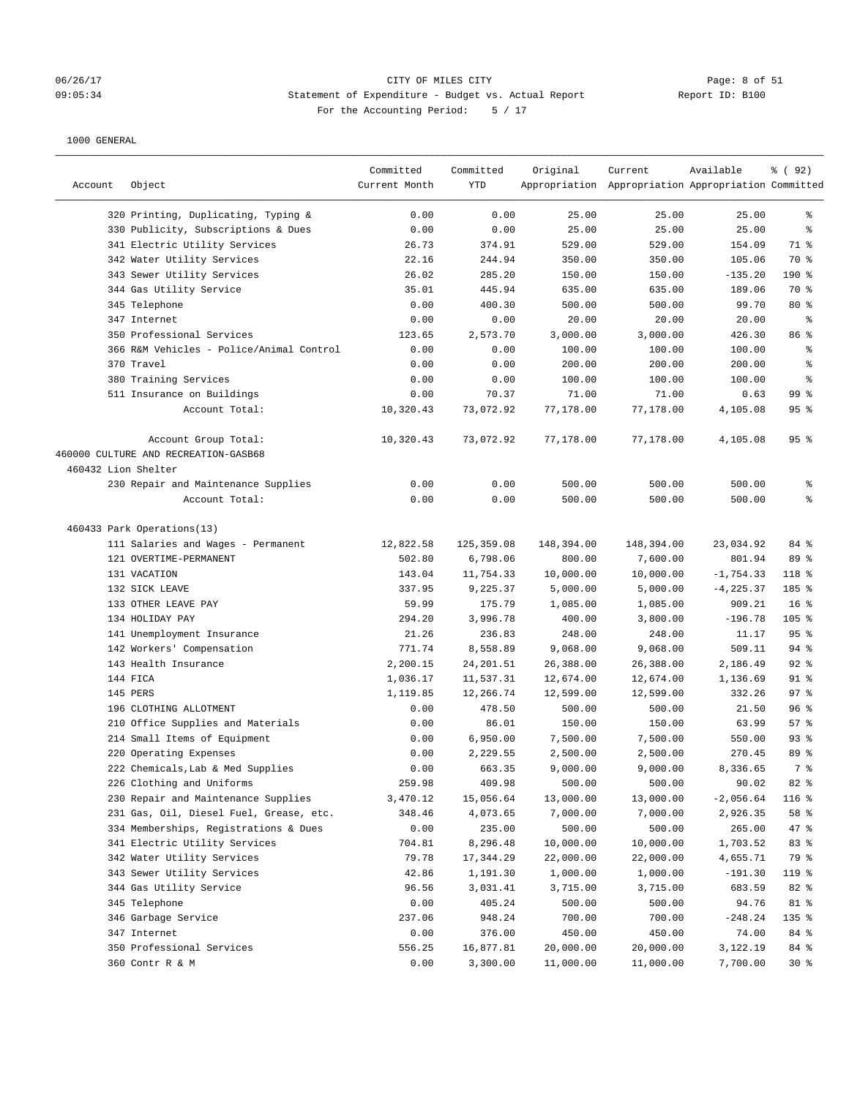# 06/26/17 CITY OF MILES CITY Page: 8 of 51 09:05:34 Statement of Expenditure - Budget vs. Actual Report Report ID: B100 For the Accounting Period: 5 / 17

| Account             | Object                                                       | Committed<br>Current Month | Committed<br>YTD | Original   | Current<br>Appropriation Appropriation Appropriation Committed | Available    | % ( 92 )        |
|---------------------|--------------------------------------------------------------|----------------------------|------------------|------------|----------------------------------------------------------------|--------------|-----------------|
|                     | 320 Printing, Duplicating, Typing &                          | 0.00                       | 0.00             | 25.00      | 25.00                                                          | 25.00        | ႜ               |
|                     | 330 Publicity, Subscriptions & Dues                          | 0.00                       | 0.00             | 25.00      | 25.00                                                          | 25.00        | ి               |
|                     | 341 Electric Utility Services                                | 26.73                      | 374.91           | 529.00     | 529.00                                                         | 154.09       | 71 %            |
|                     | 342 Water Utility Services                                   | 22.16                      | 244.94           | 350.00     | 350.00                                                         | 105.06       | 70 %            |
|                     | 343 Sewer Utility Services                                   | 26.02                      | 285.20           | 150.00     | 150.00                                                         | $-135.20$    | $190$ %         |
|                     | 344 Gas Utility Service                                      | 35.01                      | 445.94           | 635.00     | 635.00                                                         | 189.06       | 70 %            |
|                     | 345 Telephone                                                | 0.00                       | 400.30           | 500.00     | 500.00                                                         | 99.70        | $80*$           |
|                     | 347 Internet                                                 | 0.00                       | 0.00             | 20.00      | 20.00                                                          | 20.00        | ႜ               |
|                     | 350 Professional Services                                    | 123.65                     | 2,573.70         | 3,000.00   | 3,000.00                                                       | 426.30       | 86 %            |
|                     | 366 R&M Vehicles - Police/Animal Control                     | 0.00                       | 0.00             | 100.00     | 100.00                                                         | 100.00       | န့              |
|                     | 370 Travel                                                   | 0.00                       | 0.00             | 200.00     | 200.00                                                         | 200.00       | ి               |
|                     | 380 Training Services                                        | 0.00                       | 0.00             | 100.00     | 100.00                                                         | 100.00       | ి               |
|                     | 511 Insurance on Buildings                                   | 0.00                       | 70.37            | 71.00      | 71.00                                                          | 0.63         | 99 <sub>8</sub> |
|                     | Account Total:                                               | 10,320.43                  | 73,072.92        | 77,178.00  | 77,178.00                                                      | 4,105.08     | 95%             |
|                     | Account Group Total:<br>460000 CULTURE AND RECREATION-GASB68 | 10,320.43                  | 73,072.92        | 77,178.00  | 77,178.00                                                      | 4,105.08     | 95%             |
| 460432 Lion Shelter |                                                              |                            |                  |            |                                                                |              |                 |
|                     |                                                              | 0.00                       | 0.00             | 500.00     | 500.00                                                         | 500.00       | ႜ               |
|                     | 230 Repair and Maintenance Supplies<br>Account Total:        | 0.00                       | 0.00             | 500.00     | 500.00                                                         | 500.00       | နွ              |
|                     | 460433 Park Operations(13)                                   |                            |                  |            |                                                                |              |                 |
|                     | 111 Salaries and Wages - Permanent                           | 12,822.58                  | 125,359.08       | 148,394.00 | 148,394.00                                                     | 23,034.92    | 84 %            |
|                     | 121 OVERTIME-PERMANENT                                       | 502.80                     | 6,798.06         | 800.00     | 7,600.00                                                       | 801.94       | 89 %            |
|                     | 131 VACATION                                                 | 143.04                     | 11,754.33        | 10,000.00  | 10,000.00                                                      | $-1,754.33$  | 118 %           |
|                     | 132 SICK LEAVE                                               | 337.95                     | 9,225.37         | 5,000.00   | 5,000.00                                                       | $-4, 225.37$ | 185 %           |
|                     | 133 OTHER LEAVE PAY                                          | 59.99                      | 175.79           | 1,085.00   | 1,085.00                                                       | 909.21       | 16 <sup>8</sup> |
|                     | 134 HOLIDAY PAY                                              | 294.20                     | 3,996.78         | 400.00     | 3,800.00                                                       | $-196.78$    | $105$ %         |
|                     | 141 Unemployment Insurance                                   | 21.26                      | 236.83           | 248.00     | 248.00                                                         | 11.17        | 95%             |
|                     | 142 Workers' Compensation                                    | 771.74                     | 8,558.89         | 9,068.00   | 9,068.00                                                       | 509.11       | $94$ %          |
|                     | 143 Health Insurance                                         | 2,200.15                   | 24, 201.51       | 26,388.00  | 26,388.00                                                      | 2,186.49     | $92$ $%$        |
|                     | 144 FICA                                                     | 1,036.17                   | 11,537.31        | 12,674.00  | 12,674.00                                                      | 1,136.69     | $91$ %          |
|                     | 145 PERS                                                     | 1,119.85                   | 12,266.74        | 12,599.00  | 12,599.00                                                      | 332.26       | $97$ %          |
|                     | 196 CLOTHING ALLOTMENT                                       | 0.00                       | 478.50           | 500.00     | 500.00                                                         | 21.50        | 96 <sup>8</sup> |
|                     | 210 Office Supplies and Materials                            | 0.00                       | 86.01            | 150.00     | 150.00                                                         | 63.99        | 57%             |
|                     | 214 Small Items of Equipment                                 | 0.00                       | 6,950.00         | 7,500.00   | 7,500.00                                                       | 550.00       | 93%             |
|                     | 220 Operating Expenses                                       | 0.00                       | 2,229.55         | 2,500.00   | 2,500.00                                                       | 270.45       | 89 %            |
|                     | 222 Chemicals, Lab & Med Supplies                            | 0.00                       | 663.35           | 9,000.00   | 9,000.00                                                       | 8,336.65     | 7 %             |
|                     | 226 Clothing and Uniforms                                    | 259.98                     | 409.98           | 500.00     | 500.00                                                         | 90.02        | 82 %            |
|                     | 230 Repair and Maintenance Supplies                          | 3,470.12                   | 15,056.64        | 13,000.00  | 13,000.00                                                      | $-2,056.64$  | 116 %           |
|                     | 231 Gas, Oil, Diesel Fuel, Grease, etc.                      | 348.46                     | 4,073.65         | 7,000.00   | 7,000.00                                                       | 2,926.35     | 58 %            |
|                     | 334 Memberships, Registrations & Dues                        | 0.00                       | 235.00           | 500.00     | 500.00                                                         | 265.00       | $47$ %          |
|                     | 341 Electric Utility Services                                | 704.81                     | 8,296.48         | 10,000.00  | 10,000.00                                                      | 1,703.52     | 83 %            |
|                     | 342 Water Utility Services                                   | 79.78                      | 17,344.29        | 22,000.00  | 22,000.00                                                      | 4,655.71     | 79 %            |
|                     | 343 Sewer Utility Services                                   | 42.86                      | 1,191.30         | 1,000.00   | 1,000.00                                                       | $-191.30$    | 119 %           |
|                     | 344 Gas Utility Service                                      | 96.56                      | 3,031.41         | 3,715.00   | 3,715.00                                                       | 683.59       | 82 %            |
|                     | 345 Telephone                                                | 0.00                       | 405.24           | 500.00     | 500.00                                                         | 94.76        | 81 %            |
|                     | 346 Garbage Service                                          | 237.06                     | 948.24           | 700.00     | 700.00                                                         | $-248.24$    | 135 %           |
|                     | 347 Internet                                                 | 0.00                       | 376.00           | 450.00     | 450.00                                                         | 74.00        | 84 %            |
|                     | 350 Professional Services                                    | 556.25                     | 16,877.81        | 20,000.00  | 20,000.00                                                      | 3,122.19     | 84 %            |
|                     | 360 Contr R & M                                              | 0.00                       | 3,300.00         | 11,000.00  | 11,000.00                                                      | 7,700.00     | $30*$           |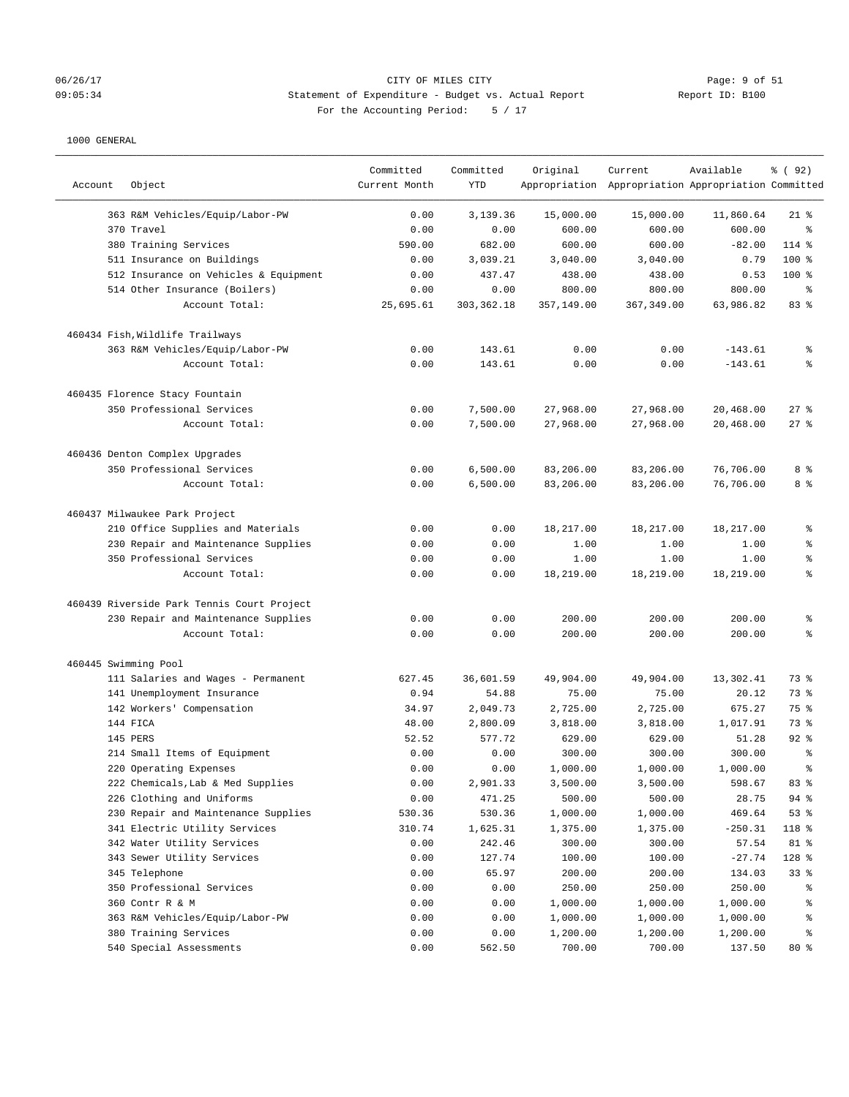# 06/26/17 CITY OF MILES CITY<br>09:05:34 09:05:34 Statement of Expenditure - Budget vs. Actual Report 11 (19:05:34 09:05:34 Statement of Expenditure - Budget vs. Actual Report Report ID: B100 For the Accounting Period: 5 / 17

| Account | Object                                     | Committed<br>Current Month | Committed<br><b>YTD</b> | Original   | Current<br>Appropriation Appropriation Appropriation Committed | Available | % ( 92 )       |
|---------|--------------------------------------------|----------------------------|-------------------------|------------|----------------------------------------------------------------|-----------|----------------|
|         |                                            |                            |                         |            |                                                                |           |                |
|         | 363 R&M Vehicles/Equip/Labor-PW            | 0.00                       | 3,139.36                | 15,000.00  | 15,000.00                                                      | 11,860.64 | $21$ %         |
|         | 370 Travel                                 | 0.00                       | 0.00                    | 600.00     | 600.00                                                         | 600.00    | る              |
|         | 380 Training Services                      | 590.00                     | 682.00                  | 600.00     | 600.00                                                         | $-82.00$  | 114 %          |
|         | 511 Insurance on Buildings                 | 0.00                       | 3,039.21                | 3,040.00   | 3,040.00                                                       | 0.79      | 100 %          |
|         | 512 Insurance on Vehicles & Equipment      | 0.00                       | 437.47                  | 438.00     | 438.00                                                         | 0.53      | 100 %          |
|         | 514 Other Insurance (Boilers)              | 0.00                       | 0.00                    | 800.00     | 800.00                                                         | 800.00    | ి              |
|         | Account Total:                             | 25,695.61                  | 303, 362.18             | 357,149.00 | 367, 349.00                                                    | 63,986.82 | 83 %           |
|         | 460434 Fish, Wildlife Trailways            |                            |                         |            |                                                                |           |                |
|         | 363 R&M Vehicles/Equip/Labor-PW            | 0.00                       | 143.61                  | 0.00       | 0.00                                                           | $-143.61$ | န့             |
|         | Account Total:                             | 0.00                       | 143.61                  | 0.00       | 0.00                                                           | $-143.61$ | ៖              |
|         | 460435 Florence Stacy Fountain             |                            |                         |            |                                                                |           |                |
|         | 350 Professional Services                  | 0.00                       | 7,500.00                | 27,968.00  | 27,968.00                                                      | 20,468.00 | 27%            |
|         | Account Total:                             | 0.00                       | 7,500.00                | 27,968.00  | 27,968.00                                                      | 20,468.00 | $27$ %         |
|         | 460436 Denton Complex Upgrades             |                            |                         |            |                                                                |           |                |
|         | 350 Professional Services                  | 0.00                       | 6,500.00                | 83,206.00  | 83,206.00                                                      | 76,706.00 | 8 %            |
|         | Account Total:                             | 0.00                       | 6,500.00                | 83,206.00  | 83,206.00                                                      | 76,706.00 | 8 %            |
|         |                                            |                            |                         |            |                                                                |           |                |
|         | 460437 Milwaukee Park Project              |                            |                         |            |                                                                |           |                |
|         | 210 Office Supplies and Materials          | 0.00                       | 0.00                    | 18,217.00  | 18,217.00                                                      | 18,217.00 | ి              |
|         | 230 Repair and Maintenance Supplies        | 0.00                       | 0.00                    | 1.00       | 1.00                                                           | 1.00      | နွ             |
|         | 350 Professional Services                  | 0.00                       | 0.00                    | 1.00       | 1.00                                                           | 1.00      | $\,$ $\,$ $\,$ |
|         | Account Total:                             | 0.00                       | 0.00                    | 18,219.00  | 18,219.00                                                      | 18,219.00 | ៖              |
|         | 460439 Riverside Park Tennis Court Project |                            |                         |            |                                                                |           |                |
|         | 230 Repair and Maintenance Supplies        | 0.00                       | 0.00                    | 200.00     | 200.00                                                         | 200.00    | န့             |
|         | Account Total:                             | 0.00                       | 0.00                    | 200.00     | 200.00                                                         | 200.00    | နွ             |
|         | 460445 Swimming Pool                       |                            |                         |            |                                                                |           |                |
|         | 111 Salaries and Wages - Permanent         | 627.45                     | 36,601.59               | 49,904.00  | 49,904.00                                                      | 13,302.41 | 73 %           |
|         | 141 Unemployment Insurance                 | 0.94                       | 54.88                   | 75.00      | 75.00                                                          | 20.12     | 73 %           |
|         | 142 Workers' Compensation                  | 34.97                      | 2,049.73                | 2,725.00   | 2,725.00                                                       | 675.27    | 75 %           |
|         | 144 FICA                                   | 48.00                      | 2,800.09                | 3,818.00   | 3,818.00                                                       | 1,017.91  | 73 %           |
|         | 145 PERS                                   | 52.52                      | 577.72                  | 629.00     | 629.00                                                         | 51.28     | $92$ $%$       |
|         | 214 Small Items of Equipment               | 0.00                       | 0.00                    | 300.00     | 300.00                                                         | 300.00    | ి              |
|         | 220 Operating Expenses                     | 0.00                       | 0.00                    | 1,000.00   | 1,000.00                                                       | 1,000.00  | ま              |
|         | 222 Chemicals, Lab & Med Supplies          | 0.00                       | 2,901.33                | 3,500.00   | 3,500.00                                                       | 598.67    | 83 %           |
|         | 226 Clothing and Uniforms                  | 0.00                       | 471.25                  | 500.00     | 500.00                                                         | 28.75     | 94%            |
|         | 230 Repair and Maintenance Supplies        | 530.36                     | 530.36                  | 1,000.00   | 1,000.00                                                       | 469.64    | 53%            |
|         | 341 Electric Utility Services              | 310.74                     | 1,625.31                | 1,375.00   | 1,375.00                                                       | $-250.31$ | 118 %          |
|         | 342 Water Utility Services                 | 0.00                       | 242.46                  | 300.00     | 300.00                                                         | 57.54     | 81 %           |
|         | 343 Sewer Utility Services                 | 0.00                       | 127.74                  | 100.00     | 100.00                                                         | $-27.74$  | 128 %          |
|         | 345 Telephone                              | 0.00                       | 65.97                   | 200.00     | 200.00                                                         | 134.03    | 33%            |
|         | 350 Professional Services                  | 0.00                       | 0.00                    | 250.00     | 250.00                                                         | 250.00    | ိစ             |
|         | 360 Contr R & M                            | 0.00                       | 0.00                    | 1,000.00   | 1,000.00                                                       | 1,000.00  | ိစ             |
|         | 363 R&M Vehicles/Equip/Labor-PW            | 0.00                       | 0.00                    | 1,000.00   | 1,000.00                                                       | 1,000.00  | ႜ              |
|         | 380 Training Services                      | 0.00                       | 0.00                    | 1,200.00   | 1,200.00                                                       | 1,200.00  | နွ             |
|         | 540 Special Assessments                    | 0.00                       | 562.50                  | 700.00     | 700.00                                                         | 137.50    | 80 %           |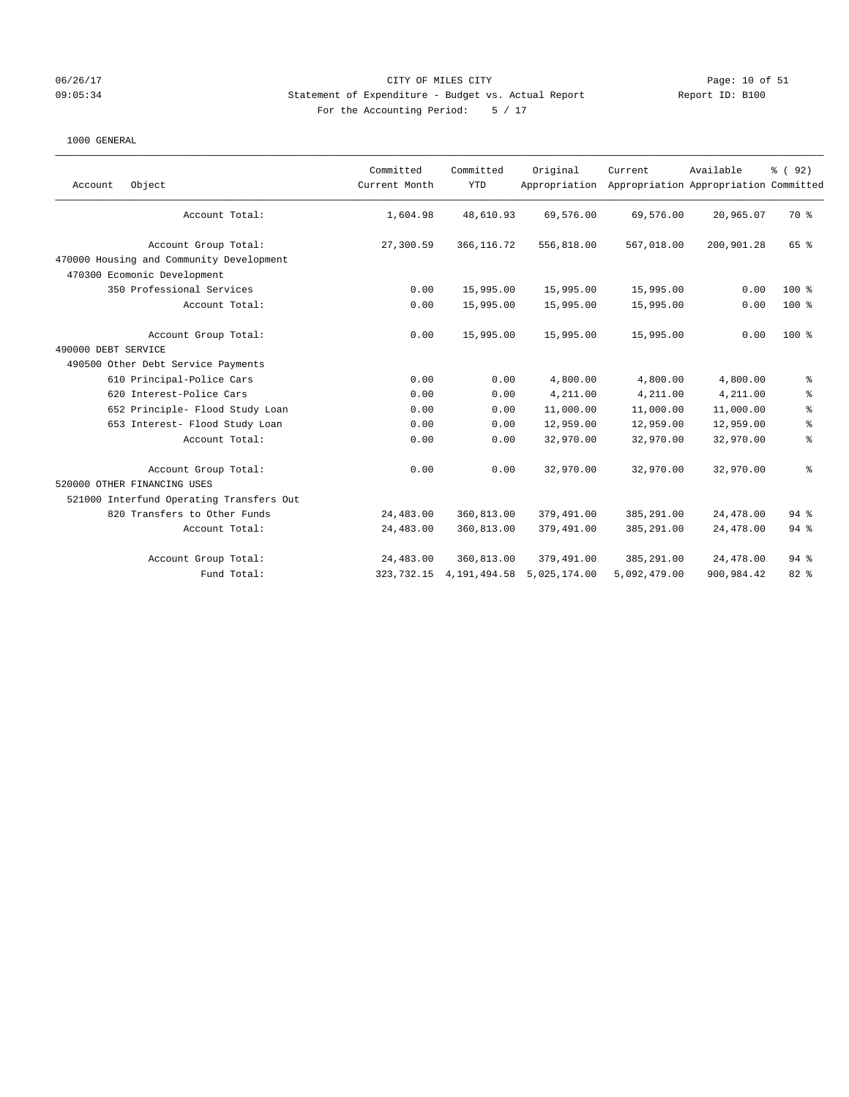### 06/26/17 Page: 10 of 51 CITY OF MILES CITY CONTROLLER CONTROLLER PAGE: 10 of 51 09:05:34 Statement of Expenditure - Budget vs. Actual Report Report ID: B100 For the Accounting Period: 5 / 17

| Object<br>Account                        | Committed<br>Current Month | Committed<br><b>YTD</b> | Original<br>Appropriation | Current      | Available<br>Appropriation Appropriation Committed | % (92)         |
|------------------------------------------|----------------------------|-------------------------|---------------------------|--------------|----------------------------------------------------|----------------|
| Account Total:                           | 1,604.98                   | 48,610.93               | 69,576.00                 | 69,576.00    | 20,965.07                                          | 70 %           |
| Account Group Total:                     | 27,300.59                  | 366, 116.72             | 556,818.00                | 567,018.00   | 200,901.28                                         | 65 %           |
| 470000 Housing and Community Development |                            |                         |                           |              |                                                    |                |
| 470300 Ecomonic Development              |                            |                         |                           |              |                                                    |                |
| 350 Professional Services                | 0.00                       | 15,995.00               | 15,995.00                 | 15,995.00    | 0.00                                               | $100*$         |
| Account Total:                           | 0.00                       | 15,995.00               | 15,995.00                 | 15,995.00    | 0.00                                               | $100*$         |
| Account Group Total:                     | 0.00                       | 15,995.00               | 15,995.00                 | 15,995.00    | 0.00                                               | $100*$         |
| 490000 DEBT SERVICE                      |                            |                         |                           |              |                                                    |                |
| 490500 Other Debt Service Payments       |                            |                         |                           |              |                                                    |                |
| 610 Principal-Police Cars                | 0.00                       | 0.00                    | 4,800.00                  | 4,800.00     | 4,800.00                                           | $\epsilon$     |
| 620 Interest-Police Cars                 | 0.00                       | 0.00                    | 4,211.00                  | 4,211.00     | 4,211.00                                           | ್ಠಿ            |
| 652 Principle- Flood Study Loan          | 0.00                       | 0.00                    | 11,000.00                 | 11,000.00    | 11,000.00                                          | $\,$ $\,$ $\,$ |
| 653 Interest- Flood Study Loan           | 0.00                       | 0.00                    | 12,959.00                 | 12,959.00    | 12,959.00                                          | $\,$ 8         |
| Account Total:                           | 0.00                       | 0.00                    | 32,970.00                 | 32,970.00    | 32,970.00                                          | $\,$ $\,$ $\,$ |
| Account Group Total:                     | 0.00                       | 0.00                    | 32,970.00                 | 32,970.00    | 32,970.00                                          | $\,$ $\,$ $\,$ |
| 520000 OTHER FINANCING USES              |                            |                         |                           |              |                                                    |                |
| 521000 Interfund Operating Transfers Out |                            |                         |                           |              |                                                    |                |
| 820 Transfers to Other Funds             | 24,483.00                  | 360,813.00              | 379,491.00                | 385,291.00   | 24,478.00                                          | 94%            |
| Account Total:                           | 24,483.00                  | 360,813.00              | 379,491.00                | 385,291.00   | 24,478.00                                          | 94%            |
| Account Group Total:                     | 24,483.00                  | 360,813.00              | 379,491.00                | 385,291.00   | 24,478.00                                          | 94%            |
| Fund Total:                              | 323,732.15                 | 4, 191, 494.58          | 5,025,174.00              | 5,092,479.00 | 900,984.42                                         | 82 %           |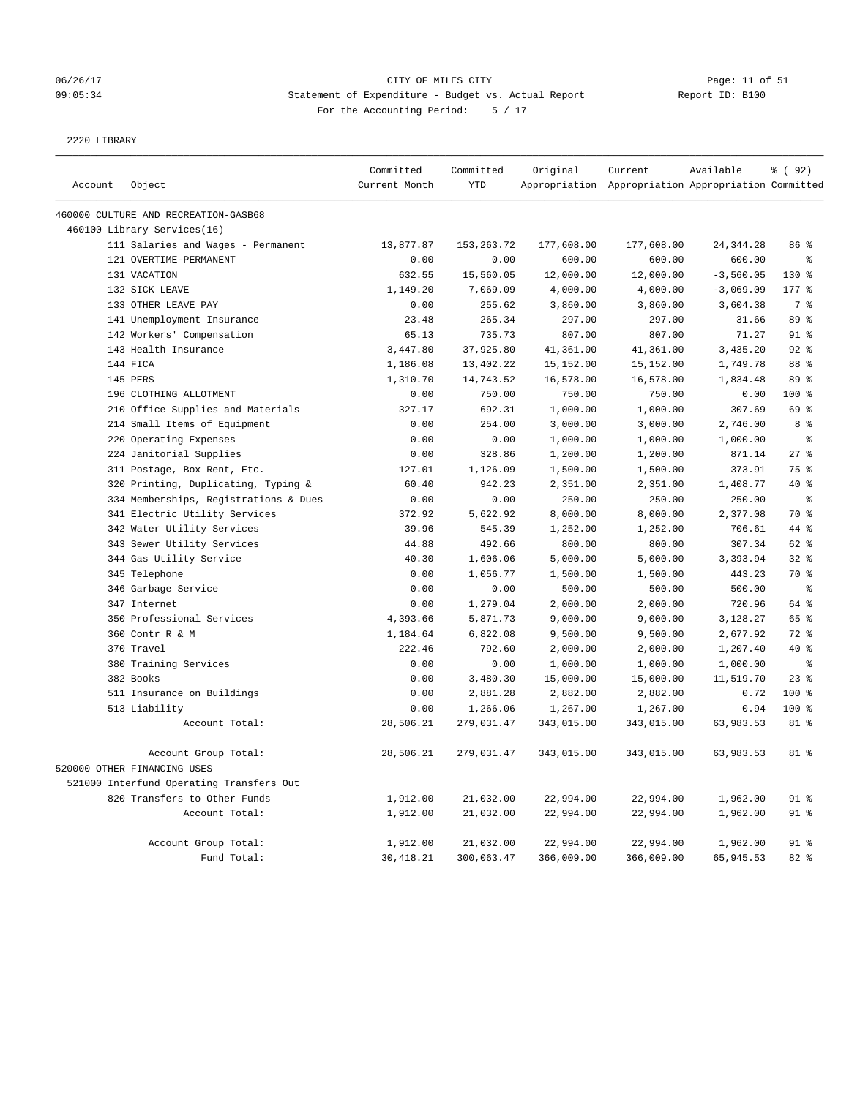# 06/26/17 Page: 11 of 51 09:05:34 Statement of Expenditure - Budget vs. Actual Report Report ID: B100 For the Accounting Period: 5 / 17

2220 LIBRARY

|         |                                          | Committed     | Committed    | Original   | Current                                             | Available   | % (92)          |
|---------|------------------------------------------|---------------|--------------|------------|-----------------------------------------------------|-------------|-----------------|
| Account | Object                                   | Current Month | <b>YTD</b>   |            | Appropriation Appropriation Appropriation Committed |             |                 |
|         | 460000 CULTURE AND RECREATION-GASB68     |               |              |            |                                                     |             |                 |
|         | 460100 Library Services(16)              |               |              |            |                                                     |             |                 |
|         | 111 Salaries and Wages - Permanent       | 13,877.87     | 153, 263. 72 | 177,608.00 | 177,608.00                                          | 24, 344. 28 | 86 %            |
|         | 121 OVERTIME-PERMANENT                   | 0.00          | 0.00         | 600.00     | 600.00                                              | 600.00      | $\epsilon$      |
|         | 131 VACATION                             | 632.55        | 15,560.05    | 12,000.00  | 12,000.00                                           | $-3,560.05$ | $130*$          |
|         | 132 SICK LEAVE                           | 1,149.20      | 7,069.09     | 4,000.00   | 4,000.00                                            | $-3,069.09$ | 177 %           |
|         | 133 OTHER LEAVE PAY                      | 0.00          | 255.62       | 3,860.00   | 3,860.00                                            | 3,604.38    | 7 %             |
|         | 141 Unemployment Insurance               | 23.48         | 265.34       | 297.00     | 297.00                                              | 31.66       | 89 %            |
|         | 142 Workers' Compensation                | 65.13         | 735.73       | 807.00     | 807.00                                              | 71.27       | $91$ %          |
|         | 143 Health Insurance                     | 3,447.80      | 37,925.80    | 41,361.00  | 41,361.00                                           | 3,435.20    | 92%             |
|         | 144 FICA                                 | 1,186.08      | 13,402.22    | 15,152.00  | 15,152.00                                           | 1,749.78    | 88 %            |
|         | 145 PERS                                 | 1,310.70      | 14,743.52    | 16,578.00  | 16,578.00                                           | 1,834.48    | 89 %            |
|         | 196 CLOTHING ALLOTMENT                   | 0.00          | 750.00       | 750.00     | 750.00                                              | 0.00        | 100 %           |
|         | 210 Office Supplies and Materials        | 327.17        | 692.31       | 1,000.00   | 1,000.00                                            | 307.69      | 69 %            |
|         | 214 Small Items of Equipment             | 0.00          | 254.00       | 3,000.00   | 3,000.00                                            | 2,746.00    | 8 %             |
|         | 220 Operating Expenses                   | 0.00          | 0.00         | 1,000.00   | 1,000.00                                            | 1,000.00    | $\epsilon$      |
|         | 224 Janitorial Supplies                  | 0.00          | 328.86       | 1,200.00   | 1,200.00                                            | 871.14      | 27%             |
|         | 311 Postage, Box Rent, Etc.              | 127.01        | 1,126.09     | 1,500.00   | 1,500.00                                            | 373.91      | 75 %            |
|         | 320 Printing, Duplicating, Typing &      | 60.40         | 942.23       | 2,351.00   | 2,351.00                                            | 1,408.77    | 40 %            |
|         | 334 Memberships, Registrations & Dues    | 0.00          | 0.00         | 250.00     | 250.00                                              | 250.00      | $\,$ 8          |
|         | 341 Electric Utility Services            | 372.92        | 5,622.92     | 8,000.00   | 8,000.00                                            | 2,377.08    | 70 %            |
|         | 342 Water Utility Services               | 39.96         | 545.39       | 1,252.00   | 1,252.00                                            | 706.61      | 44 %            |
|         | 343 Sewer Utility Services               | 44.88         | 492.66       | 800.00     | 800.00                                              | 307.34      | 62 %            |
|         | 344 Gas Utility Service                  | 40.30         | 1,606.06     | 5,000.00   | 5,000.00                                            | 3,393.94    | $32$ $%$        |
|         | 345 Telephone                            | 0.00          | 1,056.77     | 1,500.00   | 1,500.00                                            | 443.23      | 70 %            |
|         | 346 Garbage Service                      | 0.00          | 0.00         | 500.00     | 500.00                                              | 500.00      | $\epsilon$      |
|         | 347 Internet                             | 0.00          | 1,279.04     | 2,000.00   | 2,000.00                                            | 720.96      | 64 %            |
|         | 350 Professional Services                | 4,393.66      | 5,871.73     | 9,000.00   | 9,000.00                                            | 3,128.27    | 65 %            |
|         | 360 Contr R & M                          | 1,184.64      | 6,822.08     | 9,500.00   | 9,500.00                                            | 2,677.92    | 72 %            |
|         | 370 Travel                               | 222.46        | 792.60       | 2,000.00   | 2,000.00                                            | 1,207.40    | 40 %            |
|         | 380 Training Services                    | 0.00          | 0.00         | 1,000.00   | 1,000.00                                            | 1,000.00    | $\epsilon$      |
|         | 382 Books                                | 0.00          | 3,480.30     | 15,000.00  | 15,000.00                                           | 11,519.70   | $23$ $%$        |
|         | 511 Insurance on Buildings               | 0.00          | 2,881.28     | 2,882.00   | 2,882.00                                            | 0.72        | 100 %           |
|         | 513 Liability                            | 0.00          | 1,266.06     | 1,267.00   | 1,267.00                                            | 0.94        | 100 %           |
|         | Account Total:                           | 28,506.21     | 279,031.47   | 343,015.00 | 343,015.00                                          | 63,983.53   | 81 %            |
|         | Account Group Total:                     | 28,506.21     | 279,031.47   | 343,015.00 | 343,015.00                                          | 63,983.53   | 81 %            |
|         | 520000 OTHER FINANCING USES              |               |              |            |                                                     |             |                 |
|         | 521000 Interfund Operating Transfers Out |               |              |            |                                                     |             |                 |
|         | 820 Transfers to Other Funds             | 1,912.00      | 21,032.00    | 22,994.00  | 22,994.00                                           | 1,962.00    | $91$ %          |
|         | Account Total:                           | 1,912.00      | 21,032.00    | 22,994.00  | 22,994.00                                           | 1,962.00    | $91$ %          |
|         |                                          |               |              |            |                                                     |             | 91 <sup>°</sup> |
|         | Account Group Total:                     | 1,912.00      | 21,032.00    | 22,994.00  | 22,994.00                                           | 1,962.00    |                 |
|         | Fund Total:                              | 30, 418.21    | 300,063.47   | 366,009.00 | 366,009.00                                          | 65,945.53   | 82%             |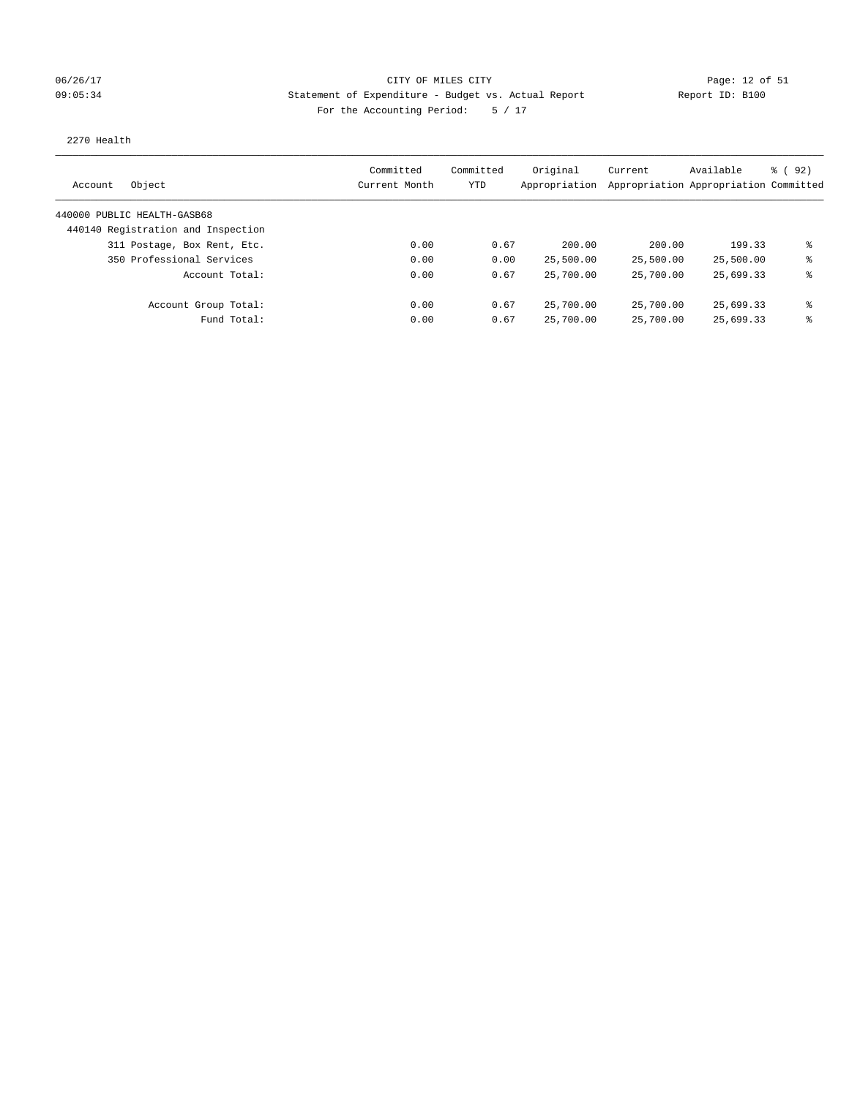### 06/26/17 Page: 12 of 51 Page: 12 of 51 09:05:34 Statement of Expenditure - Budget vs. Actual Report Report ID: B100 For the Accounting Period: 5 / 17

#### 2270 Health

| Object<br>Account                  | Committed<br>Current Month | Committed<br>YTD | Original<br>Appropriation | Current   | Available<br>Appropriation Appropriation Committed | 8 (92) |
|------------------------------------|----------------------------|------------------|---------------------------|-----------|----------------------------------------------------|--------|
| 440000 PUBLIC HEALTH-GASB68        |                            |                  |                           |           |                                                    |        |
| 440140 Registration and Inspection |                            |                  |                           |           |                                                    |        |
| 311 Postage, Box Rent, Etc.        | 0.00                       | 0.67             | 200.00                    | 200.00    | 199.33                                             | ま      |
| 350 Professional Services          | 0.00                       | 0.00             | 25,500.00                 | 25,500.00 | 25,500.00                                          | ⊱      |
| Account Total:                     | 0.00                       | 0.67             | 25,700.00                 | 25,700.00 | 25,699.33                                          | ⊱      |
| Account Group Total:               | 0.00                       | 0.67             | 25,700.00                 | 25,700.00 | 25,699.33                                          | နွ     |
| Fund Total:                        | 0.00                       | 0.67             | 25,700.00                 | 25,700.00 | 25,699.33                                          | ⊱      |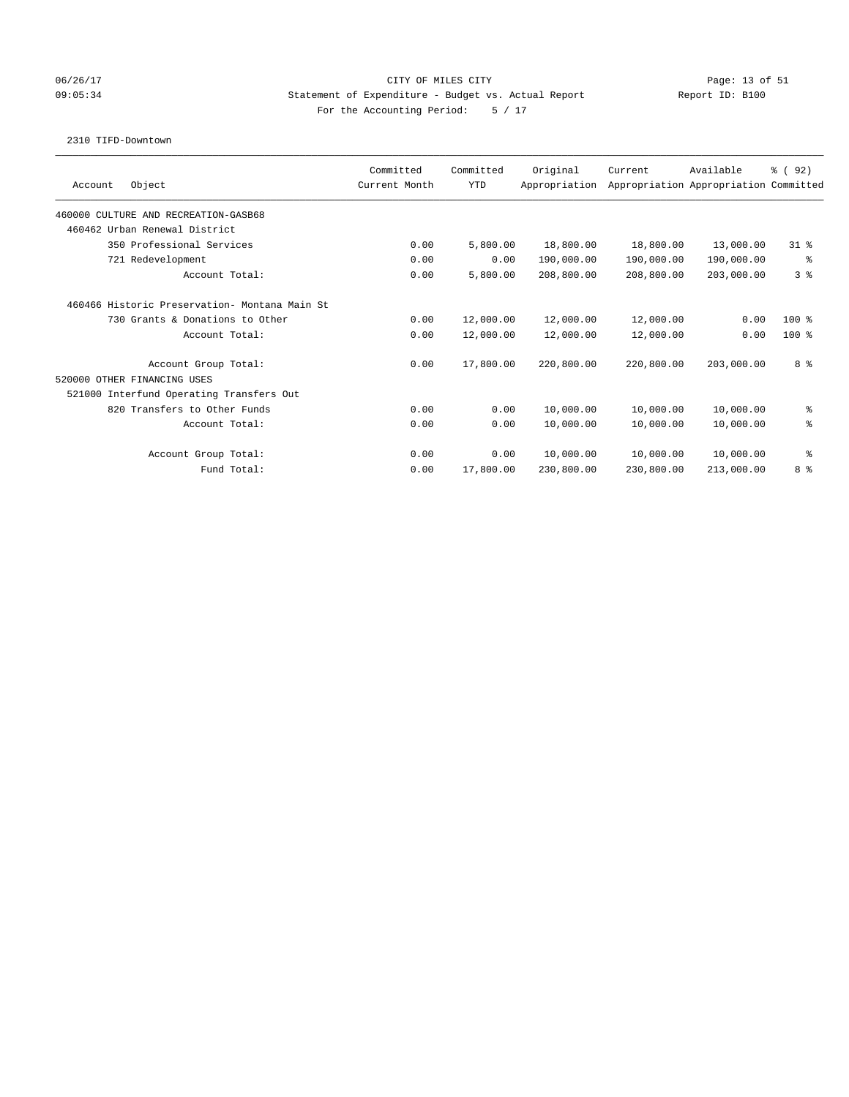### 06/26/17 Page: 13 of 51 Page: 13 OF MILES CITY CITY CITY CITY 09:05:34 Statement of Expenditure - Budget vs. Actual Report Report ID: B100 For the Accounting Period: 5 / 17

#### 2310 TIFD-Downtown

| Object<br>Account                              | Committed<br>Current Month | Committed<br><b>YTD</b> | Original<br>Appropriation | Current    | Available<br>Appropriation Appropriation Committed | % (92)         |
|------------------------------------------------|----------------------------|-------------------------|---------------------------|------------|----------------------------------------------------|----------------|
| 460000 CULTURE AND RECREATION-GASB68           |                            |                         |                           |            |                                                    |                |
| 460462 Urban Renewal District                  |                            |                         |                           |            |                                                    |                |
| 350 Professional Services                      | 0.00                       | 5,800.00                | 18,800.00                 | 18,800.00  | 13,000.00                                          | $31*$          |
| 721 Redevelopment                              | 0.00                       | 0.00                    | 190,000.00                | 190,000.00 | 190,000.00                                         | နွ             |
| Account Total:                                 | 0.00                       | 5,800.00                | 208,800.00                | 208,800.00 | 203,000.00                                         | 3 <sup>8</sup> |
| 460466 Historic Preservation- Montana Main St. |                            |                         |                           |            |                                                    |                |
| 730 Grants & Donations to Other                | 0.00                       | 12,000.00               | 12,000.00                 | 12,000.00  | 0.00                                               | $100*$         |
| Account Total:                                 | 0.00                       | 12,000.00               | 12,000.00                 | 12,000.00  | 0.00                                               | $100*$         |
| Account Group Total:                           | 0.00                       | 17,800.00               | 220,800.00                | 220,800.00 | 203,000.00                                         | 8 %            |
| 520000 OTHER FINANCING USES                    |                            |                         |                           |            |                                                    |                |
| 521000 Interfund Operating Transfers Out       |                            |                         |                           |            |                                                    |                |
| 820 Transfers to Other Funds                   | 0.00                       | 0.00                    | 10,000.00                 | 10,000.00  | 10,000.00                                          | နွ             |
| Account Total:                                 | 0.00                       | 0.00                    | 10,000.00                 | 10,000.00  | 10,000.00                                          | る              |
| Account Group Total:                           | 0.00                       | 0.00                    | 10,000.00                 | 10,000.00  | 10,000.00                                          | နွ             |
| Fund Total:                                    | 0.00                       | 17,800.00               | 230,800.00                | 230,800.00 | 213,000.00                                         | 8 %            |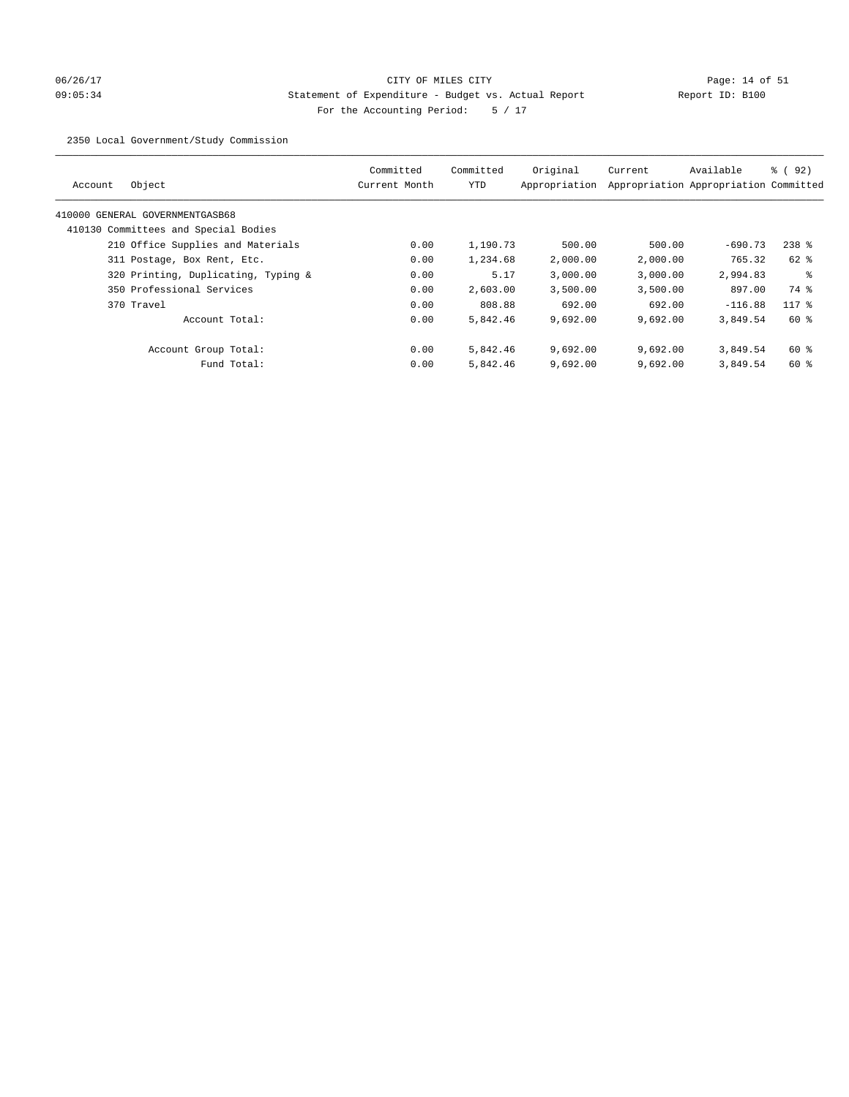# 06/26/17 Page: 14 of 51 09:05:34 Statement of Expenditure - Budget vs. Actual Report Report ID: B100 For the Accounting Period: 5 / 17

2350 Local Government/Study Commission

| Object<br>Account                    | Committed<br>Current Month | Committed<br><b>YTD</b> | Original<br>Appropriation | Current  | Available<br>Appropriation Appropriation Committed | 8 (92)  |
|--------------------------------------|----------------------------|-------------------------|---------------------------|----------|----------------------------------------------------|---------|
| 410000 GENERAL GOVERNMENTGASB68      |                            |                         |                           |          |                                                    |         |
| 410130 Committees and Special Bodies |                            |                         |                           |          |                                                    |         |
| 210 Office Supplies and Materials    | 0.00                       | 1,190.73                | 500.00                    | 500.00   | $-690.73$                                          | $238$ % |
| 311 Postage, Box Rent, Etc.          | 0.00                       | 1,234.68                | 2,000.00                  | 2,000.00 | 765.32                                             | 62 %    |
| 320 Printing, Duplicating, Typing &  | 0.00                       | 5.17                    | 3.000.00                  | 3,000.00 | 2,994.83                                           | ႜ       |
| 350 Professional Services            | 0.00                       | 2,603.00                | 3,500.00                  | 3,500.00 | 897.00                                             | 74 %    |
| 370 Travel                           | 0.00                       | 808.88                  | 692.00                    | 692.00   | $-116.88$                                          | $117*$  |
| Account Total:                       | 0.00                       | 5,842.46                | 9,692.00                  | 9,692.00 | 3,849.54                                           | $60*$   |
| Account Group Total:                 | 0.00                       | 5,842.46                | 9.692.00                  | 9.692.00 | 3,849.54                                           | 60 %    |
| Fund Total:                          | 0.00                       | 5,842.46                | 9,692.00                  | 9,692.00 | 3,849.54                                           | $60*$   |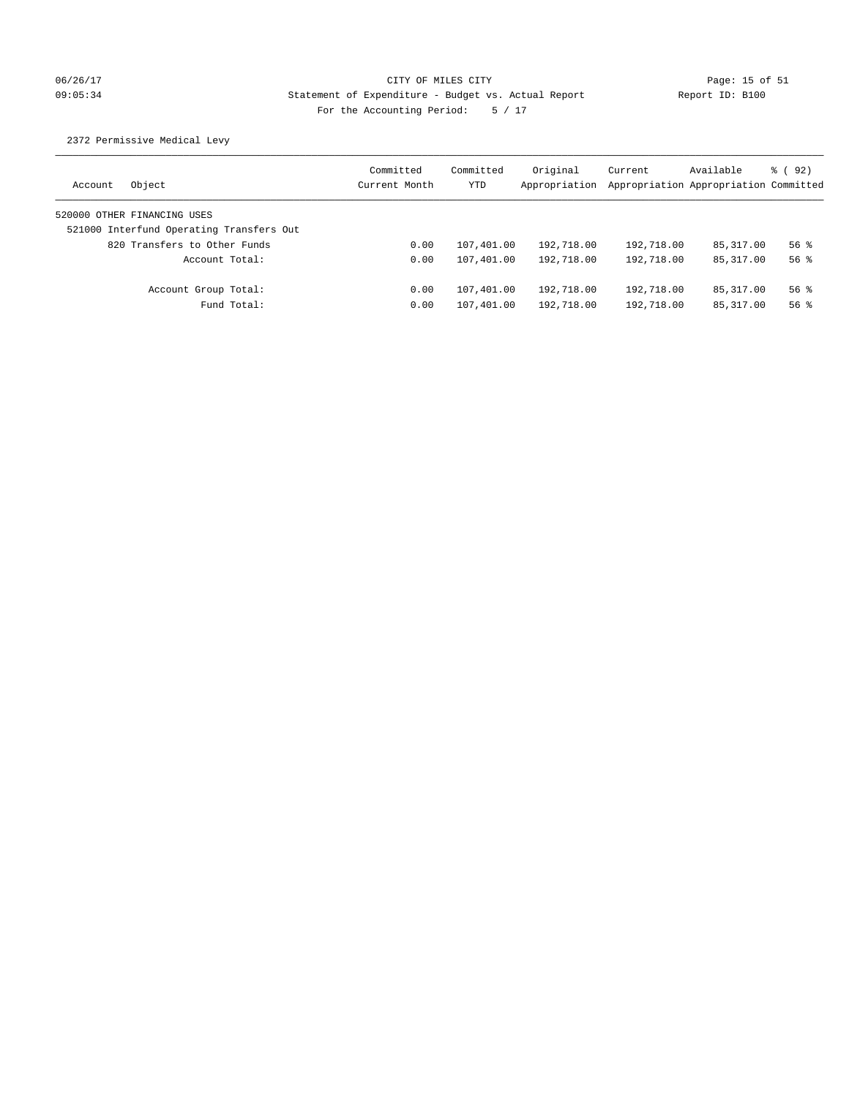# 06/26/17 Page: 15 of 51 Page: 15 of 51 09:05:34 Statement of Expenditure - Budget vs. Actual Report Report ID: B100 For the Accounting Period: 5 / 17

## 2372 Permissive Medical Levy

| Object<br>Account                        | Committed<br>Current Month | Committed<br><b>YTD</b> | Original<br>Appropriation | Current<br>Appropriation Appropriation Committed | Available   | 8 (92)   |
|------------------------------------------|----------------------------|-------------------------|---------------------------|--------------------------------------------------|-------------|----------|
| 520000 OTHER FINANCING USES              |                            |                         |                           |                                                  |             |          |
| 521000 Interfund Operating Transfers Out |                            |                         |                           |                                                  |             |          |
| 820 Transfers to Other Funds             | 0.00                       | 107,401.00              | 192,718.00                | 192,718.00                                       | 85, 317, 00 | $56$ $%$ |
| Account Total:                           | 0.00                       | 107,401.00              | 192,718.00                | 192,718.00                                       | 85, 317, 00 | $56$ $%$ |
| Account Group Total:                     | 0.00                       | 107,401.00              | 192,718.00                | 192,718.00                                       | 85, 317, 00 | 56%      |
| Fund Total:                              | 0.00                       | 107,401.00              | 192,718.00                | 192,718.00                                       | 85,317.00   | $56$ $%$ |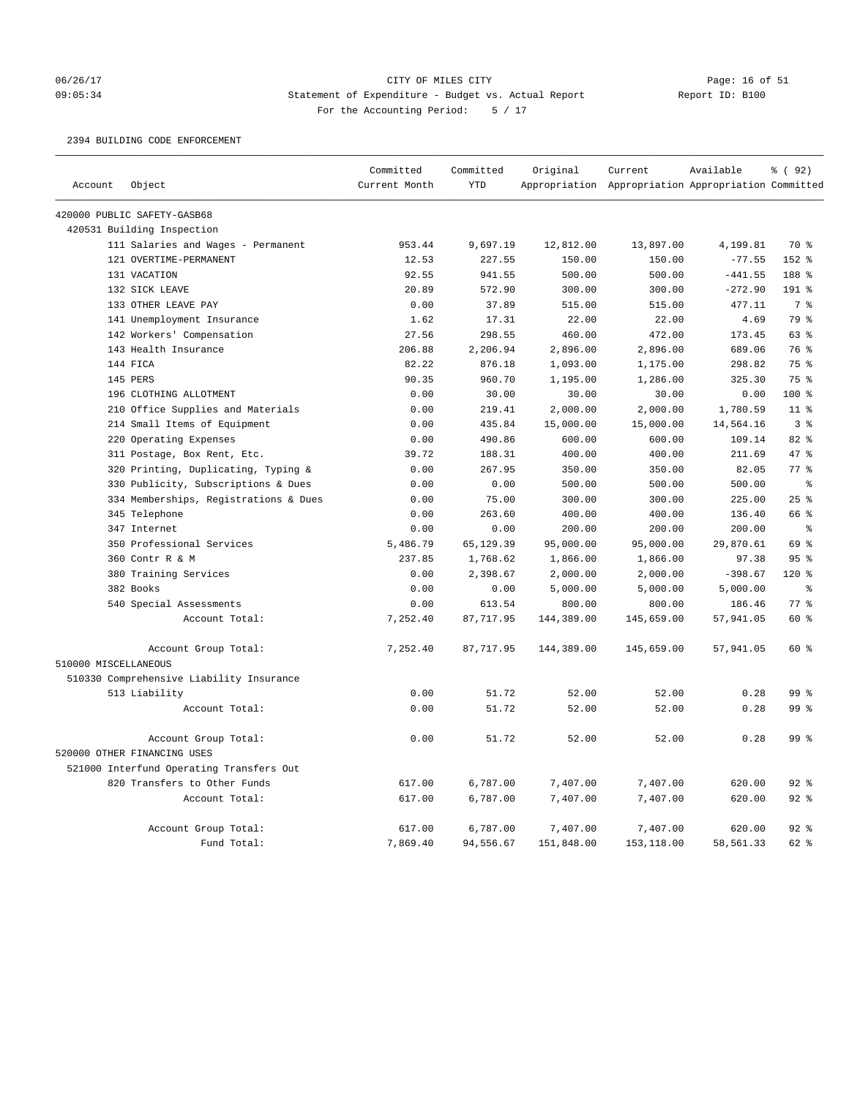### 06/26/17 Page: 16 of 51 Page: 16 of 51 09:05:34 Statement of Expenditure - Budget vs. Actual Report Report ID: B100 For the Accounting Period: 5 / 17

2394 BUILDING CODE ENFORCEMENT

|                      |                                          | Committed     | Committed  | Original   | Current                                             | Available | % (92)         |
|----------------------|------------------------------------------|---------------|------------|------------|-----------------------------------------------------|-----------|----------------|
| Account              | Object                                   | Current Month | <b>YTD</b> |            | Appropriation Appropriation Appropriation Committed |           |                |
|                      | 420000 PUBLIC SAFETY-GASB68              |               |            |            |                                                     |           |                |
|                      | 420531 Building Inspection               |               |            |            |                                                     |           |                |
|                      | 111 Salaries and Wages - Permanent       | 953.44        | 9,697.19   | 12,812.00  | 13,897.00                                           | 4,199.81  | 70 %           |
|                      | 121 OVERTIME-PERMANENT                   | 12.53         | 227.55     | 150.00     | 150.00                                              | $-77.55$  | 152 %          |
|                      | 131 VACATION                             | 92.55         | 941.55     | 500.00     | 500.00                                              | $-441.55$ | 188 %          |
|                      | 132 SICK LEAVE                           | 20.89         | 572.90     | 300.00     | 300.00                                              | $-272.90$ | 191 %          |
|                      | 133 OTHER LEAVE PAY                      | 0.00          | 37.89      | 515.00     | 515.00                                              | 477.11    | 7 <sup>°</sup> |
|                      | 141 Unemployment Insurance               | 1.62          | 17.31      | 22.00      | 22.00                                               | 4.69      | 79 %           |
|                      | 142 Workers' Compensation                | 27.56         | 298.55     | 460.00     | 472.00                                              | 173.45    | 63 %           |
|                      | 143 Health Insurance                     | 206.88        | 2,206.94   | 2,896.00   | 2,896.00                                            | 689.06    | 76 %           |
|                      | 144 FICA                                 | 82.22         | 876.18     | 1,093.00   | 1,175.00                                            | 298.82    | 75 %           |
|                      | 145 PERS                                 | 90.35         | 960.70     | 1,195.00   | 1,286.00                                            | 325.30    | 75 %           |
|                      | 196 CLOTHING ALLOTMENT                   | 0.00          | 30.00      | 30.00      | 30.00                                               | 0.00      | $100$ %        |
|                      | 210 Office Supplies and Materials        | 0.00          | 219.41     | 2,000.00   | 2,000.00                                            | 1,780.59  | $11$ %         |
|                      | 214 Small Items of Equipment             | 0.00          | 435.84     | 15,000.00  | 15,000.00                                           | 14,564.16 | 3 <sup>8</sup> |
|                      | 220 Operating Expenses                   | 0.00          | 490.86     | 600.00     | 600.00                                              | 109.14    | 82%            |
|                      | 311 Postage, Box Rent, Etc.              | 39.72         | 188.31     | 400.00     | 400.00                                              | 211.69    | 47.8           |
|                      | 320 Printing, Duplicating, Typing &      | 0.00          | 267.95     | 350.00     | 350.00                                              | 82.05     | 77 %           |
|                      | 330 Publicity, Subscriptions & Dues      | 0.00          | 0.00       | 500.00     | 500.00                                              | 500.00    | $\approx$      |
|                      | 334 Memberships, Registrations & Dues    | 0.00          | 75.00      | 300.00     | 300.00                                              | 225.00    | 25%            |
|                      | 345 Telephone                            | 0.00          | 263.60     | 400.00     | 400.00                                              | 136.40    | 66 %           |
|                      | 347 Internet                             | 0.00          | 0.00       | 200.00     | 200.00                                              | 200.00    | $\epsilon$     |
|                      | 350 Professional Services                | 5,486.79      | 65,129.39  | 95,000.00  | 95,000.00                                           | 29,870.61 | 69 %           |
|                      | 360 Contr R & M                          | 237.85        | 1,768.62   | 1,866.00   | 1,866.00                                            | 97.38     | 95%            |
|                      | 380 Training Services                    | 0.00          | 2,398.67   | 2,000.00   | 2,000.00                                            | $-398.67$ | 120%           |
|                      | 382 Books                                | 0.00          | 0.00       | 5,000.00   | 5,000.00                                            | 5,000.00  | る              |
|                      | 540 Special Assessments                  | 0.00          | 613.54     | 800.00     | 800.00                                              | 186.46    | 77%            |
|                      | Account Total:                           | 7,252.40      | 87, 717.95 | 144,389.00 | 145,659.00                                          | 57,941.05 | 60 %           |
|                      | Account Group Total:                     | 7,252.40      | 87,717.95  | 144,389.00 | 145,659.00                                          | 57,941.05 | $60*$          |
| 510000 MISCELLANEOUS |                                          |               |            |            |                                                     |           |                |
|                      | 510330 Comprehensive Liability Insurance |               |            |            |                                                     |           |                |
|                      | 513 Liability                            | 0.00          | 51.72      | 52.00      | 52.00                                               | 0.28      | 99 %           |
|                      | Account Total:                           | 0.00          | 51.72      | 52.00      | 52.00                                               | 0.28      | 99 %           |
|                      | Account Group Total:                     | 0.00          | 51.72      | 52.00      | 52.00                                               | 0.28      | 99 %           |
|                      | 520000 OTHER FINANCING USES              |               |            |            |                                                     |           |                |
|                      | 521000 Interfund Operating Transfers Out |               |            |            |                                                     |           |                |
|                      | 820 Transfers to Other Funds             | 617.00        | 6,787.00   | 7,407.00   | 7,407.00                                            | 620.00    | $92$ $%$       |
|                      | Account Total:                           | 617.00        | 6,787.00   | 7,407.00   | 7,407.00                                            | 620.00    | 92%            |
|                      | Account Group Total:                     | 617.00        | 6,787.00   | 7,407.00   | 7,407.00                                            | 620.00    | 92%            |
|                      | Fund Total:                              | 7,869.40      | 94,556.67  | 151,848.00 | 153,118.00                                          | 58,561.33 | 62 %           |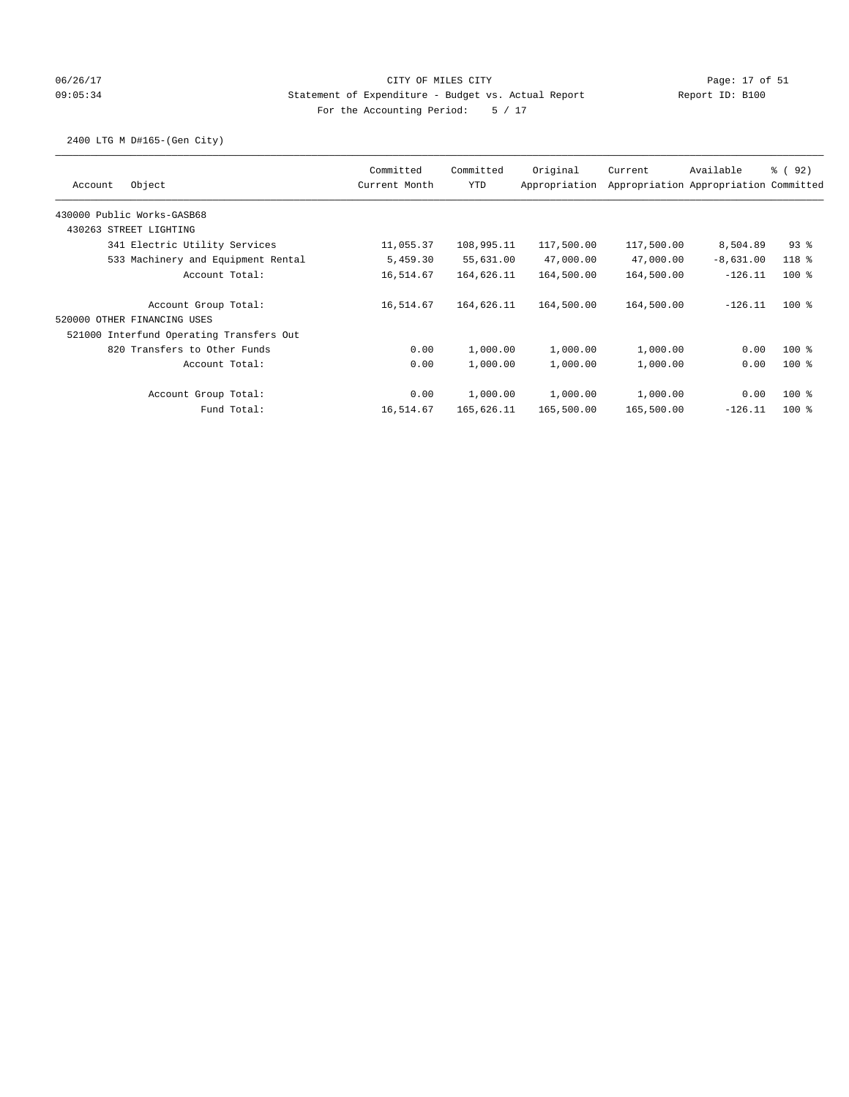## 06/26/17 Page: 17 of 51 Page: 17 of 51 09:05:34 Statement of Expenditure - Budget vs. Actual Report Report ID: B100 For the Accounting Period: 5 / 17

## 2400 LTG M D#165-(Gen City)

| Object<br>Account                        | Committed<br>Current Month | Committed<br><b>YTD</b> | Original<br>Appropriation | Current    | Available<br>Appropriation Appropriation Committed | 8 (92)   |
|------------------------------------------|----------------------------|-------------------------|---------------------------|------------|----------------------------------------------------|----------|
| 430000 Public Works-GASB68               |                            |                         |                           |            |                                                    |          |
| 430263 STREET LIGHTING                   |                            |                         |                           |            |                                                    |          |
| 341 Electric Utility Services            | 11,055.37                  | 108,995.11              | 117,500.00                | 117,500.00 | 8,504.89                                           | $93$ $%$ |
| 533 Machinery and Equipment Rental       | 5,459.30                   | 55,631.00               | 47,000.00                 | 47,000.00  | $-8,631.00$                                        | 118 %    |
| Account Total:                           | 16,514.67                  | 164,626.11              | 164,500.00                | 164,500.00 | $-126.11$                                          | $100*$   |
| Account Group Total:                     | 16,514.67                  | 164,626.11              | 164,500.00                | 164,500.00 | $-126.11$                                          | $100$ %  |
| 520000 OTHER FINANCING USES              |                            |                         |                           |            |                                                    |          |
| 521000 Interfund Operating Transfers Out |                            |                         |                           |            |                                                    |          |
| 820 Transfers to Other Funds             | 0.00                       | 1,000.00                | 1,000.00                  | 1,000.00   | 0.00                                               | $100$ %  |
| Account Total:                           | 0.00                       | 1,000.00                | 1,000.00                  | 1,000.00   | 0.00                                               | $100*$   |
| Account Group Total:                     | 0.00                       | 1,000.00                | 1,000.00                  | 1,000.00   | 0.00                                               | $100*$   |
| Fund Total:                              | 16,514.67                  | 165,626.11              | 165,500.00                | 165,500.00 | $-126.11$                                          | $100*$   |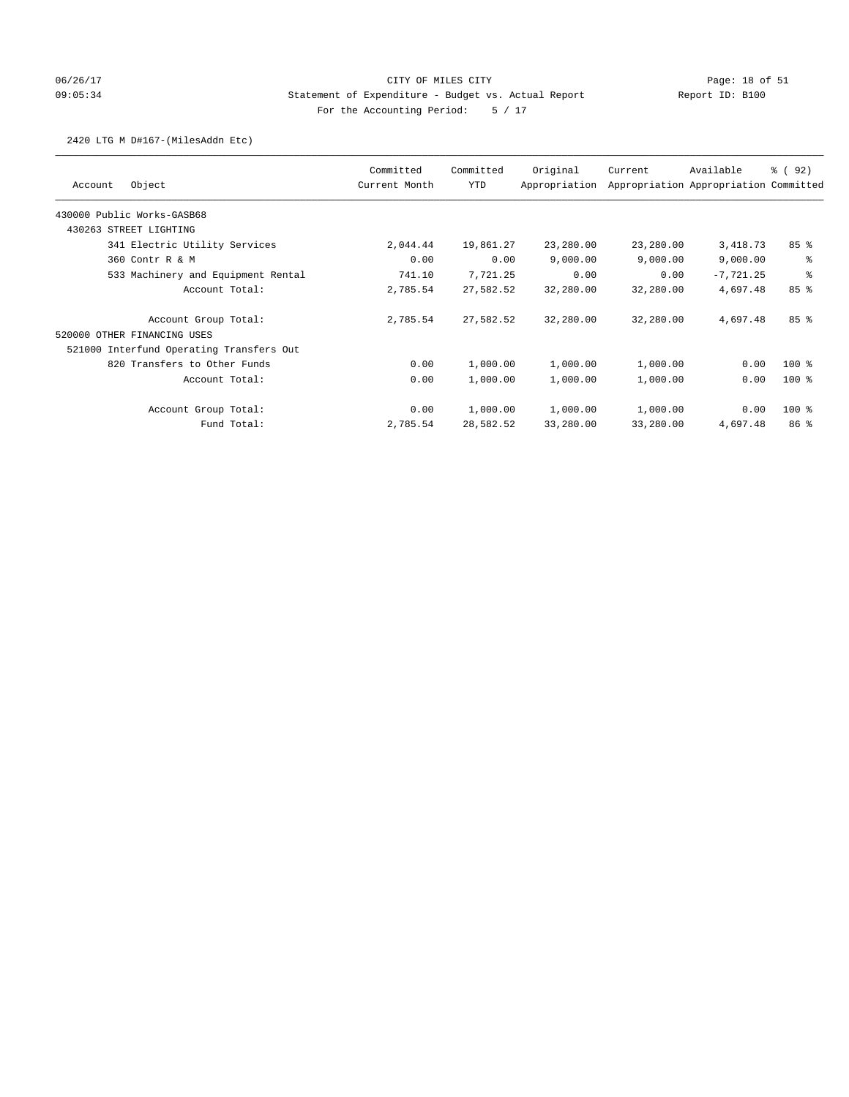# 06/26/17 Page: 18 of 51 Page: 18 of 51 09:05:34 Statement of Expenditure - Budget vs. Actual Report Report ID: B100 For the Accounting Period: 5 / 17

### 2420 LTG M D#167-(MilesAddn Etc)

|                                          | Committed     | Committed | Original      | Current   | Available                             | ៖ (92)          |
|------------------------------------------|---------------|-----------|---------------|-----------|---------------------------------------|-----------------|
| Object<br>Account                        | Current Month | YTD       | Appropriation |           | Appropriation Appropriation Committed |                 |
| 430000 Public Works-GASB68               |               |           |               |           |                                       |                 |
| 430263 STREET LIGHTING                   |               |           |               |           |                                       |                 |
| 341 Electric Utility Services            | 2,044.44      | 19,861.27 | 23,280.00     | 23,280.00 | 3,418.73                              | 85%             |
| 360 Contr R & M                          | 0.00          | 0.00      | 9,000.00      | 9,000.00  | 9,000.00                              | နွ              |
| 533 Machinery and Equipment Rental       | 741.10        | 7,721.25  | 0.00          | 0.00      | $-7, 721.25$                          | る               |
| Account Total:                           | 2,785.54      | 27,582.52 | 32,280.00     | 32,280.00 | 4,697.48                              | 85%             |
| Account Group Total:                     | 2,785.54      | 27,582.52 | 32,280.00     | 32,280.00 | 4,697.48                              | 85%             |
| 520000 OTHER FINANCING USES              |               |           |               |           |                                       |                 |
| 521000 Interfund Operating Transfers Out |               |           |               |           |                                       |                 |
| 820 Transfers to Other Funds             | 0.00          | 1,000.00  | 1,000.00      | 1,000.00  | 0.00                                  | $100$ %         |
| Account Total:                           | 0.00          | 1,000.00  | 1,000.00      | 1,000.00  | 0.00                                  | $100$ %         |
| Account Group Total:                     | 0.00          | 1,000.00  | 1,000.00      | 1,000.00  | 0.00                                  | 100 %           |
| Fund Total:                              | 2,785.54      | 28,582.52 | 33,280.00     | 33,280.00 | 4,697.48                              | 86 <sup>8</sup> |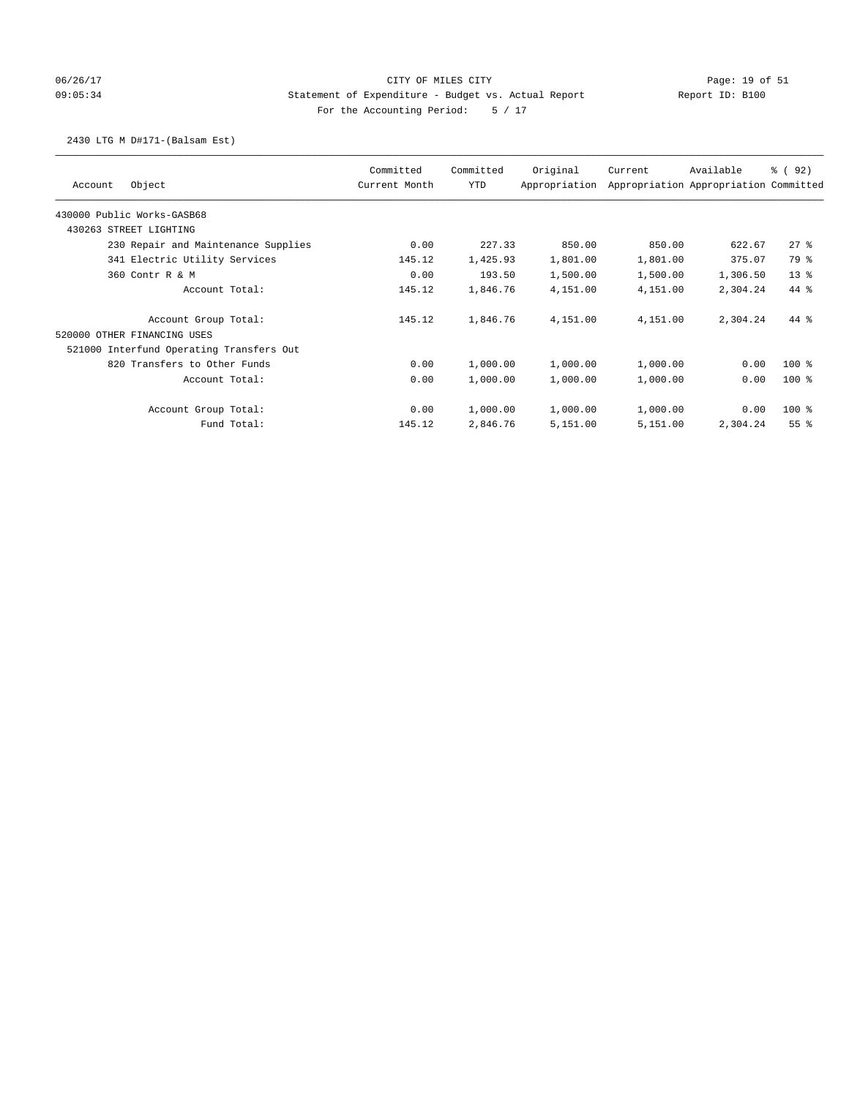# 06/26/17 Page: 19 of 51 and 2012 CITY OF MILES CITY 09:05:34 Statement of Expenditure - Budget vs. Actual Report Report ID: B100 For the Accounting Period: 5 / 17

### 2430 LTG M D#171-(Balsam Est)

|                                          | Committed     | Committed  | Original      | Current  | Available                             | % ( 92 )        |
|------------------------------------------|---------------|------------|---------------|----------|---------------------------------------|-----------------|
| Object<br>Account                        | Current Month | <b>YTD</b> | Appropriation |          | Appropriation Appropriation Committed |                 |
| 430000 Public Works-GASB68               |               |            |               |          |                                       |                 |
| 430263 STREET LIGHTING                   |               |            |               |          |                                       |                 |
| 230 Repair and Maintenance Supplies      | 0.00          | 227.33     | 850.00        | 850.00   | 622.67                                | 278             |
| 341 Electric Utility Services            | 145.12        | 1,425.93   | 1,801.00      | 1,801.00 | 375.07                                | 79 %            |
| 360 Contr R & M                          | 0.00          | 193.50     | 1,500.00      | 1,500.00 | 1,306.50                              | $13*$           |
| Account Total:                           | 145.12        | 1,846.76   | 4,151.00      | 4,151,00 | 2,304.24                              | $44*$           |
| Account Group Total:                     | 145.12        | 1,846.76   | 4,151.00      | 4,151.00 | 2,304.24                              | $44*$           |
| 520000 OTHER FINANCING USES              |               |            |               |          |                                       |                 |
| 521000 Interfund Operating Transfers Out |               |            |               |          |                                       |                 |
| 820 Transfers to Other Funds             | 0.00          | 1,000.00   | 1,000.00      | 1,000.00 | 0.00                                  | $100*$          |
| Account Total:                           | 0.00          | 1,000.00   | 1,000.00      | 1,000.00 | 0.00                                  | $100*$          |
| Account Group Total:                     | 0.00          | 1,000.00   | 1,000.00      | 1,000.00 | 0.00                                  | 100 %           |
| Fund Total:                              | 145.12        | 2,846.76   | 5,151.00      | 5,151.00 | 2,304.24                              | 55 <sup>8</sup> |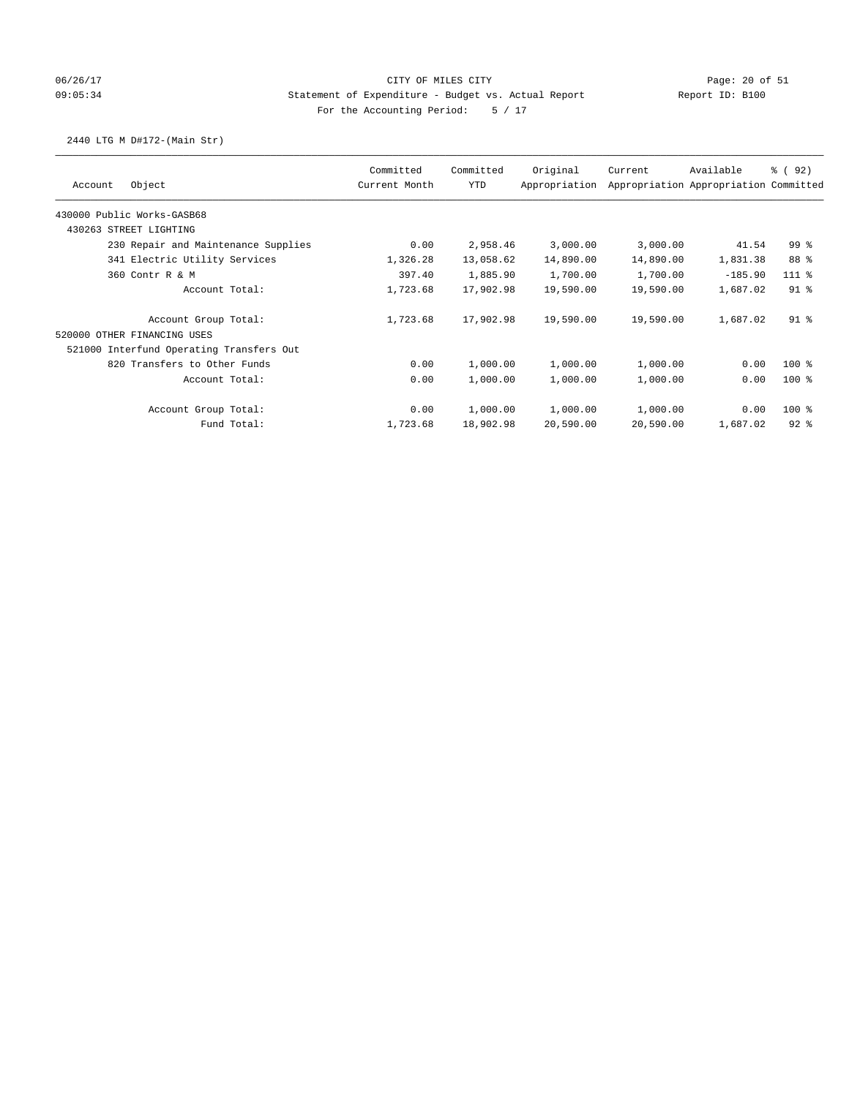# 06/26/17 CITY OF MILES CITY Page: 20 of 51 09:05:34 Statement of Expenditure - Budget vs. Actual Report Report ID: B100 For the Accounting Period: 5 / 17

# 2440 LTG M D#172-(Main Str)

|                                          | Committed     | Committed  | Original      | Current   | Available                             | % ( 92 )        |
|------------------------------------------|---------------|------------|---------------|-----------|---------------------------------------|-----------------|
| Object<br>Account                        | Current Month | <b>YTD</b> | Appropriation |           | Appropriation Appropriation Committed |                 |
| 430000 Public Works-GASB68               |               |            |               |           |                                       |                 |
| 430263 STREET LIGHTING                   |               |            |               |           |                                       |                 |
| 230 Repair and Maintenance Supplies      | 0.00          | 2,958.46   | 3,000.00      | 3,000.00  | 41.54                                 | 99 <sub>8</sub> |
| 341 Electric Utility Services            | 1,326.28      | 13,058.62  | 14,890.00     | 14,890.00 | 1,831.38                              | 88 %            |
| 360 Contr R & M                          | 397.40        | 1,885.90   | 1,700.00      | 1,700.00  | $-185.90$                             | $111$ %         |
| Account Total:                           | 1,723.68      | 17,902.98  | 19,590.00     | 19,590.00 | 1,687.02                              | $91$ $8$        |
| Account Group Total:                     | 1,723.68      | 17,902.98  | 19,590.00     | 19,590.00 | 1,687.02                              | $91$ %          |
| 520000 OTHER FINANCING USES              |               |            |               |           |                                       |                 |
| 521000 Interfund Operating Transfers Out |               |            |               |           |                                       |                 |
| 820 Transfers to Other Funds             | 0.00          | 1,000.00   | 1,000.00      | 1,000.00  | 0.00                                  | $100*$          |
| Account Total:                           | 0.00          | 1,000.00   | 1,000.00      | 1,000.00  | 0.00                                  | $100*$          |
| Account Group Total:                     | 0.00          | 1,000.00   | 1,000.00      | 1,000.00  | 0.00                                  | 100 %           |
| Fund Total:                              | 1,723.68      | 18,902.98  | 20,590.00     | 20,590.00 | 1,687.02                              | $92$ $%$        |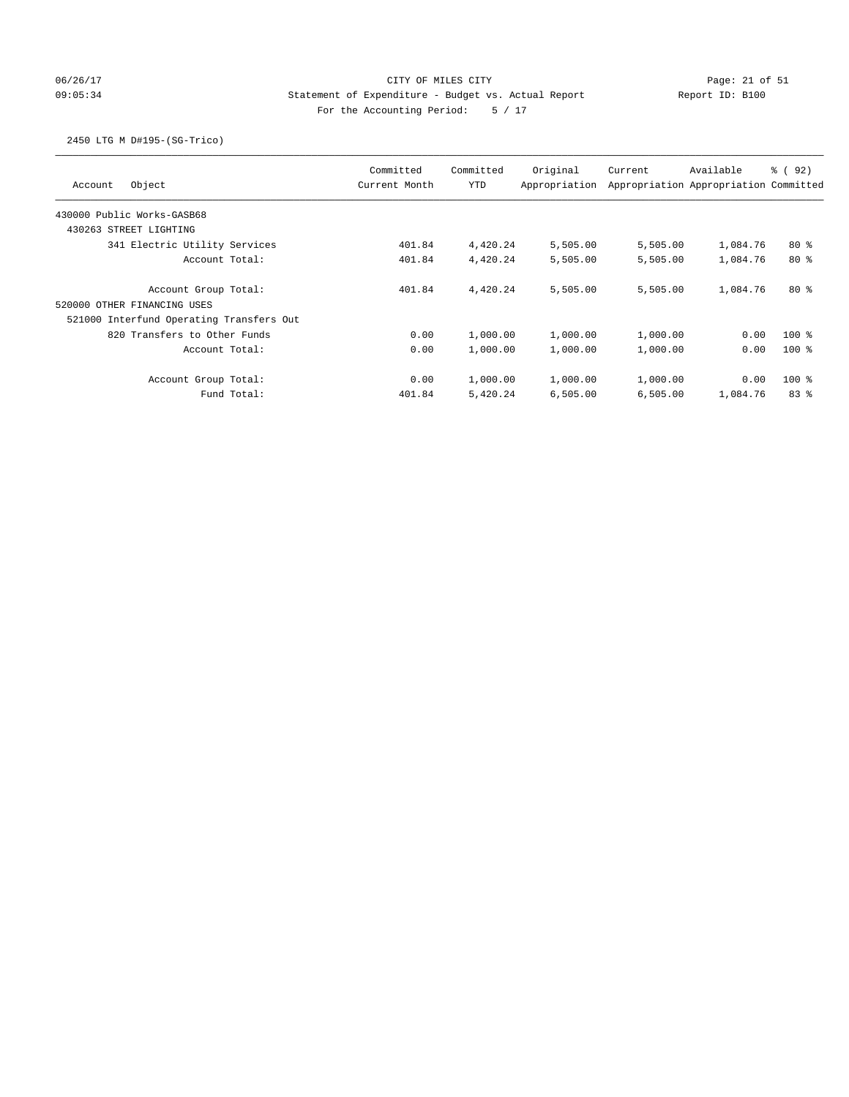# 06/26/17 Page: 21 of 51 Page: 21 of 51 09:05:34 Statement of Expenditure - Budget vs. Actual Report Report ID: B100 For the Accounting Period: 5 / 17

### 2450 LTG M D#195-(SG-Trico)

| Object<br>Account                        | Committed<br>Current Month | Committed<br><b>YTD</b> | Original<br>Appropriation | Current  | Available<br>Appropriation Appropriation Committed | <sub>ර</sub> ි (92) |
|------------------------------------------|----------------------------|-------------------------|---------------------------|----------|----------------------------------------------------|---------------------|
| 430000 Public Works-GASB68               |                            |                         |                           |          |                                                    |                     |
| 430263 STREET LIGHTING                   |                            |                         |                           |          |                                                    |                     |
| 341 Electric Utility Services            | 401.84                     | 4,420.24                | 5,505.00                  | 5,505.00 | 1,084.76                                           | $80*$               |
| Account Total:                           | 401.84                     | 4,420.24                | 5,505.00                  | 5,505.00 | 1,084.76                                           | $80*$               |
| Account Group Total:                     | 401.84                     | 4,420.24                | 5,505.00                  | 5,505.00 | 1,084.76                                           | 80%                 |
| 520000 OTHER FINANCING USES              |                            |                         |                           |          |                                                    |                     |
| 521000 Interfund Operating Transfers Out |                            |                         |                           |          |                                                    |                     |
| 820 Transfers to Other Funds             | 0.00                       | 1,000.00                | 1,000.00                  | 1,000.00 | 0.00                                               | $100$ %             |
| Account Total:                           | 0.00                       | 1,000.00                | 1,000.00                  | 1,000.00 | 0.00                                               | $100*$              |
| Account Group Total:                     | 0.00                       | 1,000.00                | 1,000.00                  | 1,000.00 | 0.00                                               | $100*$              |
| Fund Total:                              | 401.84                     | 5,420.24                | 6,505.00                  | 6,505.00 | 1,084.76                                           | 83%                 |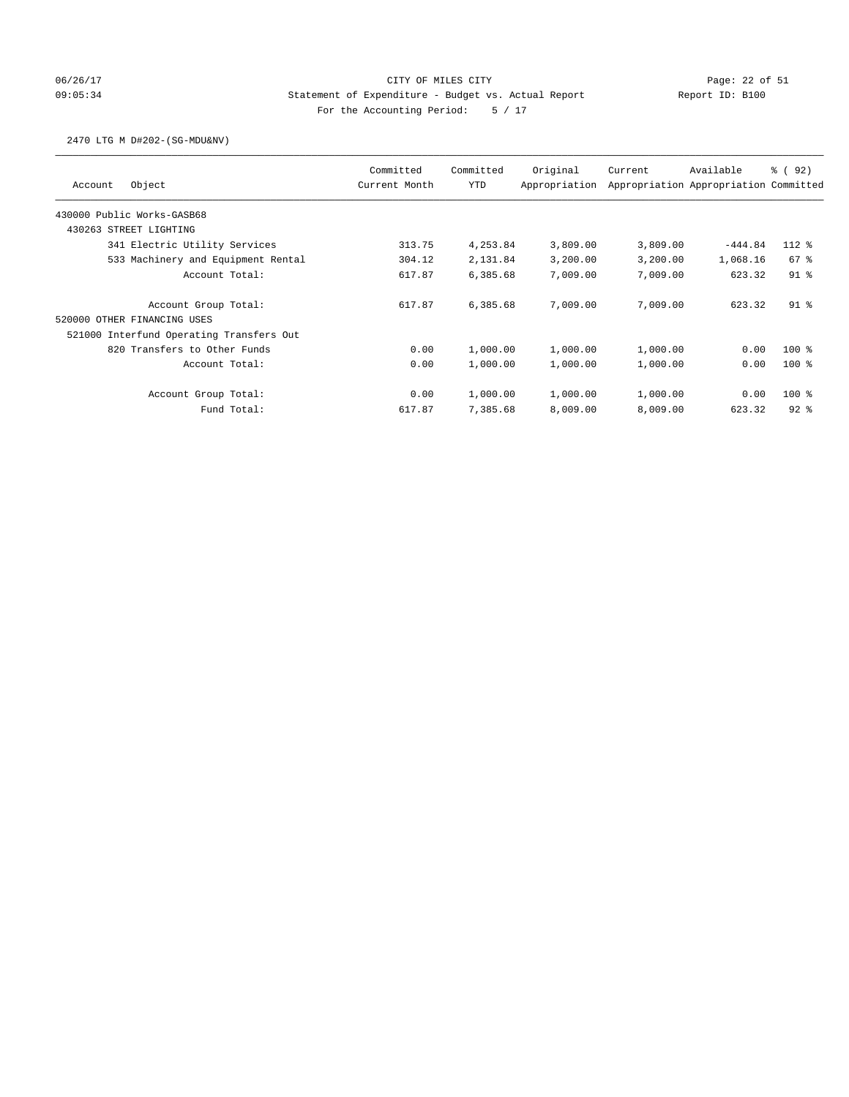# 06/26/17 Page: 22 of 51 Page: 22 of 51 09:05:34 Statement of Expenditure - Budget vs. Actual Report Report ID: B100 For the Accounting Period: 5 / 17

### 2470 LTG M D#202-(SG-MDU&NV)

| Object<br>Account                        | Committed<br>Current Month | Committed<br><b>YTD</b> | Original<br>Appropriation | Current  | Available<br>Appropriation Appropriation Committed | 8 (92)   |
|------------------------------------------|----------------------------|-------------------------|---------------------------|----------|----------------------------------------------------|----------|
| 430000 Public Works-GASB68               |                            |                         |                           |          |                                                    |          |
| 430263 STREET LIGHTING                   |                            |                         |                           |          |                                                    |          |
| 341 Electric Utility Services            | 313.75                     | 4,253.84                | 3,809.00                  | 3,809.00 | $-444.84$                                          | $112*$   |
| 533 Machinery and Equipment Rental       | 304.12                     | 2,131.84                | 3,200.00                  | 3,200.00 | 1,068.16                                           | $67$ $%$ |
| Account Total:                           | 617.87                     | 6,385.68                | 7,009.00                  | 7,009.00 | 623.32                                             | $91$ %   |
| Account Group Total:                     | 617.87                     | 6,385.68                | 7,009.00                  | 7,009.00 | 623.32                                             | $91$ $8$ |
| 520000 OTHER FINANCING USES              |                            |                         |                           |          |                                                    |          |
| 521000 Interfund Operating Transfers Out |                            |                         |                           |          |                                                    |          |
| 820 Transfers to Other Funds             | 0.00                       | 1,000.00                | 1,000.00                  | 1,000.00 | 0.00                                               | $100$ %  |
| Account Total:                           | 0.00                       | 1,000.00                | 1,000.00                  | 1,000.00 | 0.00                                               | $100*$   |
| Account Group Total:                     | 0.00                       | 1,000.00                | 1,000.00                  | 1,000.00 | 0.00                                               | $100*$   |
| Fund Total:                              | 617.87                     | 7,385.68                | 8,009.00                  | 8,009.00 | 623.32                                             | $92$ $%$ |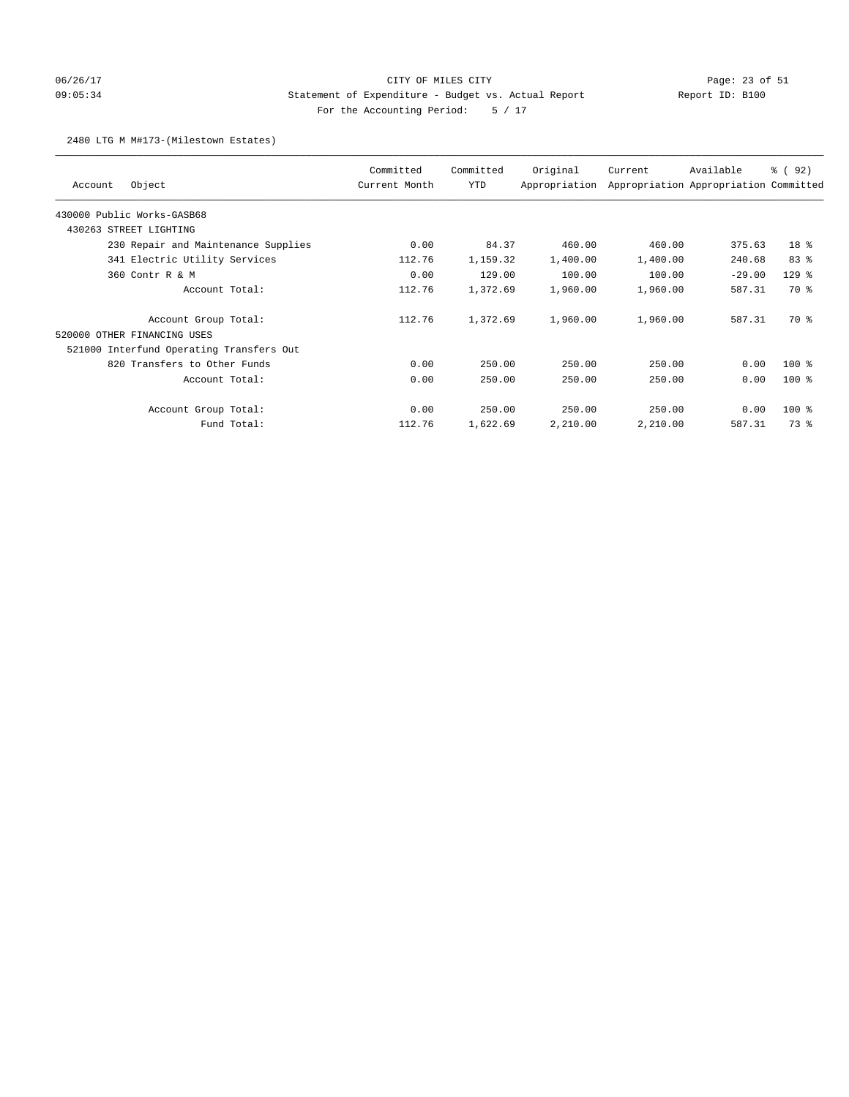# 06/26/17 Page: 23 of 51 09:05:34 Statement of Expenditure - Budget vs. Actual Report Report ID: B100 For the Accounting Period: 5 / 17

#### 2480 LTG M M#173-(Milestown Estates)

| Object<br>Account                        | Committed<br>Current Month | Committed<br>YTD | Original<br>Appropriation | Current  | Available<br>Appropriation Appropriation Committed | % (92)          |
|------------------------------------------|----------------------------|------------------|---------------------------|----------|----------------------------------------------------|-----------------|
| 430000 Public Works-GASB68               |                            |                  |                           |          |                                                    |                 |
| 430263 STREET LIGHTING                   |                            |                  |                           |          |                                                    |                 |
| 230 Repair and Maintenance Supplies      | 0.00                       | 84.37            | 460.00                    | 460.00   | 375.63                                             | 18 <sup>8</sup> |
| 341 Electric Utility Services            | 112.76                     | 1,159.32         | 1,400.00                  | 1,400.00 | 240.68                                             | 83%             |
| 360 Contr R & M                          | 0.00                       | 129.00           | 100.00                    | 100.00   | $-29.00$                                           | $129$ %         |
| Account Total:                           | 112.76                     | 1,372.69         | 1,960.00                  | 1,960.00 | 587.31                                             | <b>70 %</b>     |
| Account Group Total:                     | 112.76                     | 1,372.69         | 1,960.00                  | 1,960.00 | 587.31                                             | 70 %            |
| 520000 OTHER FINANCING USES              |                            |                  |                           |          |                                                    |                 |
| 521000 Interfund Operating Transfers Out |                            |                  |                           |          |                                                    |                 |
| 820 Transfers to Other Funds             | 0.00                       | 250.00           | 250.00                    | 250.00   | 0.00                                               | $100*$          |
| Account Total:                           | 0.00                       | 250.00           | 250.00                    | 250.00   | 0.00                                               | $100$ %         |
| Account Group Total:                     | 0.00                       | 250.00           | 250.00                    | 250.00   | 0.00                                               | $100$ %         |
| Fund Total:                              | 112.76                     | 1,622.69         | 2,210.00                  | 2,210.00 | 587.31                                             | 73 %            |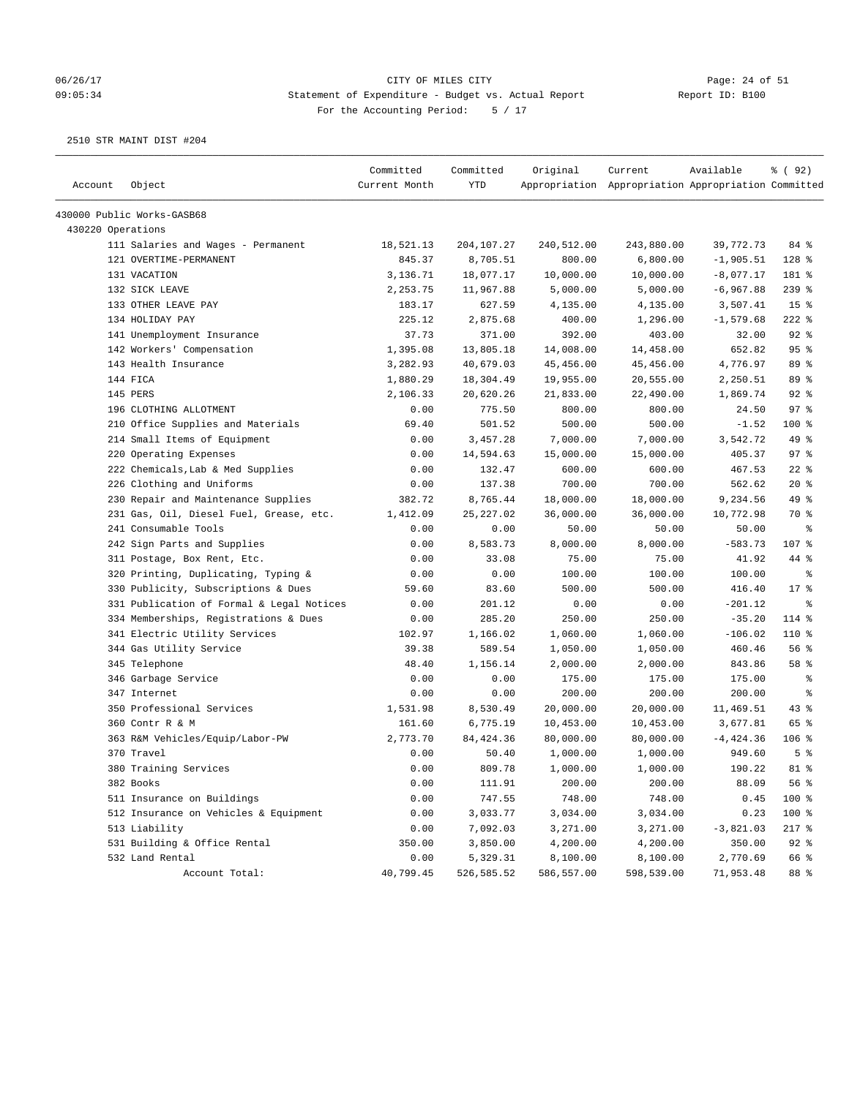#### 06/26/17 Page: 24 of 51 09:05:34 Statement of Expenditure - Budget vs. Actual Report Report ID: B100 For the Accounting Period: 5 / 17

| Account           | Object                                    | Committed<br>Current Month | Committed<br>YTD | Original   | Current<br>Appropriation Appropriation Appropriation Committed | Available   | % ( 92 )        |
|-------------------|-------------------------------------------|----------------------------|------------------|------------|----------------------------------------------------------------|-------------|-----------------|
|                   | 430000 Public Works-GASB68                |                            |                  |            |                                                                |             |                 |
| 430220 Operations |                                           |                            |                  |            |                                                                |             |                 |
|                   | 111 Salaries and Wages - Permanent        | 18,521.13                  | 204, 107.27      | 240,512.00 | 243,880.00                                                     | 39,772.73   | 84 %            |
|                   | 121 OVERTIME-PERMANENT                    | 845.37                     | 8,705.51         | 800.00     | 6,800.00                                                       | $-1,905.51$ | 128 %           |
|                   | 131 VACATION                              | 3,136.71                   | 18,077.17        | 10,000.00  | 10,000.00                                                      | $-8,077.17$ | 181 %           |
|                   | 132 SICK LEAVE                            | 2,253.75                   | 11,967.88        | 5,000.00   | 5,000.00                                                       | $-6,967.88$ | $239$ %         |
|                   | 133 OTHER LEAVE PAY                       | 183.17                     | 627.59           | 4,135.00   | 4,135.00                                                       | 3,507.41    | 15 <sup>8</sup> |
|                   | 134 HOLIDAY PAY                           | 225.12                     | 2,875.68         | 400.00     | 1,296.00                                                       | $-1,579.68$ | $222$ %         |
|                   | 141 Unemployment Insurance                | 37.73                      | 371.00           | 392.00     | 403.00                                                         | 32.00       | $92$ $%$        |
|                   | 142 Workers' Compensation                 | 1,395.08                   | 13,805.18        | 14,008.00  | 14,458.00                                                      | 652.82      | 95%             |
|                   | 143 Health Insurance                      | 3,282.93                   | 40,679.03        | 45,456.00  | 45, 456.00                                                     | 4,776.97    | 89 %            |
|                   | 144 FICA                                  | 1,880.29                   | 18,304.49        | 19,955.00  | 20,555.00                                                      | 2,250.51    | 89 %            |
|                   | 145 PERS                                  | 2,106.33                   | 20,620.26        | 21,833.00  | 22,490.00                                                      | 1,869.74    | $92$ $%$        |
|                   | 196 CLOTHING ALLOTMENT                    | 0.00                       | 775.50           | 800.00     | 800.00                                                         | 24.50       | 97%             |
|                   | 210 Office Supplies and Materials         | 69.40                      | 501.52           | 500.00     | 500.00                                                         | $-1.52$     | 100 %           |
|                   | 214 Small Items of Equipment              | 0.00                       | 3,457.28         | 7,000.00   | 7,000.00                                                       | 3,542.72    | 49 %            |
|                   | 220 Operating Expenses                    | 0.00                       | 14,594.63        | 15,000.00  | 15,000.00                                                      | 405.37      | 97%             |
|                   | 222 Chemicals, Lab & Med Supplies         | 0.00                       | 132.47           | 600.00     | 600.00                                                         | 467.53      | $22$ %          |
|                   | 226 Clothing and Uniforms                 | 0.00                       | 137.38           | 700.00     | 700.00                                                         | 562.62      | $20*$           |
|                   | 230 Repair and Maintenance Supplies       | 382.72                     | 8,765.44         | 18,000.00  | 18,000.00                                                      | 9,234.56    | 49 %            |
|                   | 231 Gas, Oil, Diesel Fuel, Grease, etc.   | 1,412.09                   | 25, 227.02       | 36,000.00  | 36,000.00                                                      | 10,772.98   | 70 %            |
|                   | 241 Consumable Tools                      | 0.00                       | 0.00             | 50.00      | 50.00                                                          | 50.00       | ႜ               |
|                   | 242 Sign Parts and Supplies               | 0.00                       | 8,583.73         | 8,000.00   | 8,000.00                                                       | $-583.73$   | 107 %           |
|                   | 311 Postage, Box Rent, Etc.               | 0.00                       | 33.08            | 75.00      | 75.00                                                          | 41.92       | 44 %            |
|                   | 320 Printing, Duplicating, Typing &       | 0.00                       | 0.00             | 100.00     | 100.00                                                         | 100.00      | နွ              |
|                   | 330 Publicity, Subscriptions & Dues       | 59.60                      | 83.60            | 500.00     | 500.00                                                         | 416.40      | 17.8            |
|                   | 331 Publication of Formal & Legal Notices | 0.00                       | 201.12           | 0.00       | 0.00                                                           | $-201.12$   | ႜ               |
|                   | 334 Memberships, Registrations & Dues     | 0.00                       | 285.20           | 250.00     | 250.00                                                         | $-35.20$    | 114 %           |
|                   | 341 Electric Utility Services             | 102.97                     | 1,166.02         | 1,060.00   | 1,060.00                                                       | $-106.02$   | 110 %           |
|                   | 344 Gas Utility Service                   | 39.38                      | 589.54           | 1,050.00   | 1,050.00                                                       | 460.46      | 56%             |
|                   | 345 Telephone                             | 48.40                      | 1,156.14         | 2,000.00   | 2,000.00                                                       | 843.86      | 58 %            |
|                   | 346 Garbage Service                       | 0.00                       | 0.00             | 175.00     | 175.00                                                         | 175.00      | ႜ               |
|                   | 347 Internet                              | 0.00                       | 0.00             | 200.00     | 200.00                                                         | 200.00      | ႜ               |
|                   | 350 Professional Services                 | 1,531.98                   | 8,530.49         | 20,000.00  | 20,000.00                                                      | 11,469.51   | 43%             |
|                   | 360 Contr R & M                           | 161.60                     | 6,775.19         | 10,453.00  | 10,453.00                                                      | 3,677.81    | 65 %            |
|                   | 363 R&M Vehicles/Equip/Labor-PW           | 2,773.70                   | 84, 424.36       | 80,000.00  | 80,000.00                                                      | $-4,424.36$ | $106$ %         |
|                   | 370 Travel                                | 0.00                       | 50.40            | 1,000.00   | 1,000.00                                                       | 949.60      | 5 <sup>8</sup>  |
|                   | 380 Training Services                     | 0.00                       | 809.78           | 1,000.00   | 1,000.00                                                       | 190.22      | $81$ %          |
|                   | 382 Books                                 | 0.00                       | 111.91           | 200.00     | 200.00                                                         | 88.09       | 56 %            |
|                   | 511 Insurance on Buildings                | 0.00                       | 747.55           | 748.00     | 748.00                                                         | 0.45        | 100 %           |
|                   | 512 Insurance on Vehicles & Equipment     | 0.00                       | 3,033.77         | 3,034.00   | 3,034.00                                                       | 0.23        | 100 %           |
|                   | 513 Liability                             | 0.00                       | 7,092.03         | 3,271.00   | 3,271.00                                                       | $-3,821.03$ | $217$ %         |
|                   | 531 Building & Office Rental              | 350.00                     | 3,850.00         | 4,200.00   | 4,200.00                                                       | 350.00      | $92$ $%$        |
|                   | 532 Land Rental                           | 0.00                       | 5,329.31         | 8,100.00   | 8,100.00                                                       | 2,770.69    | 66 %            |
|                   | Account Total:                            | 40,799.45                  | 526,585.52       | 586,557.00 | 598,539.00                                                     | 71,953.48   | 88 %            |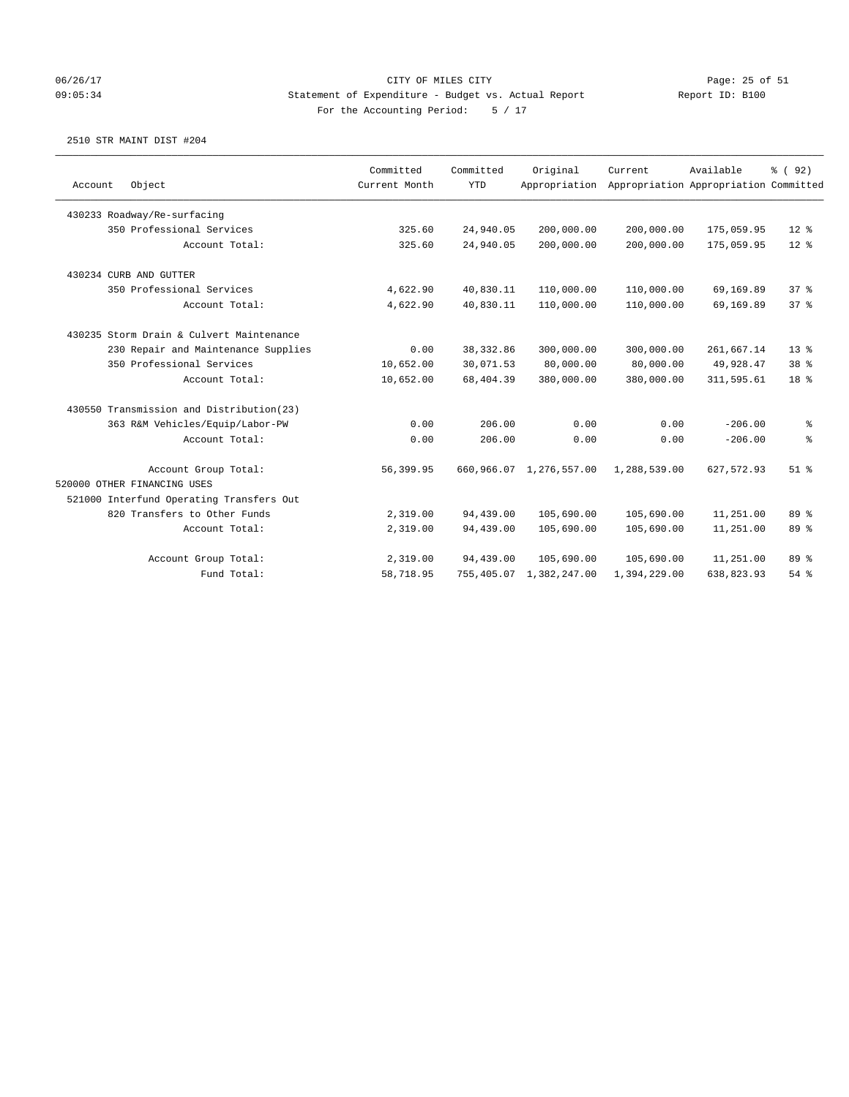### 06/26/17 Page: 25 of 51 09:05:34 Statement of Expenditure - Budget vs. Actual Report Report ID: B100 For the Accounting Period: 5 / 17

| Account | Object                                   | Committed<br>Current Month | Committed<br><b>YTD</b> | Original<br>Appropriation | Current.     | Available<br>Appropriation Appropriation Committed | % (92)          |
|---------|------------------------------------------|----------------------------|-------------------------|---------------------------|--------------|----------------------------------------------------|-----------------|
|         |                                          |                            |                         |                           |              |                                                    |                 |
|         | 430233 Roadway/Re-surfacing              |                            |                         |                           |              |                                                    |                 |
|         | 350 Professional Services                | 325.60                     | 24,940.05               | 200,000.00                | 200,000.00   | 175,059.95                                         | $12*$           |
|         | Account Total:                           | 325.60                     | 24,940.05               | 200,000.00                | 200,000.00   | 175,059.95                                         | $12*$           |
|         | 430234 CURB AND GUTTER                   |                            |                         |                           |              |                                                    |                 |
|         | 350 Professional Services                | 4,622.90                   | 40,830.11               | 110,000.00                | 110,000.00   | 69,169.89                                          | 37 <sup>8</sup> |
|         | Account Total:                           | 4,622.90                   | 40,830.11               | 110,000.00                | 110,000.00   | 69,169.89                                          | 37 <sup>8</sup> |
|         | 430235 Storm Drain & Culvert Maintenance |                            |                         |                           |              |                                                    |                 |
|         | 230 Repair and Maintenance Supplies      | 0.00                       | 38, 332.86              | 300,000.00                | 300,000.00   | 261,667.14                                         | $13*$           |
|         | 350 Professional Services                | 10,652.00                  | 30,071.53               | 80,000.00                 | 80,000.00    | 49,928.47                                          | 38 %            |
|         | Account Total:                           | 10,652.00                  | 68,404.39               | 380,000.00                | 380,000.00   | 311,595.61                                         | 18 <sup>8</sup> |
|         | 430550 Transmission and Distribution(23) |                            |                         |                           |              |                                                    |                 |
|         | 363 R&M Vehicles/Equip/Labor-PW          | 0.00                       | 206.00                  | 0.00                      | 0.00         | $-206.00$                                          | နွ              |
|         | Account Total:                           | 0.00                       | 206.00                  | 0.00                      | 0.00         | $-206.00$                                          | န့              |
|         | Account Group Total:                     | 56,399.95                  | 660,966.07              | 1,276,557.00              | 1,288,539.00 | 627, 572.93                                        | $51$ $%$        |
|         | 520000 OTHER FINANCING USES              |                            |                         |                           |              |                                                    |                 |
|         | 521000 Interfund Operating Transfers Out |                            |                         |                           |              |                                                    |                 |
|         | 820 Transfers to Other Funds             | 2,319.00                   | 94,439.00               | 105,690.00                | 105,690.00   | 11,251.00                                          | 89 %            |
|         | Account Total:                           | 2,319.00                   | 94,439.00               | 105,690.00                | 105,690.00   | 11,251.00                                          | 89 %            |
|         | Account Group Total:                     | 2,319.00                   | 94,439.00               | 105,690.00                | 105,690.00   | 11,251.00                                          | 89 %            |
|         | Fund Total:                              | 58,718.95                  | 755,405.07              | 1,382,247.00              | 1,394,229.00 | 638,823.93                                         | 54%             |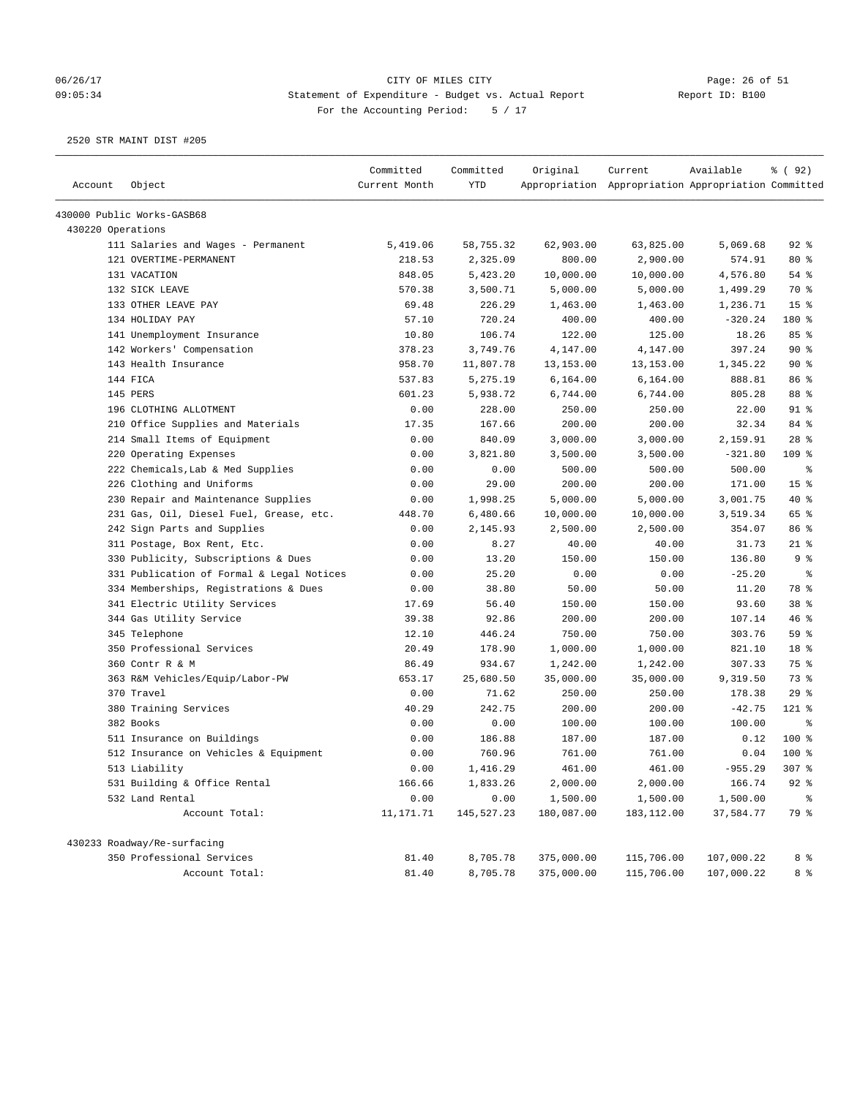# 06/26/17 Page: 26 of 51 09:05:34 Statement of Expenditure - Budget vs. Actual Report Report ID: B100 For the Accounting Period: 5 / 17

| Account           | Object                                    | Committed<br>Current Month | Committed<br><b>YTD</b> | Original   | Current<br>Appropriation Appropriation Appropriation Committed | Available  | % ( 92 )             |
|-------------------|-------------------------------------------|----------------------------|-------------------------|------------|----------------------------------------------------------------|------------|----------------------|
|                   |                                           |                            |                         |            |                                                                |            |                      |
|                   | 430000 Public Works-GASB68                |                            |                         |            |                                                                |            |                      |
| 430220 Operations |                                           |                            |                         |            |                                                                |            |                      |
|                   | 111 Salaries and Wages - Permanent        | 5,419.06                   | 58,755.32               | 62,903.00  | 63,825.00                                                      | 5,069.68   | $92$ $%$             |
|                   | 121 OVERTIME-PERMANENT                    | 218.53                     | 2,325.09                | 800.00     | 2,900.00                                                       | 574.91     | 80%                  |
|                   | 131 VACATION                              | 848.05                     | 5,423.20                | 10,000.00  | 10,000.00                                                      | 4,576.80   | 54 %                 |
|                   | 132 SICK LEAVE                            | 570.38                     | 3,500.71                | 5,000.00   | 5,000.00                                                       | 1,499.29   | 70 %                 |
|                   | 133 OTHER LEAVE PAY                       | 69.48                      | 226.29                  | 1,463.00   | 1,463.00                                                       | 1,236.71   | 15 <sup>8</sup>      |
|                   | 134 HOLIDAY PAY                           | 57.10                      | 720.24                  | 400.00     | 400.00                                                         | $-320.24$  | 180 %                |
|                   | 141 Unemployment Insurance                | 10.80                      | 106.74                  | 122.00     | 125.00                                                         | 18.26      | 85%                  |
|                   | 142 Workers' Compensation                 | 378.23                     | 3,749.76                | 4,147.00   | 4,147.00                                                       | 397.24     | 90%                  |
|                   | 143 Health Insurance                      | 958.70                     | 11,807.78               | 13, 153.00 | 13,153.00                                                      | 1,345.22   | 90%                  |
|                   | 144 FICA                                  | 537.83                     | 5,275.19                | 6,164.00   | 6,164.00                                                       | 888.81     | 86 %                 |
|                   | 145 PERS                                  | 601.23                     | 5,938.72                | 6,744.00   | 6,744.00                                                       | 805.28     | 88 %                 |
|                   | 196 CLOTHING ALLOTMENT                    | 0.00                       | 228.00                  | 250.00     | 250.00                                                         | 22.00      | $91$ %               |
|                   | 210 Office Supplies and Materials         | 17.35                      | 167.66                  | 200.00     | 200.00                                                         | 32.34      | 84 %                 |
|                   | 214 Small Items of Equipment              | 0.00                       | 840.09                  | 3,000.00   | 3,000.00                                                       | 2,159.91   | $28$ %               |
|                   | 220 Operating Expenses                    | 0.00                       | 3,821.80                | 3,500.00   | 3,500.00                                                       | $-321.80$  | $109$ %              |
|                   | 222 Chemicals, Lab & Med Supplies         | 0.00                       | 0.00                    | 500.00     | 500.00                                                         | 500.00     | နွ                   |
|                   | 226 Clothing and Uniforms                 | 0.00                       | 29.00                   | 200.00     | 200.00                                                         | 171.00     | 15 <sup>°</sup>      |
|                   | 230 Repair and Maintenance Supplies       | 0.00                       | 1,998.25                | 5,000.00   | 5,000.00                                                       | 3,001.75   | $40*$                |
|                   | 231 Gas, Oil, Diesel Fuel, Grease, etc.   | 448.70                     | 6,480.66                | 10,000.00  | 10,000.00                                                      | 3,519.34   | 65 %                 |
|                   | 242 Sign Parts and Supplies               | 0.00                       | 2,145.93                | 2,500.00   | 2,500.00                                                       | 354.07     | 86 %                 |
|                   | 311 Postage, Box Rent, Etc.               | 0.00                       | 8.27                    | 40.00      | 40.00                                                          | 31.73      | $21$ %               |
|                   | 330 Publicity, Subscriptions & Dues       | 0.00                       | 13.20                   | 150.00     | 150.00                                                         | 136.80     | 9%                   |
|                   | 331 Publication of Formal & Legal Notices | 0.00                       | 25.20                   | 0.00       | 0.00                                                           | $-25.20$   | ್ಠಿ                  |
|                   | 334 Memberships, Registrations & Dues     | 0.00                       | 38.80                   | 50.00      | 50.00                                                          | 11.20      | 78 %                 |
|                   | 341 Electric Utility Services             | 17.69                      | 56.40                   | 150.00     | 150.00                                                         | 93.60      | 38 %                 |
|                   | 344 Gas Utility Service                   | 39.38                      | 92.86                   | 200.00     | 200.00                                                         | 107.14     | 46%                  |
|                   | 345 Telephone                             | 12.10                      | 446.24                  | 750.00     | 750.00                                                         | 303.76     | 59 %                 |
|                   | 350 Professional Services                 | 20.49                      | 178.90                  | 1,000.00   | 1,000.00                                                       | 821.10     | 18 %                 |
|                   | 360 Contr R & M                           | 86.49                      | 934.67                  | 1,242.00   | 1,242.00                                                       | 307.33     | 75 %                 |
|                   | 363 R&M Vehicles/Equip/Labor-PW           | 653.17                     | 25,680.50               | 35,000.00  | 35,000.00                                                      | 9,319.50   | 73 %                 |
|                   | 370 Travel                                | 0.00                       | 71.62                   | 250.00     | 250.00                                                         | 178.38     | 29%                  |
|                   | 380 Training Services                     | 40.29                      | 242.75                  | 200.00     | 200.00                                                         | $-42.75$   | 121 %                |
|                   | 382 Books                                 | 0.00                       | 0.00                    | 100.00     | 100.00                                                         | 100.00     | $\epsilon$           |
|                   | 511 Insurance on Buildings                | 0.00                       | 186.88                  | 187.00     | 187.00                                                         | 0.12       | $100*$               |
|                   | 512 Insurance on Vehicles & Equipment     | 0.00                       | 760.96                  | 761.00     | 761.00                                                         | 0.04       | $100$ %              |
|                   | 513 Liability                             | 0.00                       | 1,416.29                | 461.00     | 461.00                                                         | $-955.29$  | 307 <sub>8</sub>     |
|                   | 531 Building & Office Rental              | 166.66                     | 1,833.26                | 2,000.00   | 2,000.00                                                       | 166.74     | $92$ $%$             |
|                   | 532 Land Rental                           | 0.00                       | 0.00                    | 1,500.00   | 1,500.00                                                       | 1,500.00   | $\,^{\circ}_{\circ}$ |
|                   | Account Total:                            | 11,171.71                  | 145,527.23              | 180,087.00 | 183,112.00                                                     | 37,584.77  | 79 %                 |
|                   | 430233 Roadway/Re-surfacing               |                            |                         |            |                                                                |            |                      |
|                   | 350 Professional Services                 | 81.40                      | 8,705.78                | 375,000.00 | 115,706.00                                                     | 107,000.22 | 8 %                  |
|                   | Account Total:                            | 81.40                      | 8,705.78                | 375,000.00 | 115,706.00                                                     | 107,000.22 | 8 %                  |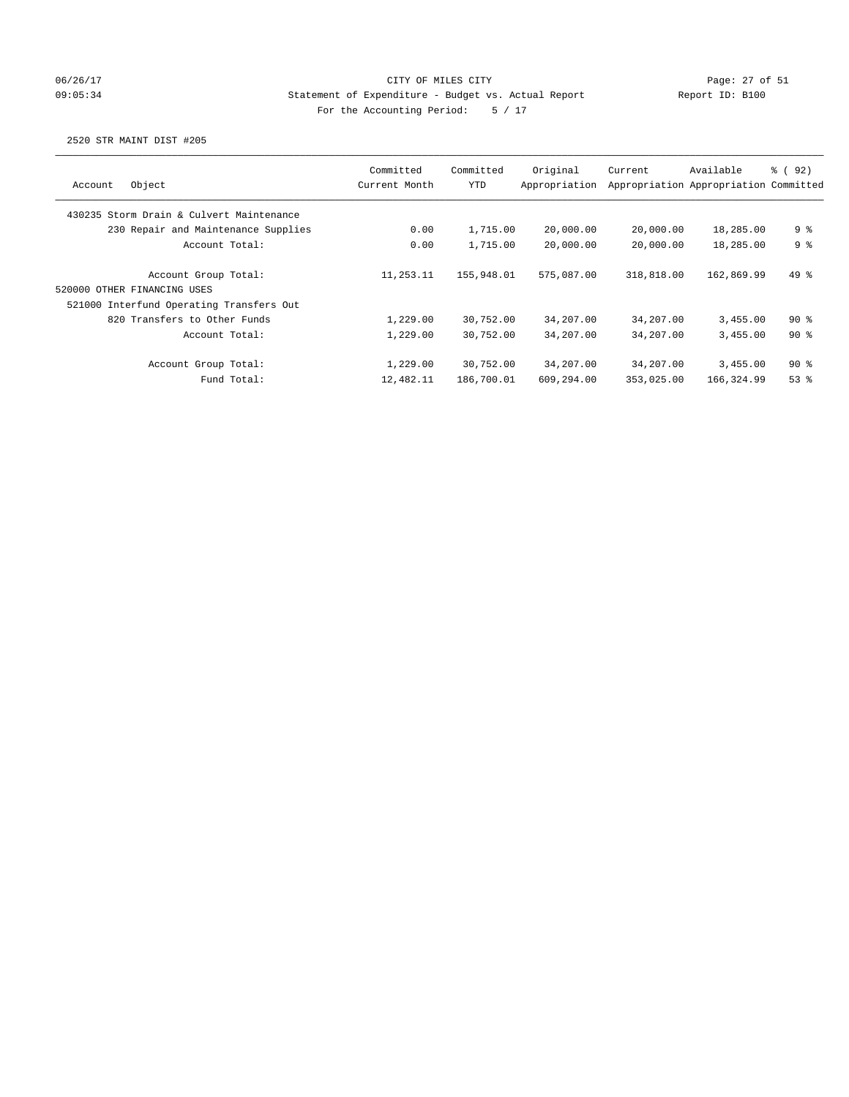# 06/26/17 Page: 27 of 51 09:05:34 Statement of Expenditure - Budget vs. Actual Report Report ID: B100 For the Accounting Period: 5 / 17

| Object<br>Account                        | Committed<br>Current Month | Committed<br>YTD | Original<br>Appropriation | Current    | Available<br>Appropriation Appropriation Committed | 8 (92)         |
|------------------------------------------|----------------------------|------------------|---------------------------|------------|----------------------------------------------------|----------------|
| 430235 Storm Drain & Culvert Maintenance |                            |                  |                           |            |                                                    |                |
| 230 Repair and Maintenance Supplies      | 0.00                       | 1,715.00         | 20,000.00                 | 20,000.00  | 18,285.00                                          | 9 %            |
| Account Total:                           | 0.00                       | 1,715.00         | 20,000.00                 | 20,000.00  | 18,285.00                                          | 9 <sup>8</sup> |
| Account Group Total:                     | 11,253.11                  | 155,948.01       | 575,087,00                | 318,818.00 | 162,869.99                                         | $49*$          |
| 520000 OTHER FINANCING USES              |                            |                  |                           |            |                                                    |                |
| 521000 Interfund Operating Transfers Out |                            |                  |                           |            |                                                    |                |
| 820 Transfers to Other Funds             | 1,229.00                   | 30,752.00        | 34,207.00                 | 34,207.00  | 3,455.00                                           | $90*$          |
| Account Total:                           | 1,229.00                   | 30,752.00        | 34,207.00                 | 34,207.00  | 3.455.00                                           | $90*$          |
| Account Group Total:                     | 1,229.00                   | 30,752.00        | 34,207.00                 | 34,207.00  | 3,455.00                                           | $90*$          |
| Fund Total:                              | 12,482.11                  | 186,700.01       | 609,294.00                | 353,025.00 | 166,324.99                                         | $53$ $%$       |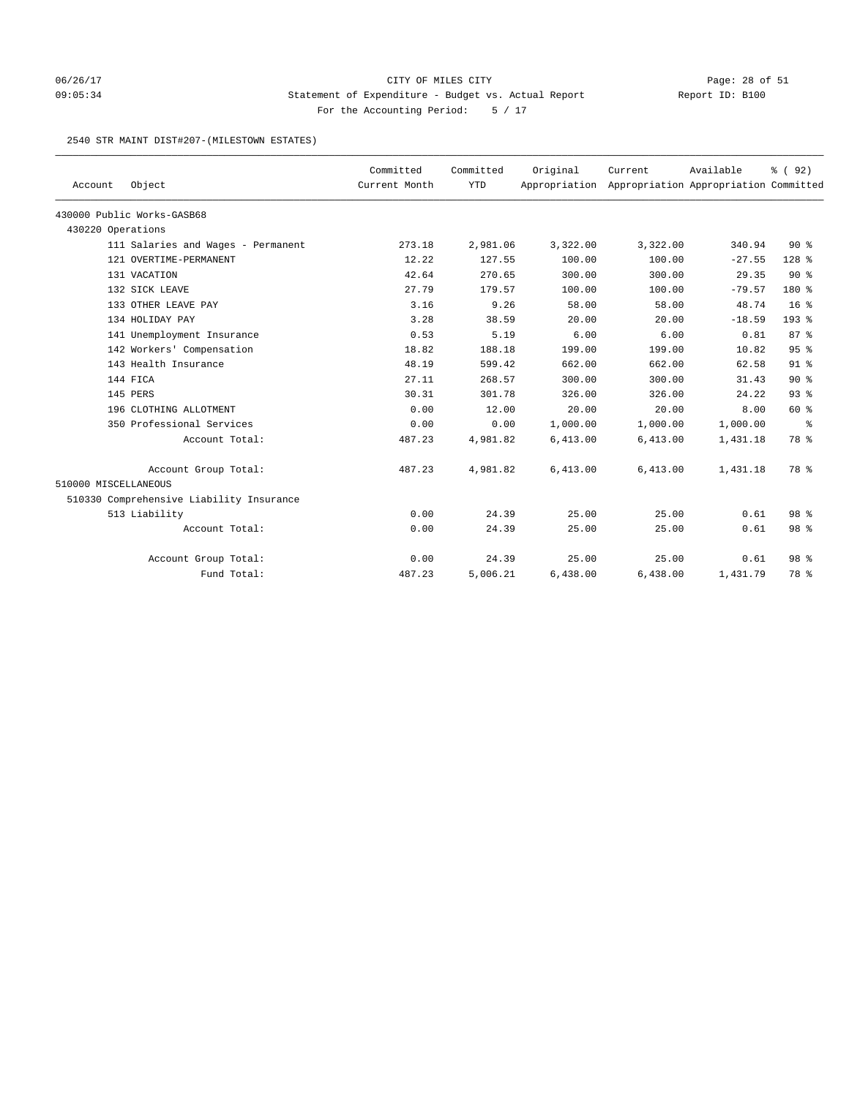# 06/26/17 Page: 28 of 51 09:05:34 Statement of Expenditure - Budget vs. Actual Report Report ID: B100 For the Accounting Period: 5 / 17

#### 2540 STR MAINT DIST#207-(MILESTOWN ESTATES)

| Account              | Object                                   | Committed<br>Current Month | Committed<br><b>YTD</b> | Original | Current<br>Appropriation Appropriation Appropriation Committed | Available | % (92)          |
|----------------------|------------------------------------------|----------------------------|-------------------------|----------|----------------------------------------------------------------|-----------|-----------------|
|                      | 430000 Public Works-GASB68               |                            |                         |          |                                                                |           |                 |
| 430220 Operations    |                                          |                            |                         |          |                                                                |           |                 |
|                      | 111 Salaries and Wages - Permanent       | 273.18                     | 2,981.06                | 3,322.00 | 3,322.00                                                       | 340.94    | $90*$           |
|                      | 121 OVERTIME-PERMANENT                   | 12.22                      | 127.55                  | 100.00   | 100.00                                                         | $-27.55$  | $128$ %         |
|                      | 131 VACATION                             | 42.64                      | 270.65                  | 300.00   | 300.00                                                         | 29.35     | $90*$           |
|                      | 132 SICK LEAVE                           | 27.79                      | 179.57                  | 100.00   | 100.00                                                         | $-79.57$  | $180*$          |
|                      | 133 OTHER LEAVE PAY                      | 3.16                       | 9.26                    | 58.00    | 58.00                                                          | 48.74     | 16 <sup>8</sup> |
|                      | 134 HOLIDAY PAY                          | 3.28                       | 38.59                   | 20.00    | 20.00                                                          | $-18.59$  | $193$ $%$       |
|                      | 141 Unemployment Insurance               | 0.53                       | 5.19                    | 6.00     | 6.00                                                           | 0.81      | 87%             |
|                      | 142 Workers' Compensation                | 18.82                      | 188.18                  | 199.00   | 199.00                                                         | 10.82     | 95%             |
|                      | 143 Health Insurance                     | 48.19                      | 599.42                  | 662.00   | 662.00                                                         | 62.58     | $91$ $%$        |
|                      | 144 FICA                                 | 27.11                      | 268.57                  | 300.00   | 300.00                                                         | 31.43     | $90*$           |
|                      | 145 PERS                                 | 30.31                      | 301.78                  | 326.00   | 326.00                                                         | 24.22     | 93 <sup>8</sup> |
|                      | 196 CLOTHING ALLOTMENT                   | 0.00                       | 12.00                   | 20.00    | 20.00                                                          | 8.00      | 60 %            |
|                      | 350 Professional Services                | 0.00                       | 0.00                    | 1,000.00 | 1,000.00                                                       | 1,000.00  | နွ              |
|                      | Account Total:                           | 487.23                     | 4,981.82                | 6,413.00 | 6,413.00                                                       | 1,431.18  | 78 %            |
|                      | Account Group Total:                     | 487.23                     | 4,981.82                | 6,413.00 | 6,413.00                                                       | 1,431.18  | 78 %            |
| 510000 MISCELLANEOUS |                                          |                            |                         |          |                                                                |           |                 |
|                      | 510330 Comprehensive Liability Insurance |                            |                         |          |                                                                |           |                 |
|                      | 513 Liability                            | 0.00                       | 24.39                   | 25.00    | 25.00                                                          | 0.61      | 98 %            |
|                      | Account Total:                           | 0.00                       | 24.39                   | 25.00    | 25.00                                                          | 0.61      | 98 %            |
|                      | Account Group Total:                     | 0.00                       | 24.39                   | 25.00    | 25.00                                                          | 0.61      | 98 <sup>8</sup> |
|                      | Fund Total:                              | 487.23                     | 5,006.21                | 6,438.00 | 6,438.00                                                       | 1,431.79  | 78 %            |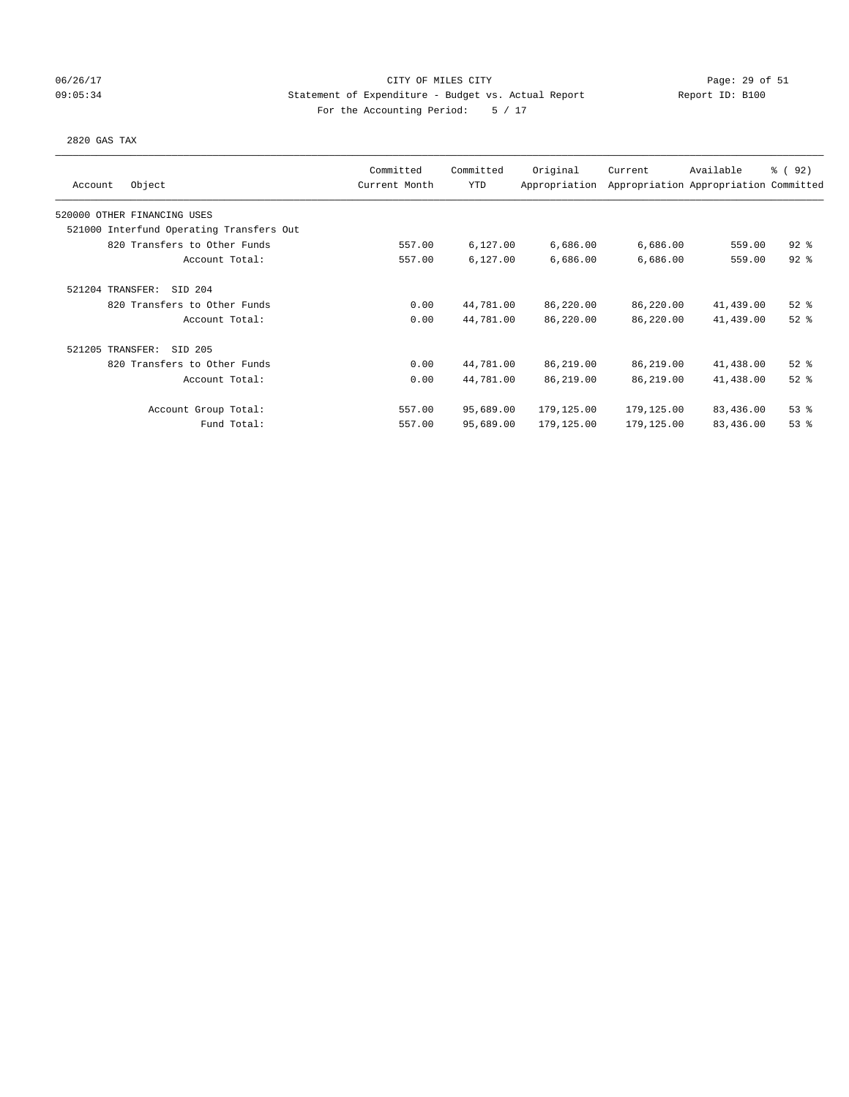# 06/26/17 Page: 29 of 51 09:05:34 Statement of Expenditure - Budget vs. Actual Report Report ID: B100 For the Accounting Period: 5 / 17

#### 2820 GAS TAX

| Object<br>Account                        | Committed<br>Current Month | Committed<br>YTD | Original<br>Appropriation | Current    | Available<br>Appropriation Appropriation Committed | 8 (92)   |
|------------------------------------------|----------------------------|------------------|---------------------------|------------|----------------------------------------------------|----------|
| 520000 OTHER FINANCING USES              |                            |                  |                           |            |                                                    |          |
| 521000 Interfund Operating Transfers Out |                            |                  |                           |            |                                                    |          |
| 820 Transfers to Other Funds             | 557.00                     | 6,127.00         | 6,686.00                  | 6,686.00   | 559.00                                             | $92$ $%$ |
| Account Total:                           | 557.00                     | 6,127.00         | 6,686.00                  | 6,686.00   | 559.00                                             | $92$ $%$ |
| 521204 TRANSFER:<br>SID 204              |                            |                  |                           |            |                                                    |          |
| 820 Transfers to Other Funds             | 0.00                       | 44,781.00        | 86,220.00                 | 86,220.00  | 41,439.00                                          | $52$ $%$ |
| Account Total:                           | 0.00                       | 44,781.00        | 86,220.00                 | 86,220.00  | 41,439.00                                          | $52$ $%$ |
| 521205 TRANSFER:<br>SID 205              |                            |                  |                           |            |                                                    |          |
| 820 Transfers to Other Funds             | 0.00                       | 44,781.00        | 86,219.00                 | 86,219.00  | 41,438.00                                          | $52$ $%$ |
| Account Total:                           | 0.00                       | 44,781.00        | 86,219.00                 | 86,219.00  | 41,438.00                                          | $52$ $%$ |
| Account Group Total:                     | 557.00                     | 95,689.00        | 179,125.00                | 179,125.00 | 83,436.00                                          | $53$ $%$ |
| Fund Total:                              | 557.00                     | 95,689.00        | 179,125.00                | 179,125.00 | 83,436.00                                          | 53%      |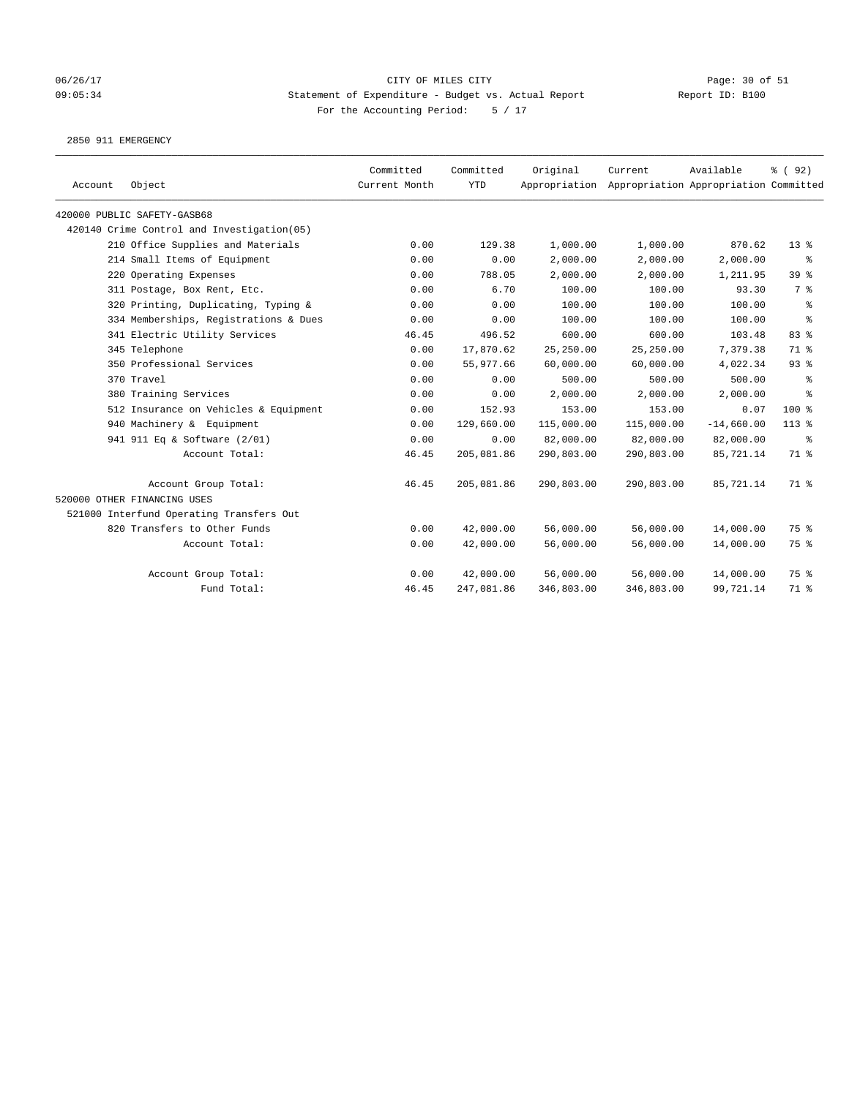# 06/26/17 CITY OF MILES CITY Page: 30 of 51 09:05:34 Statement of Expenditure - Budget vs. Actual Report Report ID: B100 For the Accounting Period: 5 / 17

2850 911 EMERGENCY

| Account | Object                                     | Committed<br>Current Month | Committed<br><b>YTD</b> | Original   | Current<br>Appropriation Appropriation Appropriation Committed | Available    | % (92) |
|---------|--------------------------------------------|----------------------------|-------------------------|------------|----------------------------------------------------------------|--------------|--------|
|         | 420000 PUBLIC SAFETY-GASB68                |                            |                         |            |                                                                |              |        |
|         | 420140 Crime Control and Investigation(05) |                            |                         |            |                                                                |              |        |
|         | 210 Office Supplies and Materials          | 0.00                       | 129.38                  | 1,000.00   | 1,000.00                                                       | 870.62       | $13*$  |
|         | 214 Small Items of Equipment               | 0.00                       | 0.00                    | 2,000.00   | 2,000.00                                                       | 2,000.00     | ႜ      |
|         | 220 Operating Expenses                     | 0.00                       | 788.05                  | 2,000.00   | 2,000.00                                                       | 1,211.95     | 39 %   |
|         | 311 Postage, Box Rent, Etc.                | 0.00                       | 6.70                    | 100.00     | 100.00                                                         | 93.30        | 7 %    |
|         | 320 Printing, Duplicating, Typing &        | 0.00                       | 0.00                    | 100.00     | 100.00                                                         | 100.00       | ႜ      |
|         | 334 Memberships, Registrations & Dues      | 0.00                       | 0.00                    | 100.00     | 100.00                                                         | 100.00       | နွ     |
|         | 341 Electric Utility Services              | 46.45                      | 496.52                  | 600.00     | 600.00                                                         | 103.48       | 83%    |
|         | 345 Telephone                              | 0.00                       | 17,870.62               | 25,250.00  | 25,250.00                                                      | 7,379.38     | 71 %   |
|         | 350 Professional Services                  | 0.00                       | 55,977.66               | 60,000.00  | 60,000.00                                                      | 4,022.34     | 93%    |
|         | 370 Travel                                 | 0.00                       | 0.00                    | 500.00     | 500.00                                                         | 500.00       | ႜ      |
|         | 380 Training Services                      | 0.00                       | 0.00                    | 2,000.00   | 2,000.00                                                       | 2,000.00     | နွ     |
|         | 512 Insurance on Vehicles & Equipment      | 0.00                       | 152.93                  | 153.00     | 153.00                                                         | 0.07         | 100 %  |
|         | 940 Machinery & Equipment                  | 0.00                       | 129,660.00              | 115,000.00 | 115,000.00                                                     | $-14,660.00$ | $113*$ |
|         | 941 911 Eq & Software (2/01)               | 0.00                       | 0.00                    | 82,000.00  | 82,000.00                                                      | 82,000.00    | ႜ      |
|         | Account Total:                             | 46.45                      | 205,081.86              | 290,803.00 | 290,803.00                                                     | 85,721.14    | 71 %   |
|         | Account Group Total:                       | 46.45                      | 205,081.86              | 290,803.00 | 290,803.00                                                     | 85,721.14    | 71 %   |
|         | 520000 OTHER FINANCING USES                |                            |                         |            |                                                                |              |        |
|         | 521000 Interfund Operating Transfers Out   |                            |                         |            |                                                                |              |        |
|         | 820 Transfers to Other Funds               | 0.00                       | 42,000.00               | 56,000.00  | 56,000.00                                                      | 14,000.00    | 75 %   |
|         | Account Total:                             | 0.00                       | 42,000.00               | 56,000.00  | 56,000.00                                                      | 14,000.00    | 75 %   |
|         | Account Group Total:                       | 0.00                       | 42,000.00               | 56,000.00  | 56,000.00                                                      | 14,000.00    | 75 %   |
|         | Fund Total:                                | 46.45                      | 247,081.86              | 346,803.00 | 346,803.00                                                     | 99,721.14    | 71 %   |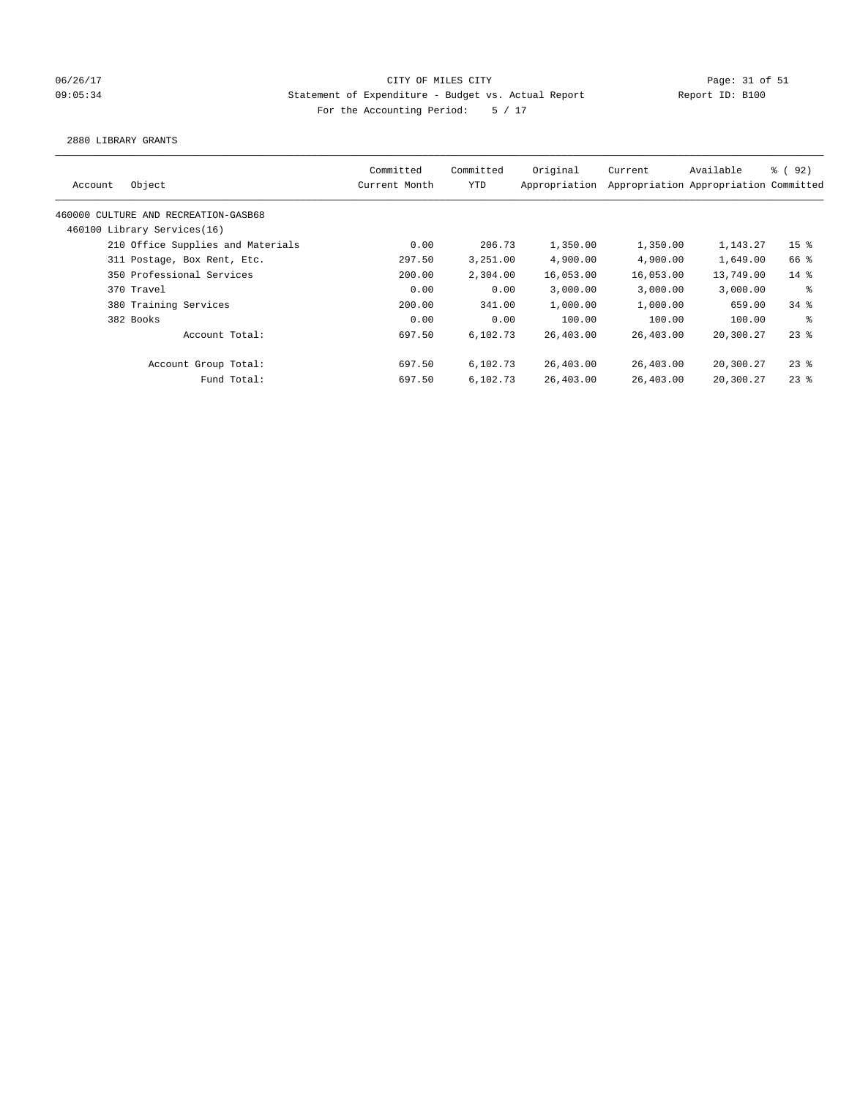## 06/26/17 Page: 31 of 51 and 06/26/17 Page: 31 of 51 09:05:34 Statement of Expenditure - Budget vs. Actual Report Report ID: B100 For the Accounting Period: 5 / 17

#### 2880 LIBRARY GRANTS

| Original<br>Committed<br>Committed<br>Current<br>Object<br>YTD<br>Appropriation<br>Appropriation Appropriation Committed<br>Current Month<br>Account<br>460000 CULTURE AND RECREATION-GASB68<br>460100 Library Services(16)<br>210 Office Supplies and Materials<br>0.00<br>206.73<br>1,350.00<br>1,350.00<br>4,900.00<br>4,900.00<br>297.50<br>3,251.00<br>311 Postage, Box Rent, Etc.<br>350 Professional Services<br>2,304.00<br>16,053.00<br>16,053.00<br>200.00<br>370 Travel<br>0.00<br>0.00<br>3,000.00<br>3.000.00<br>1,000.00<br>1,000.00<br>380 Training Services<br>200.00<br>341.00<br>0.00<br>100.00<br>382 Books<br>0.00<br>100.00<br>Account Total:<br>697.50<br>6,102.73<br>26,403.00<br>26,403.00<br>Account Group Total:<br>697.50<br>6,102.73<br>26,403.00<br>26,403.00 |             |        |          |           |           |           |                     |
|--------------------------------------------------------------------------------------------------------------------------------------------------------------------------------------------------------------------------------------------------------------------------------------------------------------------------------------------------------------------------------------------------------------------------------------------------------------------------------------------------------------------------------------------------------------------------------------------------------------------------------------------------------------------------------------------------------------------------------------------------------------------------------------------|-------------|--------|----------|-----------|-----------|-----------|---------------------|
|                                                                                                                                                                                                                                                                                                                                                                                                                                                                                                                                                                                                                                                                                                                                                                                            |             |        |          |           |           | Available | <sub>ර</sub> ි (92) |
|                                                                                                                                                                                                                                                                                                                                                                                                                                                                                                                                                                                                                                                                                                                                                                                            |             |        |          |           |           |           |                     |
|                                                                                                                                                                                                                                                                                                                                                                                                                                                                                                                                                                                                                                                                                                                                                                                            |             |        |          |           |           |           |                     |
|                                                                                                                                                                                                                                                                                                                                                                                                                                                                                                                                                                                                                                                                                                                                                                                            |             |        |          |           |           | 1,143.27  | 15 <sup>8</sup>     |
|                                                                                                                                                                                                                                                                                                                                                                                                                                                                                                                                                                                                                                                                                                                                                                                            |             |        |          |           |           | 1,649.00  | 66 %                |
|                                                                                                                                                                                                                                                                                                                                                                                                                                                                                                                                                                                                                                                                                                                                                                                            |             |        |          |           |           | 13,749.00 | $14*$               |
|                                                                                                                                                                                                                                                                                                                                                                                                                                                                                                                                                                                                                                                                                                                                                                                            |             |        |          |           |           | 3,000.00  | ႜ                   |
|                                                                                                                                                                                                                                                                                                                                                                                                                                                                                                                                                                                                                                                                                                                                                                                            |             |        |          |           |           | 659.00    | $34$ $%$            |
|                                                                                                                                                                                                                                                                                                                                                                                                                                                                                                                                                                                                                                                                                                                                                                                            |             |        |          |           |           | 100.00    | ႜ                   |
|                                                                                                                                                                                                                                                                                                                                                                                                                                                                                                                                                                                                                                                                                                                                                                                            |             |        |          |           |           | 20,300.27 | $23$ %              |
|                                                                                                                                                                                                                                                                                                                                                                                                                                                                                                                                                                                                                                                                                                                                                                                            |             |        |          |           |           | 20,300.27 | $23$ %              |
|                                                                                                                                                                                                                                                                                                                                                                                                                                                                                                                                                                                                                                                                                                                                                                                            | Fund Total: | 697.50 | 6,102.73 | 26,403.00 | 26,403.00 | 20,300.27 | $23$ $%$            |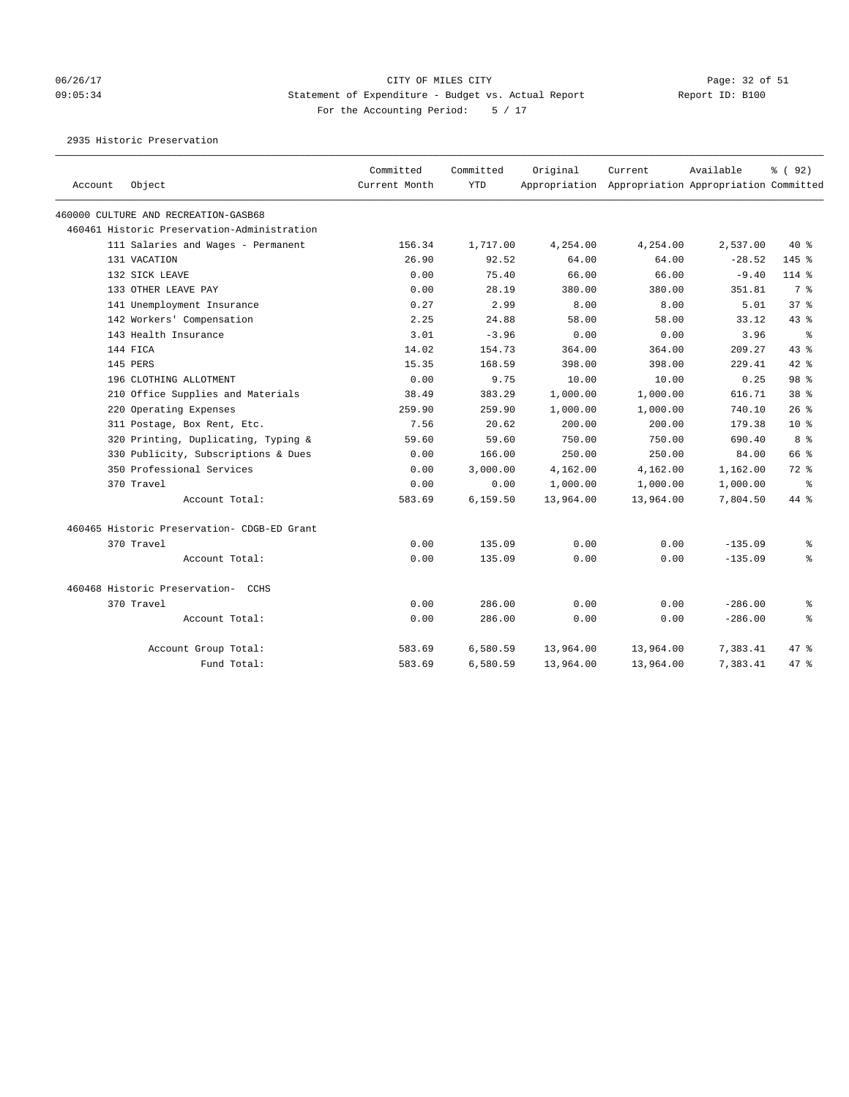### 06/26/17 Page: 32 of 51 Page: 32 of 51 09:05:34 Statement of Expenditure - Budget vs. Actual Report Report ID: B100 For the Accounting Period: 5 / 17

2935 Historic Preservation

|         | Object                                      | Committed<br>Current Month | Committed<br><b>YTD</b> | Original  | Current<br>Appropriation Appropriation Appropriation Committed | Available | % (92)          |
|---------|---------------------------------------------|----------------------------|-------------------------|-----------|----------------------------------------------------------------|-----------|-----------------|
| Account |                                             |                            |                         |           |                                                                |           |                 |
|         | 460000 CULTURE AND RECREATION-GASB68        |                            |                         |           |                                                                |           |                 |
|         | 460461 Historic Preservation-Administration |                            |                         |           |                                                                |           |                 |
|         | 111 Salaries and Wages - Permanent          | 156.34                     | 1,717.00                | 4,254.00  | 4,254.00                                                       | 2,537.00  | $40*$           |
|         | 131 VACATION                                | 26.90                      | 92.52                   | 64.00     | 64.00                                                          | $-28.52$  | $145$ %         |
|         | 132 SICK LEAVE                              | 0.00                       | 75.40                   | 66.00     | 66.00                                                          | $-9.40$   | $114$ %         |
|         | 133 OTHER LEAVE PAY                         | 0.00                       | 28.19                   | 380.00    | 380.00                                                         | 351.81    | 7 %             |
|         | 141 Unemployment Insurance                  | 0.27                       | 2.99                    | 8.00      | 8.00                                                           | 5.01      | 37 <sup>8</sup> |
|         | 142 Workers' Compensation                   | 2.25                       | 24.88                   | 58.00     | 58.00                                                          | 33.12     | $43$ $%$        |
|         | 143 Health Insurance                        | 3.01                       | $-3.96$                 | 0.00      | 0.00                                                           | 3.96      | ႜ               |
|         | 144 FICA                                    | 14.02                      | 154.73                  | 364.00    | 364.00                                                         | 209.27    | 43%             |
|         | 145 PERS                                    | 15.35                      | 168.59                  | 398.00    | 398.00                                                         | 229.41    | $42$ $%$        |
|         | 196 CLOTHING ALLOTMENT                      | 0.00                       | 9.75                    | 10.00     | 10.00                                                          | 0.25      | 98 %            |
|         | 210 Office Supplies and Materials           | 38.49                      | 383.29                  | 1,000.00  | 1,000.00                                                       | 616.71    | 38 %            |
|         | 220 Operating Expenses                      | 259.90                     | 259.90                  | 1,000.00  | 1,000.00                                                       | 740.10    | $26$ %          |
|         | 311 Postage, Box Rent, Etc.                 | 7.56                       | 20.62                   | 200.00    | 200.00                                                         | 179.38    | $10*$           |
|         | 320 Printing, Duplicating, Typing &         | 59.60                      | 59.60                   | 750.00    | 750.00                                                         | 690.40    | 8 %             |
|         | 330 Publicity, Subscriptions & Dues         | 0.00                       | 166.00                  | 250.00    | 250.00                                                         | 84.00     | 66 %            |
|         | 350 Professional Services                   | 0.00                       | 3,000.00                | 4,162.00  | 4,162.00                                                       | 1,162.00  | $72$ $%$        |
|         | 370 Travel                                  | 0.00                       | 0.00                    | 1,000.00  | 1,000.00                                                       | 1,000.00  | ႜ               |
|         | Account Total:                              | 583.69                     | 6,159.50                | 13,964.00 | 13,964.00                                                      | 7,804.50  | 44 %            |
|         | 460465 Historic Preservation- CDGB-ED Grant |                            |                         |           |                                                                |           |                 |
|         | 370 Travel                                  | 0.00                       | 135.09                  | 0.00      | 0.00                                                           | $-135.09$ | ႜ               |
|         | Account Total:                              | 0.00                       | 135.09                  | 0.00      | 0.00                                                           | $-135.09$ | ۹.              |
|         | 460468 Historic Preservation- CCHS          |                            |                         |           |                                                                |           |                 |
|         | 370 Travel                                  | 0.00                       | 286.00                  | 0.00      | 0.00                                                           | $-286.00$ | ి               |
|         | Account Total:                              | 0.00                       | 286.00                  | 0.00      | 0.00                                                           | $-286.00$ | ៖               |
|         | Account Group Total:                        | 583.69                     | 6,580.59                | 13,964.00 | 13,964.00                                                      | 7,383.41  | 47.8            |
|         | Fund Total:                                 | 583.69                     | 6,580.59                | 13,964.00 | 13,964.00                                                      | 7,383.41  | 47%             |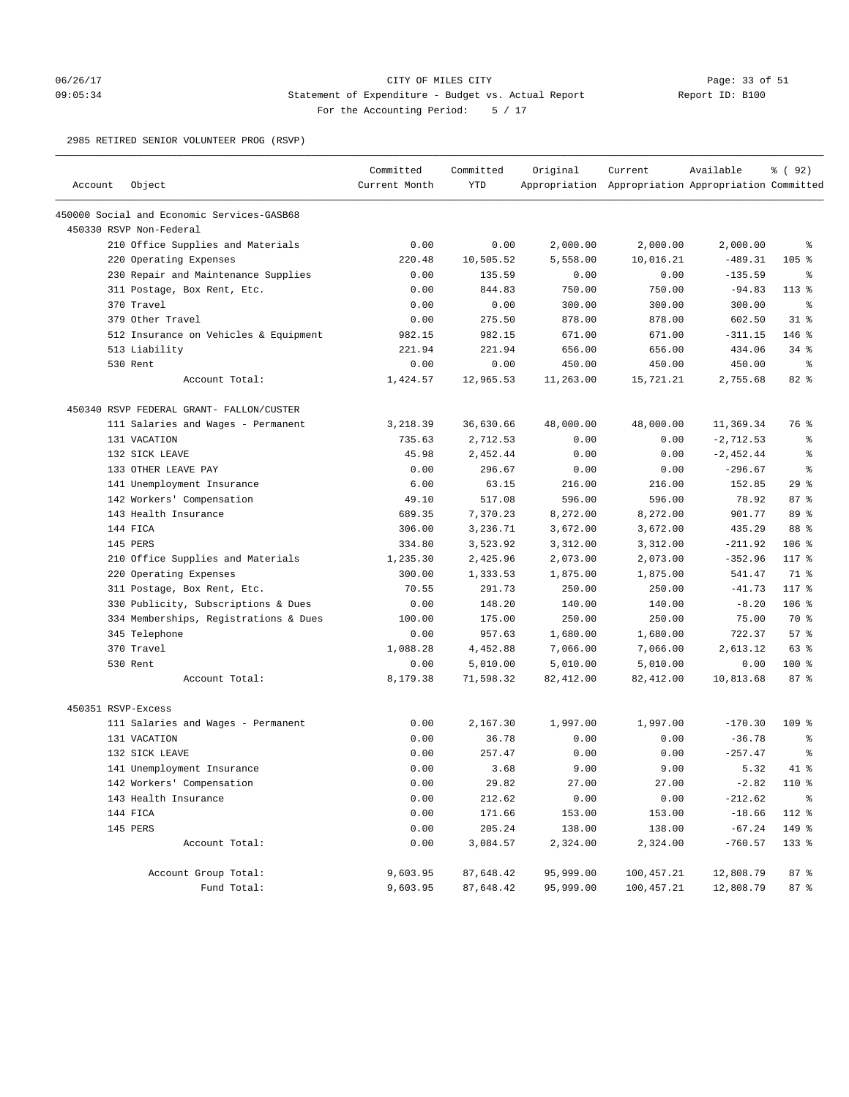### 06/26/17 Page: 33 of 51 Page: 33 Of 51 09:05:34 Statement of Expenditure - Budget vs. Actual Report Report ID: B100 For the Accounting Period: 5 / 17

2985 RETIRED SENIOR VOLUNTEER PROG (RSVP)

| Account            | Object                                                 | Committed<br>Current Month | Committed<br><b>YTD</b> | Original         | Current<br>Appropriation Appropriation Appropriation Committed | Available           | % ( 92 ) |
|--------------------|--------------------------------------------------------|----------------------------|-------------------------|------------------|----------------------------------------------------------------|---------------------|----------|
|                    | 450000 Social and Economic Services-GASB68             |                            |                         |                  |                                                                |                     |          |
|                    | 450330 RSVP Non-Federal                                |                            |                         |                  |                                                                |                     |          |
|                    | 210 Office Supplies and Materials                      | 0.00                       | 0.00                    | 2,000.00         | 2,000.00                                                       | 2,000.00            | နွ       |
|                    | 220 Operating Expenses                                 | 220.48                     | 10,505.52               | 5,558.00         | 10,016.21                                                      | $-489.31$           | $105$ %  |
|                    | 230 Repair and Maintenance Supplies                    | 0.00                       | 135.59                  | 0.00             | 0.00                                                           | $-135.59$           | ႜ        |
|                    |                                                        | 0.00                       | 844.83                  | 750.00           | 750.00                                                         | $-94.83$            | $113*$   |
|                    | 311 Postage, Box Rent, Etc.<br>370 Travel              | 0.00                       | 0.00                    | 300.00           | 300.00                                                         | 300.00              | နွ       |
|                    | 379 Other Travel                                       | 0.00                       | 275.50                  | 878.00           | 878.00                                                         | 602.50              | $31$ %   |
|                    |                                                        |                            | 982.15                  |                  |                                                                |                     | $146$ %  |
|                    | 512 Insurance on Vehicles & Equipment<br>513 Liability | 982.15<br>221.94           | 221.94                  | 671.00<br>656.00 | 671.00<br>656.00                                               | $-311.15$<br>434.06 | $34$ $%$ |
|                    | 530 Rent                                               | 0.00                       | 0.00                    | 450.00           | 450.00                                                         | 450.00              | ႜ        |
|                    | Account Total:                                         | 1,424.57                   | 12,965.53               | 11,263.00        | 15,721.21                                                      | 2,755.68            | $82$ $%$ |
|                    | 450340 RSVP FEDERAL GRANT- FALLON/CUSTER               |                            |                         |                  |                                                                |                     |          |
|                    | 111 Salaries and Wages - Permanent                     | 3,218.39                   | 36,630.66               | 48,000.00        | 48,000.00                                                      | 11,369.34           | 76 %     |
|                    | 131 VACATION                                           | 735.63                     | 2,712.53                | 0.00             | 0.00                                                           | $-2, 712.53$        | နွ       |
|                    | 132 SICK LEAVE                                         | 45.98                      | 2,452.44                | 0.00             | 0.00                                                           | $-2,452.44$         | နွ       |
|                    | 133 OTHER LEAVE PAY                                    | 0.00                       | 296.67                  | 0.00             | 0.00                                                           | $-296.67$           | နွ       |
|                    | 141 Unemployment Insurance                             | 6.00                       | 63.15                   | 216.00           | 216.00                                                         | 152.85              | 29%      |
|                    | 142 Workers' Compensation                              | 49.10                      | 517.08                  | 596.00           | 596.00                                                         | 78.92               | 87%      |
|                    | 143 Health Insurance                                   | 689.35                     | 7,370.23                | 8,272.00         | 8,272.00                                                       | 901.77              | 89 %     |
|                    | 144 FICA                                               | 306.00                     | 3,236.71                | 3,672.00         | 3,672.00                                                       | 435.29              | 88 %     |
|                    | 145 PERS                                               | 334.80                     | 3,523.92                | 3,312.00         | 3,312.00                                                       | $-211.92$           | $106$ %  |
|                    | 210 Office Supplies and Materials                      | 1,235.30                   | 2,425.96                | 2,073.00         | 2,073.00                                                       | $-352.96$           | 117 %    |
|                    | 220 Operating Expenses                                 | 300.00                     | 1,333.53                | 1,875.00         | 1,875.00                                                       | 541.47              | 71 %     |
|                    | 311 Postage, Box Rent, Etc.                            | 70.55                      | 291.73                  | 250.00           | 250.00                                                         | $-41.73$            | 117 %    |
|                    | 330 Publicity, Subscriptions & Dues                    | 0.00                       | 148.20                  | 140.00           | 140.00                                                         | $-8.20$             | $106$ %  |
|                    | 334 Memberships, Registrations & Dues                  | 100.00                     | 175.00                  | 250.00           | 250.00                                                         | 75.00               | 70 %     |
|                    | 345 Telephone                                          | 0.00                       | 957.63                  | 1,680.00         | 1,680.00                                                       | 722.37              | 57%      |
|                    | 370 Travel                                             | 1,088.28                   | 4,452.88                | 7,066.00         | 7,066.00                                                       | 2,613.12            | 63 %     |
|                    | 530 Rent                                               | 0.00                       | 5,010.00                | 5,010.00         | 5,010.00                                                       | 0.00                | $100$ %  |
|                    | Account Total:                                         | 8,179.38                   | 71,598.32               | 82,412.00        | 82,412.00                                                      | 10,813.68           | 87%      |
| 450351 RSVP-Excess |                                                        |                            |                         |                  |                                                                |                     |          |
|                    | 111 Salaries and Wages - Permanent                     | 0.00                       | 2,167.30                | 1,997.00         | 1,997.00                                                       | $-170.30$           | $109$ %  |
|                    | 131 VACATION                                           | 0.00                       | 36.78                   | 0.00             | 0.00                                                           | $-36.78$            | နွ       |
|                    | 132 SICK LEAVE                                         | 0.00                       | 257.47                  | 0.00             | 0.00                                                           | $-257.47$           | နွ       |
|                    | 141 Unemployment Insurance                             | 0.00                       | 3.68                    | 9.00             | 9.00                                                           | 5.32                | $41*$    |
|                    | 142 Workers' Compensation                              | 0.00                       | 29.82                   | 27.00            | 27.00                                                          | $-2.82$             | 110 %    |
|                    | 143 Health Insurance                                   | 0.00                       | 212.62                  | 0.00             | 0.00                                                           | $-212.62$           | နွ       |
|                    | 144 FICA                                               | 0.00                       | 171.66                  | 153.00           | 153.00                                                         | $-18.66$            | 112 %    |
|                    | 145 PERS                                               | 0.00                       | 205.24                  | 138.00           | 138.00                                                         | $-67.24$            | 149 %    |
|                    | Account Total:                                         | 0.00                       | 3,084.57                | 2,324.00         | 2,324.00                                                       | $-760.57$           | 133 %    |
|                    | Account Group Total:                                   | 9,603.95                   | 87,648.42               | 95,999.00        | 100, 457.21                                                    | 12,808.79           | 87%      |
|                    | Fund Total:                                            | 9,603.95                   | 87,648.42               | 95,999.00        | 100,457.21                                                     | 12,808.79           | 87 %     |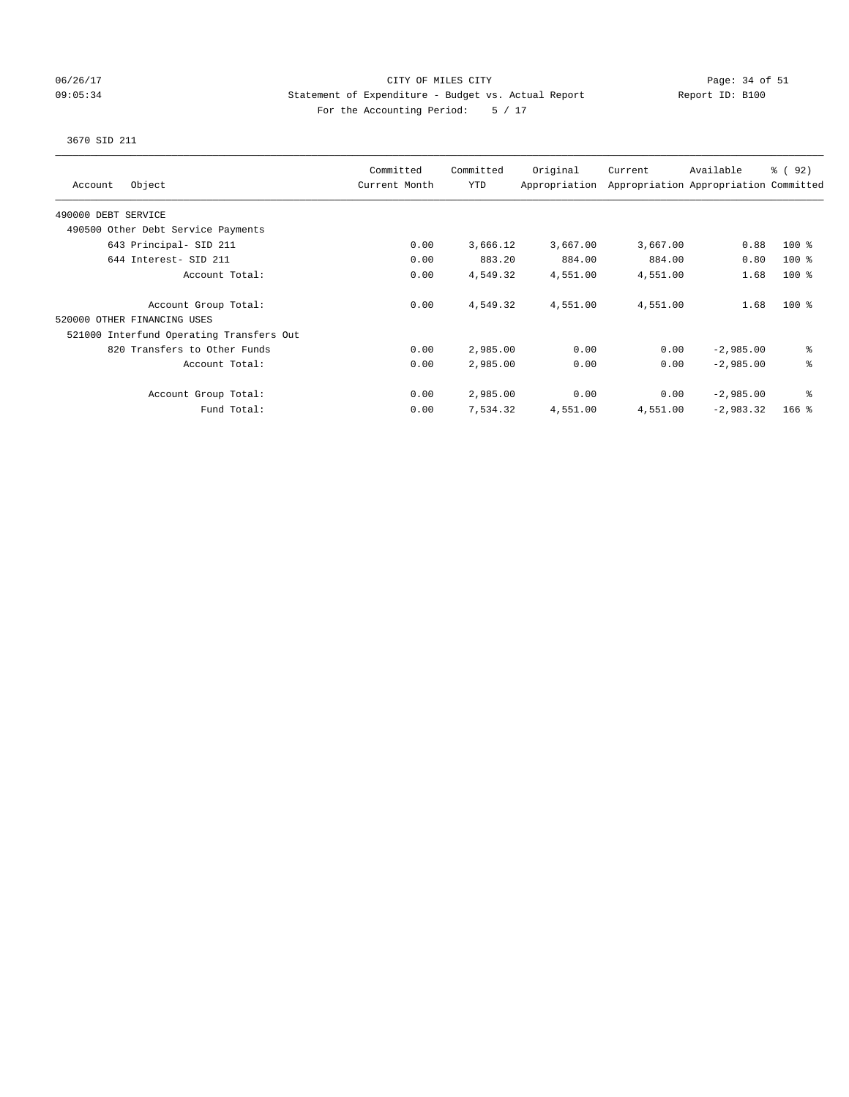### 06/26/17 Page: 34 of 51 Page: 34 OF MILES CITY 09:05:34 Statement of Expenditure - Budget vs. Actual Report Report ID: B100 For the Accounting Period: 5 / 17

# 3670 SID 211

| Object<br>Account                        | Committed<br>Current Month | Committed<br><b>YTD</b> | Original<br>Appropriation | Current  | Available<br>Appropriation Appropriation Committed | % (92)  |
|------------------------------------------|----------------------------|-------------------------|---------------------------|----------|----------------------------------------------------|---------|
| 490000 DEBT SERVICE                      |                            |                         |                           |          |                                                    |         |
| 490500 Other Debt Service Payments       |                            |                         |                           |          |                                                    |         |
| 643 Principal- SID 211                   | 0.00                       | 3,666.12                | 3,667.00                  | 3,667.00 | 0.88                                               | $100$ % |
| 644 Interest- SID 211                    | 0.00                       | 883.20                  | 884.00                    | 884.00   | 0.80                                               | $100$ % |
| Account Total:                           | 0.00                       | 4,549.32                | 4,551.00                  | 4,551.00 | 1.68                                               | $100$ % |
| Account Group Total:                     | 0.00                       | 4,549.32                | 4,551.00                  | 4,551.00 | 1.68                                               | $100*$  |
| 520000 OTHER FINANCING USES              |                            |                         |                           |          |                                                    |         |
| 521000 Interfund Operating Transfers Out |                            |                         |                           |          |                                                    |         |
| 820 Transfers to Other Funds             | 0.00                       | 2,985.00                | 0.00                      | 0.00     | $-2,985.00$                                        | ి       |
| Account Total:                           | 0.00                       | 2,985.00                | 0.00                      | 0.00     | $-2,985.00$                                        | る       |
| Account Group Total:                     | 0.00                       | 2,985.00                | 0.00                      | 0.00     | $-2,985.00$                                        | နွ      |
| Fund Total:                              | 0.00                       | 7,534.32                | 4,551.00                  | 4,551.00 | $-2,983.32$                                        | $166$ % |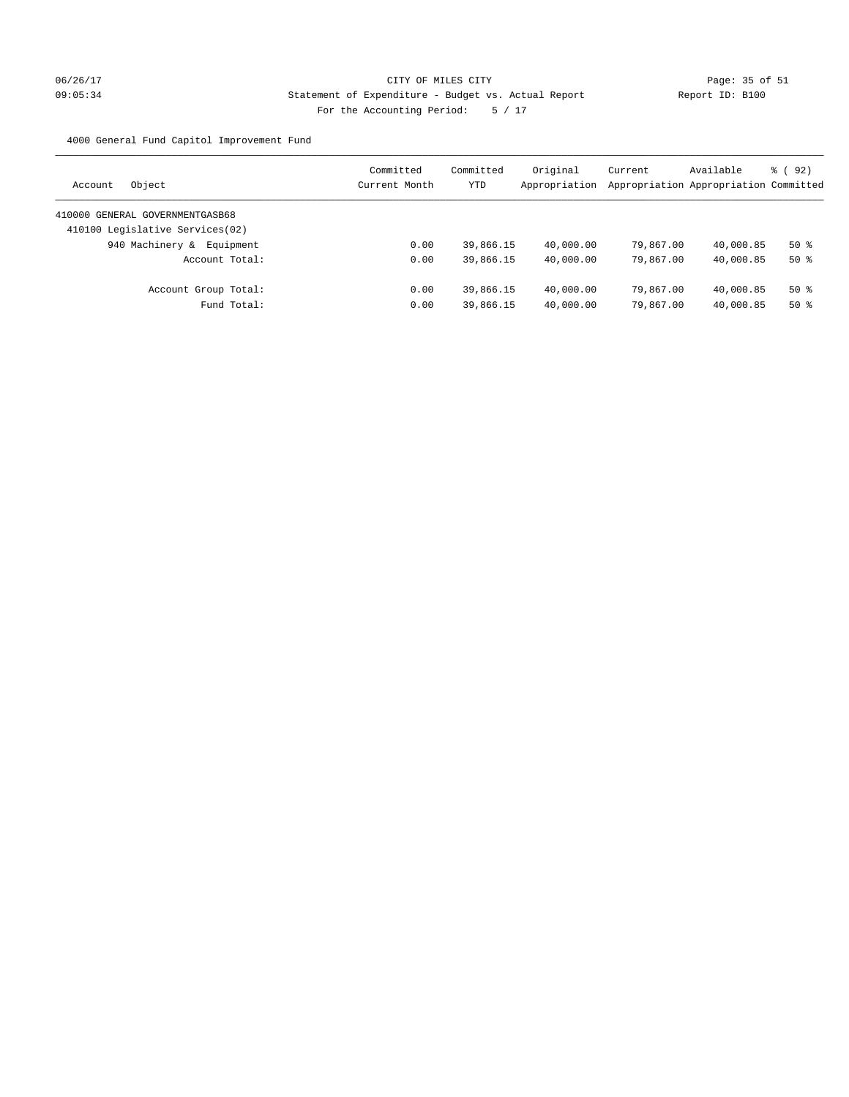# 06/26/17 Page: 35 of 51 09:05:34 Statement of Expenditure - Budget vs. Actual Report Report ID: B100 For the Accounting Period: 5 / 17

4000 General Fund Capitol Improvement Fund

| Object<br>Account                | Committed<br>Current Month | Committed<br><b>YTD</b> | Original<br>Appropriation | Current<br>Appropriation Appropriation Committed | Available | 8 (92) |
|----------------------------------|----------------------------|-------------------------|---------------------------|--------------------------------------------------|-----------|--------|
| 410000 GENERAL GOVERNMENTGASB68  |                            |                         |                           |                                                  |           |        |
| 410100 Legislative Services (02) |                            |                         |                           |                                                  |           |        |
| 940 Machinery &<br>Equipment     | 0.00                       | 39,866.15               | 40,000.00                 | 79,867.00                                        | 40,000.85 | $50*$  |
| Account Total:                   | 0.00                       | 39,866.15               | 40,000.00                 | 79,867.00                                        | 40,000.85 | $50*$  |
| Account Group Total:             | 0.00                       | 39,866.15               | 40,000.00                 | 79,867.00                                        | 40,000.85 | $50*$  |
| Fund Total:                      | 0.00                       | 39,866.15               | 40,000.00                 | 79,867,00                                        | 40,000.85 | $50*$  |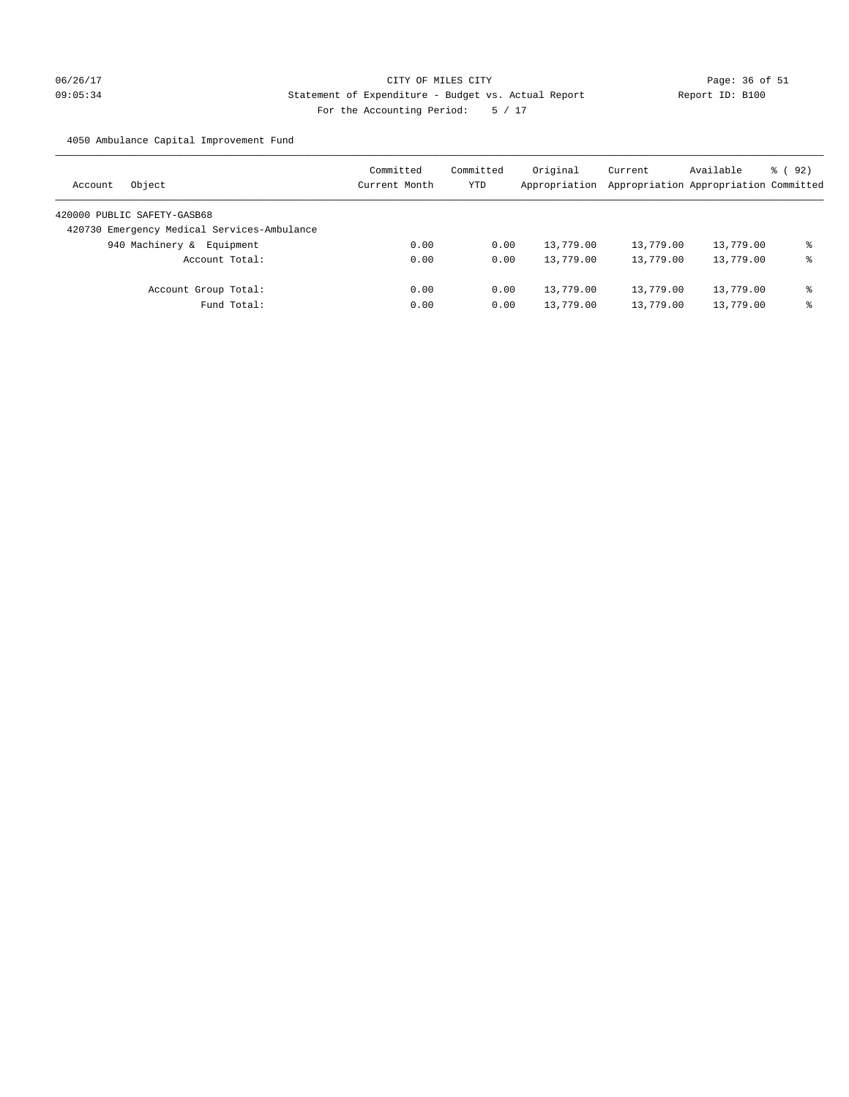# 06/26/17 Page: 36 of 51 09:05:34 Statement of Expenditure - Budget vs. Actual Report Report ID: B100 For the Accounting Period: 5 / 17

4050 Ambulance Capital Improvement Fund

| Object<br>Account                           | Committed<br>Current Month | Committed<br><b>YTD</b> | Original<br>Appropriation | Current<br>Appropriation Appropriation Committed | Available | 8 (92) |
|---------------------------------------------|----------------------------|-------------------------|---------------------------|--------------------------------------------------|-----------|--------|
| 420000 PUBLIC SAFETY-GASB68                 |                            |                         |                           |                                                  |           |        |
| 420730 Emergency Medical Services-Ambulance |                            |                         |                           |                                                  |           |        |
| 940 Machinery &<br>Equipment                | 0.00                       | 0.00                    | 13,779.00                 | 13,779.00                                        | 13,779.00 | ⊱      |
| Account Total:                              | 0.00                       | 0.00                    | 13,779.00                 | 13,779.00                                        | 13,779.00 | နွ     |
| Account Group Total:                        | 0.00                       | 0.00                    | 13,779.00                 | 13,779.00                                        | 13,779.00 | နွ     |
| Fund Total:                                 | 0.00                       | 0.00                    | 13,779.00                 | 13,779.00                                        | 13,779.00 | ⊱      |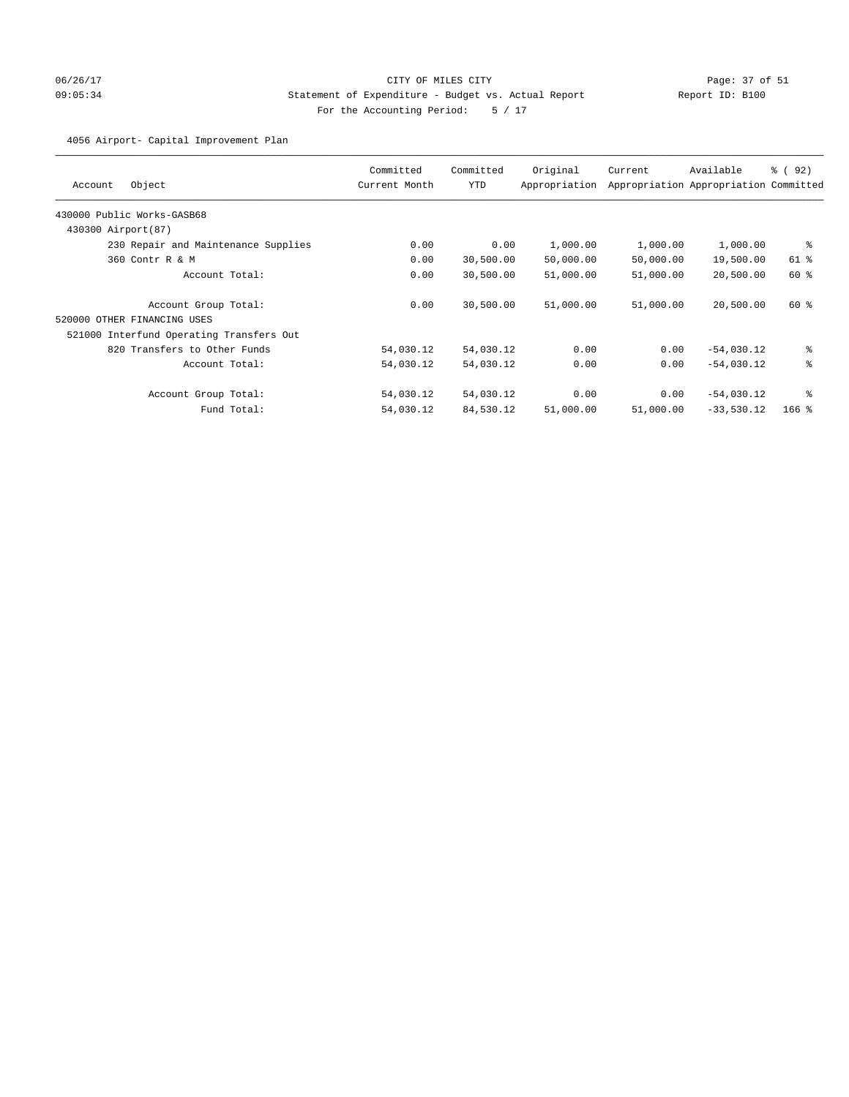# 06/26/17 Page: 37 of 51 09:05:34 Statement of Expenditure - Budget vs. Actual Report Report ID: B100 For the Accounting Period: 5 / 17

4056 Airport- Capital Improvement Plan

| Object<br>Account                        | Committed<br>Current Month | Committed<br><b>YTD</b> | Original<br>Appropriation | Current   | Available<br>Appropriation Appropriation Committed | 8 (92)  |
|------------------------------------------|----------------------------|-------------------------|---------------------------|-----------|----------------------------------------------------|---------|
| 430000 Public Works-GASB68               |                            |                         |                           |           |                                                    |         |
| 430300 Airport (87)                      |                            |                         |                           |           |                                                    |         |
| 230 Repair and Maintenance Supplies      | 0.00                       | 0.00                    | 1,000.00                  | 1,000.00  | 1,000.00                                           | နွ      |
| 360 Contr R & M                          | 0.00                       | 30,500.00               | 50,000.00                 | 50,000.00 | 19,500.00                                          | 61 %    |
| Account Total:                           | 0.00                       | 30,500.00               | 51,000.00                 | 51,000.00 | 20,500.00                                          | 60 %    |
| Account Group Total:                     | 0.00                       | 30,500.00               | 51,000.00                 | 51,000.00 | 20,500.00                                          | 60 %    |
| 520000 OTHER FINANCING USES              |                            |                         |                           |           |                                                    |         |
| 521000 Interfund Operating Transfers Out |                            |                         |                           |           |                                                    |         |
| 820 Transfers to Other Funds             | 54,030.12                  | 54,030.12               | 0.00                      | 0.00      | $-54,030.12$                                       | ి       |
| Account Total:                           | 54,030.12                  | 54,030.12               | 0.00                      | 0.00      | $-54,030.12$                                       | ి       |
| Account Group Total:                     | 54,030.12                  | 54,030.12               | 0.00                      | 0.00      | $-54,030.12$                                       | နွ      |
| Fund Total:                              | 54,030.12                  | 84,530.12               | 51,000.00                 | 51,000.00 | $-33,530.12$                                       | $166$ % |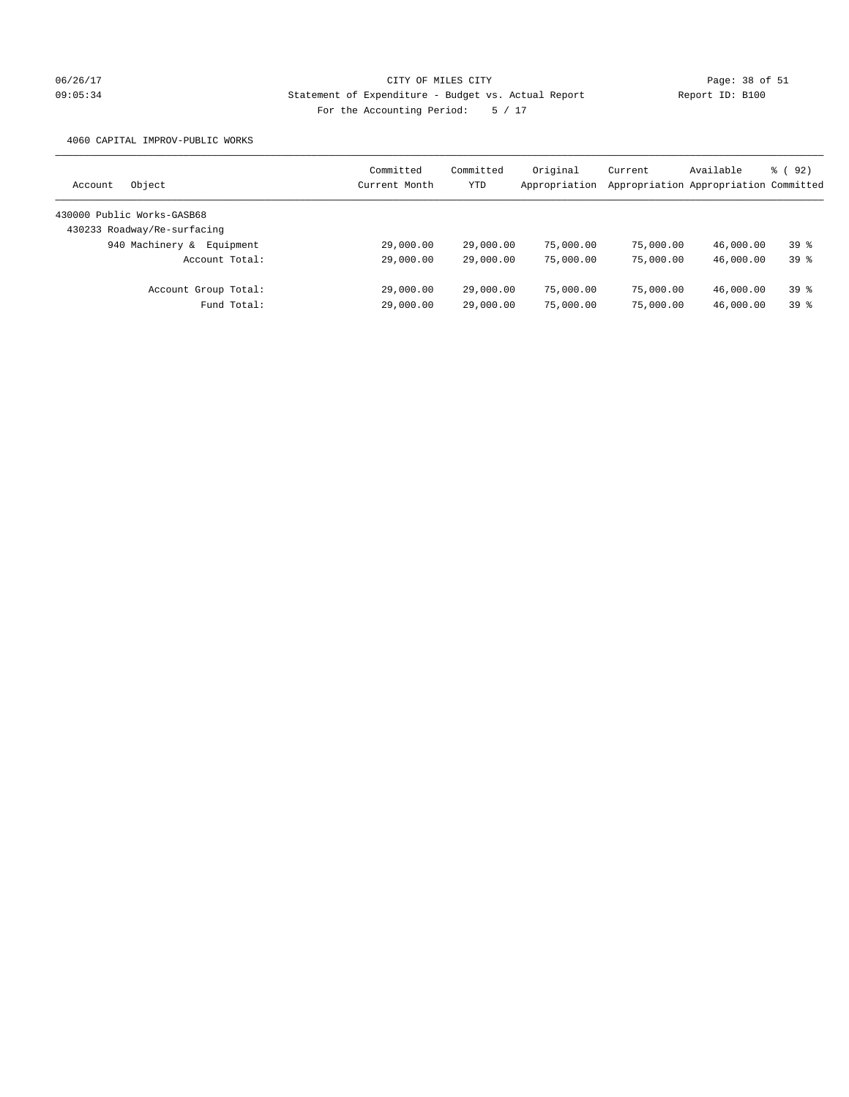# 06/26/17 Page: 38 of 51 09:05:34 Statement of Expenditure - Budget vs. Actual Report Report ID: B100 For the Accounting Period: 5 / 17

4060 CAPITAL IMPROV-PUBLIC WORKS

| Object<br>Account            | Committed<br>Current Month | Committed<br><b>YTD</b> | Original<br>Appropriation | Current   | Available<br>Appropriation Appropriation Committed | 8 (92) |
|------------------------------|----------------------------|-------------------------|---------------------------|-----------|----------------------------------------------------|--------|
| 430000 Public Works-GASB68   |                            |                         |                           |           |                                                    |        |
| 430233 Roadway/Re-surfacing  |                            |                         |                           |           |                                                    |        |
| 940 Machinery &<br>Equipment | 29,000.00                  | 29,000.00               | 75,000.00                 | 75,000.00 | 46,000.00                                          | 398    |
| Account Total:               | 29,000.00                  | 29,000.00               | 75,000.00                 | 75,000.00 | 46,000.00                                          | 398    |
| Account Group Total:         | 29,000.00                  | 29,000.00               | 75,000.00                 | 75,000.00 | 46,000.00                                          | 398    |
| Fund Total:                  | 29,000.00                  | 29,000.00               | 75,000.00                 | 75,000.00 | 46,000.00                                          | 39 %   |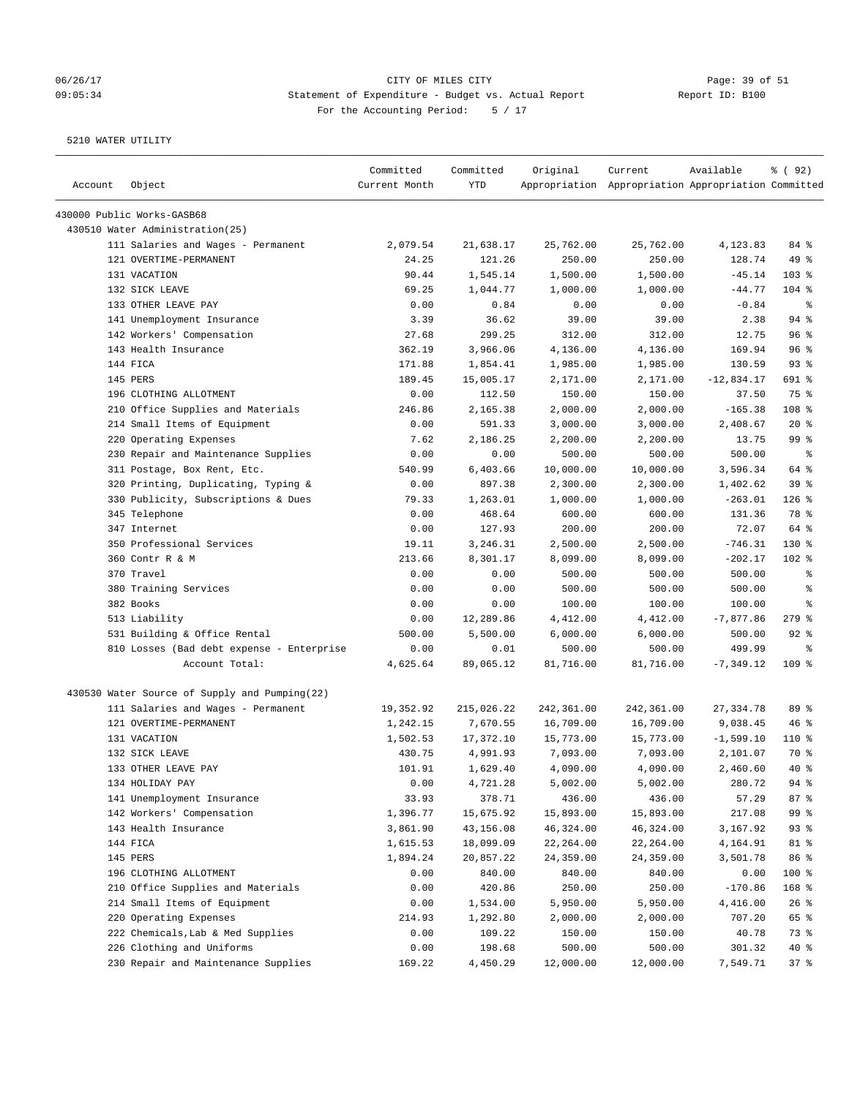# 06/26/17 Page: 39 of 51 09:05:34 Statement of Expenditure - Budget vs. Actual Report Changer Report ID: B100 For the Accounting Period: 5 / 17

| Account | Object                                        | Committed<br>Current Month | Committed<br>YTD | Original   | Current<br>Appropriation Appropriation Appropriation Committed | Available    | % ( 92 )   |
|---------|-----------------------------------------------|----------------------------|------------------|------------|----------------------------------------------------------------|--------------|------------|
|         | 430000 Public Works-GASB68                    |                            |                  |            |                                                                |              |            |
|         | 430510 Water Administration(25)               |                            |                  |            |                                                                |              |            |
|         | 111 Salaries and Wages - Permanent            | 2,079.54                   | 21,638.17        | 25,762.00  | 25,762.00                                                      | 4,123.83     | 84 %       |
|         | 121 OVERTIME-PERMANENT                        | 24.25                      | 121.26           | 250.00     | 250.00                                                         | 128.74       | 49 %       |
|         | 131 VACATION                                  | 90.44                      | 1,545.14         | 1,500.00   | 1,500.00                                                       | $-45.14$     | 103 %      |
|         | 132 SICK LEAVE                                | 69.25                      | 1,044.77         | 1,000.00   | 1,000.00                                                       | $-44.77$     | $104$ %    |
|         | 133 OTHER LEAVE PAY                           | 0.00                       | 0.84             | 0.00       | 0.00                                                           | $-0.84$      | ႜ          |
|         | 141 Unemployment Insurance                    | 3.39                       | 36.62            | 39.00      | 39.00                                                          | 2.38         | $94$ %     |
|         | 142 Workers' Compensation                     | 27.68                      | 299.25           | 312.00     | 312.00                                                         | 12.75        | 96%        |
|         | 143 Health Insurance                          | 362.19                     | 3,966.06         | 4,136.00   | 4,136.00                                                       | 169.94       | 96%        |
|         | 144 FICA                                      | 171.88                     | 1,854.41         | 1,985.00   | 1,985.00                                                       | 130.59       | 93%        |
|         | 145 PERS                                      | 189.45                     | 15,005.17        | 2,171.00   | 2,171.00                                                       | $-12,834.17$ | 691 %      |
|         | 196 CLOTHING ALLOTMENT                        | 0.00                       | 112.50           | 150.00     | 150.00                                                         | 37.50        | 75 %       |
|         | 210 Office Supplies and Materials             | 246.86                     | 2,165.38         | 2,000.00   | 2,000.00                                                       | $-165.38$    | 108 %      |
|         | 214 Small Items of Equipment                  | 0.00                       | 591.33           | 3,000.00   | 3,000.00                                                       | 2,408.67     | $20*$      |
|         | 220 Operating Expenses                        | 7.62                       | 2,186.25         | 2,200.00   | 2,200.00                                                       | 13.75        | 99 %       |
|         | 230 Repair and Maintenance Supplies           | 0.00                       | 0.00             | 500.00     | 500.00                                                         | 500.00       | ႜ          |
|         | 311 Postage, Box Rent, Etc.                   | 540.99                     | 6,403.66         | 10,000.00  | 10,000.00                                                      | 3,596.34     | 64 %       |
|         | 320 Printing, Duplicating, Typing &           | 0.00                       | 897.38           | 2,300.00   | 2,300.00                                                       | 1,402.62     | 39%        |
|         | 330 Publicity, Subscriptions & Dues           | 79.33                      | 1,263.01         | 1,000.00   | 1,000.00                                                       | $-263.01$    | $126$ %    |
|         | 345 Telephone                                 | 0.00                       | 468.64           | 600.00     | 600.00                                                         | 131.36       | 78 %       |
|         | 347 Internet                                  | 0.00                       | 127.93           | 200.00     | 200.00                                                         | 72.07        | 64 %       |
|         | 350 Professional Services                     | 19.11                      | 3,246.31         | 2,500.00   | 2,500.00                                                       | $-746.31$    | $130*$     |
|         | 360 Contr R & M                               | 213.66                     | 8,301.17         | 8,099.00   | 8,099.00                                                       | $-202.17$    | $102$ %    |
|         | 370 Travel                                    | 0.00                       | 0.00             | 500.00     | 500.00                                                         | 500.00       | $\epsilon$ |
|         | 380 Training Services                         | 0.00                       | 0.00             | 500.00     | 500.00                                                         | 500.00       | $\epsilon$ |
|         | 382 Books                                     | 0.00                       | 0.00             | 100.00     | 100.00                                                         | 100.00       | ႜ          |
|         | 513 Liability                                 | 0.00                       | 12,289.86        | 4,412.00   | 4,412.00                                                       | $-7,877.86$  | $279$ $%$  |
|         | 531 Building & Office Rental                  | 500.00                     | 5,500.00         | 6,000.00   | 6,000.00                                                       | 500.00       | $92$ $%$   |
|         | 810 Losses (Bad debt expense - Enterprise     | 0.00                       | 0.01             | 500.00     | 500.00                                                         | 499.99       | $\epsilon$ |
|         | Account Total:                                | 4,625.64                   | 89,065.12        | 81,716.00  | 81,716.00                                                      | $-7, 349.12$ | $109$ %    |
|         | 430530 Water Source of Supply and Pumping(22) |                            |                  |            |                                                                |              |            |
|         | 111 Salaries and Wages - Permanent            | 19,352.92                  | 215,026.22       | 242,361.00 | 242,361.00                                                     | 27, 334.78   | 89 %       |
|         | 121 OVERTIME-PERMANENT                        | 1,242.15                   | 7,670.55         | 16,709.00  | 16,709.00                                                      | 9,038.45     | 46%        |
|         | 131 VACATION                                  | 1,502.53                   | 17,372.10        | 15,773.00  | 15,773.00                                                      | $-1,599.10$  | $110*$     |
|         | 132 SICK LEAVE                                | 430.75                     | 4,991.93         | 7,093.00   | 7,093.00                                                       | 2,101.07     | 70 %       |
|         | 133 OTHER LEAVE PAY                           | 101.91                     | 1,629.40         | 4,090.00   | 4,090.00                                                       | 2,460.60     | $40*$      |
|         | 134 HOLIDAY PAY                               | 0.00                       | 4,721.28         | 5,002.00   | 5,002.00                                                       | 280.72       | 94 %       |
|         | 141 Unemployment Insurance                    | 33.93                      | 378.71           | 436.00     | 436.00                                                         | 57.29        | 87 %       |
|         | 142 Workers' Compensation                     | 1,396.77                   | 15,675.92        | 15,893.00  | 15,893.00                                                      | 217.08       | 99 %       |
|         | 143 Health Insurance                          | 3,861.90                   | 43,156.08        | 46,324.00  | 46,324.00                                                      | 3,167.92     | 93%        |
|         | 144 FICA                                      | 1,615.53                   | 18,099.09        | 22,264.00  | 22,264.00                                                      | 4,164.91     | 81 %       |
|         | 145 PERS                                      | 1,894.24                   | 20,857.22        | 24,359.00  | 24,359.00                                                      | 3,501.78     | 86 %       |
|         | 196 CLOTHING ALLOTMENT                        | 0.00                       | 840.00           | 840.00     | 840.00                                                         | 0.00         | 100 %      |
|         | 210 Office Supplies and Materials             | 0.00                       | 420.86           | 250.00     | 250.00                                                         | $-170.86$    | 168 %      |
|         | 214 Small Items of Equipment                  | 0.00                       | 1,534.00         | 5,950.00   | 5,950.00                                                       | 4,416.00     | 26%        |
|         | 220 Operating Expenses                        | 214.93                     | 1,292.80         | 2,000.00   | 2,000.00                                                       | 707.20       | 65 %       |
|         | 222 Chemicals, Lab & Med Supplies             | 0.00                       | 109.22           | 150.00     | 150.00                                                         | 40.78        | 73 %       |
|         | 226 Clothing and Uniforms                     | 0.00                       | 198.68           | 500.00     | 500.00                                                         | 301.32       | 40 %       |
|         | 230 Repair and Maintenance Supplies           | 169.22                     | 4,450.29         | 12,000.00  | 12,000.00                                                      | 7,549.71     | 37%        |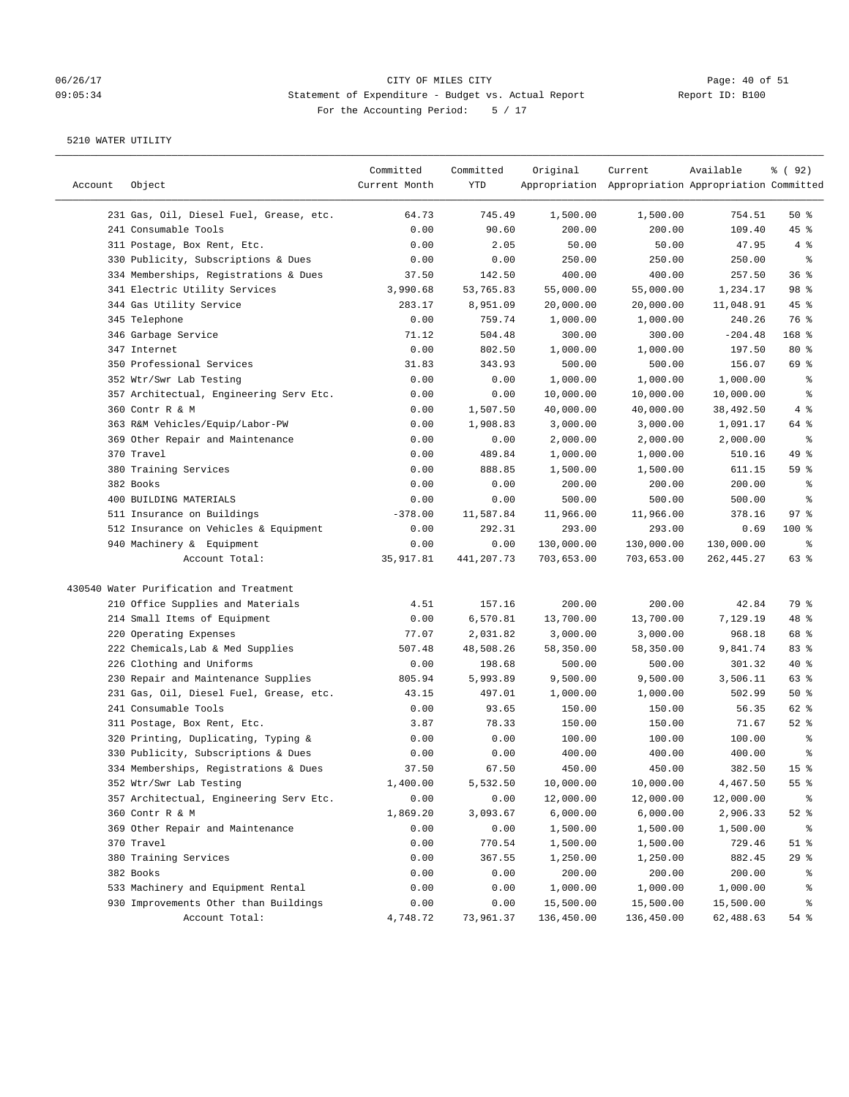# 06/26/17 Page: 40 of 51 09:05:34 Statement of Expenditure - Budget vs. Actual Report Changer Report ID: B100 For the Accounting Period: 5 / 17

| Account | Object                                  | Committed<br>Current Month | Committed<br>YTD | Original   | Current<br>Appropriation Appropriation Appropriation Committed | Available  | % ( 92 )        |
|---------|-----------------------------------------|----------------------------|------------------|------------|----------------------------------------------------------------|------------|-----------------|
|         |                                         |                            |                  |            |                                                                |            |                 |
|         | 231 Gas, Oil, Diesel Fuel, Grease, etc. | 64.73                      | 745.49           | 1,500.00   | 1,500.00                                                       | 754.51     | 50%             |
|         | 241 Consumable Tools                    | 0.00                       | 90.60            | 200.00     | 200.00                                                         | 109.40     | 45 %            |
|         | 311 Postage, Box Rent, Etc.             | 0.00                       | 2.05             | 50.00      | 50.00                                                          | 47.95      | 4%              |
|         | 330 Publicity, Subscriptions & Dues     | 0.00                       | 0.00             | 250.00     | 250.00                                                         | 250.00     | $\epsilon$      |
|         | 334 Memberships, Registrations & Dues   | 37.50                      | 142.50           | 400.00     | 400.00                                                         | 257.50     | 36%             |
|         | 341 Electric Utility Services           | 3,990.68                   | 53,765.83        | 55,000.00  | 55,000.00                                                      | 1,234.17   | 98 %            |
|         | 344 Gas Utility Service                 | 283.17                     | 8,951.09         | 20,000.00  | 20,000.00                                                      | 11,048.91  | $45$ %          |
|         | 345 Telephone                           | 0.00                       | 759.74           | 1,000.00   | 1,000.00                                                       | 240.26     | 76 %            |
|         | 346 Garbage Service                     | 71.12                      | 504.48           | 300.00     | 300.00                                                         | $-204.48$  | 168 %           |
|         | 347 Internet                            | 0.00                       | 802.50           | 1,000.00   | 1,000.00                                                       | 197.50     | $80*$           |
|         | 350 Professional Services               | 31.83                      | 343.93           | 500.00     | 500.00                                                         | 156.07     | 69 %            |
|         | 352 Wtr/Swr Lab Testing                 | 0.00                       | 0.00             | 1,000.00   | 1,000.00                                                       | 1,000.00   | နွ              |
|         | 357 Architectual, Engineering Serv Etc. | 0.00                       | 0.00             | 10,000.00  | 10,000.00                                                      | 10,000.00  | နွ              |
|         | 360 Contr R & M                         | 0.00                       | 1,507.50         | 40,000.00  | 40,000.00                                                      | 38,492.50  | 4%              |
|         | 363 R&M Vehicles/Equip/Labor-PW         | 0.00                       | 1,908.83         | 3,000.00   | 3,000.00                                                       | 1,091.17   | 64 %            |
|         | 369 Other Repair and Maintenance        | 0.00                       | 0.00             | 2,000.00   | 2,000.00                                                       | 2,000.00   | ್ಠಿ             |
|         | 370 Travel                              | 0.00                       | 489.84           | 1,000.00   | 1,000.00                                                       | 510.16     | 49 %            |
|         | 380 Training Services                   | 0.00                       | 888.85           | 1,500.00   | 1,500.00                                                       | 611.15     | 59 %            |
|         | 382 Books                               | 0.00                       | 0.00             | 200.00     | 200.00                                                         | 200.00     | ್ಠಿ             |
|         | 400 BUILDING MATERIALS                  | 0.00                       | 0.00             | 500.00     | 500.00                                                         | 500.00     | ್ಠಿ             |
|         | 511 Insurance on Buildings              | $-378.00$                  | 11,587.84        | 11,966.00  | 11,966.00                                                      | 378.16     | $97$ %          |
|         | 512 Insurance on Vehicles & Equipment   | 0.00                       | 292.31           | 293.00     | 293.00                                                         | 0.69       | $100$ %         |
|         | 940 Machinery & Equipment               | 0.00                       | 0.00             | 130,000.00 | 130,000.00                                                     | 130,000.00 | နွ              |
|         | Account Total:                          | 35, 917.81                 | 441,207.73       | 703,653.00 | 703,653.00                                                     | 262,445.27 | 63 %            |
|         | 430540 Water Purification and Treatment |                            |                  |            |                                                                |            |                 |
|         | 210 Office Supplies and Materials       | 4.51                       | 157.16           | 200.00     | 200.00                                                         | 42.84      | 79 %            |
|         | 214 Small Items of Equipment            | 0.00                       | 6,570.81         | 13,700.00  | 13,700.00                                                      | 7,129.19   | 48 %            |
|         | 220 Operating Expenses                  | 77.07                      | 2,031.82         | 3,000.00   | 3,000.00                                                       | 968.18     | 68 %            |
|         | 222 Chemicals, Lab & Med Supplies       | 507.48                     | 48,508.26        | 58,350.00  | 58,350.00                                                      | 9,841.74   | 83%             |
|         | 226 Clothing and Uniforms               | 0.00                       | 198.68           | 500.00     | 500.00                                                         | 301.32     | $40*$           |
|         | 230 Repair and Maintenance Supplies     | 805.94                     | 5,993.89         | 9,500.00   | 9,500.00                                                       | 3,506.11   | 63%             |
|         | 231 Gas, Oil, Diesel Fuel, Grease, etc. | 43.15                      | 497.01           | 1,000.00   | 1,000.00                                                       | 502.99     | 50%             |
|         | 241 Consumable Tools                    | 0.00                       | 93.65            | 150.00     | 150.00                                                         | 56.35      | 62 %            |
|         | 311 Postage, Box Rent, Etc.             | 3.87                       | 78.33            | 150.00     | 150.00                                                         | 71.67      | $52$ $%$        |
|         | 320 Printing, Duplicating, Typing &     | 0.00                       | 0.00             | 100.00     | 100.00                                                         | 100.00     | ್ಠಿ             |
|         | 330 Publicity, Subscriptions & Dues     | 0.00                       | 0.00             | 400.00     | 400.00                                                         | 400.00     | ್ಠಿ             |
|         | 334 Memberships, Registrations & Dues   | 37.50                      | 67.50            | 450.00     | 450.00                                                         | 382.50     | 15 <sup>°</sup> |
|         | 352 Wtr/Swr Lab Testing                 | 1,400.00                   | 5,532.50         | 10,000.00  | 10,000.00                                                      | 4,467.50   | 55%             |
|         | 357 Architectual, Engineering Serv Etc. | 0.00                       | 0.00             | 12,000.00  | 12,000.00                                                      | 12,000.00  | ိင              |
|         | 360 Contr R & M                         | 1,869.20                   | 3,093.67         | 6,000.00   | 6,000.00                                                       | 2,906.33   | $52$ $%$        |
|         | 369 Other Repair and Maintenance        | 0.00                       | 0.00             | 1,500.00   | 1,500.00                                                       | 1,500.00   | ိစ              |
|         | 370 Travel                              | 0.00                       | 770.54           | 1,500.00   | 1,500.00                                                       | 729.46     | $51$ %          |
|         | 380 Training Services                   | 0.00                       | 367.55           | 1,250.00   | 1,250.00                                                       | 882.45     | 29%             |
|         | 382 Books                               | 0.00                       | 0.00             | 200.00     | 200.00                                                         | 200.00     | ိစ              |
|         | 533 Machinery and Equipment Rental      | 0.00                       | 0.00             | 1,000.00   | 1,000.00                                                       | 1,000.00   | န့              |
|         | 930 Improvements Other than Buildings   | 0.00                       | 0.00             | 15,500.00  | 15,500.00                                                      | 15,500.00  | နွ              |
|         | Account Total:                          | 4,748.72                   | 73,961.37        | 136,450.00 | 136,450.00                                                     | 62,488.63  | 54 %            |
|         |                                         |                            |                  |            |                                                                |            |                 |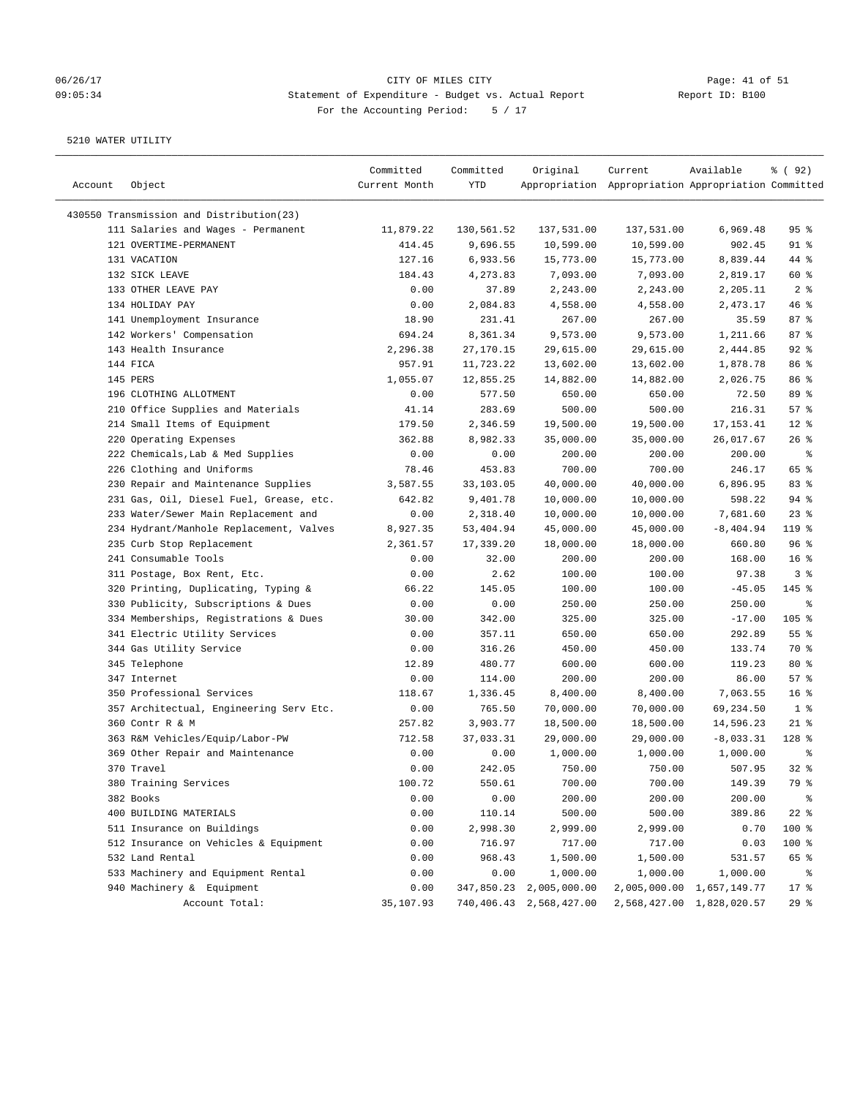# 06/26/17 Page: 41 of 51 09:05:34 Statement of Expenditure - Budget vs. Actual Report Changer Report ID: B100 For the Accounting Period: 5 / 17

| Account | Object                                   | Committed<br>Current Month | Committed<br>YTD | Original                | Current<br>Appropriation Appropriation Appropriation Committed | Available                 | % ( 92 )        |
|---------|------------------------------------------|----------------------------|------------------|-------------------------|----------------------------------------------------------------|---------------------------|-----------------|
|         | 430550 Transmission and Distribution(23) |                            |                  |                         |                                                                |                           |                 |
|         | 111 Salaries and Wages - Permanent       | 11,879.22                  | 130,561.52       | 137,531.00              | 137,531.00                                                     | 6,969.48                  | 95 <sup>8</sup> |
|         | 121 OVERTIME-PERMANENT                   | 414.45                     | 9,696.55         | 10,599.00               | 10,599.00                                                      | 902.45                    | $91$ %          |
|         | 131 VACATION                             | 127.16                     | 6,933.56         | 15,773.00               | 15,773.00                                                      | 8,839.44                  | 44 %            |
|         | 132 SICK LEAVE                           | 184.43                     | 4,273.83         | 7,093.00                | 7,093.00                                                       | 2,819.17                  | 60 %            |
|         | 133 OTHER LEAVE PAY                      | 0.00                       | 37.89            | 2,243.00                | 2,243.00                                                       | 2,205.11                  | 2 <sup>8</sup>  |
|         | 134 HOLIDAY PAY                          | 0.00                       | 2,084.83         | 4,558.00                | 4,558.00                                                       | 2,473.17                  | 46 %            |
|         | 141 Unemployment Insurance               | 18.90                      | 231.41           | 267.00                  | 267.00                                                         | 35.59                     | 87%             |
|         | 142 Workers' Compensation                | 694.24                     | 8,361.34         | 9,573.00                | 9,573.00                                                       | 1,211.66                  | 87%             |
|         | 143 Health Insurance                     | 2,296.38                   | 27,170.15        | 29,615.00               |                                                                | 2,444.85                  | $92$ $%$        |
|         | 144 FICA                                 |                            |                  |                         | 29,615.00                                                      |                           | 86 <sup>8</sup> |
|         |                                          | 957.91                     | 11,723.22        | 13,602.00               | 13,602.00                                                      | 1,878.78                  |                 |
|         | 145 PERS                                 | 1,055.07                   | 12,855.25        | 14,882.00               | 14,882.00                                                      | 2,026.75                  | 86 <sup>8</sup> |
|         | 196 CLOTHING ALLOTMENT                   | 0.00                       | 577.50           | 650.00                  | 650.00                                                         | 72.50                     | 89 %            |
|         | 210 Office Supplies and Materials        | 41.14                      | 283.69           | 500.00                  | 500.00                                                         | 216.31                    | 57%             |
|         | 214 Small Items of Equipment             | 179.50                     | 2,346.59         | 19,500.00               | 19,500.00                                                      | 17, 153.41                | $12*$           |
|         | 220 Operating Expenses                   | 362.88                     | 8,982.33         | 35,000.00               | 35,000.00                                                      | 26,017.67                 | $26$ %          |
|         | 222 Chemicals, Lab & Med Supplies        | 0.00                       | 0.00             | 200.00                  | 200.00                                                         | 200.00                    | နွ              |
|         | 226 Clothing and Uniforms                | 78.46                      | 453.83           | 700.00                  | 700.00                                                         | 246.17                    | 65 %            |
|         | 230 Repair and Maintenance Supplies      | 3,587.55                   | 33,103.05        | 40,000.00               | 40,000.00                                                      | 6,896.95                  | 83 %            |
|         | 231 Gas, Oil, Diesel Fuel, Grease, etc.  | 642.82                     | 9,401.78         | 10,000.00               | 10,000.00                                                      | 598.22                    | $94$ %          |
|         | 233 Water/Sewer Main Replacement and     | 0.00                       | 2,318.40         | 10,000.00               | 10,000.00                                                      | 7,681.60                  | $23$ $%$        |
|         | 234 Hydrant/Manhole Replacement, Valves  | 8,927.35                   | 53,404.94        | 45,000.00               | 45,000.00                                                      | $-8,404.94$               | 119 %           |
|         | 235 Curb Stop Replacement                | 2,361.57                   | 17,339.20        | 18,000.00               | 18,000.00                                                      | 660.80                    | 96%             |
|         | 241 Consumable Tools                     | 0.00                       | 32.00            | 200.00                  | 200.00                                                         | 168.00                    | 16 <sup>8</sup> |
|         | 311 Postage, Box Rent, Etc.              | 0.00                       | 2.62             | 100.00                  | 100.00                                                         | 97.38                     | 3 <sup>°</sup>  |
|         | 320 Printing, Duplicating, Typing &      | 66.22                      | 145.05           | 100.00                  | 100.00                                                         | $-45.05$                  | 145 %           |
|         | 330 Publicity, Subscriptions & Dues      | 0.00                       | 0.00             | 250.00                  | 250.00                                                         | 250.00                    | နွ              |
|         | 334 Memberships, Registrations & Dues    | 30.00                      | 342.00           | 325.00                  | 325.00                                                         | $-17.00$                  | 105 %           |
|         | 341 Electric Utility Services            | 0.00                       | 357.11           | 650.00                  | 650.00                                                         | 292.89                    | 55%             |
|         | 344 Gas Utility Service                  | 0.00                       | 316.26           | 450.00                  | 450.00                                                         | 133.74                    | 70 %            |
|         | 345 Telephone                            | 12.89                      | 480.77           | 600.00                  | 600.00                                                         | 119.23                    | $80*$           |
|         | 347 Internet                             | 0.00                       | 114.00           | 200.00                  | 200.00                                                         | 86.00                     | 57%             |
|         | 350 Professional Services                | 118.67                     | 1,336.45         | 8,400.00                | 8,400.00                                                       | 7,063.55                  | 16 <sup>8</sup> |
|         | 357 Architectual, Engineering Serv Etc.  | 0.00                       | 765.50           | 70,000.00               | 70,000.00                                                      | 69,234.50                 | 1 <sup>8</sup>  |
|         | 360 Contr R & M                          | 257.82                     | 3,903.77         | 18,500.00               | 18,500.00                                                      | 14,596.23                 | $21$ %          |
|         | 363 R&M Vehicles/Equip/Labor-PW          | 712.58                     | 37,033.31        | 29,000.00               | 29,000.00                                                      | $-8,033.31$               | $128$ %         |
|         | 369 Other Repair and Maintenance         | 0.00                       | 0.00             | 1,000.00                | 1,000.00                                                       | 1,000.00                  | နွ              |
|         | 370 Travel                               | 0.00                       | 242.05           | 750.00                  | 750.00                                                         | 507.95                    | 32%             |
|         | 380 Training Services                    | 100.72                     | 550.61           | 700.00                  | 700.00                                                         | 149.39                    | 79 %            |
|         | 382 Books                                | 0.00                       | 0.00             | 200.00                  | 200.00                                                         | 200.00                    | ိစ              |
|         | 400 BUILDING MATERIALS                   | 0.00                       | 110.14           | 500.00                  | 500.00                                                         | 389.86                    | $22$ %          |
|         | 511 Insurance on Buildings               | 0.00                       | 2,998.30         | 2,999.00                | 2,999.00                                                       | 0.70                      | 100 %           |
|         | 512 Insurance on Vehicles & Equipment    | 0.00                       | 716.97           | 717.00                  | 717.00                                                         | 0.03                      | 100 %           |
|         | 532 Land Rental                          | 0.00                       | 968.43           | 1,500.00                | 1,500.00                                                       | 531.57                    | 65 %            |
|         | 533 Machinery and Equipment Rental       | 0.00                       | 0.00             | 1,000.00                | 1,000.00                                                       | 1,000.00                  | ိစ              |
|         | 940 Machinery & Equipment                | 0.00                       | 347,850.23       | 2,005,000.00            |                                                                | 2,005,000.00 1,657,149.77 | $17$ %          |
|         | Account Total:                           | 35,107.93                  |                  | 740,406.43 2,568,427.00 |                                                                | 2,568,427.00 1,828,020.57 | 29%             |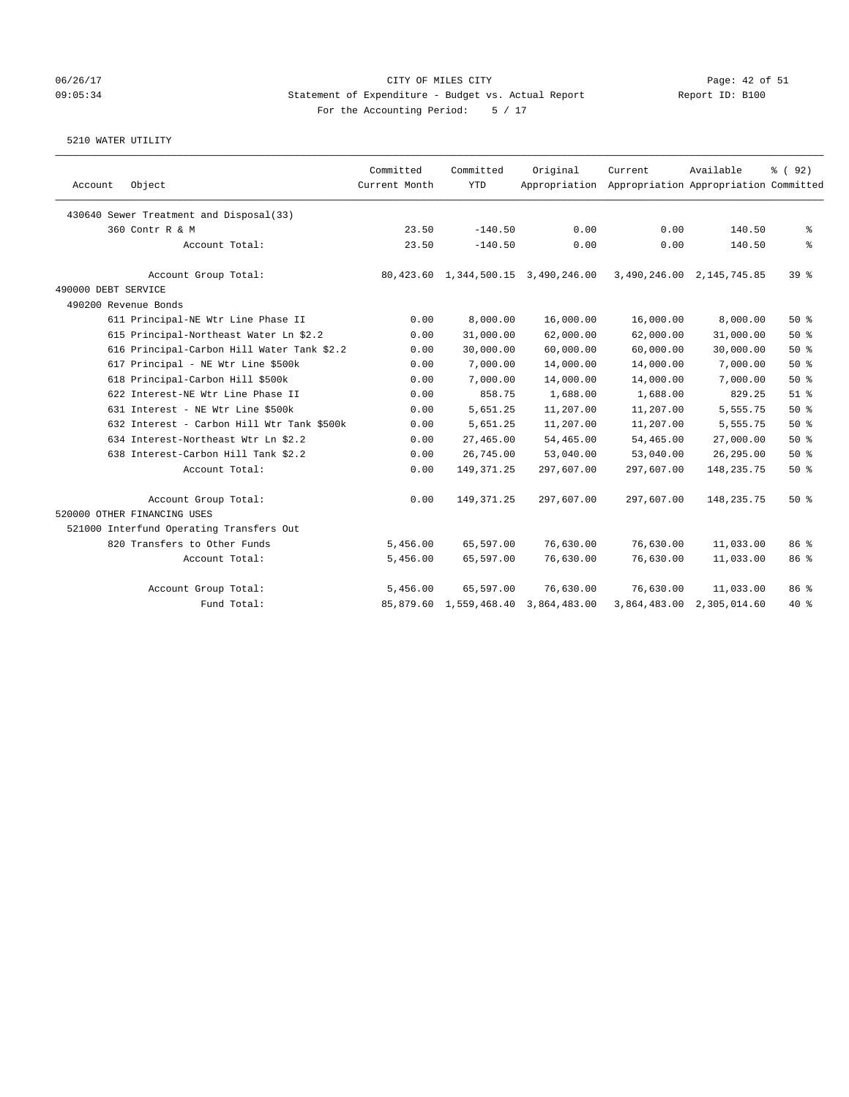#### 06/26/17 CITY OF MILES CITY Page: 42 of 51 09:05:34 Statement of Expenditure - Budget vs. Actual Report Report ID: B100 For the Accounting Period: 5 / 17

|                                            | Committed     | Committed              | Original                            | Current                                             | Available                 | % (92)   |
|--------------------------------------------|---------------|------------------------|-------------------------------------|-----------------------------------------------------|---------------------------|----------|
| Object<br>Account                          | Current Month | <b>YTD</b>             |                                     | Appropriation Appropriation Appropriation Committed |                           |          |
| 430640 Sewer Treatment and Disposal(33)    |               |                        |                                     |                                                     |                           |          |
| 360 Contr R & M                            | 23.50         | $-140.50$              | 0.00                                | 0.00                                                | 140.50                    | နွ       |
| Account Total:                             | 23.50         | $-140.50$              | 0.00                                | 0.00                                                | 140.50                    | ి        |
| Account Group Total:                       |               |                        | 80,423.60 1,344,500.15 3,490,246.00 |                                                     | 3,490,246.00 2,145,745.85 | $39*$    |
| 490000 DEBT SERVICE                        |               |                        |                                     |                                                     |                           |          |
| 490200 Revenue Bonds                       |               |                        |                                     |                                                     |                           |          |
| 611 Principal-NE Wtr Line Phase II         | 0.00          | 8,000.00               | 16,000.00                           | 16,000.00                                           | 8,000.00                  | 50%      |
| 615 Principal-Northeast Water Ln \$2.2     | 0.00          | 31,000.00              | 62,000.00                           | 62,000.00                                           | 31,000.00                 | 50%      |
| 616 Principal-Carbon Hill Water Tank \$2.2 | 0.00          | 30,000.00              | 60,000.00                           | 60,000.00                                           | 30,000.00                 | 50%      |
| 617 Principal - NE Wtr Line \$500k         | 0.00          | 7,000.00               | 14,000.00                           | 14,000.00                                           | 7,000.00                  | 50%      |
| 618 Principal-Carbon Hill \$500k           | 0.00          | 7,000.00               | 14,000.00                           | 14,000.00                                           | 7,000.00                  | 50%      |
| 622 Interest-NE Wtr Line Phase II          | 0.00          | 858.75                 | 1,688.00                            | 1,688.00                                            | 829.25                    | $51$ $%$ |
| 631 Interest - NE Wtr Line \$500k          | 0.00          | 5,651.25               | 11,207.00                           | 11,207.00                                           | 5,555.75                  | 50%      |
| 632 Interest - Carbon Hill Wtr Tank \$500k | 0.00          | 5,651.25               | 11,207.00                           | 11,207.00                                           | 5,555.75                  | 50%      |
| 634 Interest-Northeast Wtr Ln \$2.2        | 0.00          | 27,465.00              | 54,465.00                           | 54,465.00                                           | 27,000.00                 | 50%      |
| 638 Interest-Carbon Hill Tank \$2.2        | 0.00          | 26,745.00              | 53,040.00                           | 53,040.00                                           | 26, 295.00                | 50%      |
| Account Total:                             | 0.00          | 149, 371.25            | 297,607.00                          | 297,607.00                                          | 148, 235. 75              | 50%      |
| Account Group Total:                       | 0.00          | 149, 371.25            | 297,607.00                          | 297,607.00                                          | 148, 235. 75              | 50%      |
| 520000 OTHER FINANCING USES                |               |                        |                                     |                                                     |                           |          |
| 521000 Interfund Operating Transfers Out   |               |                        |                                     |                                                     |                           |          |
| 820 Transfers to Other Funds               | 5,456.00      | 65,597.00              | 76,630.00                           | 76,630.00                                           | 11,033.00                 | 86 %     |
| Account Total:                             | 5,456.00      | 65,597.00              | 76,630.00                           | 76,630.00                                           | 11,033.00                 | 86 %     |
| Account Group Total:                       | 5,456.00      | 65,597.00              | 76,630.00                           | 76,630.00                                           | 11,033.00                 | 86 %     |
| Fund Total:                                |               | 85,879.60 1,559,468.40 | 3,864,483.00                        | 3,864,483.00                                        | 2,305,014.60              | $40*$    |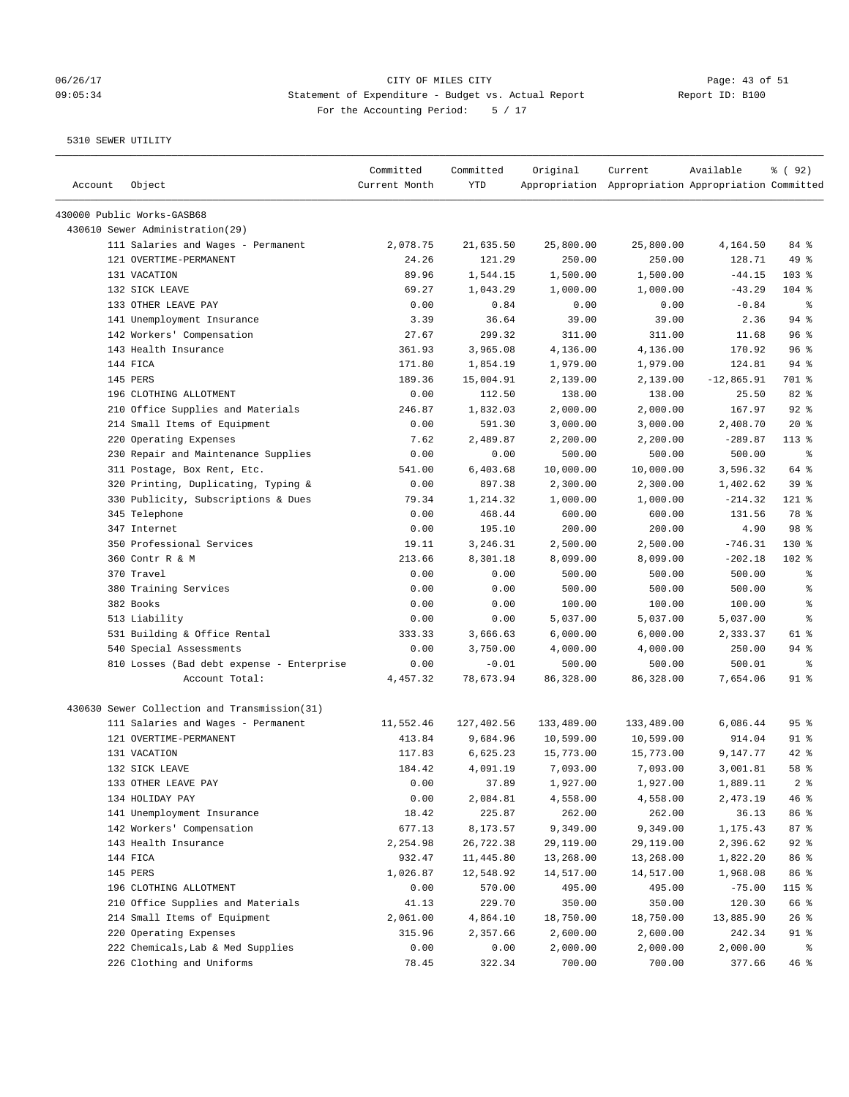# 06/26/17 Page: 43 of 51 09:05:34 Statement of Expenditure - Budget vs. Actual Report Report ID: B100 For the Accounting Period: 5 / 17

| Account | Object                                       | Committed<br>Current Month | Committed<br>YTD | Original   | Current<br>Appropriation Appropriation Appropriation Committed | Available    | % ( 92 )       |
|---------|----------------------------------------------|----------------------------|------------------|------------|----------------------------------------------------------------|--------------|----------------|
|         | 430000 Public Works-GASB68                   |                            |                  |            |                                                                |              |                |
|         | 430610 Sewer Administration(29)              |                            |                  |            |                                                                |              |                |
|         | 111 Salaries and Wages - Permanent           | 2,078.75                   | 21,635.50        | 25,800.00  | 25,800.00                                                      | 4,164.50     | 84 %           |
|         | 121 OVERTIME-PERMANENT                       | 24.26                      | 121.29           | 250.00     | 250.00                                                         | 128.71       | 49 %           |
|         | 131 VACATION                                 | 89.96                      | 1,544.15         | 1,500.00   | 1,500.00                                                       | $-44.15$     | 103 %          |
|         | 132 SICK LEAVE                               | 69.27                      | 1,043.29         | 1,000.00   | 1,000.00                                                       | $-43.29$     | 104%           |
|         | 133 OTHER LEAVE PAY                          | 0.00                       | 0.84             | 0.00       | 0.00                                                           | $-0.84$      | ႜ              |
|         | 141 Unemployment Insurance                   | 3.39                       | 36.64            | 39.00      | 39.00                                                          | 2.36         | $94$ %         |
|         | 142 Workers' Compensation                    | 27.67                      | 299.32           | 311.00     | 311.00                                                         | 11.68        | 96%            |
|         | 143 Health Insurance                         | 361.93                     | 3,965.08         | 4,136.00   | 4,136.00                                                       | 170.92       | 96%            |
|         | 144 FICA                                     | 171.80                     | 1,854.19         | 1,979.00   | 1,979.00                                                       | 124.81       | $94$ %         |
|         | 145 PERS                                     | 189.36                     | 15,004.91        | 2,139.00   | 2,139.00                                                       | $-12,865.91$ | 701 %          |
|         | 196 CLOTHING ALLOTMENT                       | 0.00                       | 112.50           | 138.00     | 138.00                                                         | 25.50        | 82 %           |
|         | 210 Office Supplies and Materials            | 246.87                     | 1,832.03         | 2,000.00   | 2,000.00                                                       | 167.97       | $92$ %         |
|         | 214 Small Items of Equipment                 | 0.00                       | 591.30           | 3,000.00   | 3,000.00                                                       | 2,408.70     | $20*$          |
|         | 220 Operating Expenses                       | 7.62                       | 2,489.87         | 2,200.00   | 2,200.00                                                       | $-289.87$    | $113*$         |
|         | 230 Repair and Maintenance Supplies          | 0.00                       | 0.00             | 500.00     | 500.00                                                         | 500.00       | ႜ              |
|         | 311 Postage, Box Rent, Etc.                  | 541.00                     | 6,403.68         | 10,000.00  | 10,000.00                                                      | 3,596.32     | 64 %           |
|         | 320 Printing, Duplicating, Typing &          | 0.00                       | 897.38           | 2,300.00   | 2,300.00                                                       | 1,402.62     | 39%            |
|         | 330 Publicity, Subscriptions & Dues          | 79.34                      | 1,214.32         | 1,000.00   | 1,000.00                                                       | $-214.32$    | 121 %          |
|         | 345 Telephone                                | 0.00                       | 468.44           | 600.00     | 600.00                                                         | 131.56       | 78 %           |
|         | 347 Internet                                 | 0.00                       | 195.10           | 200.00     | 200.00                                                         | 4.90         | 98 %           |
|         | 350 Professional Services                    | 19.11                      | 3,246.31         | 2,500.00   | 2,500.00                                                       | $-746.31$    | $130*$         |
|         | 360 Contr R & M                              | 213.66                     | 8,301.18         | 8,099.00   | 8,099.00                                                       | $-202.18$    | $102$ %        |
|         | 370 Travel                                   | 0.00                       | 0.00             | 500.00     | 500.00                                                         | 500.00       | $\epsilon$     |
|         | 380 Training Services                        | 0.00                       | 0.00             | 500.00     | 500.00                                                         | 500.00       | ႜ              |
|         | 382 Books                                    | 0.00                       | 0.00             | 100.00     | 100.00                                                         | 100.00       | နွ             |
|         | 513 Liability                                | 0.00                       | 0.00             | 5,037.00   | 5,037.00                                                       | 5,037.00     | နွ             |
|         | 531 Building & Office Rental                 | 333.33                     | 3,666.63         | 6,000.00   | 6,000.00                                                       | 2,333.37     | 61 %           |
|         | 540 Special Assessments                      | 0.00                       | 3,750.00         | 4,000.00   | 4,000.00                                                       | 250.00       | $94$ %         |
|         | 810 Losses (Bad debt expense - Enterprise    | 0.00                       | $-0.01$          | 500.00     | 500.00                                                         | 500.01       | ႜ              |
|         | Account Total:                               | 4,457.32                   | 78,673.94        | 86,328.00  | 86,328.00                                                      | 7,654.06     | $91$ %         |
|         | 430630 Sewer Collection and Transmission(31) |                            |                  |            |                                                                |              |                |
|         | 111 Salaries and Wages - Permanent           | 11,552.46                  | 127,402.56       | 133,489.00 | 133,489.00                                                     | 6,086.44     | 95%            |
|         | 121 OVERTIME-PERMANENT                       | 413.84                     | 9,684.96         | 10,599.00  | 10,599.00                                                      | 914.04       | $91$ %         |
|         | 131 VACATION                                 | 117.83                     | 6,625.23         | 15,773.00  | 15,773.00                                                      | 9,147.77     | $42$ %         |
|         | 132 SICK LEAVE                               | 184.42                     | 4,091.19         | 7,093.00   | 7,093.00                                                       | 3,001.81     | 58 %           |
|         | 133 OTHER LEAVE PAY                          | 0.00                       | 37.89            | 1,927.00   | 1,927.00                                                       | 1,889.11     | 2 <sub>8</sub> |
|         | 134 HOLIDAY PAY                              | 0.00                       | 2,084.81         | 4,558.00   | 4,558.00                                                       | 2,473.19     | 46 %           |
|         | 141 Unemployment Insurance                   | 18.42                      | 225.87           | 262.00     | 262.00                                                         | 36.13        | 86 %           |
|         | 142 Workers' Compensation                    | 677.13                     | 8,173.57         | 9,349.00   | 9,349.00                                                       | 1,175.43     | 87%            |
|         | 143 Health Insurance                         | 2,254.98                   | 26,722.38        | 29,119.00  | 29,119.00                                                      | 2,396.62     | $92$ $%$       |
|         | 144 FICA                                     | 932.47                     | 11,445.80        | 13,268.00  | 13,268.00                                                      | 1,822.20     | 86 %           |
|         | 145 PERS                                     | 1,026.87                   | 12,548.92        | 14,517.00  | 14,517.00                                                      | 1,968.08     | 86 %           |
|         | 196 CLOTHING ALLOTMENT                       | 0.00                       | 570.00           | 495.00     | 495.00                                                         | $-75.00$     | 115 %          |
|         | 210 Office Supplies and Materials            | 41.13                      | 229.70           | 350.00     | 350.00                                                         | 120.30       | 66 %           |
|         | 214 Small Items of Equipment                 | 2,061.00                   | 4,864.10         | 18,750.00  | 18,750.00                                                      | 13,885.90    | 26%            |
|         | 220 Operating Expenses                       | 315.96                     | 2,357.66         | 2,600.00   | 2,600.00                                                       | 242.34       | 91 %           |
|         | 222 Chemicals, Lab & Med Supplies            | 0.00                       | 0.00             | 2,000.00   | 2,000.00                                                       | 2,000.00     | ိစ             |
|         | 226 Clothing and Uniforms                    | 78.45                      | 322.34           | 700.00     | 700.00                                                         | 377.66       | 46%            |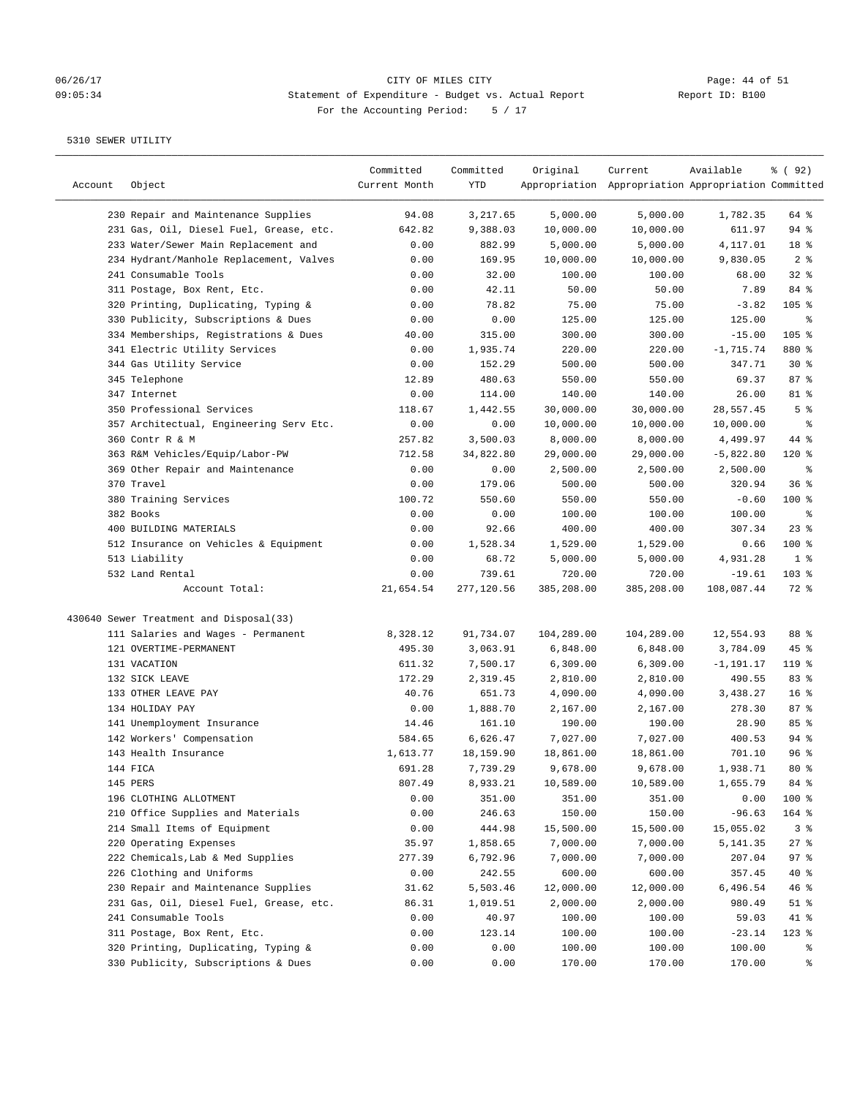# 06/26/17 CITY OF MILES CITY Page: 44 of 51 09:05:34 Statement of Expenditure - Budget vs. Actual Report For the Accounting Period: 5 / 17

| Account | Object                                  | Committed<br>Current Month | Committed<br>YTD | Original   | Current<br>Appropriation Appropriation Appropriation Committed | Available    | % ( 92 )        |
|---------|-----------------------------------------|----------------------------|------------------|------------|----------------------------------------------------------------|--------------|-----------------|
|         | 230 Repair and Maintenance Supplies     | 94.08                      | 3,217.65         | 5,000.00   | 5,000.00                                                       | 1,782.35     | 64 %            |
|         | 231 Gas, Oil, Diesel Fuel, Grease, etc. | 642.82                     | 9,388.03         | 10,000.00  | 10,000.00                                                      | 611.97       | $94$ %          |
|         | 233 Water/Sewer Main Replacement and    | 0.00                       | 882.99           | 5,000.00   | 5,000.00                                                       | 4,117.01     | 18 %            |
|         | 234 Hydrant/Manhole Replacement, Valves | 0.00                       | 169.95           | 10,000.00  | 10,000.00                                                      | 9,830.05     | 2 <sup>8</sup>  |
|         | 241 Consumable Tools                    | 0.00                       | 32.00            | 100.00     | 100.00                                                         | 68.00        | $32$ $%$        |
|         | 311 Postage, Box Rent, Etc.             | 0.00                       | 42.11            | 50.00      | 50.00                                                          | 7.89         | 84 %            |
|         | 320 Printing, Duplicating, Typing &     | 0.00                       | 78.82            | 75.00      | 75.00                                                          | $-3.82$      | $105$ %         |
|         | 330 Publicity, Subscriptions & Dues     | 0.00                       | 0.00             | 125.00     | 125.00                                                         | 125.00       | နွ              |
|         | 334 Memberships, Registrations & Dues   | 40.00                      | 315.00           | 300.00     | 300.00                                                         | $-15.00$     | 105 %           |
|         | 341 Electric Utility Services           | 0.00                       | 1,935.74         | 220.00     | 220.00                                                         | $-1,715.74$  | 880 %           |
|         | 344 Gas Utility Service                 | 0.00                       | 152.29           | 500.00     | 500.00                                                         | 347.71       | $30*$           |
|         | 345 Telephone                           | 12.89                      | 480.63           | 550.00     | 550.00                                                         | 69.37        | 87%             |
|         | 347 Internet                            | 0.00                       | 114.00           | 140.00     | 140.00                                                         | 26.00        | 81 %            |
|         | 350 Professional Services               | 118.67                     | 1,442.55         | 30,000.00  | 30,000.00                                                      | 28,557.45    | 5 <sup>8</sup>  |
|         | 357 Architectual, Engineering Serv Etc. | 0.00                       | 0.00             | 10,000.00  | 10,000.00                                                      | 10,000.00    | ್ಠಿ             |
|         | 360 Contr R & M                         | 257.82                     | 3,500.03         | 8,000.00   | 8,000.00                                                       | 4,499.97     | 44 %            |
|         | 363 R&M Vehicles/Equip/Labor-PW         | 712.58                     | 34,822.80        | 29,000.00  | 29,000.00                                                      | $-5,822.80$  | $120$ %         |
|         | 369 Other Repair and Maintenance        | 0.00                       | 0.00             | 2,500.00   | 2,500.00                                                       | 2,500.00     | နွ              |
|         | 370 Travel                              | 0.00                       | 179.06           | 500.00     | 500.00                                                         | 320.94       | 36%             |
|         | 380 Training Services                   | 100.72                     | 550.60           | 550.00     | 550.00                                                         | $-0.60$      | $100$ %         |
|         | 382 Books                               | 0.00                       | 0.00             | 100.00     | 100.00                                                         | 100.00       | နွ              |
|         | 400 BUILDING MATERIALS                  | 0.00                       | 92.66            | 400.00     | 400.00                                                         | 307.34       | $23$ %          |
|         | 512 Insurance on Vehicles & Equipment   | 0.00                       | 1,528.34         | 1,529.00   | 1,529.00                                                       | 0.66         | $100$ %         |
|         | 513 Liability                           | 0.00                       | 68.72            | 5,000.00   | 5,000.00                                                       | 4,931.28     | 1 <sup>8</sup>  |
|         | 532 Land Rental                         | 0.00                       | 739.61           | 720.00     | 720.00                                                         | $-19.61$     | $103$ %         |
|         | Account Total:                          | 21,654.54                  | 277,120.56       | 385,208.00 | 385,208.00                                                     | 108,087.44   | 72 %            |
|         | 430640 Sewer Treatment and Disposal(33) |                            |                  |            |                                                                |              |                 |
|         | 111 Salaries and Wages - Permanent      | 8,328.12                   | 91,734.07        | 104,289.00 | 104,289.00                                                     | 12,554.93    | 88 %            |
|         | 121 OVERTIME-PERMANENT                  | 495.30                     | 3,063.91         | 6,848.00   | 6,848.00                                                       | 3,784.09     | $45$ %          |
|         | 131 VACATION                            | 611.32                     | 7,500.17         | 6,309.00   | 6,309.00                                                       | $-1, 191.17$ | $119$ %         |
|         | 132 SICK LEAVE                          | 172.29                     | 2,319.45         | 2,810.00   | 2,810.00                                                       | 490.55       | 83%             |
|         | 133 OTHER LEAVE PAY                     | 40.76                      | 651.73           | 4,090.00   | 4,090.00                                                       | 3,438.27     | 16 <sup>8</sup> |
|         | 134 HOLIDAY PAY                         | 0.00                       | 1,888.70         | 2,167.00   | 2,167.00                                                       | 278.30       | 87%             |
|         | 141 Unemployment Insurance              | 14.46                      | 161.10           | 190.00     | 190.00                                                         | 28.90        | 85%             |
|         | 142 Workers' Compensation               | 584.65                     | 6,626.47         | 7,027.00   | 7,027.00                                                       | 400.53       | 94%             |
|         | 143 Health Insurance                    | 1,613.77                   | 18,159.90        | 18,861.00  | 18,861.00                                                      | 701.10       | 96%             |
|         | 144 FICA                                | 691.28                     | 7,739.29         | 9,678.00   | 9,678.00                                                       | 1,938.71     | $80*$           |
|         | 145 PERS                                | 807.49                     | 8,933.21         | 10,589.00  | 10,589.00                                                      | 1,655.79     | 84 %            |
|         | 196 CLOTHING ALLOTMENT                  | 0.00                       | 351.00           | 351.00     | 351.00                                                         | 0.00         | 100 %           |
|         | 210 Office Supplies and Materials       | 0.00                       | 246.63           | 150.00     | 150.00                                                         | $-96.63$     | 164 %           |
|         | 214 Small Items of Equipment            | 0.00                       | 444.98           | 15,500.00  | 15,500.00                                                      | 15,055.02    | 3%              |
|         | 220 Operating Expenses                  | 35.97                      | 1,858.65         | 7,000.00   | 7,000.00                                                       | 5,141.35     | $27$ %          |
|         | 222 Chemicals, Lab & Med Supplies       | 277.39                     | 6,792.96         | 7,000.00   | 7,000.00                                                       | 207.04       | 97%             |
|         | 226 Clothing and Uniforms               | 0.00                       | 242.55           | 600.00     | 600.00                                                         | 357.45       | 40 %            |
|         | 230 Repair and Maintenance Supplies     | 31.62                      | 5,503.46         | 12,000.00  | 12,000.00                                                      | 6,496.54     | 46%             |
|         | 231 Gas, Oil, Diesel Fuel, Grease, etc. | 86.31                      | 1,019.51         | 2,000.00   | 2,000.00                                                       | 980.49       | $51$ %          |
|         | 241 Consumable Tools                    | 0.00                       | 40.97            | 100.00     | 100.00                                                         | 59.03        | 41 %            |
|         | 311 Postage, Box Rent, Etc.             | 0.00                       | 123.14           | 100.00     | 100.00                                                         | $-23.14$     | $123$ %         |
|         | 320 Printing, Duplicating, Typing &     | 0.00                       | 0.00             | 100.00     | 100.00                                                         | 100.00       | ိစ              |
|         | 330 Publicity, Subscriptions & Dues     | 0.00                       | 0.00             | 170.00     | 170.00                                                         | 170.00       | ွေ              |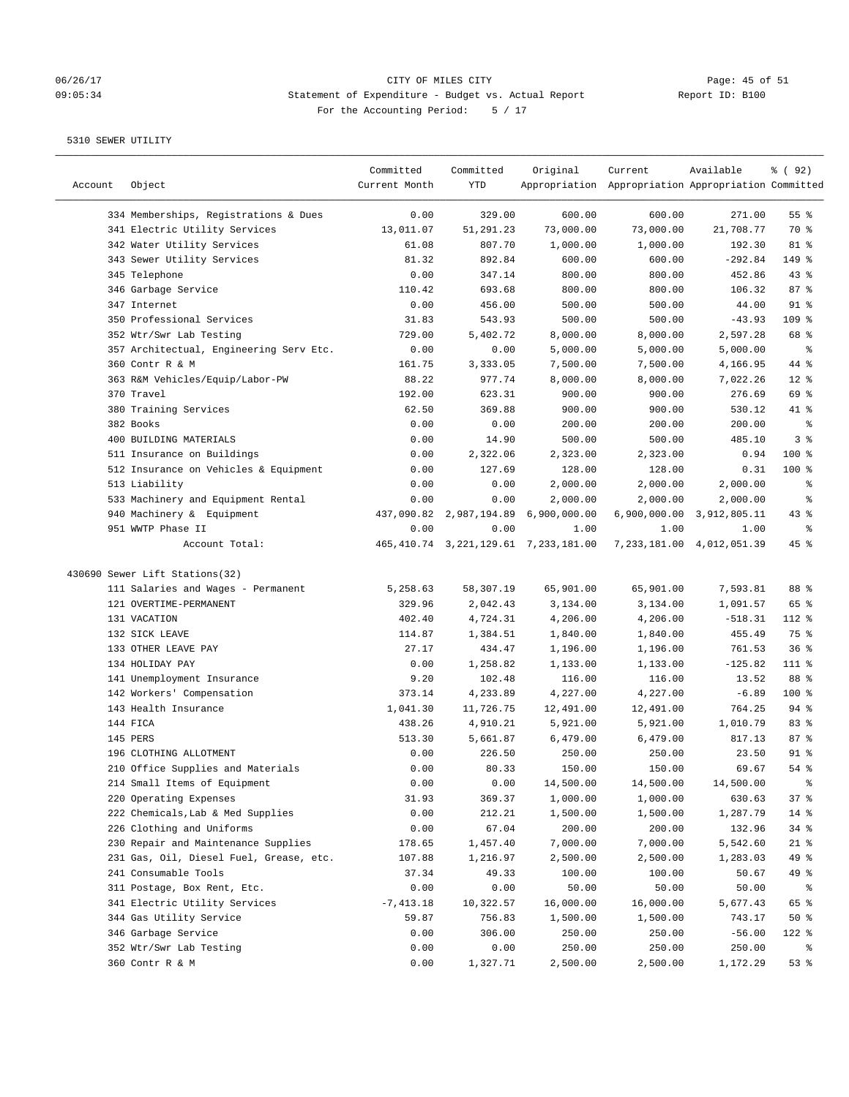# 06/26/17 CITY OF MILES CITY<br>09:05:34 Statement of Expenditure - Budget vs. Actual Report Report ID: B100 09:05:34 Statement of Expenditure - Budget vs. Actual Report For the Accounting Period: 5 / 17

————————————————————————————————————————————————————————————————————————————————————————————————————————————————————————————————————

|         |                                         | Committed     | Committed | Original                                  | Current                                             | Available                 | 8 (92)          |
|---------|-----------------------------------------|---------------|-----------|-------------------------------------------|-----------------------------------------------------|---------------------------|-----------------|
| Account | Object                                  | Current Month | YTD       |                                           | Appropriation Appropriation Appropriation Committed |                           |                 |
|         | 334 Memberships, Registrations & Dues   | 0.00          | 329.00    | 600.00                                    | 600.00                                              | 271.00                    | 55 <sup>8</sup> |
|         | 341 Electric Utility Services           | 13,011.07     | 51,291.23 | 73,000.00                                 | 73,000.00                                           | 21,708.77                 | 70 %            |
|         | 342 Water Utility Services              | 61.08         | 807.70    | 1,000.00                                  | 1,000.00                                            | 192.30                    | 81 %            |
|         | 343 Sewer Utility Services              | 81.32         | 892.84    | 600.00                                    | 600.00                                              | $-292.84$                 | 149 %           |
|         | 345 Telephone                           | 0.00          | 347.14    | 800.00                                    | 800.00                                              | 452.86                    | 43%             |
|         | 346 Garbage Service                     | 110.42        | 693.68    | 800.00                                    | 800.00                                              | 106.32                    | 87%             |
|         | 347 Internet                            | 0.00          | 456.00    | 500.00                                    | 500.00                                              | 44.00                     | $91$ %          |
|         | 350 Professional Services               | 31.83         | 543.93    | 500.00                                    | 500.00                                              | $-43.93$                  | 109 %           |
|         | 352 Wtr/Swr Lab Testing                 | 729.00        | 5,402.72  | 8,000.00                                  | 8,000.00                                            | 2,597.28                  | 68 %            |
|         | 357 Architectual, Engineering Serv Etc. | 0.00          | 0.00      | 5,000.00                                  | 5,000.00                                            | 5,000.00                  | နွ              |
|         | 360 Contr R & M                         | 161.75        | 3,333.05  | 7,500.00                                  | 7,500.00                                            | 4,166.95                  | 44 %            |
|         | 363 R&M Vehicles/Equip/Labor-PW         | 88.22         | 977.74    | 8,000.00                                  | 8,000.00                                            | 7,022.26                  | $12*$           |
|         | 370 Travel                              | 192.00        | 623.31    | 900.00                                    | 900.00                                              | 276.69                    | 69 %            |
|         | 380 Training Services                   | 62.50         | 369.88    | 900.00                                    | 900.00                                              | 530.12                    | 41 %            |
|         | 382 Books                               | 0.00          | 0.00      | 200.00                                    | 200.00                                              | 200.00                    | နွ              |
|         | 400 BUILDING MATERIALS                  | 0.00          | 14.90     | 500.00                                    | 500.00                                              | 485.10                    | 3%              |
|         | 511 Insurance on Buildings              | 0.00          | 2,322.06  | 2,323.00                                  | 2,323.00                                            | 0.94                      | $100*$          |
|         | 512 Insurance on Vehicles & Equipment   | 0.00          | 127.69    | 128.00                                    | 128.00                                              | 0.31                      | $100$ %         |
|         | 513 Liability                           | 0.00          | 0.00      | 2,000.00                                  | 2,000.00                                            | 2,000.00                  | ್ಠಿ             |
|         | 533 Machinery and Equipment Rental      | 0.00          | 0.00      | 2,000.00                                  | 2,000.00                                            | 2,000.00                  | နွ              |
|         | 940 Machinery & Equipment               |               |           | 437,090.82 2,987,194.89 6,900,000.00      |                                                     | 6,900,000.00 3,912,805.11 | $43$ $%$        |
|         | 951 WWTP Phase II                       | 0.00          | 0.00      | 1.00                                      | 1.00                                                | 1.00                      | နွ              |
|         | Account Total:                          |               |           | 465, 410.74 3, 221, 129.61 7, 233, 181.00 |                                                     | 7,233,181.00 4,012,051.39 | 45 %            |
|         |                                         |               |           |                                           |                                                     |                           |                 |
|         | 430690 Sewer Lift Stations(32)          |               |           |                                           |                                                     |                           |                 |
|         | 111 Salaries and Wages - Permanent      | 5,258.63      | 58,307.19 | 65,901.00                                 | 65,901.00                                           | 7,593.81                  | 88 %            |
|         | 121 OVERTIME-PERMANENT                  | 329.96        | 2,042.43  | 3,134.00                                  | 3,134.00                                            | 1,091.57                  | 65 %            |
|         | 131 VACATION                            | 402.40        | 4,724.31  | 4,206.00                                  | 4,206.00                                            | $-518.31$                 | 112 %           |
|         | 132 SICK LEAVE                          | 114.87        | 1,384.51  | 1,840.00                                  | 1,840.00                                            | 455.49                    | 75 %            |
|         | 133 OTHER LEAVE PAY                     | 27.17         | 434.47    | 1,196.00                                  | 1,196.00                                            | 761.53                    | 36%             |
|         | 134 HOLIDAY PAY                         | 0.00          | 1,258.82  | 1,133.00                                  | 1,133.00                                            | $-125.82$                 | 111 %           |
|         | 141 Unemployment Insurance              | 9.20          | 102.48    | 116.00                                    | 116.00                                              | 13.52                     | 88 %            |
|         | 142 Workers' Compensation               | 373.14        | 4,233.89  | 4,227.00                                  | 4,227.00                                            | $-6.89$                   | $100*$          |
|         | 143 Health Insurance                    | 1,041.30      | 11,726.75 | 12,491.00                                 | 12,491.00                                           | 764.25                    | $94$ %          |
|         | 144 FICA                                | 438.26        | 4,910.21  | 5,921.00                                  | 5,921.00                                            | 1,010.79                  | 83%             |
|         | 145 PERS                                | 513.30        | 5,661.87  | 6,479.00                                  | 6,479.00                                            | 817.13                    | 87%             |
|         | 196 CLOTHING ALLOTMENT                  | 0.00          | 226.50    | 250.00                                    | 250.00                                              | 23.50                     | $91$ %          |
|         | 210 Office Supplies and Materials       | 0.00          | 80.33     | 150.00                                    | 150.00                                              | 69.67                     | $54$ %          |
|         | 214 Small Items of Equipment            | 0.00          | 0.00      | 14,500.00                                 | 14,500.00                                           | 14,500.00                 |                 |
|         | 220 Operating Expenses                  | 31.93         | 369.37    | 1,000.00                                  | 1,000.00                                            | 630.63                    | 37 %            |
|         | 222 Chemicals, Lab & Med Supplies       | 0.00          | 212.21    | 1,500.00                                  | 1,500.00                                            | 1,287.79                  | $14$ %          |
|         | 226 Clothing and Uniforms               | 0.00          | 67.04     | 200.00                                    | 200.00                                              | 132.96                    | 34%             |
|         | 230 Repair and Maintenance Supplies     | 178.65        | 1,457.40  | 7,000.00                                  | 7,000.00                                            | 5,542.60                  | $21$ %          |
|         | 231 Gas, Oil, Diesel Fuel, Grease, etc. | 107.88        | 1,216.97  | 2,500.00                                  | 2,500.00                                            | 1,283.03                  | 49 %            |
|         | 241 Consumable Tools                    | 37.34         | 49.33     | 100.00                                    | 100.00                                              | 50.67                     | 49 %            |
|         | 311 Postage, Box Rent, Etc.             | 0.00          | 0.00      | 50.00                                     | 50.00                                               | 50.00                     | ႜ               |
|         | 341 Electric Utility Services           | $-7,413.18$   | 10,322.57 | 16,000.00                                 | 16,000.00                                           | 5,677.43                  | 65 %            |
|         | 344 Gas Utility Service                 | 59.87         | 756.83    | 1,500.00                                  | 1,500.00                                            | 743.17                    | 50%             |
|         | 346 Garbage Service                     | 0.00          | 306.00    | 250.00                                    | 250.00                                              | $-56.00$                  | 122 %           |
|         | 352 Wtr/Swr Lab Testing                 | 0.00          | 0.00      | 250.00                                    | 250.00                                              | 250.00                    | ိစ              |
|         | 360 Contr R & M                         | 0.00          | 1,327.71  | 2,500.00                                  | 2,500.00                                            | 1,172.29                  | 53%             |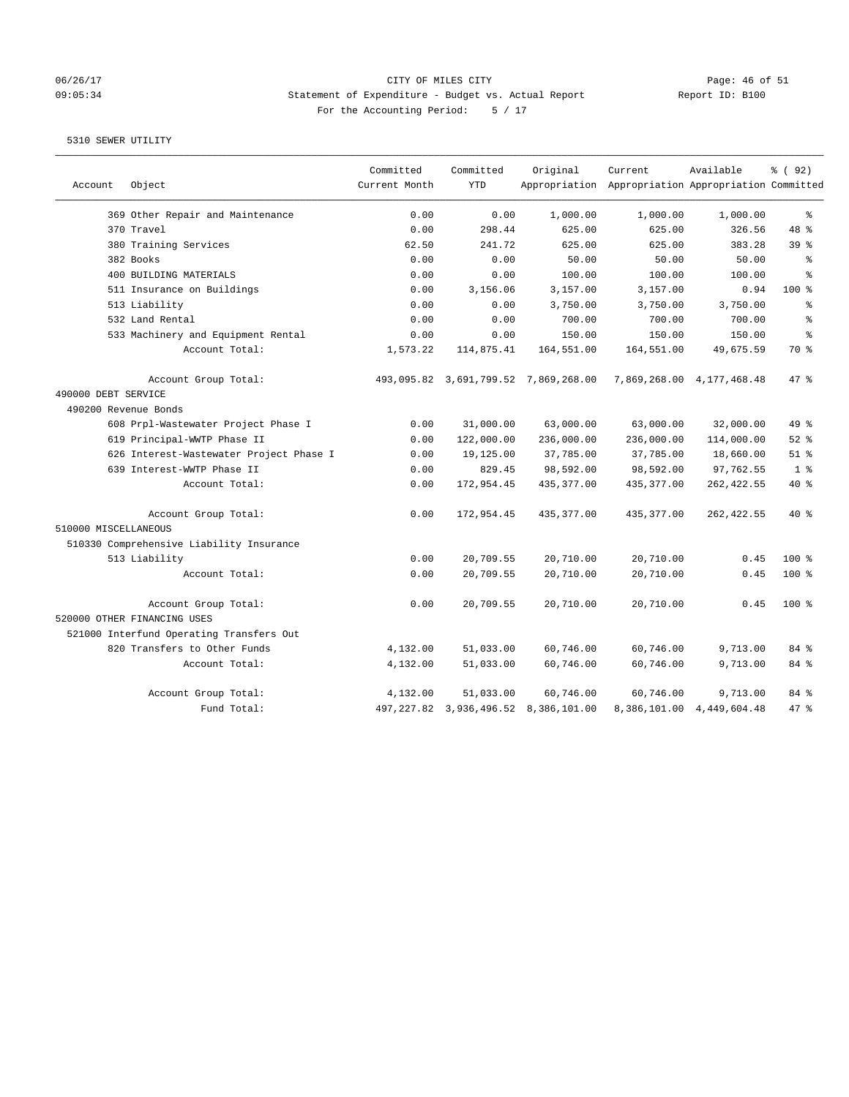# 06/26/17 CITY OF MILES CITY<br>09:05:34 Statement of Expenditure - Budget vs. Actual Report Report ID: B100 09:05:34 Statement of Expenditure - Budget vs. Actual Report Report ID: B100 For the Accounting Period: 5 / 17

| Account              | Object                                   | Committed<br>Current Month | Committed<br><b>YTD</b>    | Original                             | Current<br>Appropriation Appropriation Appropriation Committed | Available                 | % (92)         |
|----------------------|------------------------------------------|----------------------------|----------------------------|--------------------------------------|----------------------------------------------------------------|---------------------------|----------------|
|                      | 369 Other Repair and Maintenance         | 0.00                       | 0.00                       | 1,000.00                             | 1,000.00                                                       | 1,000.00                  | နွ             |
|                      | 370 Travel                               | 0.00                       | 298.44                     | 625.00                               | 625.00                                                         | 326.56                    | 48 %           |
|                      | 380 Training Services                    | 62.50                      | 241.72                     | 625.00                               | 625.00                                                         | 383.28                    | 39 %           |
|                      | 382 Books                                | 0.00                       | 0.00                       | 50.00                                | 50.00                                                          | 50.00                     | န္             |
|                      | 400 BUILDING MATERIALS                   | 0.00                       | 0.00                       | 100.00                               | 100.00                                                         | 100.00                    | 昙              |
|                      | 511 Insurance on Buildings               | 0.00                       | 3,156.06                   | 3,157.00                             | 3,157.00                                                       | 0.94                      | $100*$         |
|                      | 513 Liability                            | 0.00                       | 0.00                       | 3,750.00                             | 3,750.00                                                       | 3,750.00                  | ÷.             |
|                      | 532 Land Rental                          | 0.00                       | 0.00                       | 700.00                               | 700.00                                                         | 700.00                    | 昙              |
|                      | 533 Machinery and Equipment Rental       | 0.00                       | 0.00                       | 150.00                               | 150.00                                                         | 150.00                    | 昙              |
|                      | Account Total:                           | 1,573.22                   | 114,875.41                 | 164,551.00                           | 164,551.00                                                     | 49,675.59                 | 70 %           |
|                      | Account Group Total:                     |                            |                            | 493,095.82 3,691,799.52 7,869,268.00 |                                                                | 7,869,268.00 4,177,468.48 | 47.8           |
| 490000 DEBT SERVICE  |                                          |                            |                            |                                      |                                                                |                           |                |
| 490200 Revenue Bonds |                                          |                            |                            |                                      |                                                                |                           |                |
|                      | 608 Prpl-Wastewater Project Phase I      | 0.00                       | 31,000.00                  | 63,000.00                            | 63,000.00                                                      | 32,000.00                 | 49 %           |
|                      | 619 Principal-WWTP Phase II              | 0.00                       | 122,000.00                 | 236,000.00                           | 236,000.00                                                     | 114,000.00                | $52$ $%$       |
|                      | 626 Interest-Wastewater Project Phase I  | 0.00                       | 19,125.00                  | 37,785.00                            | 37,785.00                                                      | 18,660.00                 | $51$ %         |
|                      | 639 Interest-WWTP Phase II               | 0.00                       | 829.45                     | 98,592.00                            | 98,592.00                                                      | 97,762.55                 | 1 <sup>8</sup> |
|                      | Account Total:                           | 0.00                       | 172,954.45                 | 435, 377.00                          | 435, 377.00                                                    | 262,422.55                | 40 %           |
| 510000 MISCELLANEOUS | Account Group Total:                     | 0.00                       | 172,954.45                 | 435, 377.00                          | 435, 377.00                                                    | 262, 422.55               | $40*$          |
|                      | 510330 Comprehensive Liability Insurance |                            |                            |                                      |                                                                |                           |                |
|                      | 513 Liability                            | 0.00                       | 20,709.55                  | 20,710.00                            | 20,710.00                                                      | 0.45                      | $100$ %        |
|                      | Account Total:                           | 0.00                       | 20,709.55                  | 20,710.00                            | 20,710.00                                                      | 0.45                      | 100%           |
|                      | Account Group Total:                     | 0.00                       | 20,709.55                  | 20,710.00                            | 20,710.00                                                      | 0.45                      | $100*$         |
|                      | 520000 OTHER FINANCING USES              |                            |                            |                                      |                                                                |                           |                |
|                      | 521000 Interfund Operating Transfers Out |                            |                            |                                      |                                                                |                           |                |
|                      | 820 Transfers to Other Funds             | 4,132.00                   | 51,033.00                  | 60,746.00                            | 60,746.00                                                      | 9,713.00                  | 84 %           |
|                      | Account Total:                           | 4,132.00                   | 51,033.00                  | 60,746.00                            | 60,746.00                                                      | 9,713.00                  | 84 %           |
|                      | Account Group Total:                     | 4,132.00                   | 51,033.00                  | 60,746.00                            | 60,746.00                                                      | 9,713.00                  | 84 %           |
|                      | Fund Total:                              |                            | 497, 227.82 3, 936, 496.52 | 8,386,101.00                         |                                                                | 8,386,101.00 4,449,604.48 | 47%            |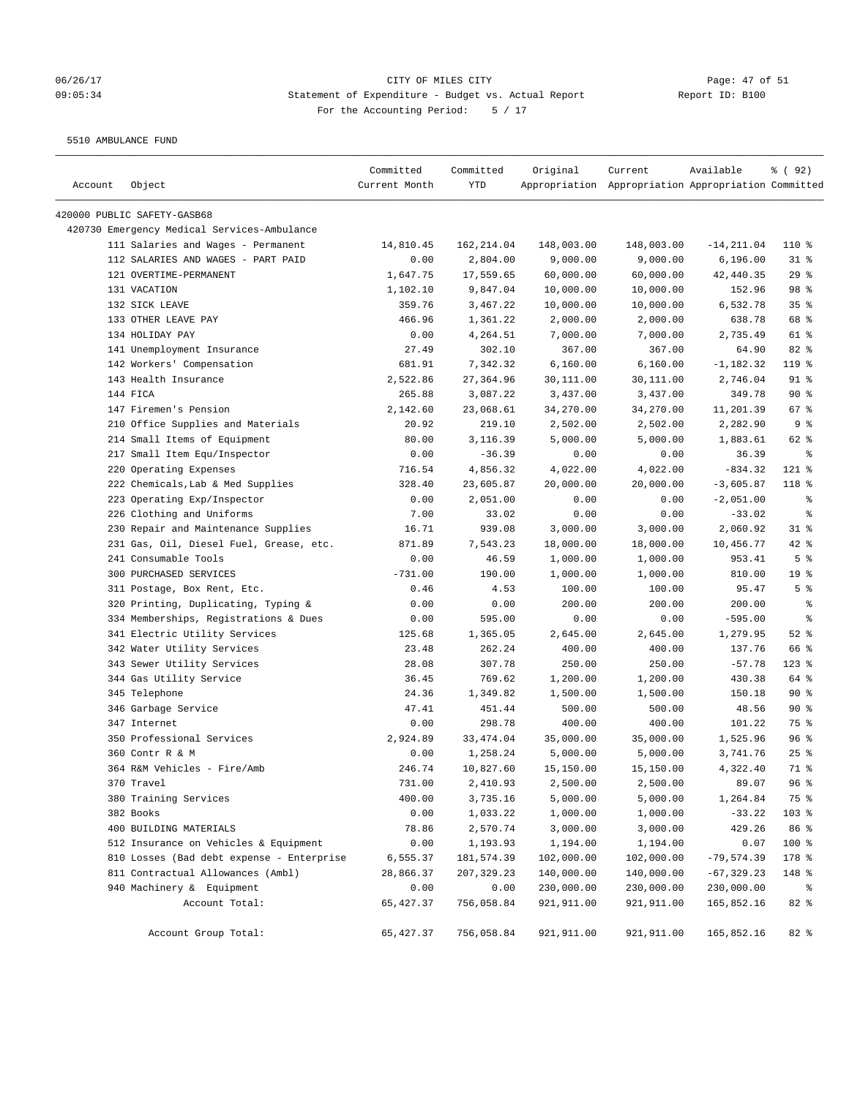# 06/26/17 Page: 47 of 51 09:05:34 Statement of Expenditure - Budget vs. Actual Report Report ID: B100 For the Accounting Period: 5 / 17

5510 AMBULANCE FUND

| Account | Object                                      | Committed<br>Current Month | Committed<br>YTD | Original    | Current<br>Appropriation Appropriation Appropriation Committed | Available     | % ( 92 )        |
|---------|---------------------------------------------|----------------------------|------------------|-------------|----------------------------------------------------------------|---------------|-----------------|
|         |                                             |                            |                  |             |                                                                |               |                 |
|         | 420000 PUBLIC SAFETY-GASB68                 |                            |                  |             |                                                                |               |                 |
|         | 420730 Emergency Medical Services-Ambulance |                            |                  |             |                                                                |               |                 |
|         | 111 Salaries and Wages - Permanent          | 14,810.45                  | 162,214.04       | 148,003.00  | 148,003.00                                                     | $-14, 211.04$ | 110 %           |
|         | 112 SALARIES AND WAGES - PART PAID          | 0.00                       | 2,804.00         | 9,000.00    | 9,000.00                                                       | 6, 196.00     | $31$ %          |
|         | 121 OVERTIME-PERMANENT                      | 1,647.75                   | 17,559.65        | 60,000.00   | 60,000.00                                                      | 42,440.35     | 29%             |
|         | 131 VACATION                                | 1,102.10                   | 9,847.04         | 10,000.00   | 10,000.00                                                      | 152.96        | 98 %            |
|         | 132 SICK LEAVE                              | 359.76                     | 3,467.22         | 10,000.00   | 10,000.00                                                      | 6,532.78      | 35 <sup>8</sup> |
|         | 133 OTHER LEAVE PAY                         | 466.96                     | 1,361.22         | 2,000.00    | 2,000.00                                                       | 638.78        | 68 %            |
|         | 134 HOLIDAY PAY                             | 0.00                       | 4,264.51         | 7,000.00    | 7,000.00                                                       | 2,735.49      | 61 %            |
|         | 141 Unemployment Insurance                  | 27.49                      | 302.10           | 367.00      | 367.00                                                         | 64.90         | $82$ %          |
|         | 142 Workers' Compensation                   | 681.91                     | 7,342.32         | 6,160.00    | 6,160.00                                                       | $-1,182.32$   | 119 %           |
|         | 143 Health Insurance                        | 2,522.86                   | 27,364.96        | 30,111.00   | 30,111.00                                                      | 2,746.04      | $91$ %          |
|         | 144 FICA                                    | 265.88                     | 3,087.22         | 3,437.00    | 3,437.00                                                       | 349.78        | $90*$           |
|         | 147 Firemen's Pension                       | 2,142.60                   | 23,068.61        | 34,270.00   | 34,270.00                                                      | 11,201.39     | 67 %            |
|         | 210 Office Supplies and Materials           | 20.92                      | 219.10           | 2,502.00    | 2,502.00                                                       | 2,282.90      | 9%              |
|         | 214 Small Items of Equipment                | 80.00                      | 3,116.39         | 5,000.00    | 5,000.00                                                       | 1,883.61      | 62 %            |
|         | 217 Small Item Equ/Inspector                | 0.00                       | $-36.39$         | 0.00        | 0.00                                                           | 36.39         | ႜ               |
|         | 220 Operating Expenses                      | 716.54                     | 4,856.32         | 4,022.00    | 4,022.00                                                       | $-834.32$     | 121 %           |
|         | 222 Chemicals, Lab & Med Supplies           | 328.40                     | 23,605.87        | 20,000.00   | 20,000.00                                                      | $-3,605.87$   | 118 %           |
|         | 223 Operating Exp/Inspector                 | 0.00                       | 2,051.00         | 0.00        | 0.00                                                           | $-2,051.00$   | ್ಠಿ             |
|         | 226 Clothing and Uniforms                   | 7.00                       | 33.02            | 0.00        | 0.00                                                           | $-33.02$      | နွ              |
|         | 230 Repair and Maintenance Supplies         | 16.71                      | 939.08           | 3,000.00    | 3,000.00                                                       | 2,060.92      | $31$ %          |
|         | 231 Gas, Oil, Diesel Fuel, Grease, etc.     | 871.89                     | 7,543.23         | 18,000.00   | 18,000.00                                                      | 10,456.77     | $42$ %          |
|         | 241 Consumable Tools                        | 0.00                       | 46.59            | 1,000.00    | 1,000.00                                                       | 953.41        | 5 <sup>8</sup>  |
|         | 300 PURCHASED SERVICES                      | $-731.00$                  | 190.00           | 1,000.00    | 1,000.00                                                       | 810.00        | 19 <sup>°</sup> |
|         | 311 Postage, Box Rent, Etc.                 | 0.46                       | 4.53             | 100.00      | 100.00                                                         | 95.47         | 5 <sup>8</sup>  |
|         | 320 Printing, Duplicating, Typing &         | 0.00                       | 0.00             | 200.00      | 200.00                                                         | 200.00        | နွ              |
|         | 334 Memberships, Registrations & Dues       | 0.00                       | 595.00           | 0.00        | 0.00                                                           | $-595.00$     | နွ              |
|         | 341 Electric Utility Services               | 125.68                     | 1,365.05         | 2,645.00    | 2,645.00                                                       | 1,279.95      | $52$ $%$        |
|         | 342 Water Utility Services                  | 23.48                      | 262.24           | 400.00      | 400.00                                                         | 137.76        | 66 %            |
|         | 343 Sewer Utility Services                  | 28.08                      | 307.78           | 250.00      | 250.00                                                         | $-57.78$      | $123$ $%$       |
|         | 344 Gas Utility Service                     | 36.45                      | 769.62           | 1,200.00    | 1,200.00                                                       | 430.38        | 64 %            |
|         | 345 Telephone                               | 24.36                      | 1,349.82         | 1,500.00    | 1,500.00                                                       | 150.18        | $90*$           |
|         | 346 Garbage Service                         | 47.41                      | 451.44           | 500.00      | 500.00                                                         | 48.56         | 90%             |
|         | 347 Internet                                | 0.00                       | 298.78           | 400.00      | 400.00                                                         | 101.22        | 75 %            |
|         | 350 Professional Services                   | 2,924.89                   | 33, 474.04       | 35,000.00   | 35,000.00                                                      | 1,525.96      | 96%             |
|         | 360 Contr R & M                             | 0.00                       | 1,258.24         | 5,000.00    | 5,000.00                                                       | 3,741.76      | $25$ %          |
|         | 364 R&M Vehicles - Fire/Amb                 | 246.74                     | 10,827.60        | 15,150.00   | 15,150.00                                                      | 4,322.40      | 71 %            |
|         | 370 Travel                                  | 731.00                     | 2,410.93         | 2,500.00    | 2,500.00                                                       | 89.07         | 96%             |
|         | 380 Training Services                       | 400.00                     | 3,735.16         | 5,000.00    | 5,000.00                                                       | 1,264.84      | 75 %            |
|         | 382 Books                                   | 0.00                       | 1,033.22         | 1,000.00    | 1,000.00                                                       | $-33.22$      | 103 %           |
|         | 400 BUILDING MATERIALS                      | 78.86                      | 2,570.74         | 3,000.00    | 3,000.00                                                       | 429.26        | 86 %            |
|         | 512 Insurance on Vehicles & Equipment       | 0.00                       | 1,193.93         | 1,194.00    | 1,194.00                                                       | 0.07          | 100 %           |
|         | 810 Losses (Bad debt expense - Enterprise   | 6,555.37                   | 181,574.39       | 102,000.00  | 102,000.00                                                     | $-79,574.39$  | 178 %           |
|         | 811 Contractual Allowances (Ambl)           | 28,866.37                  | 207,329.23       | 140,000.00  | 140,000.00                                                     | $-67,329.23$  | 148 %           |
|         | 940 Machinery & Equipment                   | 0.00                       | 0.00             | 230,000.00  | 230,000.00                                                     | 230,000.00    | ိ               |
|         | Account Total:                              | 65,427.37                  | 756,058.84       | 921,911.00  | 921,911.00                                                     | 165,852.16    | 82%             |
|         | Account Group Total:                        | 65,427.37                  | 756,058.84       | 921, 911.00 | 921,911.00                                                     | 165,852.16    | 82 %            |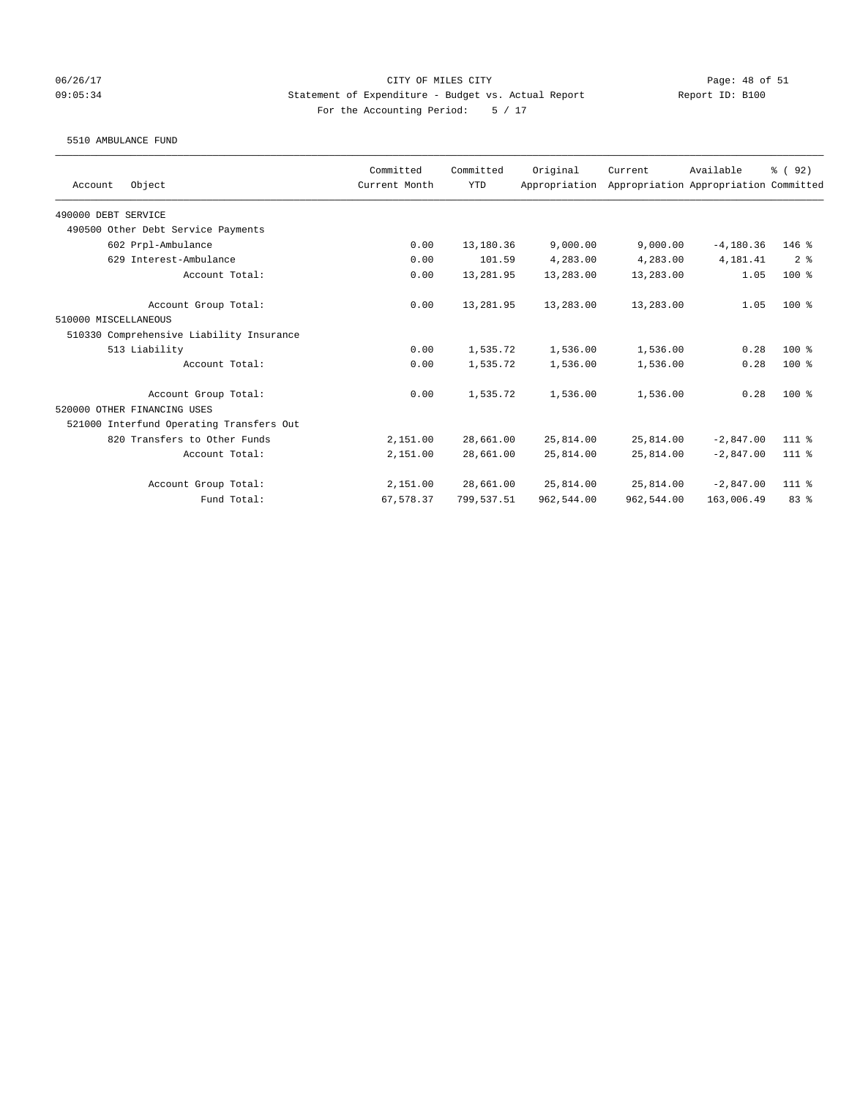### 06/26/17 Page: 48 of 51 09:05:34 Statement of Expenditure - Budget vs. Actual Report Report ID: B100 For the Accounting Period: 5 / 17

#### 5510 AMBULANCE FUND

| Object<br>Account                        | Committed<br>Current Month | Committed<br><b>YTD</b> | Original<br>Appropriation | Current    | Available<br>Appropriation Appropriation Committed | % (92)         |
|------------------------------------------|----------------------------|-------------------------|---------------------------|------------|----------------------------------------------------|----------------|
|                                          |                            |                         |                           |            |                                                    |                |
| 490000 DEBT SERVICE                      |                            |                         |                           |            |                                                    |                |
| 490500 Other Debt Service Payments       |                            |                         |                           |            |                                                    |                |
| 602 Prpl-Ambulance                       | 0.00                       | 13,180.36               | 9,000.00                  | 9,000.00   | $-4, 180.36$                                       | $146$ %        |
| 629 Interest-Ambulance                   | 0.00                       | 101.59                  | 4,283.00                  | 4,283.00   | 4,181.41                                           | 2 <sup>8</sup> |
| Account Total:                           | 0.00                       | 13,281.95               | 13,283.00                 | 13,283.00  | 1.05                                               | $100*$         |
| Account Group Total:                     | 0.00                       | 13,281.95               | 13,283.00                 | 13,283.00  | 1.05                                               | $100*$         |
| 510000 MISCELLANEOUS                     |                            |                         |                           |            |                                                    |                |
| 510330 Comprehensive Liability Insurance |                            |                         |                           |            |                                                    |                |
| 513 Liability                            | 0.00                       | 1,535.72                | 1,536.00                  | 1,536.00   | 0.28                                               | $100*$         |
| Account Total:                           | 0.00                       | 1,535.72                | 1,536.00                  | 1,536.00   | 0.28                                               | $100*$         |
| Account Group Total:                     | 0.00                       | 1,535.72                | 1,536.00                  | 1,536.00   | 0.28                                               | $100*$         |
| 520000 OTHER FINANCING USES              |                            |                         |                           |            |                                                    |                |
| 521000 Interfund Operating Transfers Out |                            |                         |                           |            |                                                    |                |
| 820 Transfers to Other Funds             | 2,151.00                   | 28,661.00               | 25,814.00                 | 25,814.00  | $-2,847.00$                                        | 111 %          |
| Account Total:                           | 2,151.00                   | 28,661.00               | 25,814.00                 | 25,814.00  | $-2,847.00$                                        | $111*$         |
| Account Group Total:                     | 2,151.00                   | 28,661.00               | 25,814.00                 | 25,814.00  | $-2,847.00$                                        | 111 %          |
| Fund Total:                              | 67,578.37                  | 799,537.51              | 962,544.00                | 962,544.00 | 163,006.49                                         | 83 %           |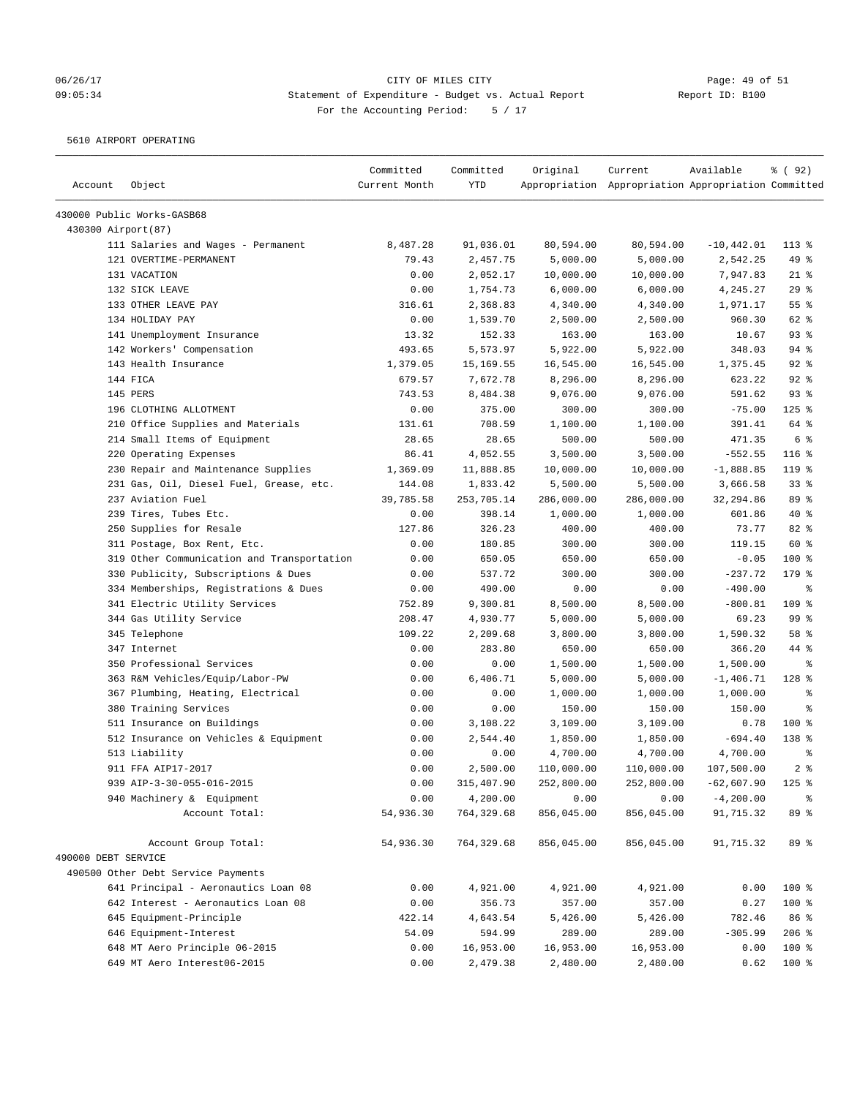# 06/26/17 Page: 49 of 51 09:05:34 Statement of Expenditure - Budget vs. Actual Report Report ID: B100 For the Accounting Period: 5 / 17

5610 AIRPORT OPERATING

| Account             | Object                                     | Committed<br>Current Month | Committed<br><b>YTD</b> | Original   | Current<br>Appropriation Appropriation Appropriation Committed | Available     | % ( 92 )         |
|---------------------|--------------------------------------------|----------------------------|-------------------------|------------|----------------------------------------------------------------|---------------|------------------|
|                     | 430000 Public Works-GASB68                 |                            |                         |            |                                                                |               |                  |
| 430300 Airport (87) |                                            |                            |                         |            |                                                                |               |                  |
|                     | 111 Salaries and Wages - Permanent         | 8,487.28                   | 91,036.01               | 80,594.00  | 80,594.00                                                      | $-10, 442.01$ | $113*$           |
|                     | 121 OVERTIME-PERMANENT                     | 79.43                      | 2,457.75                | 5,000.00   | 5,000.00                                                       | 2,542.25      | 49 %             |
|                     | 131 VACATION                               | 0.00                       | 2,052.17                | 10,000.00  | 10,000.00                                                      | 7,947.83      | $21$ %           |
|                     | 132 SICK LEAVE                             | 0.00                       | 1,754.73                | 6,000.00   | 6,000.00                                                       | 4,245.27      | 29%              |
|                     | 133 OTHER LEAVE PAY                        | 316.61                     | 2,368.83                | 4,340.00   | 4,340.00                                                       | 1,971.17      | 55 %             |
|                     | 134 HOLIDAY PAY                            | 0.00                       | 1,539.70                | 2,500.00   | 2,500.00                                                       | 960.30        | 62 %             |
|                     | 141 Unemployment Insurance                 | 13.32                      | 152.33                  | 163.00     | 163.00                                                         | 10.67         | 93%              |
|                     | 142 Workers' Compensation                  | 493.65                     | 5,573.97                | 5,922.00   | 5,922.00                                                       | 348.03        | $94$ %           |
|                     | 143 Health Insurance                       | 1,379.05                   | 15,169.55               | 16,545.00  | 16,545.00                                                      | 1,375.45      | $92$ %           |
|                     | 144 FICA                                   | 679.57                     | 7,672.78                | 8,296.00   | 8,296.00                                                       | 623.22        | 92%              |
|                     | 145 PERS                                   | 743.53                     | 8,484.38                | 9,076.00   | 9,076.00                                                       | 591.62        | 93%              |
|                     | 196 CLOTHING ALLOTMENT                     | 0.00                       | 375.00                  | 300.00     | 300.00                                                         | $-75.00$      | $125$ %          |
|                     | 210 Office Supplies and Materials          | 131.61                     | 708.59                  | 1,100.00   | 1,100.00                                                       | 391.41        | 64 %             |
|                     | 214 Small Items of Equipment               | 28.65                      | 28.65                   | 500.00     | 500.00                                                         | 471.35        | 6 %              |
|                     | 220 Operating Expenses                     | 86.41                      | 4,052.55                | 3,500.00   | 3,500.00                                                       | $-552.55$     | $116$ %          |
|                     | 230 Repair and Maintenance Supplies        | 1,369.09                   | 11,888.85               | 10,000.00  | 10,000.00                                                      | $-1,888.85$   | $119$ %          |
|                     | 231 Gas, Oil, Diesel Fuel, Grease, etc.    | 144.08                     | 1,833.42                | 5,500.00   | 5,500.00                                                       | 3,666.58      | 33%              |
|                     | 237 Aviation Fuel                          | 39,785.58                  | 253,705.14              | 286,000.00 | 286,000.00                                                     | 32,294.86     | 89 %             |
|                     | 239 Tires, Tubes Etc.                      | 0.00                       | 398.14                  | 1,000.00   | 1,000.00                                                       | 601.86        | 40 %             |
|                     | 250 Supplies for Resale                    | 127.86                     | 326.23                  | 400.00     | 400.00                                                         | 73.77         | 82 %             |
|                     | 311 Postage, Box Rent, Etc.                | 0.00                       | 180.85                  | 300.00     | 300.00                                                         | 119.15        | 60 %             |
|                     | 319 Other Communication and Transportation | 0.00                       | 650.05                  | 650.00     | 650.00                                                         | $-0.05$       | 100 %            |
|                     | 330 Publicity, Subscriptions & Dues        | 0.00                       | 537.72                  | 300.00     | 300.00                                                         | $-237.72$     | 179 %            |
|                     | 334 Memberships, Registrations & Dues      | 0.00                       | 490.00                  | 0.00       | 0.00                                                           | $-490.00$     | နွ               |
|                     | 341 Electric Utility Services              | 752.89                     | 9,300.81                | 8,500.00   | 8,500.00                                                       | $-800.81$     | $109$ %          |
|                     | 344 Gas Utility Service                    | 208.47                     | 4,930.77                | 5,000.00   | 5,000.00                                                       | 69.23         | 99 <sup>8</sup>  |
|                     | 345 Telephone                              | 109.22                     | 2,209.68                | 3,800.00   | 3,800.00                                                       | 1,590.32      | 58 %             |
|                     | 347 Internet                               | 0.00                       | 283.80                  | 650.00     | 650.00                                                         | 366.20        | 44 %             |
|                     | 350 Professional Services                  | 0.00                       | 0.00                    | 1,500.00   | 1,500.00                                                       | 1,500.00      | နွ               |
|                     | 363 R&M Vehicles/Equip/Labor-PW            | 0.00                       | 6,406.71                | 5,000.00   | 5,000.00                                                       | $-1,406.71$   | 128 %            |
|                     | 367 Plumbing, Heating, Electrical          | 0.00                       | 0.00                    | 1,000.00   | 1,000.00                                                       | 1,000.00      | နွ               |
|                     | 380 Training Services                      | 0.00                       | 0.00                    | 150.00     | 150.00                                                         | 150.00        | る                |
|                     | 511 Insurance on Buildings                 | 0.00                       | 3,108.22                | 3,109.00   | 3,109.00                                                       | 0.78          | $100$ %          |
|                     | 512 Insurance on Vehicles & Equipment      | 0.00                       | 2,544.40                | 1,850.00   | 1,850.00                                                       | $-694.40$     | 138 <sup>8</sup> |
|                     | 513 Liability                              | 0.00                       | 0.00                    | 4,700.00   | 4,700.00                                                       | 4,700.00      | နွ               |
|                     | 911 FFA AIP17-2017                         | 0.00                       | 2,500.00                | 110,000.00 | 110,000.00                                                     | 107,500.00    | 2 <sup>8</sup>   |
|                     | 939 AIP-3-30-055-016-2015                  | 0.00                       | 315,407.90              | 252,800.00 | 252,800.00                                                     | $-62,607.90$  | $125$ %          |
|                     | 940 Machinery & Equipment                  | 0.00                       | 4,200.00                | 0.00       | 0.00                                                           | $-4, 200.00$  |                  |
|                     | Account Total:                             | 54,936.30                  | 764,329.68              | 856,045.00 | 856,045.00                                                     | 91,715.32     | 89 %             |
|                     | Account Group Total:                       | 54,936.30                  | 764,329.68              | 856,045.00 | 856,045.00                                                     | 91,715.32     | 89 %             |
| 490000 DEBT SERVICE |                                            |                            |                         |            |                                                                |               |                  |
|                     | 490500 Other Debt Service Payments         |                            |                         |            |                                                                |               |                  |
|                     | 641 Principal - Aeronautics Loan 08        | 0.00                       | 4,921.00                | 4,921.00   | 4,921.00                                                       | 0.00          | 100 %            |
|                     | 642 Interest - Aeronautics Loan 08         | 0.00                       | 356.73                  | 357.00     | 357.00                                                         | 0.27          | 100 %            |
|                     | 645 Equipment-Principle                    | 422.14                     | 4,643.54                | 5,426.00   | 5,426.00                                                       | 782.46        | 86 %             |
|                     | 646 Equipment-Interest                     | 54.09                      | 594.99                  | 289.00     | 289.00                                                         | $-305.99$     | $206$ %          |
|                     | 648 MT Aero Principle 06-2015              | 0.00                       | 16,953.00               | 16,953.00  | 16,953.00                                                      | 0.00          | 100 %            |
|                     | 649 MT Aero Interest06-2015                | 0.00                       | 2,479.38                | 2,480.00   | 2,480.00                                                       | 0.62          | 100 %            |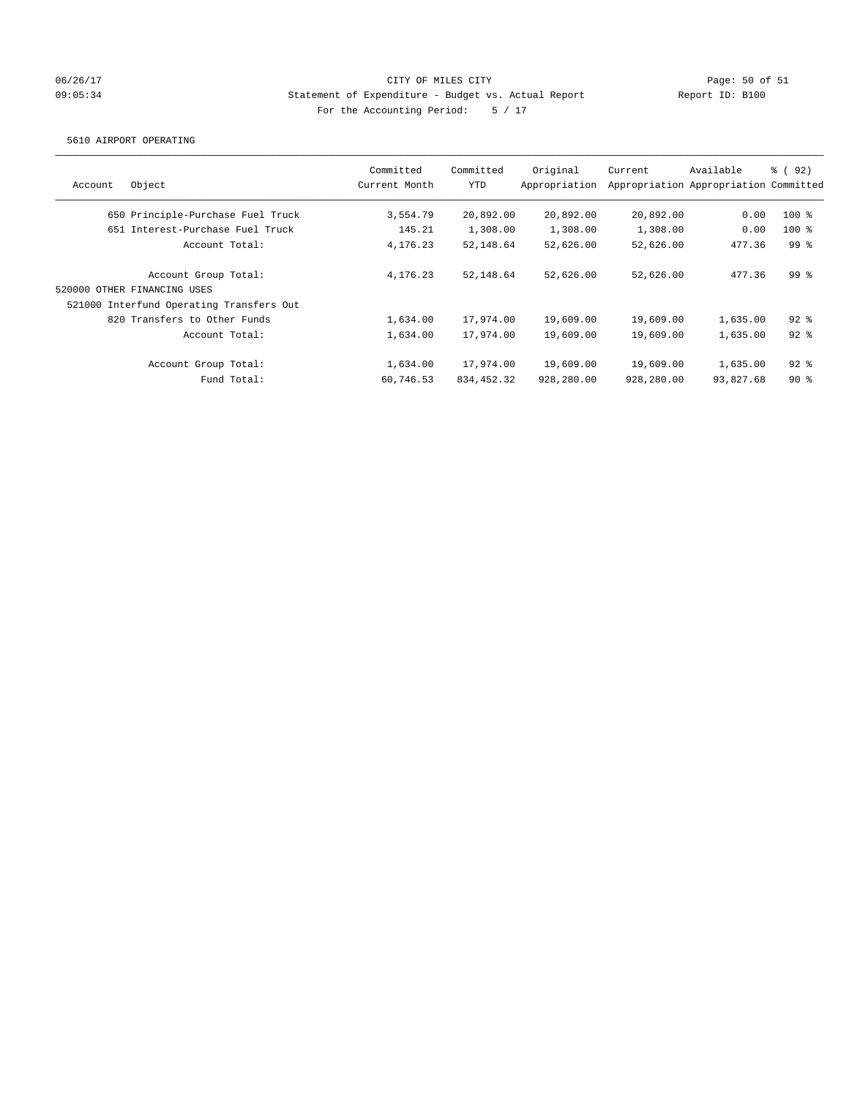# 06/26/17 Page: 50 of 51 09:05:34 Statement of Expenditure - Budget vs. Actual Report Report ID: B100 For the Accounting Period: 5 / 17

#### 5610 AIRPORT OPERATING

| Account | Object                                   | Committed<br>Current Month | Committed<br>YTD | Original<br>Appropriation | Current    | Available<br>Appropriation Appropriation Committed | <sub>ර</sub> ි (92) |
|---------|------------------------------------------|----------------------------|------------------|---------------------------|------------|----------------------------------------------------|---------------------|
|         | 650 Principle-Purchase Fuel Truck        | 3,554.79                   | 20,892.00        | 20,892.00                 | 20,892.00  | 0.00                                               | $100*$              |
|         | 651 Interest-Purchase Fuel Truck         | 145.21                     | 1,308.00         | 1,308.00                  | 1,308.00   | 0.00                                               | $100*$              |
|         | Account Total:                           | 4,176.23                   | 52,148.64        | 52,626.00                 | 52,626.00  | 477.36                                             | 99 <sup>8</sup>     |
|         | Account Group Total:                     | 4,176.23                   | 52,148.64        | 52,626.00                 | 52,626.00  | 477.36                                             | 99 <sup>8</sup>     |
|         | 520000 OTHER FINANCING USES              |                            |                  |                           |            |                                                    |                     |
|         | 521000 Interfund Operating Transfers Out |                            |                  |                           |            |                                                    |                     |
|         | 820 Transfers to Other Funds             | 1,634.00                   | 17,974.00        | 19,609.00                 | 19,609.00  | 1,635.00                                           | $92$ $%$            |
|         | Account Total:                           | 1,634.00                   | 17,974.00        | 19,609.00                 | 19,609.00  | 1,635.00                                           | $92$ $%$            |
|         | Account Group Total:                     | 1,634.00                   | 17,974.00        | 19,609.00                 | 19,609.00  | 1,635.00                                           | $92$ $%$            |
|         | Fund Total:                              | 60,746.53                  | 834, 452.32      | 928,280.00                | 928,280.00 | 93,827.68                                          | $90*$               |